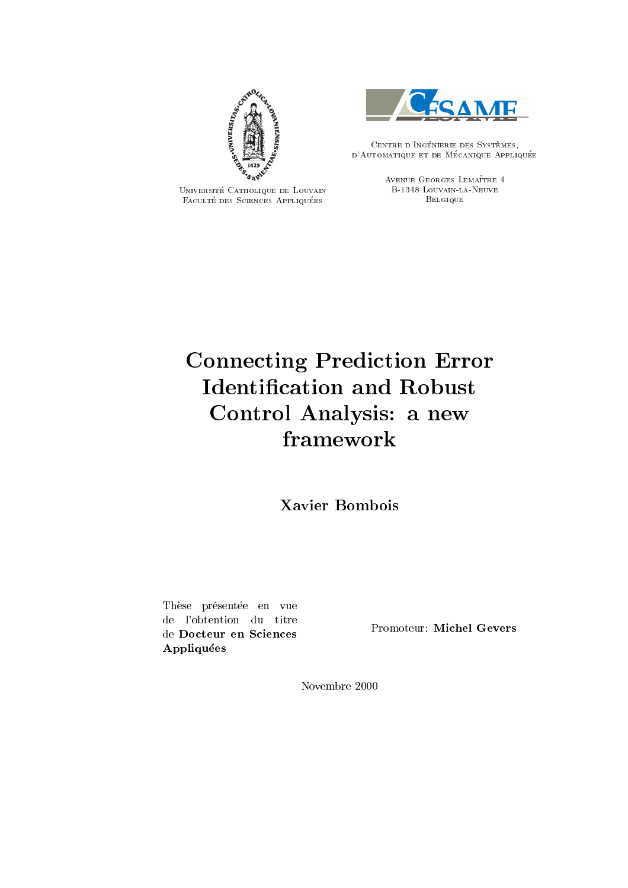

FACULTÉ DES SCIENCES APPLIQUÉES



CENTRE D'INGÉNIERIE DES SYSTÈMES, D'AUTOMATIQUE ET DE MÉCANIQUE APPLIQUÉE

> AVENUE GEORGES LEMAÎTRE $4\,$ B-1348 LOUVAIN-LA-NEUVE BELGIQUE

# **Connecting Prediction Error Identification and Robust** Control Analysis: a new framework

**Xavier Bombois** 

Thèse présentée en vue de l'obtention du titre de Docteur en Sciences Appliquées

Promoteur: Michel Gevers

Novembre 2000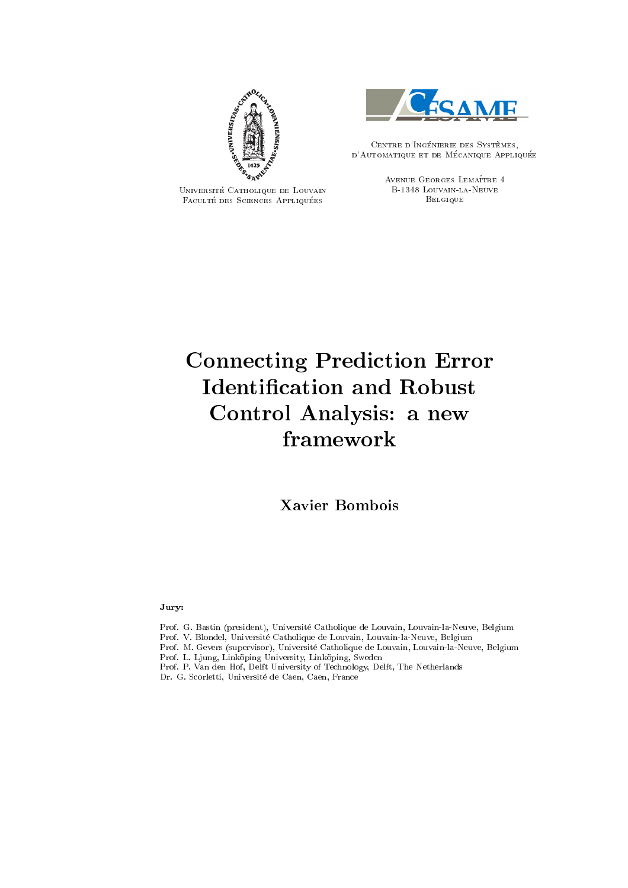

FACULTÉ DES SCIENCES APPLIQUÉES



CENTRE D'INGÉNIERIE DES SYSTÈMES, D'AUTOMATIQUE ET DE MÉCANIQUE APPLIQUÉE

> AVENUE GEORGES LEMAÎTRE $4\,$ B-1348 LOUVAIN-LA-NEUVE **BELGIQUE**

## **Connecting Prediction Error Identification and Robust** Control Analysis: a new framework

**Xavier Bombois** 

Jury:

Prof. G. Bastin (president), Université Catholique de Louvain, Louvain-la-Neuve, Belgium Prof. V. Blondel, Université Catholique de Louvain, Louvain-la-Neuve, Belgium Prof. M. Gevers (supervisor), Université Catholique de Louvain, Louvain-la-Neuve, Belgium Prof. L. Ljung, Linköping University, Linköping, Sweden Prof. P. Van den Hof, Delft University of Technology, Delft, The Netherlands Dr. G. Scorletti, Université de Caen, Caen, France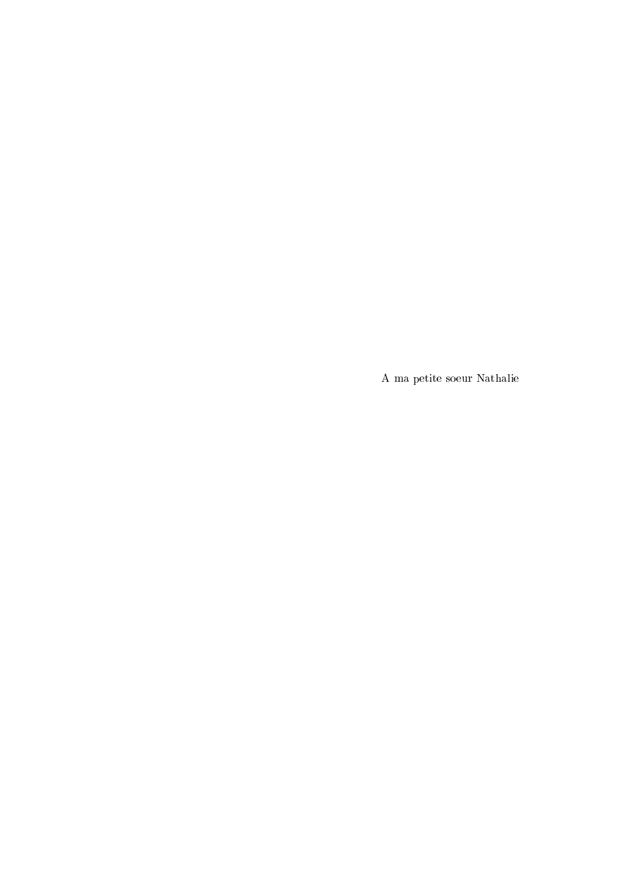A ma petite soeur Nathalie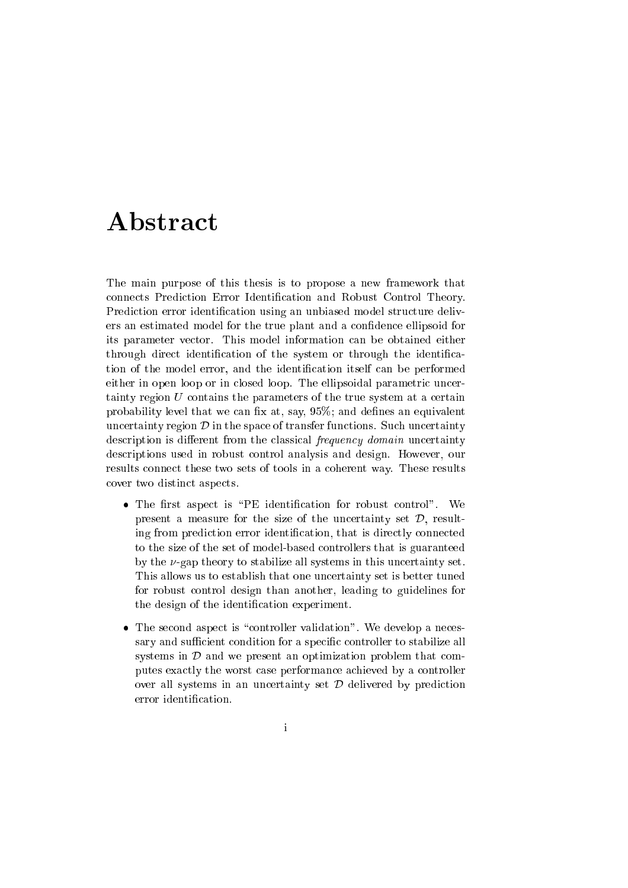## **Abstract**

The main purpose of this thesis is to propose a new framework that onne
ts Predi
tion Error Identi
ation and Robust Control Theory. Prediction error identification using an unbiased model structure delivers an estimated model for the true plant and a confidence ellipsoid for its parameter ve
tor. This model information an be obtained either through direct identification of the system or through the identification of the model error, and the identification itself can be performed either in open loop or in closed loop. The ellipsoidal parametric uncertainty region  $U$  contains the parameters of the true system at a certain probability level that we can fix at, say,  $95\%$ ; and defines an equivalent uncertainty region  $\mathcal{D}$  in the space of transfer functions. Such uncertainty description is different from the classical *frequency domain* uncertainty des
riptions used in robust ontrol analysis and design. However, our results onne
t these two sets of tools in a oherent way. These results over two distin
t aspe
ts.

- the control in the control of the control of robust  $\mathcal{C}$  . The control of robust  $\mathcal{C}$ present a measure for the size of the uncertainty set  $D$ , resulting from prediction error identification, that is directly connected to the size of the set of model-based ontrollers that is guaranteed by the  $\nu$ -gap theory to stabilize all systems in this uncertainty set. This allows us to establish that one uncertainty set is better tuned for robust ontrol design than another, leading to guidelines for the design of the identification experiment.
- the section in presence is an indicated and interesting a new presence is a new presence of the section of the sary and sufficient condition for a specific controller to stabilize all systems in  $D$  and we present an optimization problem that computes exactly the worst case performance achieved by a controller over all systems in an uncertainty set  $D$  delivered by prediction error identification.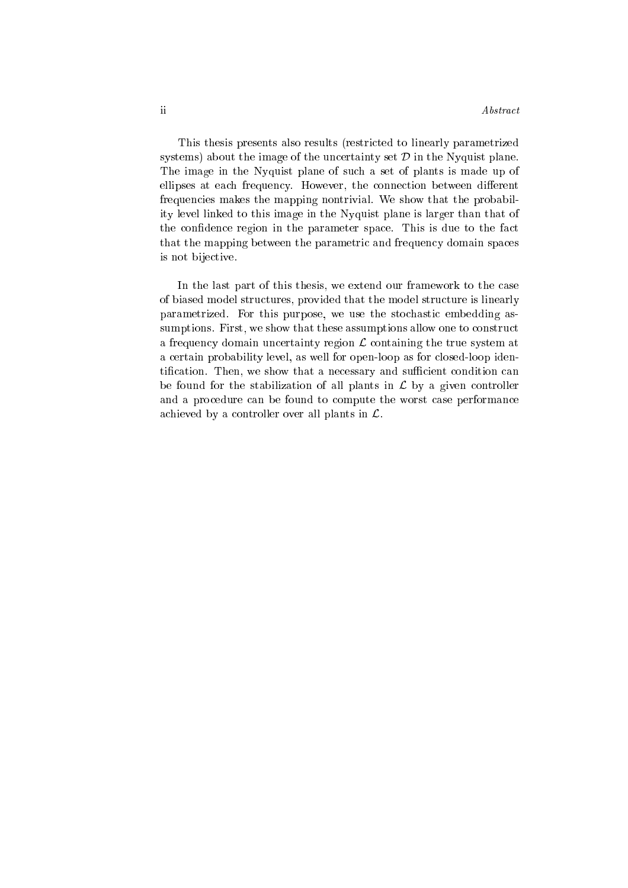This thesis presents also results (restri
ted to linearly parametrized systems) about the image of the uncertainty set  $\mathcal D$  in the Nyquist plane. The image in the Nyquist plane of su
h a set of plants is made up of ellipses at each frequency. However, the connection between different frequencies makes the mapping nontrivial. We show that the probability level linked to this image in the Nyquist plane is larger than that of the confidence region in the parameter space. This is due to the fact that the mapping between the parametric and frequency domain spaces is not bije
tive.

In the last part of this thesis, we extend our framework to the ase of biased model stru
tures, provided that the model stru
ture is linearly parametrized. For this purpose, we use the sto
hasti embedding assumptions. First, we show that these assumptions allow one to construct a frequency domain uncertainty region  $\mathcal L$  containing the true system at a certain probability level, as well for open-loop as for closed-loop identification. Then, we show that a necessary and sufficient condition can be found for the stabilization of all plants in  $\mathcal L$  by a given controller and a procedure can be found to compute the worst case performance a
hieved by a ontroller over all plants in L.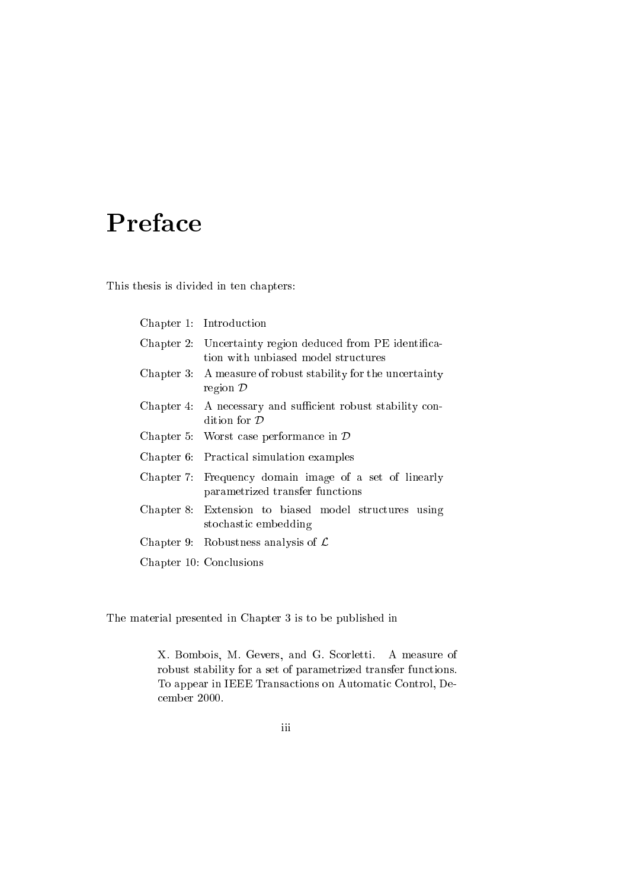# Preface

This thesis is divided in ten chapters:

Chapter 1: Introduction

- Chapter 2: Uncertainty region deduced from PE identification with unbiased model structures
- Chapter 3: A measure of robust stability for the uncertainty region  $\mathcal D$
- Chapter 4: A necessary and sufficient robust stability condition for  ${\mathcal D}$
- Chapter 5: Worst case performance in  $D$
- Chapter 6: Practical simulation examples
- Chapter 7: Frequency domain image of a set of linearly parametrized transfer functions
- Chapter 8: Extension to biased model structures using stochastic embedding
- Chapter 9: Robustness analysis of  $\mathcal L$

Chapter 10: Conclusions

The material presented in Chapter 3 is to be published in

X. Bombois, M. Gevers, and G. Scorletti. A measure of robust stability for a set of parametrized transfer functions. To appear in IEEE Transactions on Automatic Control, December 2000.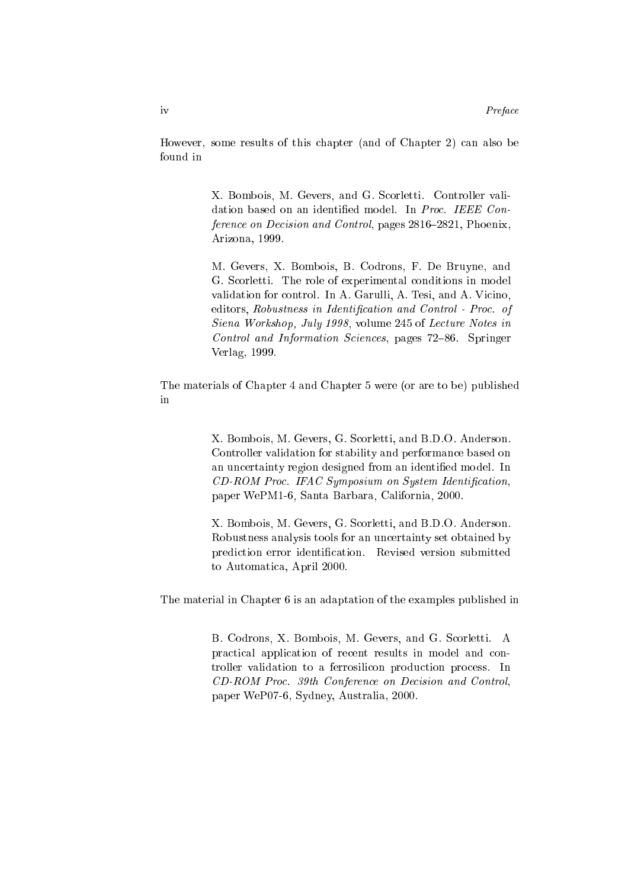However, some results of this chapter (and of Chapter 2) can also be found in

> X. Bombois, M. Gevers, and G. Scorletti. Controller validation based on an identified model. In *Proc. IEEE Con*ference on Decision and Control, pages 2816-2821, Phoenix, Arizona, 1999.

> M. Gevers, X. Bombois, B. Codrons, F. De Bruyne, and G. S
> orletti. The role of experimental onditions in model validation for control. In A. Garulli, A. Tesi, and A. Vicino, editors, Robustness in Identification and Control - Proc. of Siena Workshop, July 1998, volume 245 of Lecture Notes in Control and Information Sciences, pages 72–86. Springer Verlag, 1999.

The materials of Chapter 4 and Chapter 5 were (or are to be) published in

> X. Bombois, M. Gevers, G. S
> orletti, and B.D.O. Anderson. Controller validation for stability and performan
> e based on an un
> ertainty region designed from an identied model. In  $CD$ -ROM Proc. IFAC Symposium on System Identification, paper WePM1-6, Santa Barbara, California, 2000.

> X. Bombois, M. Gevers, G. S
> orletti, and B.D.O. Anderson. Robustness analysis tools for an un
> ertainty set obtained by prediction error identification. Revised version submitted to Automati
> a, April 2000.

The material in Chapter 6 is an adaptation of the examples published in

B. Codrons, X. Bombois, M. Gevers, and G. Scorletti. A practical application of recent results in model and controller validation to a ferrosilicon production process. In CD-ROM Proc. 39th Conference on Decision and Control, paper WeP07-6, Sydney, Australia, 2000.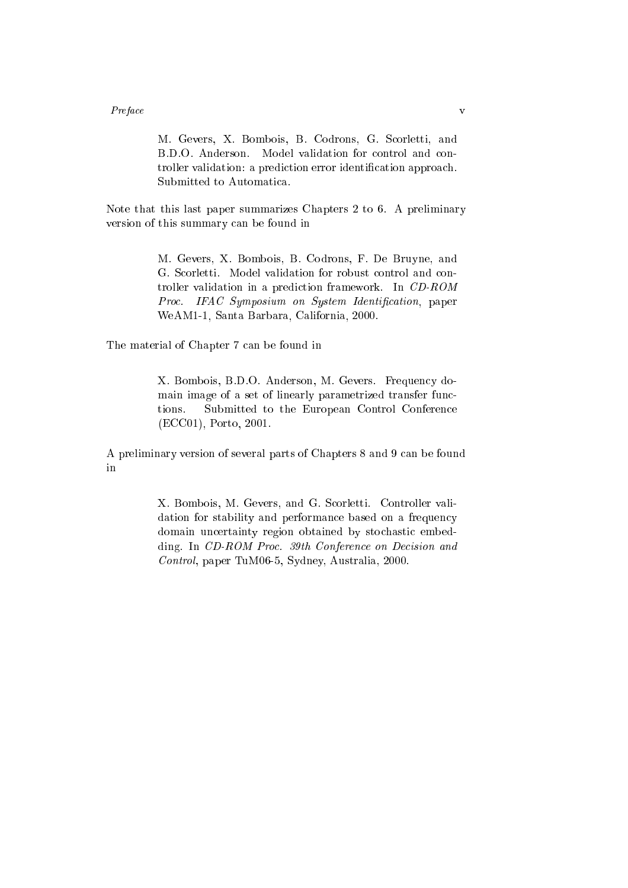M. Gevers, X. Bombois, B. Codrons, G. Scorletti, and B.D.O. Anderson. Model validation for control and controller validation: a prediction error identification approach. Submitted to Automati
a.

Note that this last paper summarizes Chapters 2 to 6. A preliminary version of this summary can be found in

> M. Gevers, X. Bombois, B. Codrons, F. De Bruyne, and G. Scorletti. Model validation for robust control and controller validation in a prediction framework. In CD-ROM Proc. IFAC Symposium on System Identification, paper WeAM1-1, Santa Barbara, California, 2000.

The material of Chapter 7 can be found in

X. Bombois, B.D.O. Anderson, M. Gevers. Frequency domain image of a set of linearly parametrized transfer functions. Submitted to the European Control Conferen
e (ECC01), Porto, 2001.

A preliminary version of several parts of Chapters 8 and 9 can be found in

> X. Bombois, M. Gevers, and G. Scorletti. Controller validation for stability and performance based on a frequency domain un
> ertainty region obtained by sto
> hasti embedding. In CD-ROM Proc. 39th Conference on Decision and Control, paper TuM06-5, Sydney, Australia, 2000.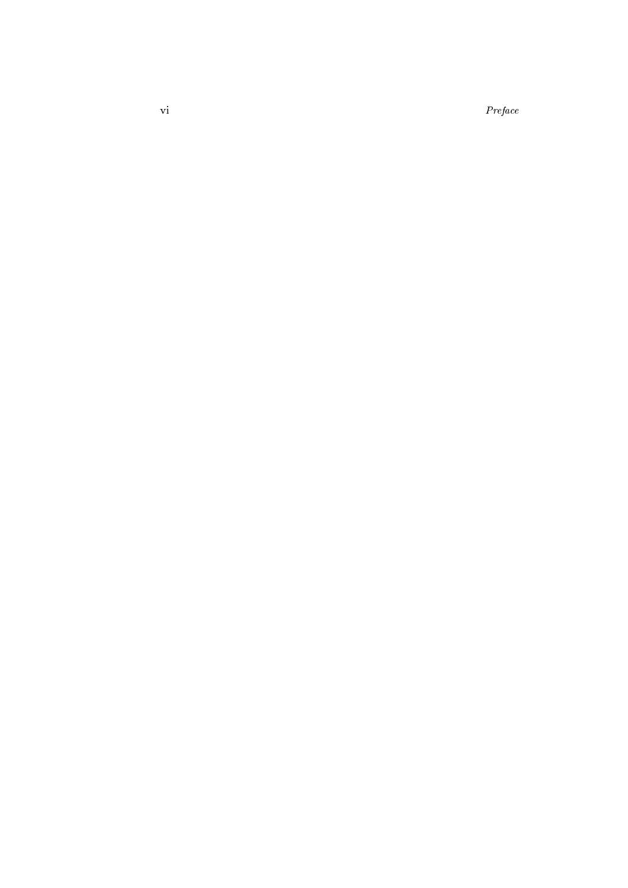$Preface$ 

vi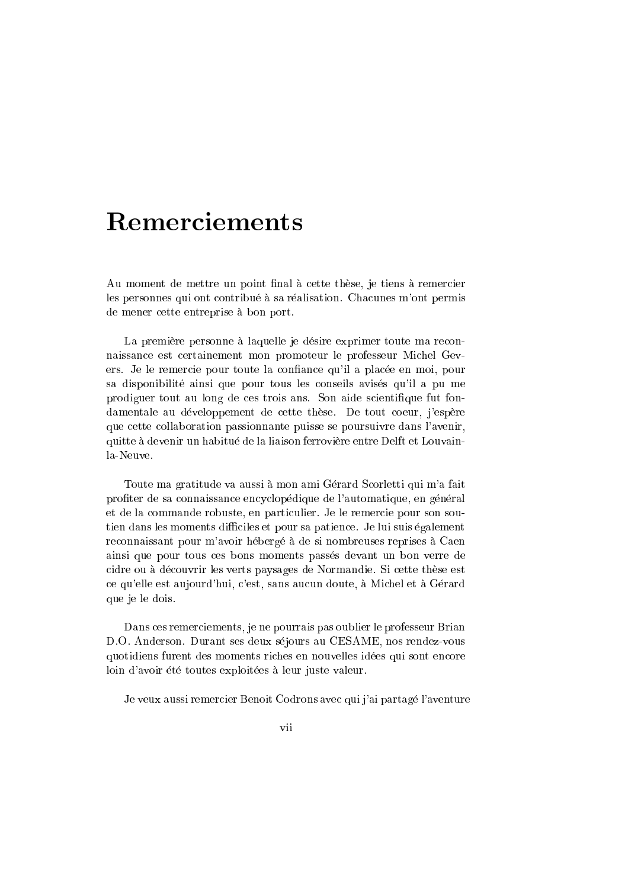# Remer
iements

Au moment de mettre un point final à cette thèse, je tiens à remercier les personnes qui ont contribué à sa réalisation. Chacunes m'ont permis de mener ette entreprise a bon port.

La première personne à laquelle je désire exprimer toute ma reconnaissan
e est ertainement mon promoteur le professeur Mi
hel Gevers. Je le remercie pour toute la confiance qu'il a placée en moi, pour sa disponibilité ainsi que pour tous les conseils avisés qu'il a pu me prodiguer tout au long de ces trois ans. Son aide scientifique fut fondamentale au développement de cette thèse. De tout coeur, j'espère que ette ollaboration passionnante puisse se poursuivre dans l'avenir, quitte a devenir un habitue de la liaison ferroviere entre Delft et Louvainla-Neuve.

Toute ma gratitude va aussi à mon ami Gérard Scorletti qui m'a fait profiter de sa connaissance encyclopédique de l'automatique, en général et de la commande robuste, en particulier. Je le remercie pour son soutien dans les moments difficiles et pour sa patience. Je lui suis également re
onnaissant pour m'avoir heberge a de si nombreuses reprises a Caen ainsi que pour tous es bons moments passes devant un bon verre de idre ou a de
ouvrir les verts paysages de Normandie. Si ette these est e qu'elle est aujourd'hui, 'est, sans au
un doute, a Mi
hel et a Gerard que je le dois.

Dans ces remerciements, je ne pourrais pas oublier le professeur Brian D.O. Anderson. Durant ses deux sejours au CESAME, nos rendez-vous quotidiens furent des moments ri
hes en nouvelles idees qui sont en
ore loin d'avoir été toutes exploitées à leur juste valeur.

Je veux aussi remer
ier Benoit Codrons ave qui j'ai partage l'aventure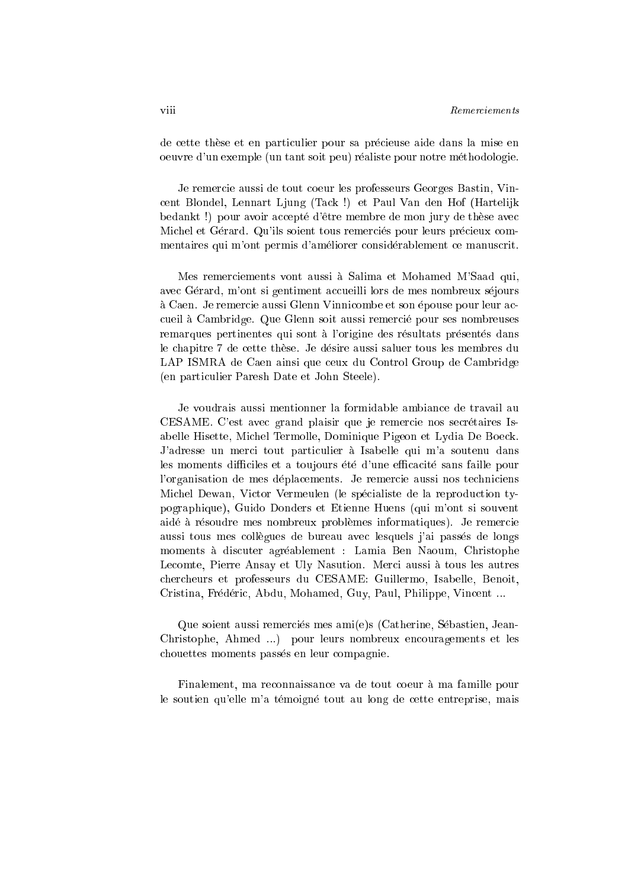de ette these et en parti
ulier pour sa pre
ieuse aide dans la mise en oeuvre d'un exemple (un tant soit peu) realiste pour notre methodologie.

Je remer
ie aussi de tout oeur les professeurs Georges Bastin, Vin ent Blondel, Lennart Ljung (Ta
k !) et Paul Van den Hof (Hartelijk bedankt!) pour avoir accepté d'être membre de mon jury de thèse avec Michel et Gérard. Qu'ils soient tous remerciés pour leurs précieux commentaires qui m'ont permis d'améliorer considérablement ce manuscrit.

Mes remer
iements vont aussi a Salima et Mohamed M'Saad qui, avec Gérard, m'ont si gentiment accueilli lors de mes nombreux séjours à Caen. Je remercie aussi Glenn Vinnicombe et son épouse pour leur acueil a Cambridge. Que Glenn soit aussi remer
ie pour ses nombreuses remarques pertinentes qui sont a l'origine des resultats presentes dans le hapitre 7 de ette these. Je desire aussi saluer tous les membres du LAP ISMRA de Caen ainsi que eux du Control Group de Cambridge (en parti
ulier Paresh Date et John Steele).

Je voudrais aussi mentionner la formidable ambian
e de travail au CESAME. C'est avec grand plaisir que je remercie nos secrétaires Isabelle Hisette, Mi
hel Termolle, Dominique Pigeon et Lydia De Boe
k. J'adresse un merci tout particulier à Isabelle qui m'a soutenu dans les moments difficiles et a toujours été d'une efficacité sans faille pour l'organisation de mes déplacements. Je remercie aussi nos techniciens Michel Dewan, Victor Vermeulen (le spécialiste de la reproduction typographique), Guido Donders et Etienne Huens (qui m'ont si souvent aidé à résoudre mes nombreux problèmes informatiques). Je remercie aussi tous mes collègues de bureau avec lesquels j'ai passés de longs moments à discuter agréablement : Lamia Ben Naoum, Christophe Lecomte, Pierre Ansay et Uly Nasution. Merci aussi à tous les autres her
heurs et professeurs du CESAME: Guillermo, Isabelle, Benoit, Cristina, Frédéric, Abdu, Mohamed, Guy, Paul, Philippe, Vincent...

Que soient aussi remerciés mes ami(e)s (Catherine, Sébastien, Jean-Christophe, Ahmed ...) pour leurs nombreux encouragements et les chouettes moments passés en leur compagnie.

Finalement, ma reconnaissance va de tout coeur à ma famille pour le soutien qu'elle m'a témoigné tout au long de cette entreprise, mais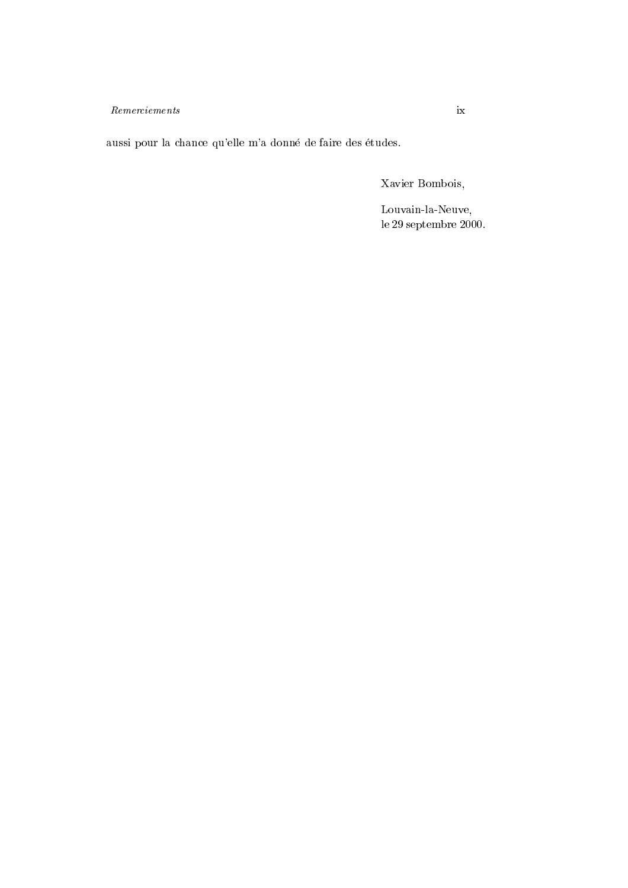### Remer
iements ix

aussi pour la chance qu'elle m'a donné de faire des études.

Xavier Bombois,

Louvain-la-Neuve, le 29 septembre 2000.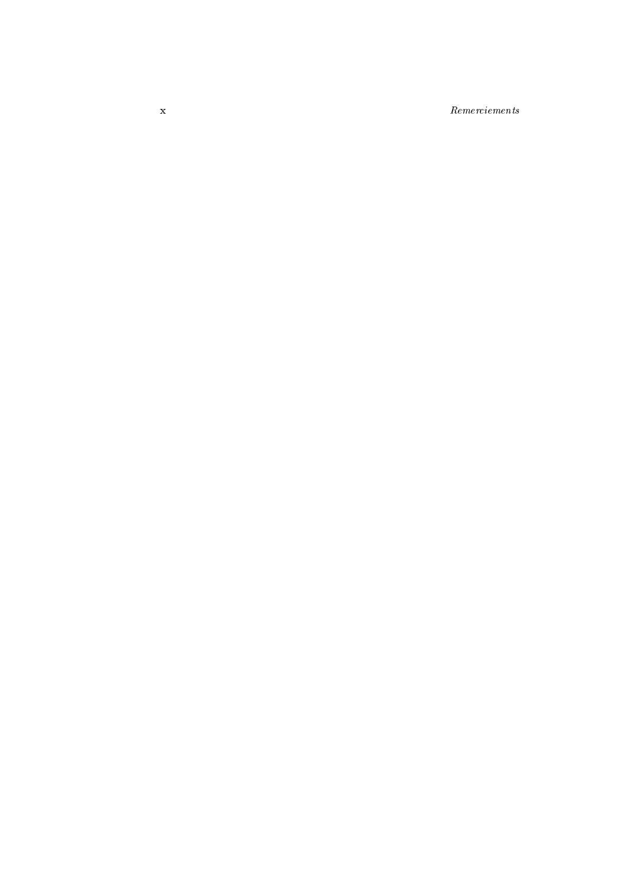$\label{eq:Remicements} Remember the most$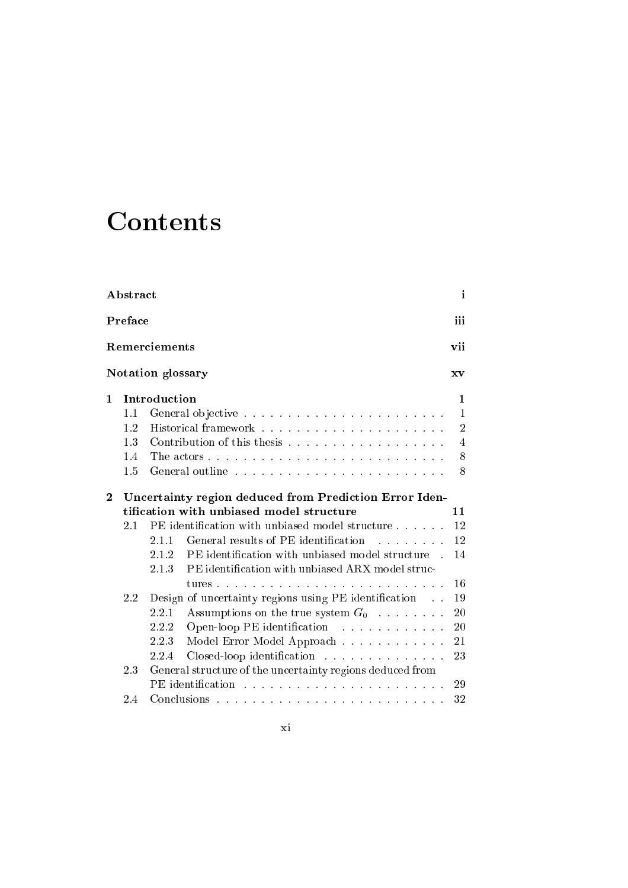# **Contents**

|              | ${\bf Abstract}$ |                   |                                                                    | $\mathbf{i}$           |
|--------------|------------------|-------------------|--------------------------------------------------------------------|------------------------|
|              | $\bf{Preface}$   |                   |                                                                    | iii                    |
|              |                  | ${\bf Remember}$  |                                                                    | vii                    |
|              |                  | Notation glossary |                                                                    | $\mathbf{x}\mathbf{v}$ |
| $\mathbf{1}$ |                  | Introduction      |                                                                    | 1                      |
|              | 1.1              |                   |                                                                    | 1                      |
|              | 1.2              |                   |                                                                    | $\overline{2}$         |
|              | 1.3              |                   |                                                                    | 4                      |
|              | 1.4              |                   |                                                                    | 8                      |
|              | 1.5              |                   |                                                                    | 8                      |
| $\bf{2}$     |                  |                   | Uncertainty region deduced from Prediction Error Iden-             |                        |
|              |                  |                   | tification with unbiased model structure                           | 11                     |
|              | 2.1              |                   | PE identification with unbiased model structure                    | 12                     |
|              |                  | 2.1.1             | General results of PE identification<br>and the state of the state | 12                     |
|              |                  | 2.1.2             | PE identification with unbiased model structure<br>$\sim$          | 14                     |
|              |                  | 2.1.3             | PE identification with unbiased ARX model struc-                   |                        |
|              |                  |                   |                                                                    | 16                     |
|              | 2.2              |                   | Design of uncertainty regions using PE identification              | 19                     |
|              |                  | 2.2.1             | Assumptions on the true system $G_0$                               | 20                     |
|              |                  | 2.2.2             | Open-loop PE identification                                        | 20                     |
|              |                  | 2.2.3             | Model Error Model Approach                                         | 21                     |
|              |                  | 2.2.4             | Closed-loop identification                                         | 23                     |
|              | 2.3              |                   | General structure of the uncertainty regions deduced from          |                        |
|              |                  |                   |                                                                    | 29                     |
|              | 2.4              |                   |                                                                    | 32                     |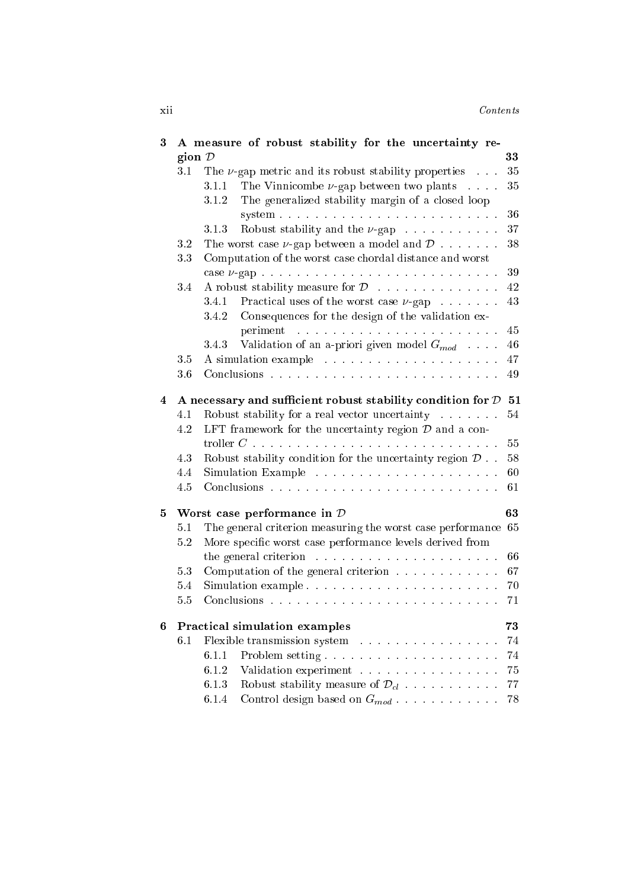| 3                  |                               | A measure of robust stability for the uncertainty re-                                          |    |
|--------------------|-------------------------------|------------------------------------------------------------------------------------------------|----|
| gion $\mathcal{D}$ |                               |                                                                                                | 33 |
|                    | 3.1                           | The $\nu$ -gap metric and its robust stability properties<br>35                                |    |
|                    |                               | The Vinnicombe $\nu$ -gap between two plants<br>35<br>3.1.1                                    |    |
|                    |                               | The generalized stability margin of a closed loop<br>3.1.2                                     |    |
|                    |                               | 36                                                                                             |    |
|                    |                               | 37<br>3.1.3<br>Robust stability and the $\nu$ -gap                                             |    |
|                    | 3.2                           | The worst case $\nu$ -gap between a model and $\mathcal{D}$<br>38                              |    |
|                    | $\!3.3$                       | Computation of the worst case chordal distance and worst                                       |    |
|                    |                               | 39                                                                                             |    |
|                    | 3.4                           | A robust stability measure for $\mathcal{D}$<br>42                                             |    |
|                    |                               | 43<br>Practical uses of the worst case $\nu$ -gap<br>3.4.1                                     |    |
|                    |                               | Consequences for the design of the validation ex-<br>3.4.2                                     |    |
|                    |                               | periment<br>45<br>والمتعاونة والمتعاونة والمتعاونة والمتعاونة والمتعاونة والمتعاونة والمتعاونة |    |
|                    |                               | Validation of an a-priori given model $G_{mod}$<br>$46\,$<br>3.4.3                             |    |
|                    | 3.5                           | 47                                                                                             |    |
|                    | 3.6                           | 49                                                                                             |    |
|                    |                               |                                                                                                |    |
| 4                  | 4.1                           | A necessary and sufficient robust stability condition for $D$<br>51<br>54                      |    |
|                    | 4.2                           | Robust stability for a real vector uncertainty $\dots \dots$                                   |    |
|                    |                               | LFT framework for the uncertainty region $D$ and a con-<br>55                                  |    |
|                    | 4.3                           | Robust stability condition for the uncertainty region $D$ .<br>58                              |    |
|                    | 4.4                           |                                                                                                |    |
|                    |                               | 60                                                                                             |    |
|                    | 4.5                           | 61                                                                                             |    |
| 5                  | Worst case performance in $D$ |                                                                                                | 63 |
|                    | 5.1                           | The general criterion measuring the worst case performance<br>65                               |    |
|                    | 5.2                           | More specific worst case performance levels derived from                                       |    |
|                    |                               | 66                                                                                             |    |
|                    | 5.3                           | Computation of the general criterion<br>67                                                     |    |
|                    | 5.4                           | Simulation example<br>70                                                                       |    |
|                    | 5.5                           | 71<br>Conclusions $\ldots \ldots \ldots \ldots \ldots \ldots \ldots \ldots \ldots \ldots$      |    |
| 6                  |                               | <b>Practical simulation examples</b><br>73                                                     |    |
|                    | 6.1                           | Flexible transmission system<br>74<br>$\frac{1}{2}$                                            |    |
|                    |                               | 6.1.1<br>74                                                                                    |    |
|                    |                               | Validation experiment<br>75<br>6.1.2                                                           |    |
|                    |                               | Robust stability measure of $\mathcal{D}_{cl}$<br>6.1.3<br>77                                  |    |
|                    |                               | Control design based on $G_{mod}$<br>78<br>6.1.4                                               |    |
|                    |                               |                                                                                                |    |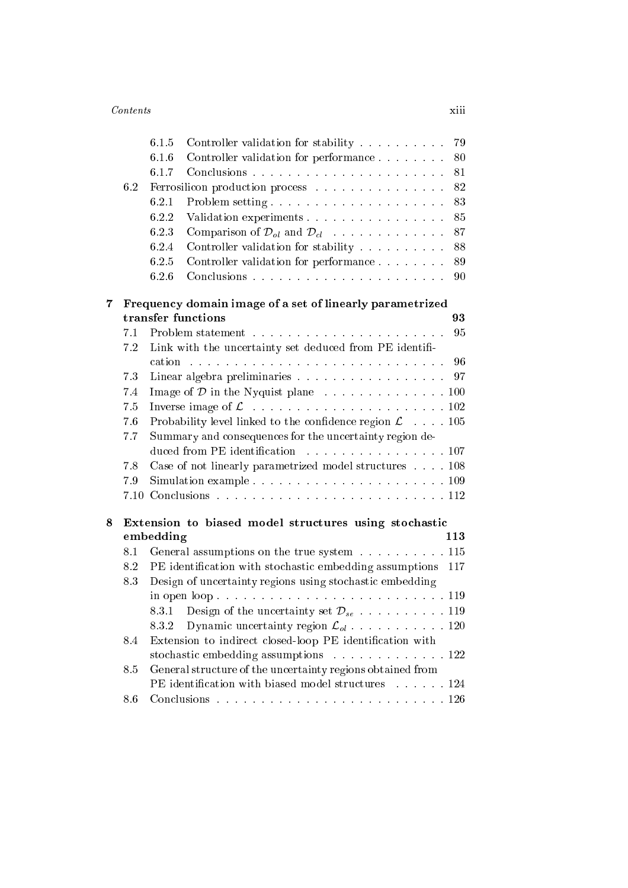### $Contents \hspace{2.5cm} \begin{minipage}{0.9cm} \begin{tabular}{c} \textbf{1} & \textbf{2} & \textbf{3} & \textbf{5} \\ \textbf{2} & \textbf{3} & \textbf{5} & \textbf{6} \\ \textbf{4} & \textbf{5} & \textbf{6} & \textbf{7} \\ \textbf{5} & \textbf{6} & \textbf{7} & \textbf{8} \\ \textbf{6} & \textbf{7} & \textbf{8} & \textbf{8} \\ \textbf{8} & \textbf{9} & \textbf{10} & \textbf{8} \\ \textbf{10} & \textbf{11} & \textbf{1$

|   |     | 6.1.5<br>Controller validation for stability<br>79                               |
|---|-----|----------------------------------------------------------------------------------|
|   |     | Controller validation for performance<br>80<br>6.1.6                             |
|   |     | 6.1.7<br>81                                                                      |
|   | 6.2 | Ferrosilicon production process<br>82                                            |
|   |     | 83<br>6.2.1                                                                      |
|   |     | Validation experiments<br>85<br>6.2.2                                            |
|   |     | 87<br>6.2.3<br>Comparison of $\mathcal{D}_{ol}$ and $\mathcal{D}_{cl}$           |
|   |     | 88<br>6.2.4<br>Controller validation for stability                               |
|   |     | Controller validation for performance<br>6.2.5<br>89                             |
|   |     | 6.2.6<br>90                                                                      |
| 7 |     | Frequency domain image of a set of linearly parametrized                         |
|   |     | transfer functions<br>93                                                         |
|   | 7.1 | 95                                                                               |
|   | 7.2 | Link with the uncertainty set deduced from PE identifi-                          |
|   |     | 96                                                                               |
|   | 7.3 | 97                                                                               |
|   | 7.4 |                                                                                  |
|   | 7.5 |                                                                                  |
|   | 7.6 | Probability level linked to the confidence region $\mathcal{L}$ 105              |
|   | 7.7 | Summary and consequences for the uncertainty region de-                          |
|   |     | duced from PE identification 107                                                 |
|   | 7.8 | Case of not linearly parametrized model structures 108                           |
|   | 7.9 | Simulation example $\ldots \ldots \ldots \ldots \ldots \ldots \ldots \ldots 109$ |
|   |     |                                                                                  |
| 8 |     | Extension to biased model structures using stochastic                            |
|   |     | 113<br>embedding                                                                 |
|   | 8.1 | General assumptions on the true system 115                                       |
|   | 8.2 | PE identification with stochastic embedding assumptions<br>117                   |
|   | 8.3 | Design of uncertainty regions using stochastic embedding                         |
|   |     |                                                                                  |
|   |     | 8.3.1 Design of the uncertainty set $\mathcal{D}_{se}$ 119                       |
|   |     | Dynamic uncertainty region $\mathcal{L}_{ol}$ 120<br>8.3.2                       |
|   | 8.4 | Extension to indirect closed-loop PE identification with                         |
|   |     | stochastic embedding assumptions 122                                             |
|   | 8.5 | General structure of the uncertainty regions obtained from                       |
|   |     | PE identification with biased model structures 124                               |
|   | 8.6 |                                                                                  |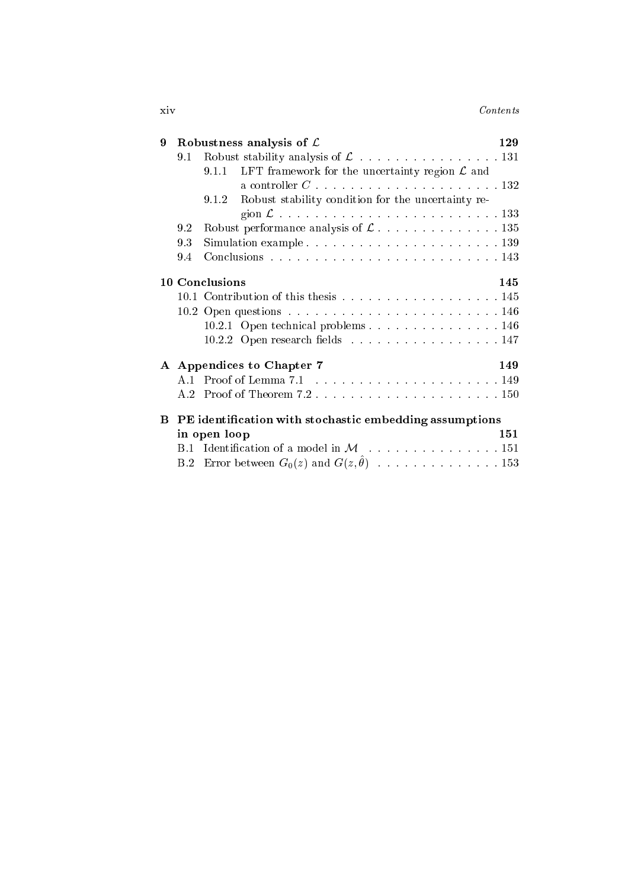| Contents |  |
|----------|--|

| Robustness analysis of $\mathcal L$<br>9 |     |                                                                                  | 129 |
|------------------------------------------|-----|----------------------------------------------------------------------------------|-----|
|                                          | 9.1 | Robust stability analysis of $\mathcal{L}$ 131                                   |     |
|                                          |     | 9.1.1 LFT framework for the uncertainty region $\mathcal L$ and                  |     |
|                                          |     |                                                                                  |     |
|                                          |     | Robust stability condition for the uncertainty re-<br>9.1.2                      |     |
|                                          |     |                                                                                  |     |
|                                          | 9.2 |                                                                                  |     |
|                                          | 9.3 | Simulation example $\ldots \ldots \ldots \ldots \ldots \ldots \ldots \ldots 139$ |     |
|                                          | 9.4 |                                                                                  |     |
| 10 Conclusions<br>145                    |     |                                                                                  |     |
|                                          |     |                                                                                  |     |
|                                          |     |                                                                                  |     |
|                                          |     | 10.2.1 Open technical problems 146                                               |     |
|                                          |     | 10.2.2 Open research fields $\ldots \ldots \ldots \ldots \ldots \ldots 147$      |     |
|                                          |     | A Appendices to Chapter 7                                                        | 149 |
|                                          |     |                                                                                  |     |
|                                          |     |                                                                                  |     |
|                                          |     | B PE identification with stochastic embedding assumptions                        |     |
|                                          |     | in open loop                                                                     | 151 |
|                                          |     |                                                                                  |     |
|                                          |     |                                                                                  |     |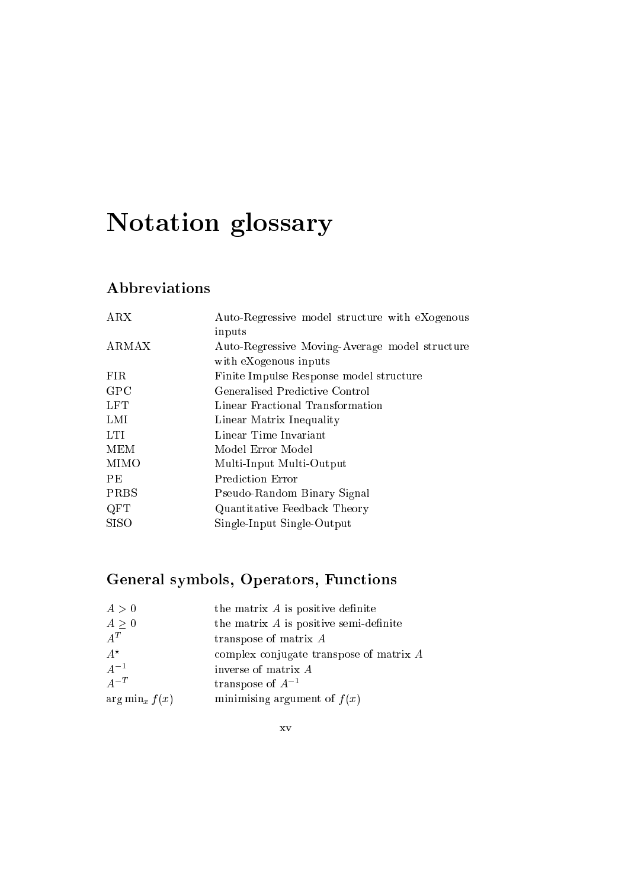# Notation glossary

### Abbreviations

| ARX          | Auto-Regressive model structure with eXogenous |
|--------------|------------------------------------------------|
|              | inputs                                         |
| <b>ARMAX</b> | Auto-Regressive Moving-Average model structure |
|              | with eXogenous inputs                          |
| FIR.         | Finite Impulse Response model structure        |
| GPC          | Generalised Predictive Control                 |
| <b>LFT</b>   | Linear Fractional Transformation               |
| LMI          | Linear Matrix Inequality                       |
| LTI          | Linear Time Invariant                          |
| MEM          | Model Error Model                              |
| MIMO         | Multi-Input Multi-Output                       |
| PE.          | Prediction Error                               |
| <b>PRBS</b>  | Pseudo-Random Binary Signal                    |
| <b>OFT</b>   | Quantitative Feedback Theory                   |
| <b>SISO</b>  | Single-Input Single-Output                     |

## General symbols, Operators, Fun
tions

| A>0               | the matrix $A$ is positive definite       |
|-------------------|-------------------------------------------|
| $A\geq 0$         | the matrix $A$ is positive semi-definite  |
| $A^T$             | transpose of matrix $A$                   |
| $A^{\star}$       | complex conjugate transpose of matrix $A$ |
| $A^{-1}$          | inverse of matrix A                       |
| $A^{-T}$          | transpose of $A^{-1}$                     |
| $\arg\min_x f(x)$ | minimising argument of $f(x)$             |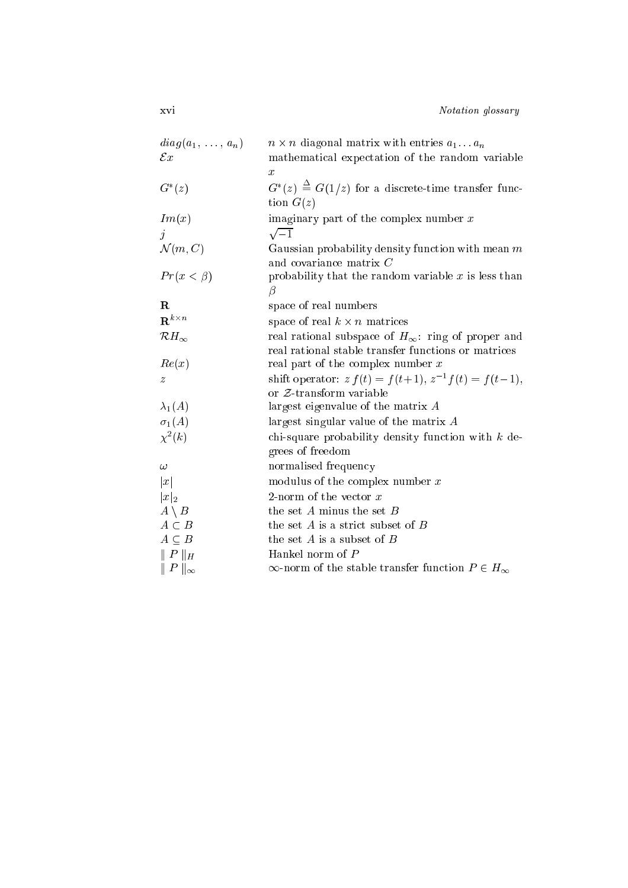| $diag(a_1, \ldots, a_n)$         | $n \times n$ diagonal matrix with entries $a_1 \dots a_n$         |
|----------------------------------|-------------------------------------------------------------------|
| $\mathcal{E}x$                   | mathematical expectation of the random variable                   |
|                                  | $\boldsymbol{x}$                                                  |
| $G^*(z)$                         | $G^*(z) \triangleq G(1/z)$ for a discrete-time transfer func-     |
|                                  | tion $G(z)$                                                       |
| Im(x)                            | imaginary part of the complex number $x$                          |
|                                  | $\sqrt{-1}$                                                       |
| $\mathcal{N}(m, C)$              | Gaussian probability density function with mean $m$               |
|                                  | and covariance matrix $C$                                         |
| $Pr(x < \beta)$                  | probability that the random variable $x$ is less than             |
|                                  | B                                                                 |
| $_{\rm R}$                       | space of real numbers                                             |
| $\mathbf{R}^{k \times n}$        | space of real $k \times n$ matrices                               |
| $\mathcal{R}H_{\infty}$          | real rational subspace of $H_{\infty}$ : ring of proper and       |
|                                  | real rational stable transfer functions or matrices               |
| Re(x)                            | real part of the complex number $x$                               |
| $\boldsymbol{z}$                 | shift operator: $zf(t) = f(t+1), z^{-1}f(t) = f(t-1),$            |
|                                  | or Z-transform variable                                           |
| $\lambda_1(A)$                   | largest eigenvalue of the matrix $A$                              |
| $\sigma_1(A)$                    | largest singular value of the matrix $A$                          |
| $\chi^2(k)$                      | chi-square probability density function with $k$ de-              |
|                                  | grees of freedom                                                  |
| $\omega$                         | normalised frequency                                              |
| $\vert x \vert$                  | modulus of the complex number $x$                                 |
| $ x _2$                          | 2-norm of the vector $x$                                          |
| $A \setminus B$                  | the set $A$ minus the set $B$                                     |
| $A \subset B$                    | the set $A$ is a strict subset of $B$                             |
| $A \subseteq B$                  | the set $A$ is a subset of $B$                                    |
| $   P   _H$                      | Hankel norm of $P$                                                |
| $\parallel P \parallel_{\infty}$ | $\infty$ -norm of the stable transfer function $P \in H_{\infty}$ |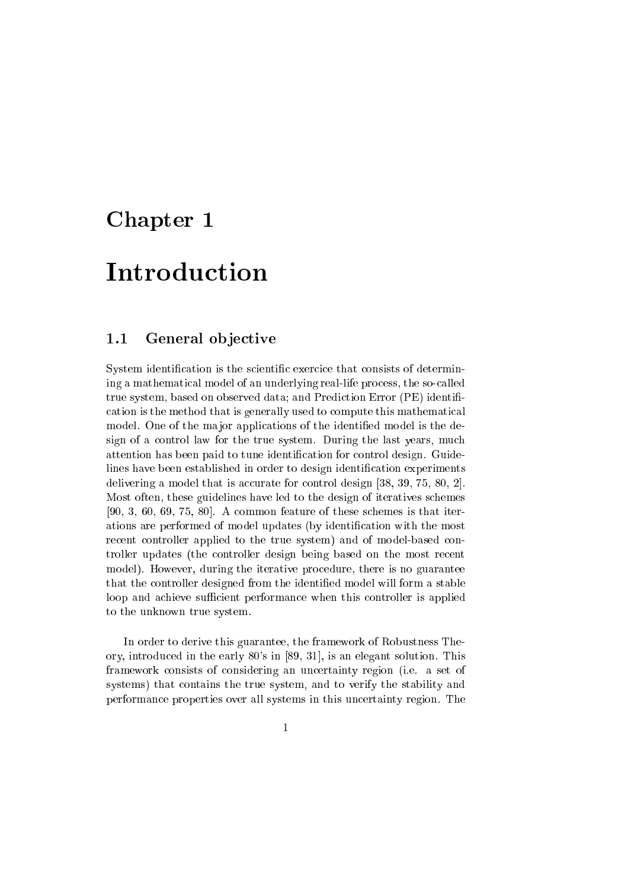## Chapter 1

## Introduction

### 1.1 General objective

System identification is the scientific exercice that consists of determining a mathematical model of an underlying real-life process, the so-called true system, based on observed data; and Prediction Error (PE) identifiation is the method that is generally used to ompute this mathemati
al model. One of the major applications of the identified model is the design of a ontrol law for the true system. During the last years, mu
h attention has been paid to tune identi
ation for ontrol design. Guidelines have been established in order to design identification experiments delivering a model that is accurate for control design  $[38, 39, 75, 80, 2]$ . Most often, these guidelines have led to the design of iteratives s
hemes [90, 3, 60, 69, 75, 80]. A common feature of these schemes is that iterations are performed of model updates (by identi
ation with the most recent controller applied to the true system) and of model-based controller updates (the controller design being based on the most recent model). However, during the iterative pro
edure, there is no guarantee that the ontroller designed from the identied model will form a stable loop and achieve sufficient performance when this controller is applied to the unknown true system.

In order to derive this guarantee, the framework of Robustness Theory, introduced in the early  $80's$  in  $[89, 31]$ , is an elegant solution. This framework onsists of onsidering an un
ertainty region (i.e. a set of systems) that ontains the true system, and to verify the stability and performan
e properties over all systems in this un
ertainty region. The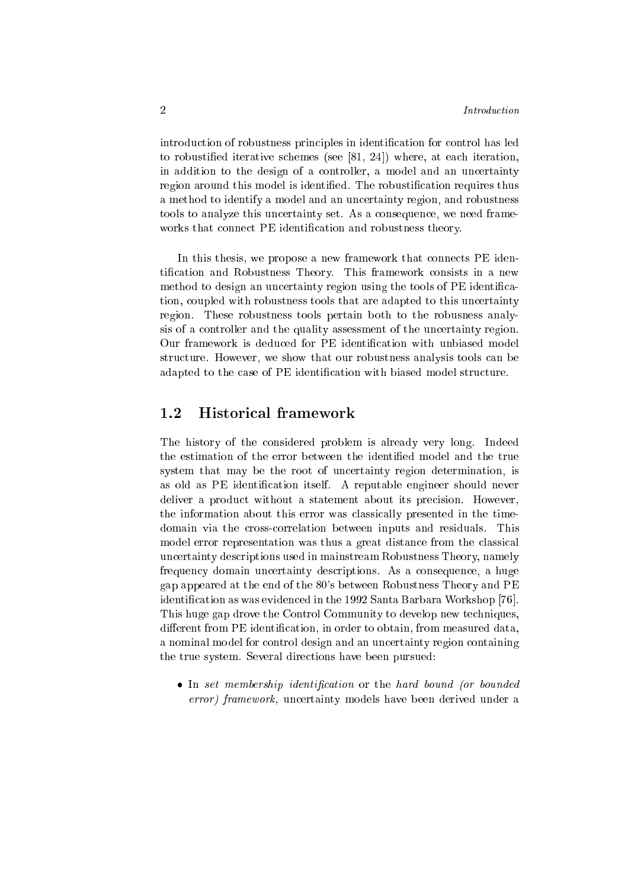introdu
tion of robustness prin
iples in identi
ation for ontrol has led to robustified iterative schemes (see  $[81, 24]$ ) where, at each iteration, in addition to the design of a controller, a model and an uncertainty region around this model is identified. The robustification requires thus a method to identify a model and an un
ertainty region, and robustness tools to analyze this un
ertainty set. As a onsequen
e, we need frameworks that connect PE identification and robustness theory.

In this thesis, we propose a new framework that connects PE identification and Robustness Theory. This framework consists in a new method to design an uncertainty region using the tools of PE identification, oupled with robustness tools that are adapted to this un
ertainty region. These robustness tools pertain both to the robusness analysis of a controller and the quality assessment of the uncertainty region. Our framework is deduced for PE identification with unbiased model structure. However, we show that our robustness analysis tools can be adapted to the case of PE identification with biased model structure.

### $1.2$ Historical framework

The history of the onsidered problem is already very long. Indeed the estimation of the error between the identied model and the true system that may be the root of uncertainty region determination, is as old as PE identification itself. A reputable engineer should never deliver a product without a statement about its precision. However, the information about this error was lassi
ally presented in the timedomain via the rossorrelation between inputs and residuals. This model error representation was thus a great distance from the classical un
ertainty des
riptions used in mainstream Robustness Theory, namely frequency domain uncertainty descriptions. As a consequence, a huge gap appeared at the end of the 80's between Robustness Theory and PE identification as was evidenced in the 1992 Santa Barbara Workshop [76]. This huge gap drove the Control Community to develop new techniques, different from PE identification, in order to obtain, from measured data, a nominal model for ontrol design and an un
ertainty region ontaining the true system. Several dire
tions have been pursued:

 In set membership identi
ation or the hard bound (or bounded error) framework, uncertainty models have been derived under a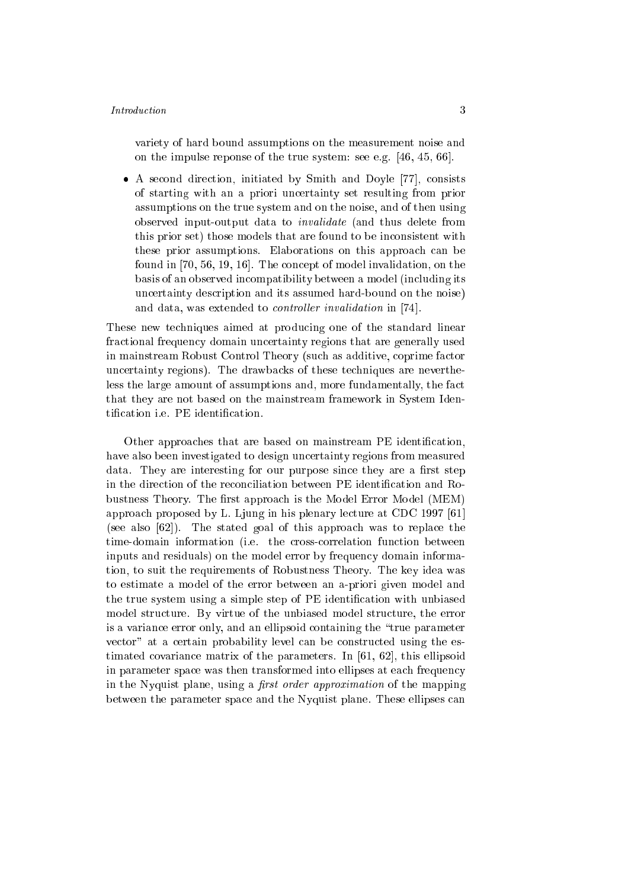### Introdu
tion 3

variety of hard bound assumptions on the measurement noise and on the impulse reponse of the true system: see e.g.  $[46, 45, 66]$ .

 A se
ond dire
tion, initiated by Smith and Doyle [77℄, onsists of starting with an a priori un
ertainty set resulting from prior assumptions on the true system and on the noise, and of then using observed input-output data to invalidate (and thus delete from this prior set) those models that are found to be inconsistent with these prior assumptions. Elaborations on this approach can be found in  $[70, 56, 19, 16]$ . The concept of model invalidation, on the basis of an observed in
ompatibility between a model (in
luding its un
ertainty des
ription and its assumed hard-bound on the noise) and data, was extended to *controller invalidation* in [74].

These new techniques aimed at producing one of the standard linear fra
tional frequen
y domain un
ertainty regions that are generally used in mainstream Robust Control Theory (such as additive, coprime factor uncertainty regions). The drawbacks of these techniques are nevertheless the large amount of assumptions and, more fundamentally, the fa
t that they are not based on the mainstream framework in System Identification i.e. PE identification.

Other approaches that are based on mainstream PE identification, have also been investigated to design uncertainty regions from measured data. They are interesting for our purpose since they are a first step in the direction of the reconciliation between PE identification and Robustness Theory. The first approach is the Model Error Model (MEM) approach proposed by L. Ljung in his plenary lecture at CDC 1997 [61] (see also  $[62]$ ). The stated goal of this approach was to replace the time-domain information (i.e. the cross-correlation function between inputs and residuals) on the model error by frequency domain information, to suit the requirements of Robustness Theory. The key idea was to estimate a model of the error between an a-priori given model and the true system using a simple step of PE identification with unbiased model structure. By virtue of the unbiased model structure, the error is a variance error only, and an ellipsoid containing the "true parameter vector" at a certain probability level can be constructed using the estimated covariance matrix of the parameters. In  $[61, 62]$ , this ellipsoid in parameter space was then transformed into ellipses at each frequency in the Nyquist plane, using a *first order approximation* of the mapping between the parameter spa
e and the Nyquist plane. These ellipses an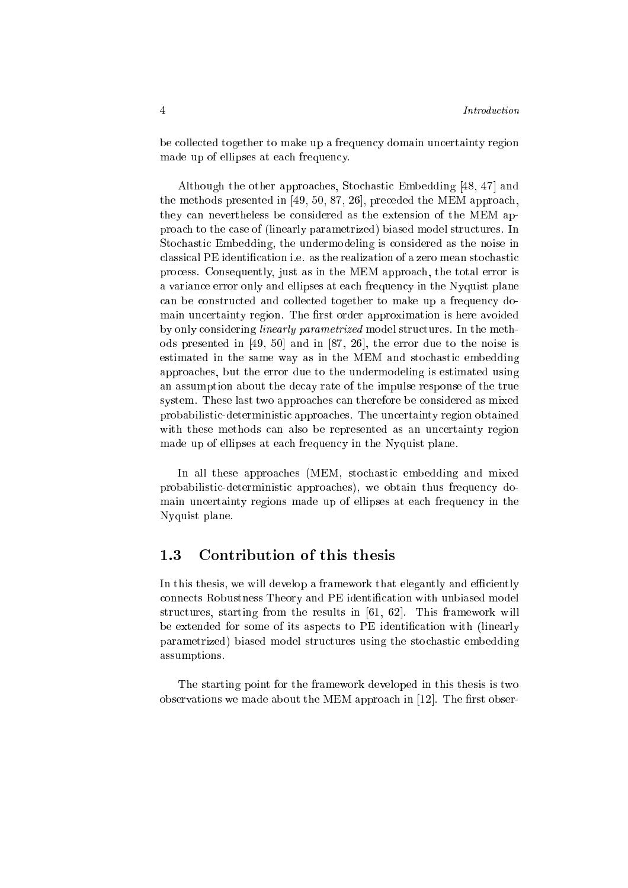be collected together to make up a frequency domain uncertainty region made up of ellipses at each frequency.

Although the other approaches, Stochastic Embedding [48, 47] and the methods presented in  $[49, 50, 87, 26]$ , preceded the MEM approach, they can nevertheless be considered as the extension of the MEM approa
h to the ase of (linearly parametrized) biased model stru
tures. In Stochastic Embedding, the undermodeling is considered as the noise in classical PE identification i.e. as the realization of a zero mean stochastic pro
ess. Consequently, just as in the MEM approa
h, the total error is a variance error only and ellipses at each frequency in the Nyquist plane can be constructed and collected together to make up a frequency domain uncertainty region. The first order approximation is here avoided by only considering *linearly parametrized* model structures. In the methods presented in  $[49, 50]$  and in  $[87, 26]$ , the error due to the noise is estimated in the same way as in the MEM and sto
hasti embedding approa
hes, but the error due to the undermodeling is estimated using an assumption about the de
ay rate of the impulse response of the true system. These last two approaches can therefore be considered as mixed probabilisti
-deterministi approa
hes. The un
ertainty region obtained with these methods can also be represented as an uncertainty region made up of ellipses at each frequency in the Nyquist plane.

In all these approaches (MEM, stochastic embedding and mixed probabilistic-deterministic approaches), we obtain thus frequency domain uncertainty regions made up of ellipses at each frequency in the Nyquist plane.

### 1.3 Contribution of this thesis

In this thesis, we will develop a framework that elegantly and efficiently connects Robustness Theory and PE identification with unbiased model structures, starting from the results in  $[61, 62]$ . This framework will be extended for some of its aspects to PE identification with (linearly parametrized) biased model stru
tures using the sto
hasti embedding assumptions.

The starting point for the framework developed in this thesis is two observations we made about the MEM approach in  $[12]$ . The first obser-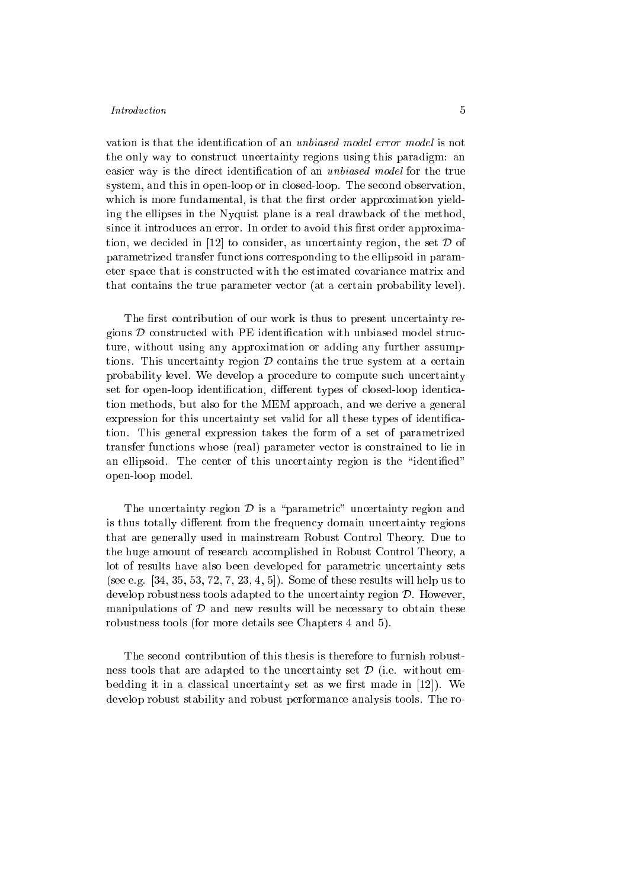vation is that the identification of an *unbiased model error model* is not the only way to construct uncertainty regions using this paradigm: an easier way is the direct identification of an *unbiased model* for the true system, and this in open-loop or in closed-loop. The second observation, which is more fundamental, is that the first order approximation yielding the ellipses in the Nyquist plane is a real drawba
k of the method, since it introduces an error. In order to avoid this first order approximation, we decided in  $[12]$  to consider, as uncertainty region, the set  $D$  of parametrized transfer fun
tions orresponding to the ellipsoid in parameter spa
e that is onstru
ted with the estimated ovarian
e matrix and that ontains the true parameter ve
tor (at a ertain probability level).

The first contribution of our work is thus to present uncertainty regions  $D$  constructed with PE identification with unbiased model structure, without using any approximation or adding any further assumptions. This uncertainty region  $D$  contains the true system at a certain probability level. We develop a procedure to compute such uncertainty set for open-loop identification, different types of closed-loop identication methods, but also for the MEM approa
h, and we derive a general expression for this uncertainty set valid for all these types of identification. This general expression takes the form of a set of parametrized transfer fun
tions whose (real) parameter ve
tor is onstrained to lie in an ellipsoid. The center of this uncertainty region is the "identified" open-loop model.

The uncertainty region  $\mathcal D$  is a "parametric" uncertainty region and is thus totally different from the frequency domain uncertainty regions that are generally used in mainstream Robust Control Theory. Due to the huge amount of research accomplished in Robust Control Theory, a lot of results have also been developed for parametric uncertainty sets (see e.g.  $[34, 35, 53, 72, 7, 23, 4, 5]$ ). Some of these results will help us to develop robustness tools adapted to the uncertainty region  $\mathcal{D}$ . However, manipulations of  $D$  and new results will be necessary to obtain these robustness tools (for more details see Chapters 4 and 5).

The second contribution of this thesis is therefore to furnish robustness tools that are adapted to the uncertainty set  $\mathcal{D}$  (i.e. without embedding it in a classical uncertainty set as we first made in  $[12]$ ). We develop robust stability and robust performan
e analysis tools. The ro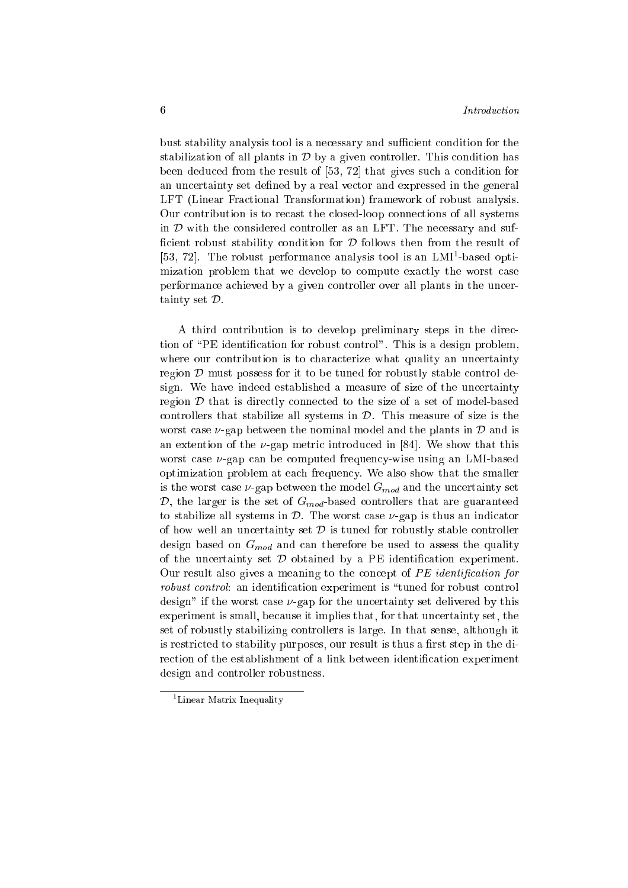bust stability analysis tool is a necessary and sufficient condition for the stabilization of all plants in  $\mathcal D$  by a given controller. This condition has been deduced from the result of  $[53, 72]$  that gives such a condition for an uncertainty set defined by a real vector and expressed in the general LFT (Linear Fractional Transformation) framework of robust analysis. Our contribution is to recast the closed-loop connections of all systems in  $D$  with the considered controller as an LFT. The necessary and sufficient robust stability condition for  $D$  follows then from the result of [53, 72]. The robust performance analysis tool is an LIMI -based optimization problem that we develop to compute exactly the worst case performance achieved by a given controller over all plants in the uncertainty set D.

A third contribution is to develop preliminary steps in the direction of "PE identification for robust control". This is a design problem, where our contribution is to characterize what quality an uncertainty region  $\mathcal D$  must possess for it to be tuned for robustly stable control design. We have indeed established a measure of size of the uncertainty region  $D$  that is directly connected to the size of a set of model-based controllers that stabilize all systems in  $D$ . This measure of size is the worst case  $\nu$ -gap between the nominal model and the plants in  $\mathcal D$  and is an extention of the  $\nu$ -gap metric introduced in [84]. We show that this worst case  $\nu$ -gap can be computed frequency-wise using an LMI-based optimization problem at ea
h frequen
y. We also show that the smaller is the worst case  $\nu$ -gap between the model  $G_{mod}$  and the uncertainty set  $\mathcal{D}$ , the larger is the set of  $G_{mod}$ -based controllers that are guaranteed to stabilize all systems in  $\mathcal{D}$ . The worst case  $\nu$ -gap is thus an indicator of how well an uncertainty set  $D$  is tuned for robustly stable controller design based on  $G_{mod}$  and can therefore be used to assess the quality of the uncertainty set  $D$  obtained by a PE identification experiment. Our result also gives a meaning to the concept of PE *identification for* robust control: an identification experiment is "tuned for robust control design" if the worst case  $\nu$ -gap for the uncertainty set delivered by this experiment is small, because it implies that, for that uncertainty set, the set of robustly stabilizing ontrollers is large. In that sense, although it is restricted to stability purposes, our result is thus a first step in the direction of the establishment of a link between identification experiment design and ontroller robustness.

<sup>1</sup> Linear Matrix Inequality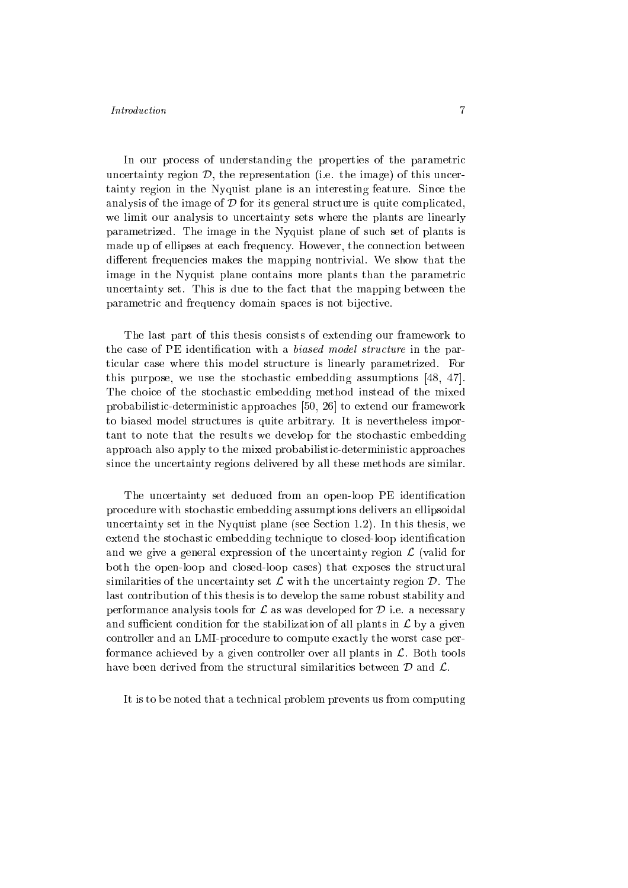In our process of understanding the properties of the parametric uncertainty region  $\mathcal{D}$ , the representation (i.e. the image) of this uncertainty region in the Nyquist plane is an interesting feature. Since the analysis of the image of  $D$  for its general structure is quite complicated, we limit our analysis to uncertainty sets where the plants are linearly parametrized. The image in the Nyquist plane of su
h set of plants is made up of ellipses at each frequency. However, the connection between different frequencies makes the mapping nontrivial. We show that the image in the Nyquist plane ontains more plants than the parametri uncertainty set. This is due to the fact that the mapping between the parametri and frequen
y domain spa
es is not bije
tive.

The last part of this thesis consists of extending our framework to the case of PE identification with a *biased model structure* in the particular case where this model structure is linearly parametrized. For this purpose, we use the stochastic embedding assumptions  $[48, 47]$ . The choice of the stochastic embedding method instead of the mixed probabilistic-deterministic approaches [50, 26] to extend our framework to biased model structures is quite arbitrary. It is nevertheless important to note that the results we develop for the sto
hasti embedding approa
h also apply to the mixed probabilisti
-deterministi approa
hes sin
e the un
ertainty regions delivered by all these methods are similar.

The uncertainty set deduced from an open-loop PE identification pro
edure with sto
hasti embedding assumptions delivers an ellipsoidal uncertainty set in the Nyquist plane (see Section 1.2). In this thesis, we extend the stochastic embedding technique to closed-loop identification and we give a general expression of the uncertainty region  $\mathcal L$  (valid for both the open-loop and closed-loop cases) that exposes the structural similarities of the uncertainty set  $\mathcal L$  with the uncertainty region  $\mathcal D$ . The last ontribution of this thesis is to develop the same robust stability and performance analysis tools for  $\mathcal L$  as was developed for  $\mathcal D$  i.e. a necessary and sufficient condition for the stabilization of all plants in  $\mathcal L$  by a given controller and an LMI-procedure to compute exactly the worst case performance achieved by a given controller over all plants in  $\mathcal{L}$ . Both tools have been derived from the structural similarities between  $\mathcal D$  and  $\mathcal L$ .

It is to be noted that a technical problem prevents us from computing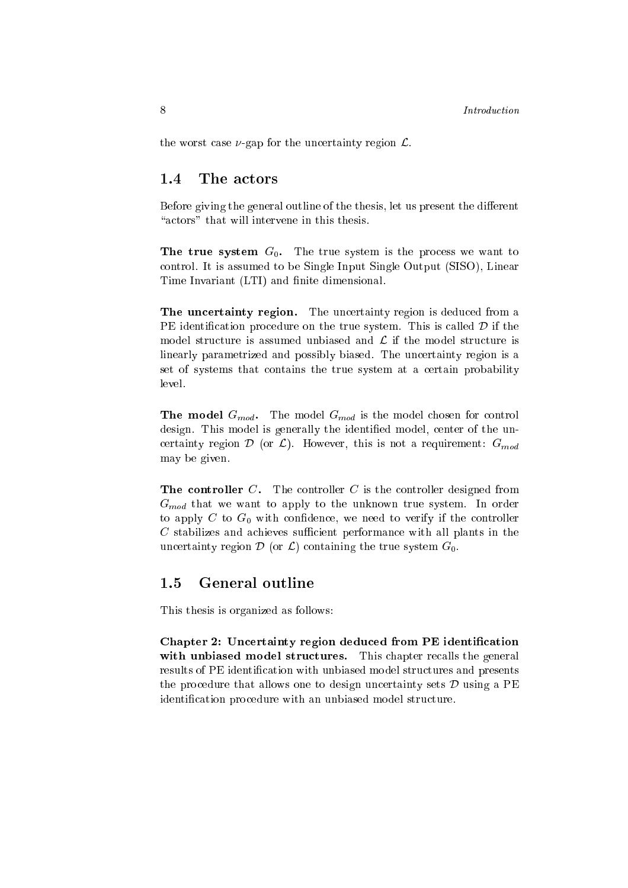the worst case  $\nu$ -gap for the uncertainty region  $\mathcal{L}$ .

### 1.4 The actors

Before giving the general outline of the thesis, let us present the different "actors" that will intervene in this thesis.

The true system  $G_0$ . The true system is the process we want to ontrol. It is assumed to be Single Input Single Output (SISO), Linear Time Invariant (LTI) and finite dimensional.

The uncertainty region. The uncertainty region is deduced from a PE identification procedure on the true system. This is called  $D$  if the model structure is assumed unbiased and  $\mathcal L$  if the model structure is linearly parametrized and possibly biased. The uncertainty region is a set of systems that ontains the true system at a ertain probability level.

**The model**  $G_{mod}$ . The model  $G_{mod}$  is the model chosen for control design. This model is generally the identified model, center of the uncertainty region  $\mathcal{D}$  (or  $\mathcal{L}$ ). However, this is not a requirement:  $G_{mod}$ may be given.

The controller  $C$ . The controller  $C$  is the controller designed from  $G_{mod}$  that we want to apply to the unknown true system. In order to apply C to G  $_{\odot}$  with the commentary if the motion if the space that the commentary C stabilizes and achieves sufficient performance with all plants in the uncertainty region  $\mathcal{D}$  (or  $\mathcal{L}$ ) containing the true system  $G_0$ .

### $1.5$ General outline

This thesis is organized as follows:

Chapter 2: Uncertainty region deduced from PE identification with unbiased model structures. This chapter recalls the general results of PE identification with unbiased model structures and presents the procedure that allows one to design uncertainty sets  $D$  using a PE identification procedure with an unbiased model structure.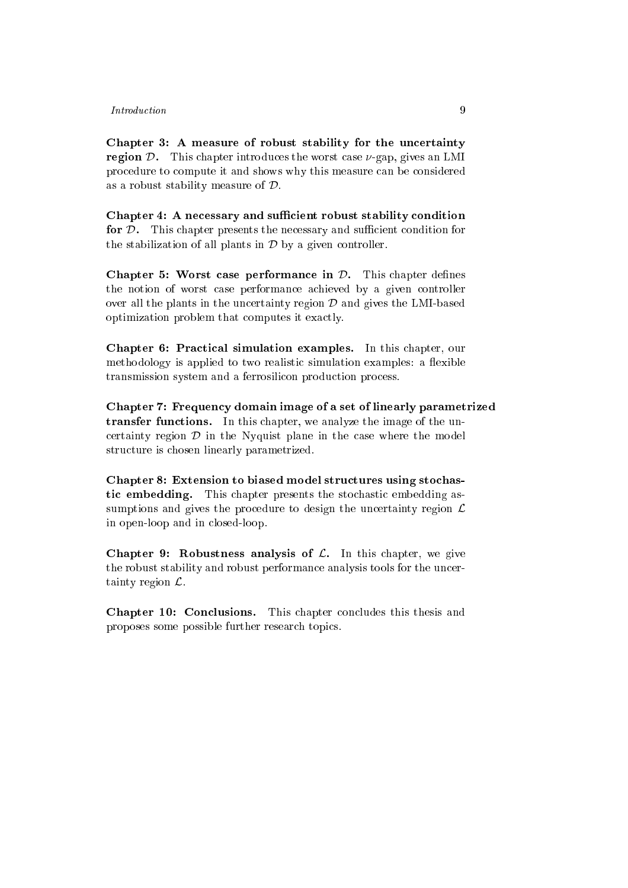Chapter 3: A measure of robust stability for the uncertainty region  $\mathcal{D}$ . This chapter introduces the worst case  $\nu$ -gap, gives an LMI pro
edure to ompute it and shows why this measure an be onsidered as a robust stability measure of D.

Chapter 4: A necessary and sufficient robust stability condition for  $\mathcal{D}$ . This chapter presents the necessary and sufficient condition for the stabilization of all plants in  $\mathcal D$  by a given controller.

**Chapter 5: Worst case performance in**  $\mathcal{D}$ **.** This chapter defines the notion of worst case performance achieved by a given controller over all the plants in the uncertainty region  $D$  and gives the LMI-based optimization problem that computes it exactly.

Chapter 6: Practical simulation examples. In this chapter, our methodology is applied to two realistic simulation examples: a flexible transmission system and a ferrosilicon production process.

Chapter 7: Frequency domain image of a set of linearly parametrized transfer functions. In this chapter, we analyze the image of the uncertainty region  $D$  in the Nyquist plane in the case where the model structure is chosen linearly parametrized.

Chapter 8: Extension to biased model structures using stochasti embedding. This hapter presents the sto
hasti embedding assumptions and gives the procedure to design the uncertainty region  $\mathcal L$ in open-loop and in losed-loop.

**Chapter 9:** Robustness analysis of  $\mathcal{L}$ . In this chapter, we give the robust stability and robust performan
e analysis tools for the un
ertainty region  $\mathcal{L}$ .

Chapter 10: Conclusions. This chapter concludes this thesis and proposes some possible further resear
h topi
s.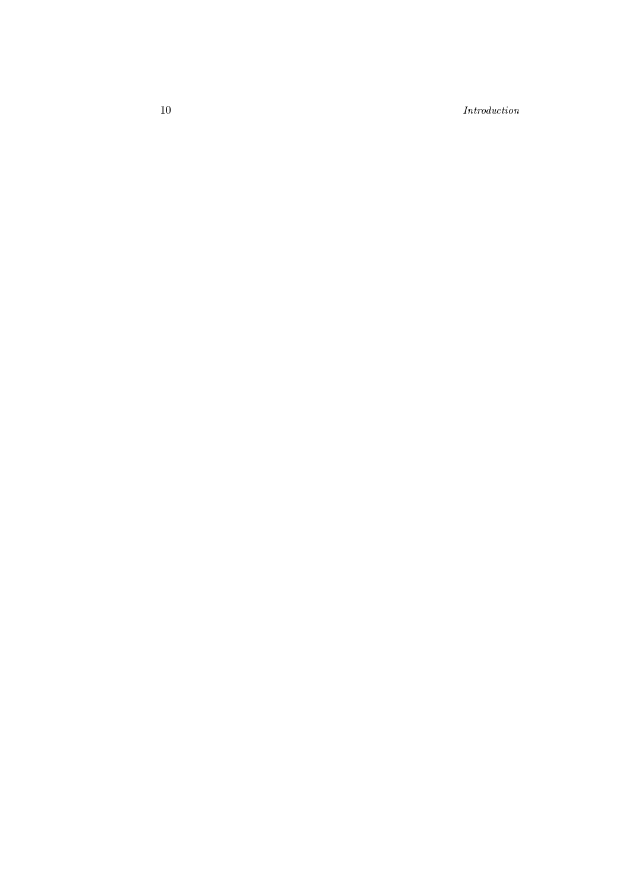$\label{thm:inter} Introduction$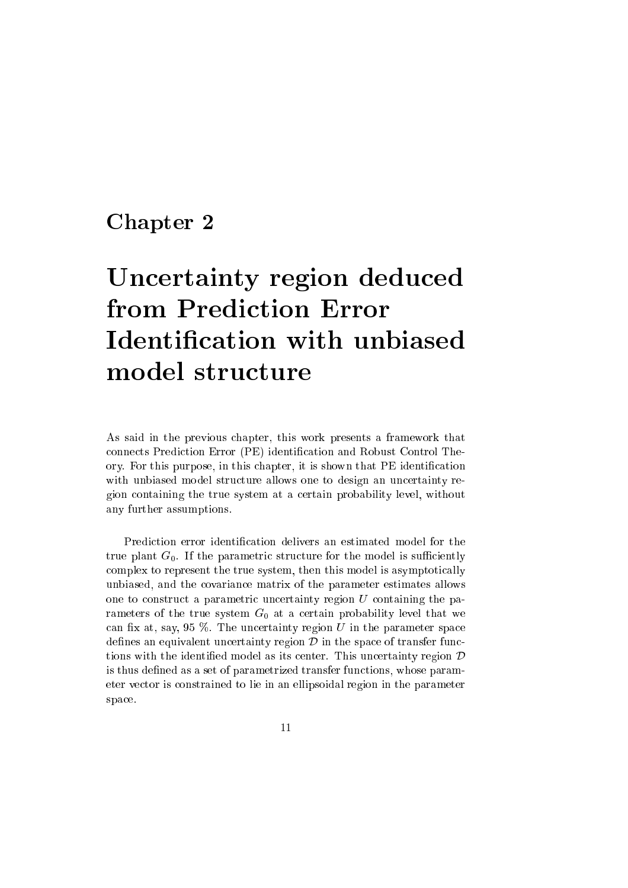## Chapter 2

# Uncertainty region deduced from Prediction Error Identification with unbiased model stru
ture

As said in the previous hapter, this work presents a framework that connects Prediction Error (PE) identification and Robust Control Theory. For this purpose, in this chapter, it is shown that PE identification with unbiased model structure allows one to design an uncertainty region ontaining the true system at a ertain probability level, without any further assumptions.

Prediction error identification delivers an estimated model for the true plant  $G_0$ . If the parametric structure for the model is sufficiently complex to represent the true system, then this model is asymptotically unbiased, and the ovarian
e matrix of the parameter estimates allows one to construct a parametric uncertainty region  $U$  containing the parameters of the true system G0 at a criterial probability level that we have can fix at, say, 95 %. The uncertainty region  $U$  in the parameter space defines an equivalent uncertainty region  $\mathcal{D}$  in the space of transfer functions with the identified model as its center. This uncertainty region  $D$ is thus defined as a set of parametrized transfer functions, whose parameter ve
tor is onstrained to lie in an ellipsoidal region in the parameter space.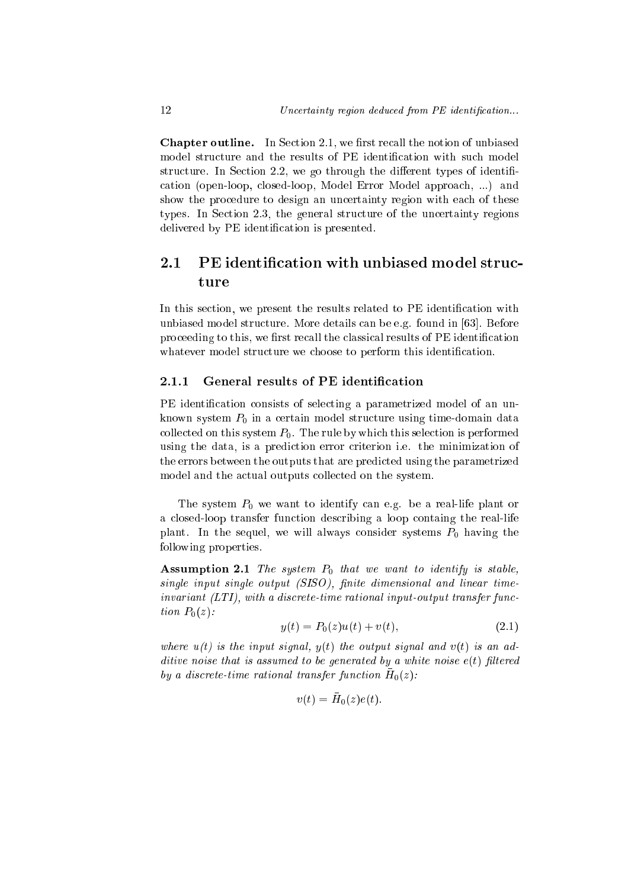**Chapter outline.** In Section 2.1, we first recall the notion of unbiased model structure and the results of PE identification with such model structure. In Section 2.2, we go through the different types of identifiation (open-loop, losed-loop, Model Error Model approa
h, ...) and show the procedure to design an uncertainty region with each of these types. In Section 2.3, the general structure of the uncertainty regions delivered by PE identification is presented.

### 2.1 PE identification with unbiased model structure

In this section, we present the results related to PE identification with unbiased model structure. More details can be e.g. found in [63]. Before proceeding to this, we first recall the classical results of PE identification whatever model structure we choose to perform this identification.

### 2.1.1 General results of PE identification

PE identification consists of selecting a parametrized model of an unknown system P0 in <sup>a</sup> ertain model stru
ture using time-domain data collected on this system  $P_0$ . The rule by which this selection is performed using the data, is a prediction error criterion i.e. the minimization of the errors between the outputs that are predi
ted using the parametrized model and the actual outputs collected on the system.

an e.g. be a real-life plant or identify to identify the system of the system of the plant or in the system of a closed-loop transfer function describing a loop containg the real-life plant. In the sequel, we will always onsider systems P0 having the following properties.

Assumption 2.1 The system P0 that we want to identify is stable, single input single output  $(SISO)$ , finite dimensional and linear time $invariant (LTI)$ , with a discrete-time rational input-output transfer function  $P_0(z)$ :

$$
y(t) = P_0(z)u(t) + v(t),
$$
\n(2.1)

where  $u(t)$  is the input signal,  $y(t)$  the output signal and  $v(t)$  is an additive noise that is assumed to be generated by a white noise  $e(t)$  filtered  $\sigma$  a ascrete-time rational transfer function  $H(1(z))$ .

$$
v(t) = H_0(z)e(t).
$$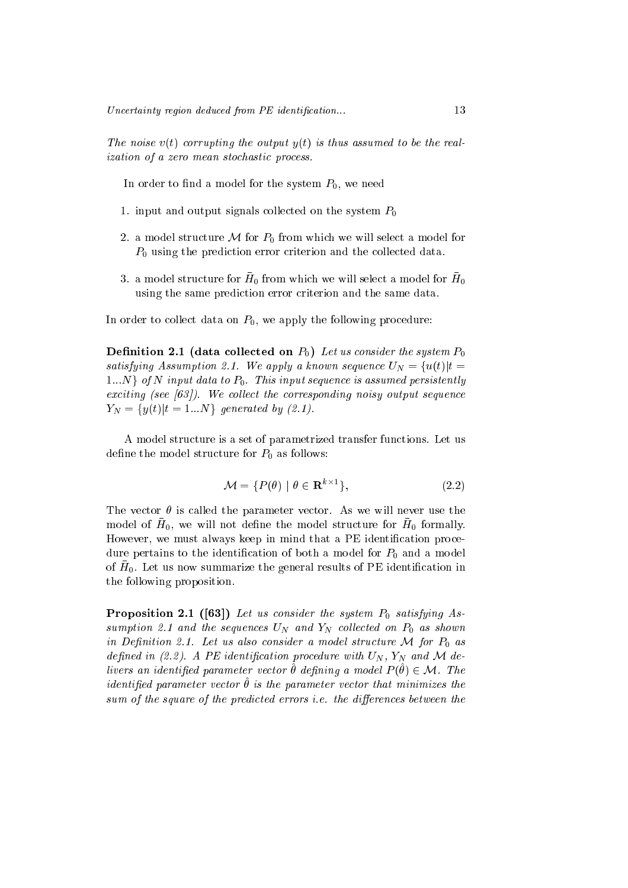The noise  $v(t)$  corrupting the output  $y(t)$  is thus assumed to be the realization of a zero mean stochastic process.

In order to find a model for the system  $P_0$ , we need

- 1. input and output signals collected on the system  $P_0$
- 2. a model stru
ture <sup>M</sup> for P0 from whi
h we will sele
t <sup>a</sup> model for  $\mathbf{v}$  using the prediction and the prediction and the prediction and the prediction and the prediction and the prediction  $\mathbf{v}$
- $\sigma$ . a model structure for  $H_0$  from which we will select a model for  $H_0$ using the same prediction error criterion and the same data.

In order to collect data on  $P_0$ , we apply the following procedure:

Definition 2.1 (data collected on  $P_0$ ) Let us consider the system  $P_0$ satisfying Assumption 2.1. We apply a known sequence  $U_N = \{u(t) | t =$ 1... $N$  of N input data to  $P_0$ . This input sequence is assumed persistently exciting (see  $(63)$ ). We collect the corresponding noisy output sequence  $Y_N = \{y(t)|t = 1...N\}$  generated by (2.1).

A model structure is a set of parametrized transfer functions. Let us  $\mathbf u$ 

$$
\mathcal{M} = \{ P(\theta) \mid \theta \in \mathbf{R}^{k \times 1} \},\tag{2.2}
$$

The vector  $\theta$  is called the parameter vector. As we will never use the  $m$  and  $n_0$ , we will not define the model structure for  $H_0$  formally. However, we must always keep in mind that a PE identification procedure pertains to the identical form of both a model for  $\theta$  and a model for P0 and a model for P0 and a model for P0 and a model for P0 and a model for P0 and a model for P0 and a model for P0 and a model for P0 and a mo of  $H_0$ . Het us now summarize the general results of FE identification in the following proposition.

Proposition 2.1 ([63℄) Let us onsider the system P0 satisfying Assumption 2.1 and the sequences  $U_N$  and  $Y_N$  collected on  $P_0$  as shown in Denimition and the model structure and interest constants and also also as  $\mathcal{I}$ defined in (2.2). A PE identification procedure with  $U_N$ ,  $Y_N$  and M de $l$  and  $l$  are alleged parameter vector  $\sigma$  acpining a model  $I$  (v)  $\in$  y(, The  $i$ ue $n$ ini $i$ ue parameter vector v $\,$ is the parameter vector that minimizes the  $\,$ sum of the square of the predicted errors *i.e.* the differences between the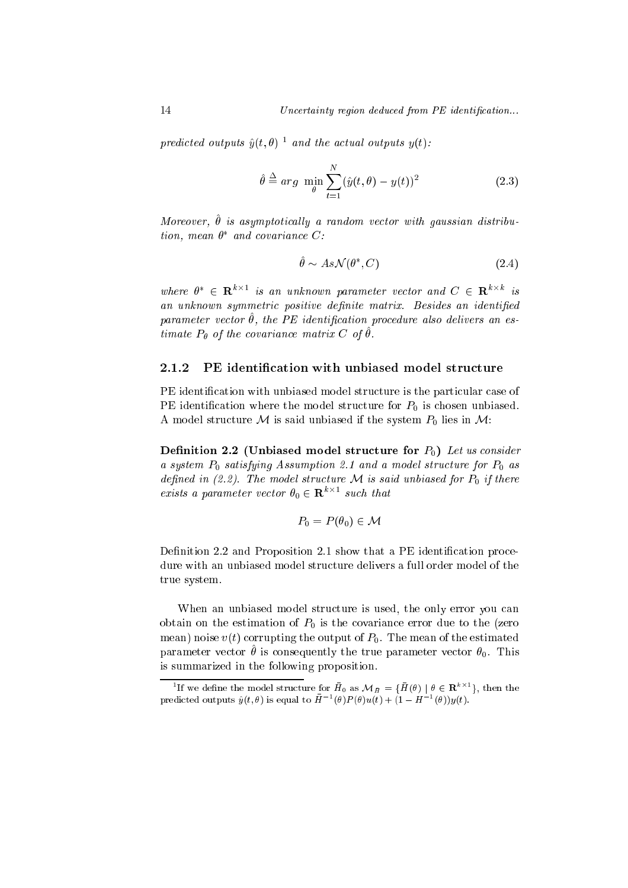$preactea$  outputs  $y(t, \sigma)$  and the actual outputs  $y(t)$ :

$$
\hat{\theta} \stackrel{\Delta}{=} \arg \ \min_{\theta} \sum_{t=1}^{N} (\hat{y}(t, \theta) - y(t))^2 \tag{2.3}
$$

moreover, o is asymptoticatly a random vector with quassian aistribu- $\it{tion}, \; \it{mean}\; \sigma \quad \it{ana}\; covariance \; C$ :

$$
\hat{\theta} \sim As\mathcal{N}(\theta^*, C) \tag{2.4}
$$

where  $\theta \in \mathbf{R}$  is an unknown parameter vector and  $C \in \mathbf{R}$  is an unknown symmetric positive definite matrix. Besides an identified  $p$ arameter vector  $v$ , the  $I$   $E$  taentification procedure also delivers an es $t$  and  $t \in I$   $\theta$  of the covariance matrix  $C$  of  $\theta$ .

### 2.1.2 PE identification with unbiased model structure

PE identification with unbiased model structure is the particular case of  $\mathbf{v}$ A model stru
ture <sup>M</sup> is said unbiased if the system P0 lies in M:

Definition 2.2 (Unbiased model structure for  $P_0$ ) Let us consider a system P0 satisfying Assumption 2.1 and <sup>a</sup> model stru
ture for P0 as denote the model structure  $M$  is said unbiased for  $M$  if the model structure  $M$  if the model structure  $M$ exists a parameter vector  $\theta_0 \in \mathbf{R}$  such that

$$
P_0 = P(\theta_0) \in \mathcal{M}
$$

Definition 2.2 and Proposition 2.1 show that a PE identification procedure with an unbiased model structure delivers a full order model of the true system.

When an unbiased model structure is used, the only error you can obtain on the estimation of P0 is the ovarian
e error due to the (zero mean) noise  $v(t)$  corrupting the output of  $P_0$ . The mean of the estimated  $\beta$  parameter vector  $\sigma$  is consequently the true parameter vector  $\sigma_0$ . This is summarized in the following proposition.

The we define the model structure for  $H_0$  as  $\mathcal{M}_{\bar{H}} = \{H(\theta) \mid \theta \in \mathbf{R}^{n \times n}\}$ , then the predicted outputs  $y(t, \theta)$  is equal to  $H^{-1}(\theta)P(\theta)u(t) + (1 - H^{-1}(\theta))y(t)$ .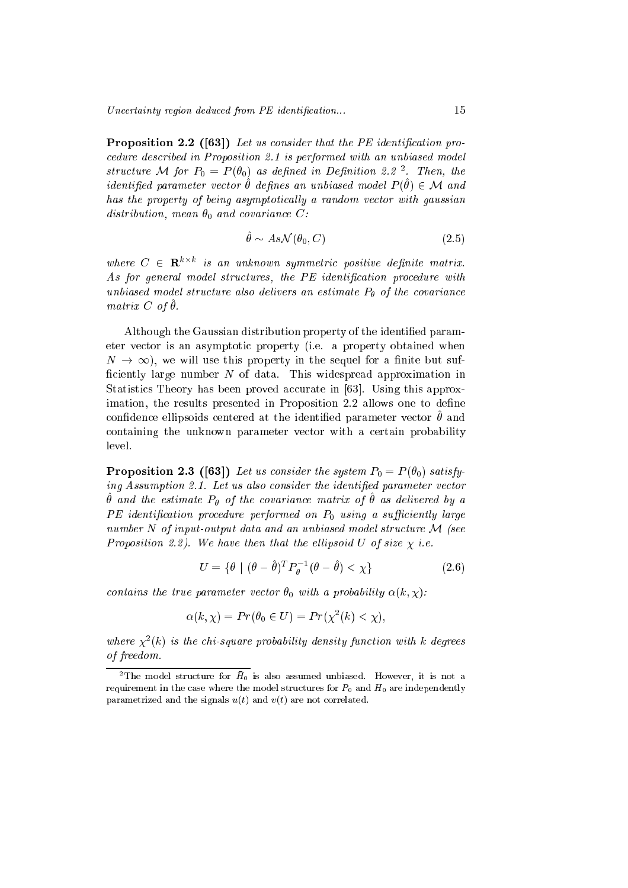**Proposition 2.2** ([63]) Let us consider that the PE identification proedure des
ribed in Proposition 2.1 is performed with an unbiased model structure  $\mathcal{M}$  for  $\Gamma_0 \equiv \Gamma(\theta_0)$  as defined in Definition 2.2  $\overline{\ }$ . Then, the  $i$ uen $i$ ijcu parameter vector v aejines an unviased model 1 (v)  $\in$  Jvt and has the property of being asymptotically a random vector with gaussian distribution, mean 0 and ovarian
e C:

$$
\hat{\theta} \sim As\mathcal{N}(\theta_0, C) \tag{2.5}
$$

where  $C$   $\in$   $\, {\bf R}$  - is an unknown symmetric positive definite matrix. As for general model structures, the PE identification procedure with unbiased model structure also delivers an estimate  $P_{\theta}$  of the covariance  $m$ un is  $\cup$   $v$ ,  $v$ .

Although the Gaussian distribution property of the identified parameter vector is an asymptotic property (i.e. a property obtained when  $N \to \infty$ , we will use this property in the sequel for a finite but sufficiently large number  $N$  of data. This widespread approximation in Statistics Theory has been proved accurate in [63]. Using this approximation, the results presented in Proposition 2.2 allows one to define connuence empsoius centereu at the identified parameter vector o and containing the unknown parameter vector with a certain probability level.

Proposition 2.3 (20) and 2.3 (20) and 2.3 (20) and 2.3 (20) satisfy-resources and 2.3 (20) satisfying Assumption 2.1. Let us also consider the identified parameter vector  $\sigma$  and the estimate  $I_{\theta}$  of the covariance matrix bf  $\sigma$  as delivered by a edure performed on problems and provided on P0 using a suggestion of the performance of the performance of the number  $N$  of input-output data and an unbiased model structure  $\mathcal M$  (see Proposition 2.2). We have then that the ellipsoid U of size  $\chi$  i.e.

$$
U = \{ \theta \mid (\theta - \hat{\theta})^T P_{\theta}^{-1} (\theta - \hat{\theta}) < \chi \} \tag{2.6}
$$

ontains the true parameter vector type that probability (the  $\alpha$  ):

$$
\alpha(k,\chi) = Pr(\theta_0 \in U) = Pr(\chi^2(k) < \chi),
$$

where  $\chi$   $(\kappa)$  is the chi-square probability density function with  $\kappa$  degrees of freedom.

The model structure for  $H_0$  is also assumed unbiased. However, it is not a requirement in the case where the model structures for  $P_0$  and  $H_0$  are independently parametrized and the signals  $u(t)$  and  $v(t)$  are not correlated.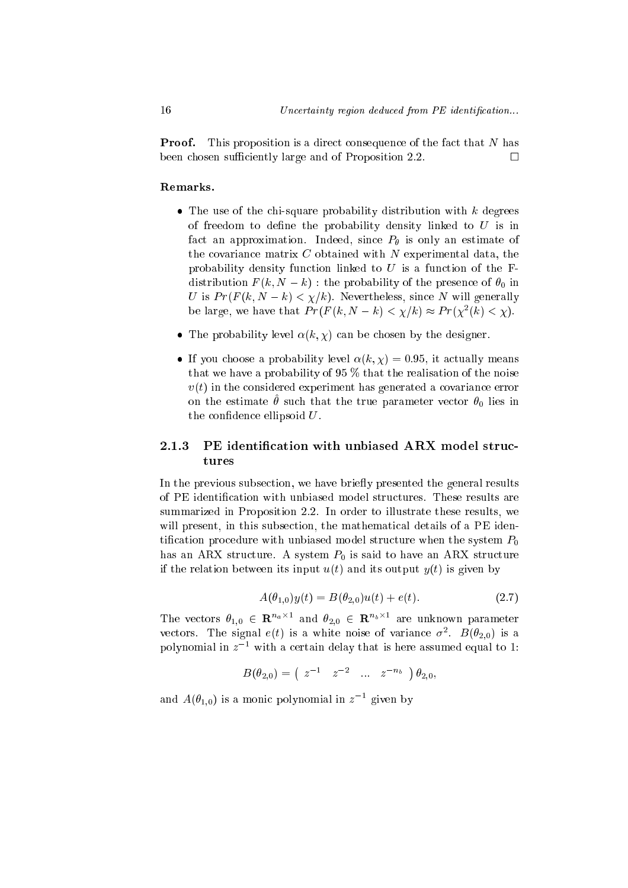**Proof.** This proposition is a direct consequence of the fact that  $N$  has been chosen sufficiently large and of Proposition 2.2.  $\Box$ 

### Remarks.

- The use of the use of the use of the use of the use of the use of the use of the use of the use of the use of the use of the use of the use of the use of the use of the use of the use of the use of the use of the use of t of freedom to define the probability density linked to  $U$  is in fact an approximation. Indeed, since  $P_{\theta}$  is only an estimate of the ovarian
e matrix C obtained with N experimental data, the probability density function linked to  $U$  is a function of the  $F$ distribution for the probability of the presentation of the presentation of the probability of the probability U is  $Pr(F(k, N - k) < \chi/k)$ . Nevertheless, since N will generally be large, we have that  $PT(F(K, N - K) \leq \chi/K) \approx PT(\chi^2(K) \leq \chi)$ .
- The probability level (k; ) an be hosen by the designer.
- If you hoose a probability level (k; ) = 0:95, it a
tually means that we have a probability of 95 % that the realisation of the noise  $v(t)$  in the considered experiment has generated a covariance error on the estimate  $\sigma$  such that the true parameter vector  $\sigma_0$  nes in the confidence ellipsoid  $U$ .

### 2.1.3 PE identification with unbiased ARX model structures

In the previous subsection, we have briefly presented the general results of PE identification with unbiased model structures. These results are summarized in Proposition 2.2. In order to illustrate these results, we will present, in this subsection, the mathematical details of a PE identification procedure with unbiased model structure when the system  $P_0$ has an ARX stru
ture. A system P0 is said to have an ARX stru
ture if the relation between its input  $u(t)$  and its output  $y(t)$  is given by

$$
A(\theta_{1,0})y(t) = B(\theta_{2,0})u(t) + e(t).
$$
\n(2.7)

The vectors  $\theta_{1,0} \in \mathbb{R}^{n}$  and  $\theta_{2,0} \in \mathbb{R}^{n}$  are unknown parameter vectors. The signal  $e(t)$  is a white hoise of variance  $\sigma^2$ .  $D(\sigma_{2,0})$  is a polynomial in  $z^{-1}$  with a certain delay that is here assumed equal to 1:

$$
B(\theta_{2,0}) = (z^{-1} \ z^{-2} \ \ldots \ z^{-n_b}) \theta_{2,0},
$$

and  $A(\sigma_{1,0})$  is a monic polynomial in  $z$  – given by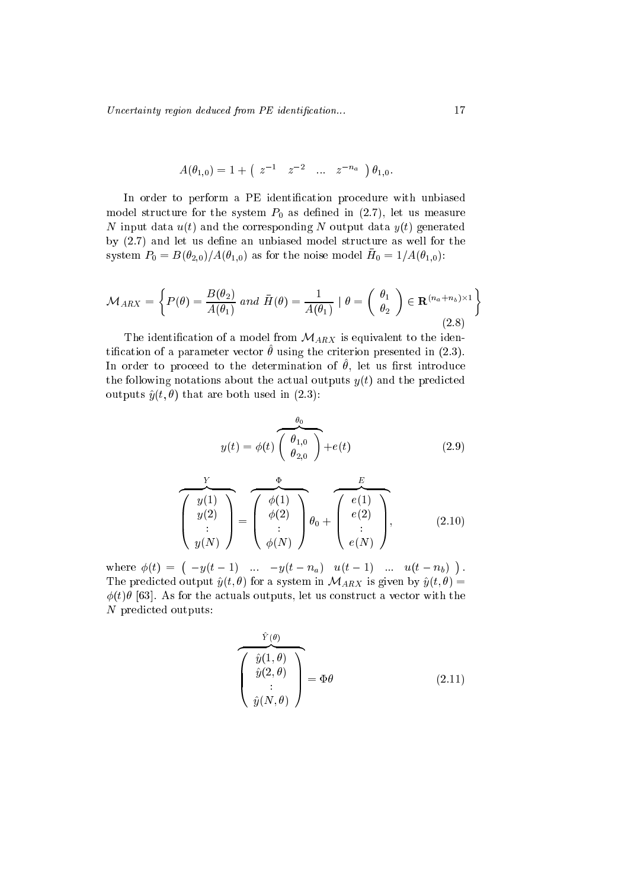$$
A(\theta_{1,0})=1+\left(\begin{array}{cccc} z^{-1} & z^{-2} & \dots & z^{-n_a} \end{array}\right)\theta_{1,0}.
$$

In order to perform a PE identification procedure with unbiased model structure for the system  $\sim$   $0$  and structure  $\sim$  (2.7), as determines the structure  $\sim$ N input data  $u(t)$  and the corresponding N output data  $y(t)$  generated by  $(2.7)$  and let us define an unbiased model structure as well for the system  $P_0 = D(2,0)/A(0,0)$  as for the noise model  $H_0 = 1/A(0,0)$ .

$$
\mathcal{M}_{ARX} = \left\{ P(\theta) = \frac{B(\theta_2)}{A(\theta_1)} \text{ and } \bar{H}(\theta) = \frac{1}{A(\theta_1)} \mid \theta = \begin{pmatrix} \theta_1 \\ \theta_2 \end{pmatrix} \in \mathbf{R}^{(n_a + n_b) \times 1} \right\}
$$
(2.8)

The identification of a model from  $M_{ARX}$  is equivalent to the iden- $\mu$  ation of a parameter vector  $\nu$  using the criterion presented in (2.3). In order to proceed to the determination or  $\nu$ , let us mist introduce the following notations about the actual outputs  $y(t)$  and the predicted outputs  $\hat{y}(t, \theta)$  that are both used in (2.3):

$$
y(t) = \phi(t) \overbrace{\left(\begin{array}{c} \theta_{1,0} \\ \theta_{2,0} \end{array}\right)}^{\theta_0} + e(t)
$$
\n(2.9)

$$
\overbrace{\begin{pmatrix} y(1) \\ y(2) \\ \vdots \\ y(N) \end{pmatrix}}^{Y} = \overbrace{\begin{pmatrix} \phi(1) \\ \phi(2) \\ \vdots \\ \phi(N) \end{pmatrix}}^{\Phi} \theta_0 + \overbrace{\begin{pmatrix} e(1) \\ e(2) \\ \vdots \\ e(N) \end{pmatrix}}^{E}, \qquad (2.10)
$$

 $\cdots$  =  $\cdots$   $\cdots$   $\cdots$   $\cdots$  $\overline{\phantom{a}}$ y(t 1) ::: y(t na) u(t 1) ::: u(t nb)  $\sim$ The predicted output  $\hat{y}(t, \theta)$  for a system in  $\mathcal{M}_{ARX}$  is given by  $\hat{y}(t, \theta) =$  $\phi(t)$  [63]. As for the actuals outputs, let us construct a vector with the N predicted outputs:

$$
\hat{y}(\theta)
$$
\n
$$
\hat{y}(1,\theta)
$$
\n
$$
\hat{y}(2,\theta)
$$
\n
$$
\hat{y}(N,\theta)
$$
\n
$$
(2.11)
$$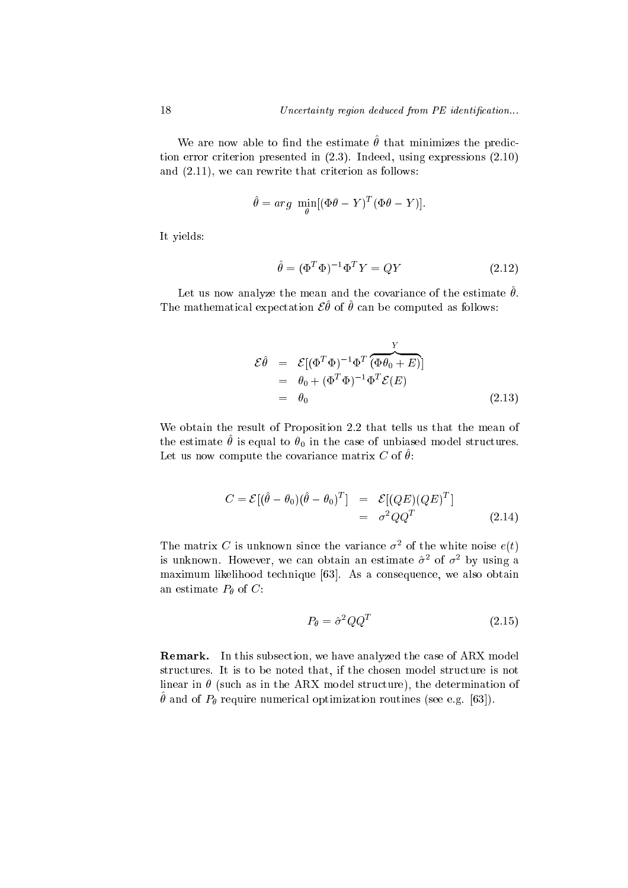we are now able to mud the estimate  $\nu$  that minimizes the prediction error criterion presented in  $(2.3)$ . Indeed, using expressions  $(2.10)$ and  $(2.11)$ , we can rewrite that criterion as follows:

$$
\hat{\theta} = arg \min_{\theta} [(\Phi \theta - Y)^T (\Phi \theta - Y)].
$$

It yields:

$$
\hat{\theta} = (\Phi^T \Phi)^{-1} \Phi^T Y = QY \tag{2.12}
$$

Let us now analyze the mean and the covariance of the estimate  $v$ . The mathematical expectation  $\mathcal{L} \sigma$  of  $\sigma$  can be computed as follows.

$$
\mathcal{E}\hat{\theta} = \mathcal{E}[(\Phi^T \Phi)^{-1} \Phi^T (\overline{\Phi \theta_0 + E})]
$$
  
=  $\theta_0 + (\Phi^T \Phi)^{-1} \Phi^T \mathcal{E}(E)$   
=  $\theta_0$  (2.13)

We obtain the result of Proposition 2.2 that tells us that the mean of the estimate  $\sigma$  is equal to  $\sigma_0$  in the case of unbiased model structures. Let us now compute the covariance matrix  $\cup$  or  $\sigma$ .

$$
C = \mathcal{E}[(\hat{\theta} - \theta_0)(\hat{\theta} - \theta_0)^T] = \mathcal{E}[(QE)(QE)^T]
$$
  
=  $\sigma^2 QQ^T$  (2.14)

I ne matrix C is unknown since the variance  $\sigma^2$  of the white noise  $e(t)$ is unknown. However, we can obtain an estimate  $\sigma^-$  of  $\sigma^-$  by using a maximum likelihood technique [63]. As a consequence, we also obtain an estimate  $P_{\theta}$  of C:

$$
P_{\theta} = \hat{\sigma}^2 Q Q^T \tag{2.15}
$$

**Remark.** In this subsection, we have analyzed the case of ARX model structures. It is to be noted that, if the chosen model structure is not linear in  $\theta$  (such as in the ARX model structure), the determination of  $\sigma$  and of F  $\mu$  require numerical optimization routines (see e.g. [63]).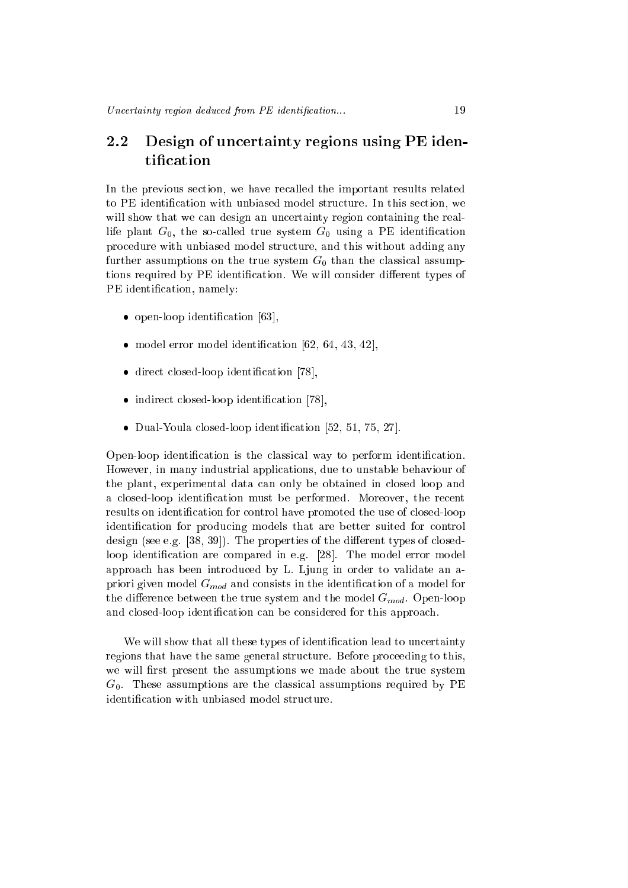### 2.2 Design of un
ertainty regions using PE identification

In the previous section, we have recalled the important results related to PE identification with unbiased model structure. In this section, we will show that we can design an uncertainty region containing the reallife plants G0, the so-so-so-so-so-system G0 using a PE identification procedure with unbiased model structure, and this without adding any further assumptions on the true system G0 than the lassi
al assumptions required by PE identification. We will consider different types of PE identification, namely:

- open-loop identified in the loop in the second state of the second intervals of the second intervals of the second intervals of the second intervals of the second intervals of the second intervals of the second intervals o
- model error model i den statsmannen i den statsmannen i den statsmannen i den statsmannen i den statsmannen i
- direct the state of the continuation in the state of the state of the state of the state of the state of the s
- indirection is a strategy of the state of the strategy of the strategy of the strategy of the strategy of the
- Dual-Youla losed-loop identi
ation [52, 51, 75, 27℄.

Open-loop identification is the classical way to perform identification. However, in many industrial appli
ations, due to unstable behaviour of the plant, experimental data can only be obtained in closed loop and a closed-loop identification must be performed. Moreover, the recent results on identification for control have promoted the use of closed-loop identification for producing models that are better suited for control design (see e.g.  $[38, 39]$ ). The properties of the different types of closedloop identification are compared in e.g. [28]. The model error model approa
h has been introdu
ed by L. Ljung in order to validate an apriori given model  $G_{mod}$  and consists in the identification of a model for the difference between the true system and the model  $G_{mod}$ . Open-loop and closed-loop identification can be considered for this approach.

We will show that all these types of identification lead to uncertainty regions that have the same general structure. Before proceeding to this, we will first present the assumptions we made about the true system  $G_0$ . These assumptions are the classical assumptions required by PE identification with unbiased model structure.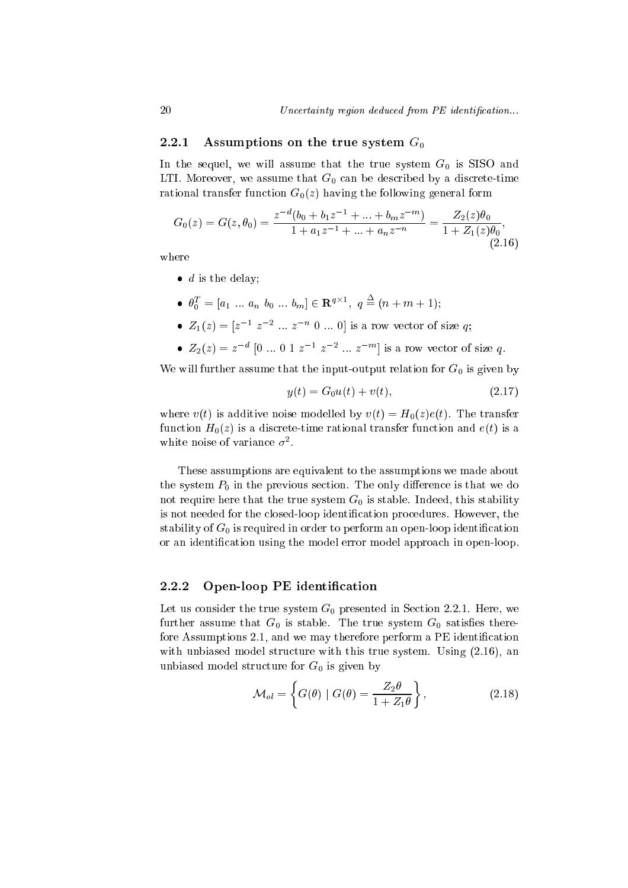### 2.2.1 Assumptions on the true system  $G_0$

In the sequel, we will assume that the true system G0 is SISO and  $\mathcal{L} = \mathbf{U}$ rational transfer function  $G_0(z)$  having the following general form

$$
G_0(z) = G(z, \theta_0) = \frac{z^{-d}(b_0 + b_1 z^{-1} + \dots + b_m z^{-m})}{1 + a_1 z^{-1} + \dots + a_n z^{-n}} = \frac{Z_2(z)\theta_0}{1 + Z_1(z)\theta_0},\tag{2.16}
$$

where

- d is the distance of the delay of the delay of the delay of the delay of the delay of the delay of the delay of the delay of the delay of the delay of the delay of the delay of the delay of the delay of the delay of the de
- $\bullet$   $\theta_0^1 = [a_1 \ ... \ a_n \ b_0 \ ... \ b_m] \in \mathbf{R}^{q \wedge 1}, \ q \equiv (n+m+1);$
- $\bullet$   $Z_1(z) = |z|^2 z^2$  ...  $z^2$  0 ...  $0|$  is a row vector of size q;
- $Z_2(z) = z$   $\degree$   $\degree$   $\degree$  ...  $z$   $\degree$   $\degree$  ...  $z$   $\degree$   $\degree$  is a row vector of size q.

will further assume that the input-output relation for G0 is given by  $\mathcal{A}$ 

$$
y(t) = G_0 u(t) + v(t),
$$
\n(2.17)

where  $v(t)$  is additive noise modelled by  $v(t) = H_0(z)e(t)$ . The transfer function  $H_0(z)$  is a discrete-time rational transfer function and  $e(t)$  is a while noise of variance  $\sigma$ .

These assumptions are equivalent to the assumptions we made about the system PO in the previous sections we do not the only dimensional control in the only not require here that the true section  $\mathcal{A}$  is the G0 is stable. Indeed, the stable stable is not needed for the losed-loop identi
ation pro
edures. However, the stability of G0 is required in order to perform an open-loop identification in order to perform an open-loop i or an identification using the model error model approach in open-loop.

#### Open-loop PE identification  $2.2.2$

Let us onsider the true system G0 presented in Se
tion 2.2.1. Here, we further assume that  $\mathcal{G}^{\text{max}}$  is stable. The true system G0 satisfies the true system G0 satisfies the true system G0 satisfies the true system G0 satisfies the true system G0 satisfies the true system G0 satisfies t fore Assumptions 2.1, and we may therefore perform a  $PE$  identification with unbiased model structure with this true system. Using  $(2.16)$ , an under the structure for the form of  $\theta$  is given by  $\theta$ 

$$
\mathcal{M}_{ol} = \left\{ G(\theta) \mid G(\theta) = \frac{Z_2 \theta}{1 + Z_1 \theta} \right\},\tag{2.18}
$$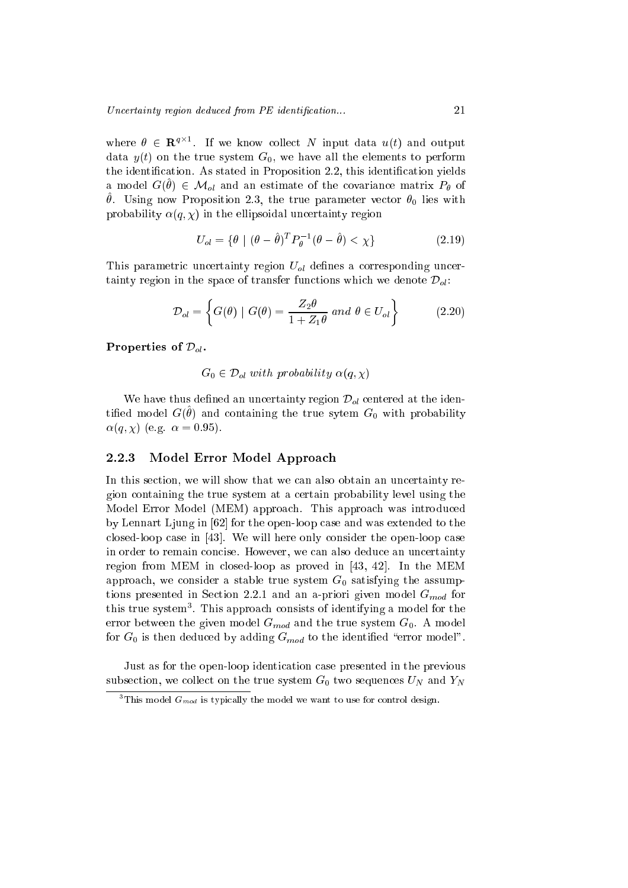where  $\theta$   $\in$   $\mathbf{R}^*$  . If we know collect *I*v input data  $u(t)$  and output data  $y(t)$  on the true system  $G_0$ , we have all the elements to perform the identification. As stated in Proposition 2.2, this identification yields a moder  $G(v) \in \mathcal{M}_{\theta}$  and an estimate of the covariance matrix  $P_{\theta}$  of  $\sigma$ . Using now Proposition 2.3, the true parameter vector  $v_0$  nes with probability  $\alpha(q, \chi)$  in the ellipsoidal uncertainty region

$$
U_{ol} = \{ \theta \mid (\theta - \hat{\theta})^T P_{\theta}^{-1} (\theta - \hat{\theta}) < \chi \} \tag{2.19}
$$

This parametric uncertainty region  $U_{ol}$  defines a corresponding uncertainty region in the space of transfer functions which we denote  $\mathcal{D}_{ol}$ :

$$
\mathcal{D}_{ol} = \left\{ G(\theta) \mid G(\theta) = \frac{Z_2 \theta}{1 + Z_1 \theta} \text{ and } \theta \in U_{ol} \right\}
$$
 (2.20)

Properties of  $\mathcal{D}_{ol}$ .

$$
G_0 \in \mathcal{D}_{ol}
$$
 with probability  $\alpha(q, \chi)$ 

We have thus defined an uncertainty region  $\mathcal{D}_{ol}$  centered at the iden- $\mu$  and  $\sigma$  ( $\sigma$ ) and containing the true sytem  $G_0$  with probability  $\alpha(q, \chi)$  (e.g.  $\alpha = 0.95$ ).

### 2.2.3 Model Error Model Approa
h

In this section, we will show that we can also obtain an uncertainty region ontaining the true system at a ertain probability level using the Model Error Model (MEM) approach. This approach was introduced by Lennart Ljung in [62] for the open-loop case and was extended to the closed-loop case in [43]. We will here only consider the open-loop case in order to remain concise. However, we can also deduce an uncertainty region from MEM in closed-loop as proved in  $[43, 42]$ . In the MEM approach, we can stable true system G0 satisfying the assumption of the assumption of the assumption of the ass tions presented in Section 2.2.1 and an a-priori given model  $G_{mod}$  for  $\mu$ ns true system $\cdot$ . This approach consists of identifying a model for the error between the given model  $G_{mod}$  and the true system  $G_0$ . A model  $\sim$  G into the internal deduction of the internal deduction of  $\sim$  model  $\sim$ 

Just as for the open-loop identi
ation ase presented in the previous subsection, we can be true system GNU and the true system of the true system of the true system of the true sy

This model  $G_{mod}$  is typically the model we want to use for control design.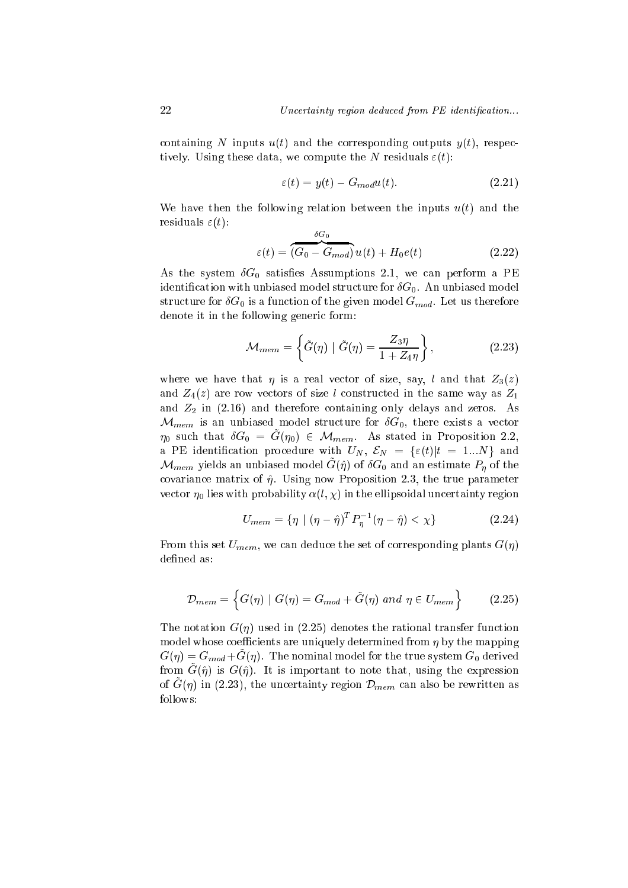containing N inputs  $u(t)$  and the corresponding outputs  $y(t)$ , respectively. Using these data, we compute the N residuals  $\varepsilon(t)$ :

$$
\varepsilon(t) = y(t) - G_{mod}u(t). \tag{2.21}
$$

We have then the following relation between the inputs  $u(t)$  and the residuals  $\varepsilon(t)$ :

$$
\varepsilon(t) = \overbrace{(G_0 - G_{mod})}^{bG_0} u(t) + H_0 e(t)
$$
\n(2.22)

As the system ÆG0 satises Assumptions 2.1, we an perform <sup>a</sup> PE identification with unbiased model structure for  $\delta G_0$ . An unbiased model ture for  $\alpha$  is a function of the given model with  $\alpha$   $\beta$  is the given model  $\alpha$ denote it in the following generic form:

$$
\mathcal{M}_{mem} = \left\{ \tilde{G}(\eta) \mid \tilde{G}(\eta) = \frac{Z_3 \eta}{1 + Z_4 \eta} \right\},\tag{2.23}
$$

where we have that  $\eta$  is a real vector of size, say, l and that  $Z_3(z)$ and  $Z_4(z)$  are row vectors of size l constructed in the same way as  $Z_1$ and  $\alpha$  in (2.16) and therefore conditional contains and  $\alpha$  and  $\alpha$  are  $\alpha$  $\mathcal{M}_{mem}$  is an unbiased model structure for  $\delta G_0$ , there exists a vector  $\eta_0$  such that  $\sigma\sigma_0 = \sigma(\eta_0) \in \nu\tau_{mem}$ . As stated in Froposition 2.2, a PE identification procedure with  $U_N$ ,  $\mathcal{E}_N = {\varepsilon(t)|t = 1...N}$  and  $\mathcal{N}$  mem yields an unbiased model  $G(\eta)$  of  $\partial G_0$  and an estimate  $\Gamma_\eta$  of the covariance matrix of  $\hat{\eta}$ . Using now Proposition 2.3, the true parameter vertainty tor with probability (l; ) in the electromagnetic methods with  $\eta$  and  $\eta$ 

$$
U_{mem} = \{ \eta \mid (\eta - \hat{\eta})^T P_{\eta}^{-1} (\eta - \hat{\eta}) < \chi \} \tag{2.24}
$$

From this set  $U_{mem}$ , we can deduce the set of corresponding plants  $G(\eta)$ defined as:

$$
\mathcal{D}_{mem} = \left\{ G(\eta) \mid G(\eta) = G_{mod} + \tilde{G}(\eta) \text{ and } \eta \in U_{mem} \right\} \tag{2.25}
$$

The notation  $G(\eta)$  used in (2.25) denotes the rational transfer function model whose coefficients are uniquely determined from  $\eta$  by the mapping  $G(\eta) = G_{mod} + G(\eta)$ . The nominal model for the true system  $G_0$  derived  $\lim_{\alpha\to 0} G(\eta)$ . It is important to note that, using the expression of  $G(\eta)$  in (2.25), the uncertainty region  $\nu_{mem}$  can also be rewritten as follows: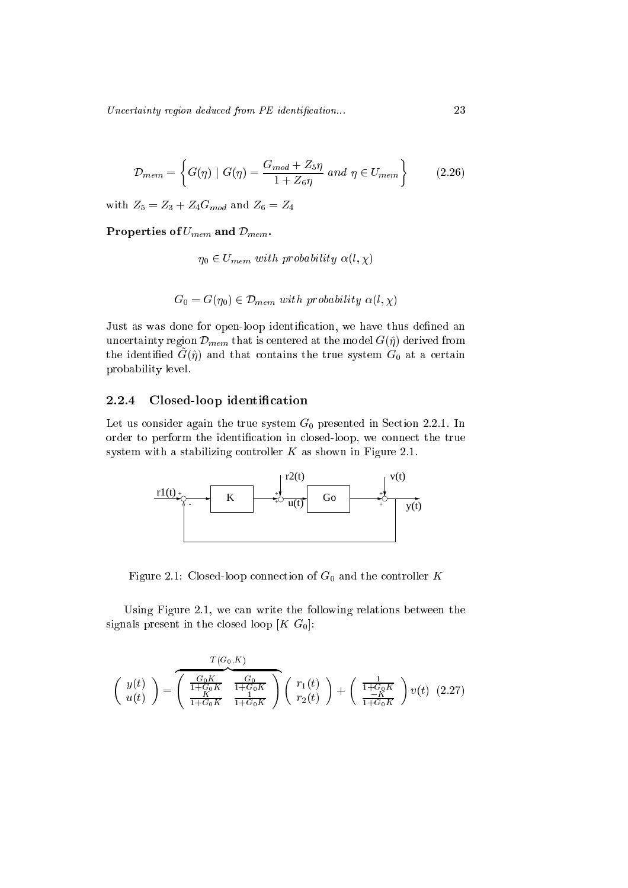Uncertainty region deduced from PE identification... 23

$$
\mathcal{D}_{mem} = \left\{ G(\eta) \mid G(\eta) = \frac{G_{mod} + Z_5 \eta}{1 + Z_6 \eta} \text{ and } \eta \in U_{mem} \right\} \tag{2.26}
$$

with Z5 <sup>=</sup> Z3 <sup>+</sup> Z4Gmod and Z6 <sup>=</sup> Z4

Properties of  $U_{mem}$  and  $\mathcal{D}_{mem}$ .

 $\mathbf{v} = \mathbf{v}$  with  $\mathbf{v} = \mathbf{v}$ 

$$
G_0 = G(\eta_0) \in \mathcal{D}_{mem} with probability \alpha(l, \chi)
$$

Just as was done for open-loop identification, we have thus defined an uncertainty region  $\mathcal{D}_{mem}$  that is centered at the model  $G(\hat{\eta})$  derived from the identified  $G(\eta)$  and that contains the true system  $G_0$  at a certain probability level.

### 2.2.4 Closed-loop identification

Let us onsider again the true system G0 presented in Se
tion 2.2.1. In order to perform the identification in closed-loop, we connect the true system with a stabilizing controller  $K$  as shown in Figure 2.1.



Figure 2.1: Closed-loop onne
tion of G0 and the ontroller <sup>K</sup>

Using Figure 2.1, we an write the following relations between the signals present in the closed loop  $[K \ G_0]$ :

$$
\begin{pmatrix} y(t) \\ u(t) \end{pmatrix} = \overbrace{\begin{pmatrix} \frac{G_0 K}{1 + G_0 K} & \frac{G_0}{1 + G_0 K} \\ \frac{K}{1 + G_0 K} & \frac{G_0}{1 + G_0 K} \end{pmatrix}}^{T(G_0, K)} \begin{pmatrix} r_1(t) \\ r_2(t) \end{pmatrix} + \begin{pmatrix} \frac{1}{1 + G_0 K} \\ \frac{-K}{1 + G_0 K} \end{pmatrix} v(t) (2.27)
$$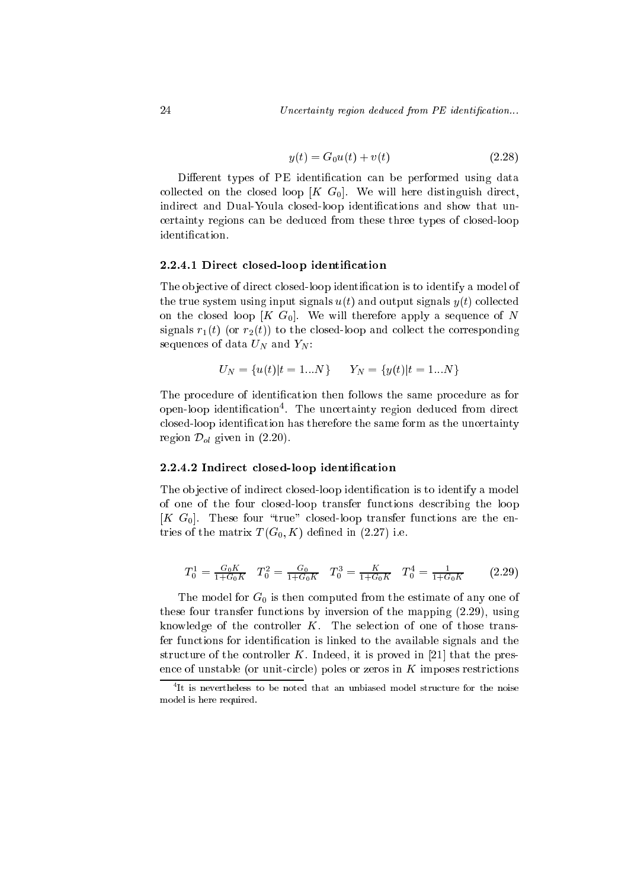$$
y(t) = G_0 u(t) + v(t)
$$
\n(2.28)

Different types of PE identification can be performed using data collected on the closed loop [K  $G_0$ ]. We will here distinguish direct, indirect and Dual-Youla closed-loop identifications and show that unertainty regions an be dedu
ed from these three types of losed-loop identification.

### 2.2.4.1 Direct closed-loop identification

The objective of direct closed-loop identification is to identify a model of the true system using input signals  $u(t)$  and output signals  $y(t)$  collected on the closed loop [K  $G_0$ ]. We will therefore apply a sequence of N signals  $r_1(t)$  (or  $r_2(t)$ ) to the closed-loop and collect the corresponding sequences of data  $U_N$  and  $Y_N$ :

$$
U_N = \{u(t)|t = 1...N\} \qquad Y_N = \{y(t)|t = 1...N\}
$$

The procedure of identification then follows the same procedure as for open-loop identification . The uncertainty region deduced from direct closed-loop identification has therefore the same form as the uncertainty region  $\mathcal{D}_{ol}$  given in (2.20).

### 2.2.4.2 Indirect closed-loop identification

The objective of indirect closed-loop identification is to identify a model of one of the four losed-loop transfer fun
tions des
ribing the loop [K  $G_0$ ]. These four "true" closed-loop transfer functions are the entries of the matrix  $T(G_0, K)$  defined in (2.27) i.e.

$$
T_0^1 = \frac{G_0 K}{1 + G_0 K} \quad T_0^2 = \frac{G_0}{1 + G_0 K} \quad T_0^3 = \frac{K}{1 + G_0 K} \quad T_0^4 = \frac{1}{1 + G_0 K} \tag{2.29}
$$

ome and for any  $\alpha$  is the estimate of any order from the estimate of any of any of any these four transfer fun
tions by inversion of the mapping (2.29), using knowledge of the controller  $K$ . The selection of one of those transfer functions for identification is linked to the available signals and the structure of the controller K. Indeed, it is proved in [21] that the presence of unstable (or unit-circle) poles or zeros in  $K$  imposes restrictions

<sup>4</sup> It is nevertheless to be noted that an unbiased model stru
ture for the noise model is here required.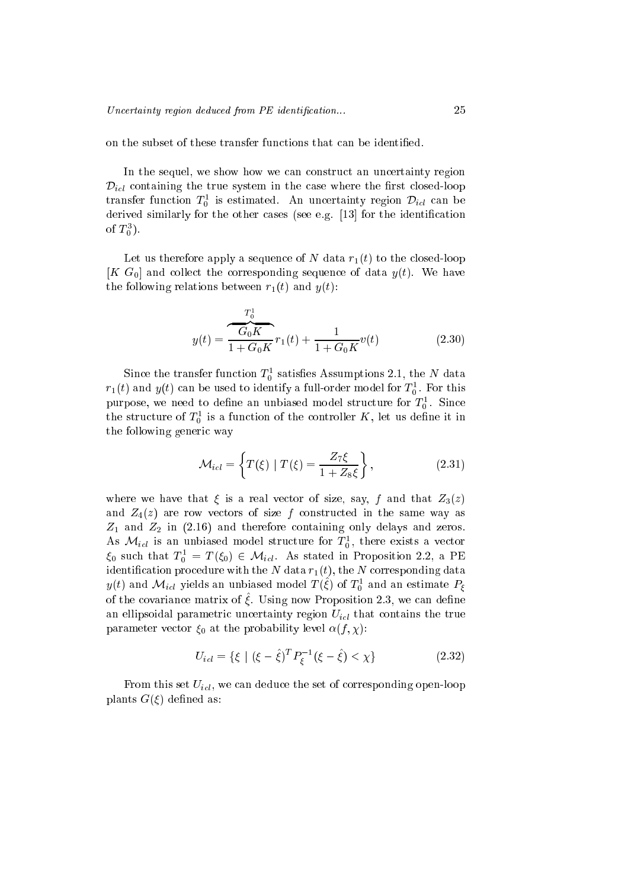on the subset of these transfer functions that can be identified.

In the sequel, we show how we can construct an uncertainty region  $\mathcal{D}_{icl}$  containing the true system in the case where the first closed-loop transfer function  $T_0^{\dagger}$  is estimated. An uncertainty region  $\nu_{icl}$  can be derived similarly for the other cases (see e.g.  $[13]$  for the identification of  $I_{\bar{0}}$  ).

Let us therefore apply a sequence of N data  $r_1(t)$  to the closed-loop [K  $G_0$ ] and collect the corresponding sequence of data  $y(t)$ . We have the following relations between  $r_1(t)$  and  $y(t)$ :

$$
y(t) = \frac{\overbrace{G_0 K}^{T_0^1}}{1 + G_0 K} r_1(t) + \frac{1}{1 + G_0 K} v(t)
$$
\n(2.30)

Since the transfer function  $I_0$  satisfies Assumptions 2.1, the *N* data  $\overline{\phantom{0}}$  $r_1(t)$  and  $y(t)$  can be used to identify a full-order model for  $T_0$  . For this  $\overline{\phantom{0}}$ purpose, we need to denne an unbiased model structure for  $T_0$ . Since the structure of  $I_0^-$  is a function of the controller  $\Lambda$ , let us define it in the following generi way

$$
\mathcal{M}_{icl} = \left\{ T(\xi) \mid T(\xi) = \frac{Z_7 \xi}{1 + Z_8 \xi} \right\},\tag{2.31}
$$

where we have that  $\xi$  is a real vector of size, say, f and that  $Z_3(z)$ and  $Z_4(z)$  are row vectors of size f constructed in the same way as Z1 and Z2 in (2.16) and therefore ontaining only delays and zeros. As  $\mathcal{M}_{icl}$  is an unbiased model structure for  $T_{\bar{0}}$ , there exists a vector  $\zeta_0$  such that  $T_0 = T(\zeta_0) \in \mathcal{M}_{icl}$ . As stated in Proposition 2.2, a PE identification procedure with the N data  $r_1(t)$ , the N corresponding data  $y(\iota)$  and  $\mathcal{M}_{icl}$  yields an unbiased model 1 ( $\zeta$ ) of  $T_0^+$  and an estimate  $P_{\xi}$ of the covariance matrix of  $\zeta$ . Osing now Proposition 2.5, we can define an ellipsoidal parametric uncertainty region  $U_{icl}$  that contains the true parameter ve
tor 0 at the probability level (f ; ):

$$
U_{icl} = \{ \xi \mid (\xi - \hat{\xi})^T P_{\xi}^{-1} (\xi - \hat{\xi}) < \chi \} \tag{2.32}
$$

From this set  $U_{icl}$ , we can deduce the set of corresponding open-loop plants  $G(\xi)$  defined as: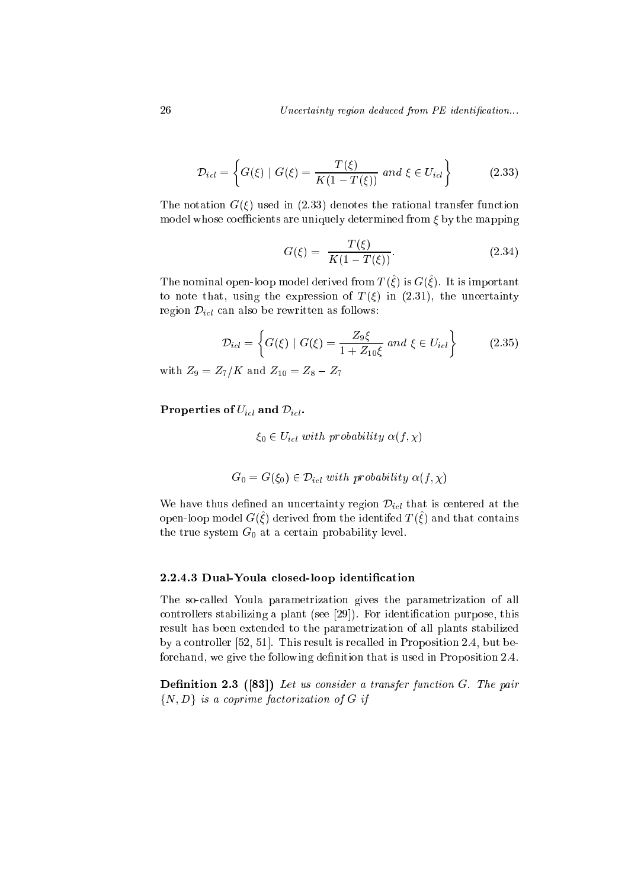$$
\mathcal{D}_{icl} = \left\{ G(\xi) \mid G(\xi) = \frac{T(\xi)}{K(1 - T(\xi))} \text{ and } \xi \in U_{icl} \right\}
$$
 (2.33)

The notation  $G(\xi)$  used in (2.33) denotes the rational transfer function model whose coefficients are uniquely determined from  $\xi$  by the mapping

$$
G(\xi) = \frac{T(\xi)}{K(1 - T(\xi))}.
$$
 (2.34)

The nominal open-loop model derived from T ( ^ ) is G( ^ ). It is important to note that, using the expression of  $T(\xi)$  in (2.31), the uncertainty region  $\mathcal{D}_{icl}$  can also be rewritten as follows:

$$
\mathcal{D}_{icl} = \left\{ G(\xi) \mid G(\xi) = \frac{Z_9 \xi}{1 + Z_{10} \xi} \text{ and } \xi \in U_{icl} \right\}
$$
 (2.35)

with  $\frac{1}{2}$   $\frac{1}{2}$   $\frac{1}{2}$   $\frac{1}{2}$   $\frac{1}{2}$   $\frac{1}{2}$   $\frac{1}{2}$   $\frac{1}{2}$   $\frac{1}{2}$   $\frac{1}{2}$ 

Properties of  $U_{icl}$  and  $\mathcal{D}_{icl}$ .

$$
\xi_0 \in U_{icl}
$$
 with probability  $\alpha(f, \chi)$ 

$$
G_0 = G(\xi_0) \in \mathcal{D}_{icl} \ with \ probability \ \alpha(f, \chi)
$$

We have thus defined an uncertainty region  $\mathcal{D}_{icl}$  that is centered at the  $\phi$  open-loop model  $G(\zeta)$  derived from the identified T ( $\zeta$  ) and that contains the true system God at a system God at a system of the system of the system of the system of the system of the

### 2.2.4.3 Dual-Youla closed-loop identification

The so-called Youla parametrization gives the parametrization of all controllers stabilizing a plant (see  $[29]$ ). For identification purpose, this result has been extended to the parametrization of all plants stabilized by a controller  $[52, 51]$ . This result is recalled in Proposition 2.4, but beforehand, we give the following definition that is used in Proposition 2.4.

**Definition 2.3** ([83]) Let us consider a transfer function  $G$ . The pair  $\{N, D\}$  is a coprime factorization of G if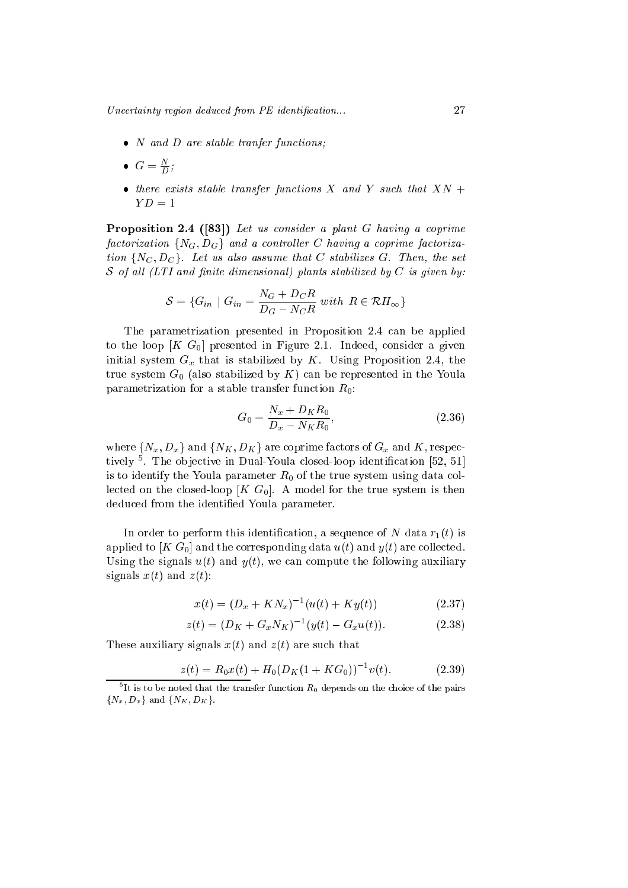Uncertainty region deduced from PE identification... 27

- n are stable transported to the contract of the stable transported to the stable of the stable of the stable o
- $\bullet$  G =  $\frac{\ }{D}$ ;
- there exists stable transfer functions as when a substracted same  $\mathbb{R}^n$

**Proposition 2.4 ([83])** Let us consider a plant G having a coprime factorization  $\{N_G, D_G\}$  and a controller C having a coprime factorization  $\{N_C, D_C\}$ . Let us also assume that C stabilizes G. Then, the set S of al l (LTI and nite dimensional) plants stabilized by C is given by:

$$
S = \{G_{in} \mid G_{in} = \frac{N_G + D_C R}{D_G - N_C R} \text{ with } R \in \mathcal{R}H_{\infty}\}\
$$

The parametrization presented in Proposition 2.4 an be applied to the loop  $[K \ G_0]$  presented in Figure 2.1. Indeed, consider a given initial system  $G_x$  that is stabilized by K. Using Proposition 2.4, the true system G0 (also stabilized by K) in the stabilized by Kongresented in the Young parametrization for a stable transfer function  $R_0$ :

$$
G_0 = \frac{N_x + D_K R_0}{D_x - N_K R_0},\tag{2.36}
$$

where  $\{N_x, D_x\}$  and  $\{N_K, D_K\}$  are coprime factors of  $G_x$  and K, respec $t_{\rm I}$  ,  $t_{\rm I}$  in equal-roula closed-loop identification [52, 51] is to identify the Youla parameter  $\mathcal{L}$  to the true system using data  $\mathcal{L}$  the true system using data  $\mathcal{L}$ lected on the closed-loop  $[K \ G_0]$ . A model for the true system is then dedu
ed from the identied Youla parameter.

In order to perform this identification, a sequence of N data  $r_1(t)$  is applied to [K  $G_0$ ] and the corresponding data  $u(t)$  and  $y(t)$  are collected. Using the signals  $u(t)$  and  $y(t)$ , we can compute the following auxiliary signals  $x(t)$  and  $z(t)$ :

$$
x(t) = (D_x + KN_x)^{-1}(u(t) + Ky(t))
$$
\n(2.37)

$$
z(t) = (D_K + G_x N_K)^{-1} (y(t) - G_x u(t)).
$$
\n(2.38)

These auxiliary signals  $x(t)$  and  $z(t)$  are such that

$$
z(t) = R_0 x(t) + H_0 (D_K (1 + KG_0))^{-1} v(t).
$$
 (2.39)

The is to be noted that the transfer function  $R_0$  depends on the choice of the pairs  $\,$  $\{N_x, D_x\}$  and  $\{N_K, D_K\}$ .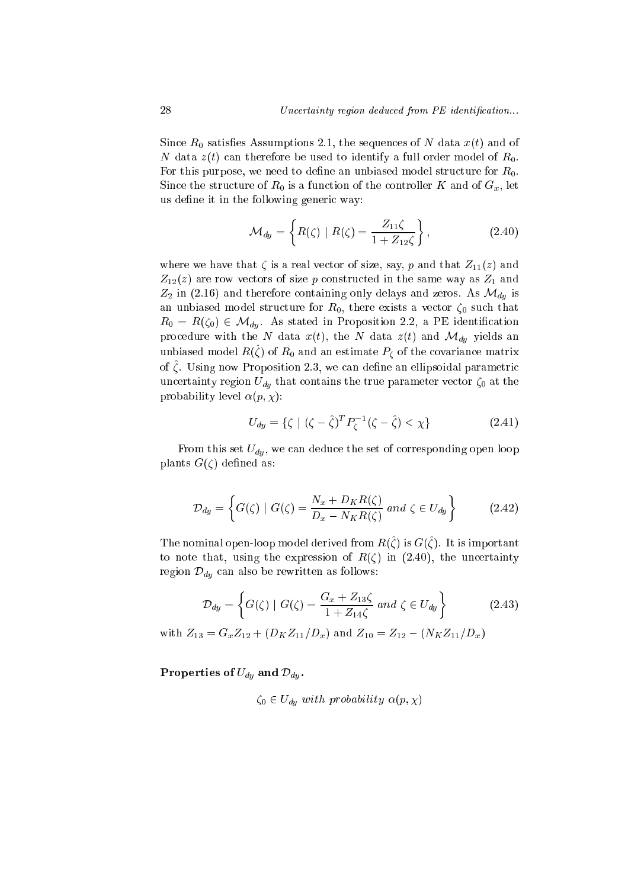e and the sequence and the sequence  $\sim$  sequences as  $\sim$  the sequence  $\sim$  of  $\sim$   $\sim$   $\sim$   $\sim$   $\sim$   $\sim$   $\sim$ N data  $z(t)$  can therefore be used to identify a full order model of  $R_0$ . For this purpose, we need to define an unbiased model structure for  $R_0$ .  $\epsilon = -\frac{1}{2} \left( \frac{1}{2} \right)$  , the structure of the structure  $\epsilon$  and of Gx, letter  $\epsilon$ us define it in the following generic way:

$$
\mathcal{M}_{dy} = \left\{ R(\zeta) \mid R(\zeta) = \frac{Z_{11}\zeta}{1 + Z_{12}\zeta} \right\},\tag{2.40}
$$

where we have that  $\zeta$  is a real vector of size, say, p and that  $Z_{11}(z)$  and  $-$ 12( $\cdot$ ) are row vertors of size  $p$  communication in the same way as  $\cdot$  $\mathcal{L}_2$  in (2.16) and therefore containing only delays and zeros. As May is  $t = -\frac{1}{2}$  $\Gamma$  . As stated in Proposition 2.2, a Pe in Proposition 2.2, a PE in Proposition 2.2, a PE in Proposition 2.2, a PE in Proposition 2.2, a PE in Proposition 2.2, a PE in Proposition 2.2, a PE in Proposition 2.2, a PE in P procedure with the N data  $x(t)$ , the N data  $z(t)$  and  $\mathcal{M}_{dy}$  yields an unbiased model  $R(\zeta)$  of  $R_0$  and an estimate  $R_\zeta$  of the covariance matrix of  $\zeta$ . Using now Froposition 2.3, we can define an emposition parametric uncertainty region  $U_{dy}$  that contains the true parameter vector  $\zeta_0$  at the probability level  $\alpha(p, \chi)$ :

$$
U_{dy} = \{ \zeta \mid (\zeta - \hat{\zeta})^T P_{\zeta}^{-1} (\zeta - \hat{\zeta}) < \chi \} \tag{2.41}
$$

From this set  $U_{dy}$ , we can deduce the set of corresponding open loop plants  $G(\zeta)$  defined as:

$$
\mathcal{D}_{dy} = \left\{ G(\zeta) \mid G(\zeta) = \frac{N_x + D_K R(\zeta)}{D_x - N_K R(\zeta)} \text{ and } \zeta \in U_{dy} \right\}
$$
(2.42)

The nominal open-loop model derived from R(C) is G(C). It is important to note that, using the expression of  $R(\zeta)$  in (2.40), the uncertainty region  $\mathcal{D}_{dy}$  can also be rewritten as follows:

$$
\mathcal{D}_{dy} = \left\{ G(\zeta) \mid G(\zeta) = \frac{G_x + Z_{13}\zeta}{1 + Z_{14}\zeta} \text{ and } \zeta \in U_{dy} \right\} \tag{2.43}
$$

with Z13 <sup>=</sup> GxZ12 <sup>+</sup> (DKZ11=Dx) and Z10 <sup>=</sup> Z12 (NKZ11=Dx)

Properties of  $U_{dy}$  and  $\mathcal{D}_{dy}$ .

$$
\zeta_0 \in U_{dy}
$$
 with probability  $\alpha(p, \chi)$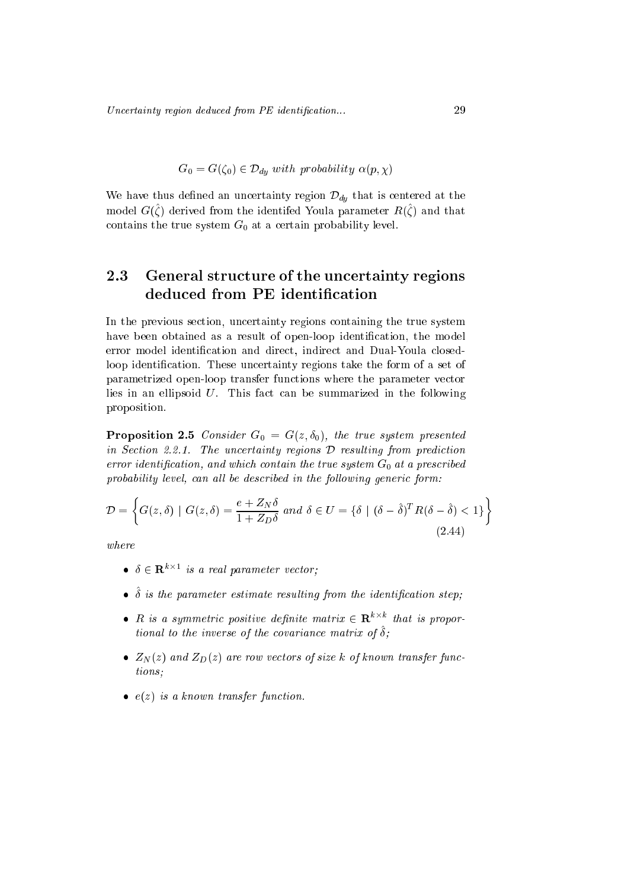$$
G_0 = G(\zeta_0) \in \mathcal{D}_{du}
$$
 with probability  $\alpha(p, \chi)$ 

We have thus defined an uncertainty region  $\mathcal{D}_{dy}$  that is centered at the  $\max$  derived from the identified Toula parameter  $R(\zeta)$  and that ontains the true system G0 at <sup>a</sup> ertain probability level.

## 2.3 General structure of the uncertainty regions deduced from PE identification

In the previous section, uncertainty regions containing the true system have been obtained as a result of open-loop identification, the model error model identification and direct, indirect and Dual-Youla closedloop identification. These uncertainty regions take the form of a set of parametrized open-loop transfer functions where the parameter vector lies in an ellipsoid  $U$ . This fact can be summarized in the following proposition.

 $P$ roposition 2.5  $C$  consider G<sub>0</sub>  $C$  ,  $C$ <sub>1</sub>  $O$   $D$  , the true system presented  $D$ in Section 2.2.1. The uncertainty regions D resulting from prediction error identity at a proposition of the true system and which the true system at a present of the true system at a proposition of the true system at a proposition of the true system at a proposition of the true system at a probability level, can all be described in the following generic form:

$$
\mathcal{D} = \left\{ G(z,\delta) \mid G(z,\delta) = \frac{e + Z_N \delta}{1 + Z_D \delta} \text{ and } \delta \in U = \{ \delta \mid (\delta - \hat{\delta})^T R (\delta - \hat{\delta}) < 1 \} \right\} \tag{2.44}
$$

where

- $\bullet$   $o \in \mathbf{R}$  as a real parameter vector;
- $\bullet$   $\,$  o is the parameter estimate resulting from the identification step,
- $\bullet$  K is a symmetric positive definite matrix  $\in$  R  $\ldots$  that is propor $t$ ,  $t$  and  $t$  are  $t$  and  $t$  are the covariance in the  $\sigma$  of  $\sigma$ ,  $\sigma$
- zn (z) are row to the row vector of the size to the size k of the size  $\mu$  are row  $\mu$ tions;
- e(z) is a known transfer function.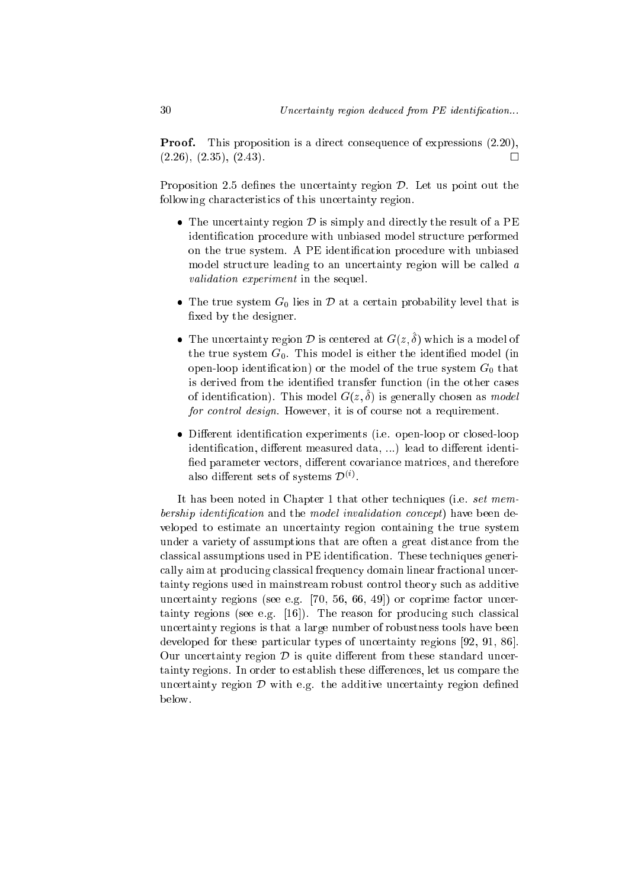**Proof.** This proposition is a direct consequence of expressions  $(2.20)$ ,  $(2.26), (2.35), (2.43).$  $\Box$ 

Proposition 2.5 defines the uncertainty region  $\mathcal{D}$ . Let us point out the following characteristics of this uncertainty region.

- the unit region D is simply and direction of a periodic contract of a PE is simply and direct of a PE is a PE identification procedure with unbiased model structure performed on the true system. A PE identification procedure with unbiased model structure leading to an uncertainty region will be called a validation experiment in the sequel.
- The true system G0 lies in D at a construction probability is the three  $\alpha$ fixed by the designer.
- In the uncertainty region  $\nu$  is centered at  $G(z, \theta)$  which is a model of the true system  $G_0$ . This model is either the identified model (in open-loop identi
ation) or the model of the true system G0 that is derived from the identified transfer function (in the other cases of identification). This model  $G(z, \theta)$  is generally chosen as *model* for control design. However, it is of course not a requirement.
- Dierent identi
ation experiments (i.e. open-loop or losed-loop identification, different measured data, ...) lead to different identified parameter vectors, different covariance matrices, and therefore also different sets of systems  $\nu$   $\cdot$  .

It has been noted in Chapter 1 that other techniques (i.e. set membership identification and the model invalidation concept) have been developed to estimate an un
ertainty region ontaining the true system under a variety of assumptions that are often a great distan
e from the lassi
al assumptions used in PE identi
ation. These te
hniques generi cally aim at producing classical frequency domain linear fractional uncertainty regions used in mainstream robust ontrol theory su
h as additive uncertainty regions (see e.g.  $[70, 56, 66, 49]$ ) or coprime factor uncertainty regions (see e.g.  $[16]$ ). The reason for producing such classical un
ertainty regions is that a large number of robustness tools have been developed for these particular types of uncertainty regions [92, 91, 86]. Our uncertainty region  $\mathcal D$  is quite different from these standard uncertainty regions. In order to establish these differences, let us compare the uncertainty region  $D$  with e.g. the additive uncertainty region defined below.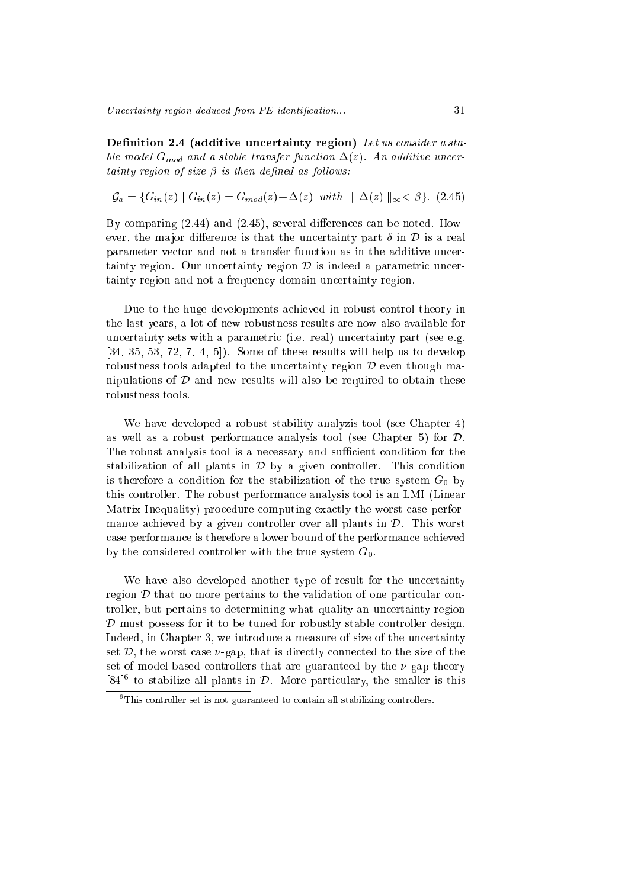Definition 2.4 (additive uncertainty region) Let us consider a stable model  $G_{mod}$  and a stable transfer function  $\Delta(z)$ . An additive uncertainty region of size  $\beta$  is then defined as follows:

$$
\mathcal{G}_a = \{ G_{in}(z) \mid G_{in}(z) = G_{mod}(z) + \Delta(z) \text{ with } || \Delta(z) ||_{\infty} < \beta \}. (2.45)
$$

By comparing  $(2.44)$  and  $(2.45)$ , several differences can be noted. However, the major difference is that the uncertainty part  $\delta$  in  $\mathcal D$  is a real parameter vector and not a transfer function as in the additive uncertainty region. Our uncertainty region  $\mathcal D$  is indeed a parametric uncertainty region and not a frequency domain uncertainty region.

Due to the huge developments achieved in robust control theory in the last years, a lot of new robustness results are now also available for uncertainty sets with a parametric (i.e. real) uncertainty part (see e.g.  $[34, 35, 53, 72, 7, 4, 5]$ . Some of these results will help us to develop robustness tools adapted to the uncertainty region  $\mathcal D$  even though manipulations of  $D$  and new results will also be required to obtain these robustness tools.

We have developed a robust stability analyzis tool (see Chapter 4) as well as a robust performan
e analysis tool (see Chapter 5) for D. The robust analysis tool is a necessary and sufficient condition for the stabilization of all plants in  $D$  by a given controller. This condition is the stabilization for the stabilization  $\mathcal{L}_{\mathcal{A}}$  the true system  $\mathcal{L}_{\mathcal{A}}$  and  $\mathcal{L}_{\mathcal{A}}$ this ontroller. The robust performan
e analysis tool is an LMI (Linear Matrix Inequality) procedure computing exactly the worst case performance achieved by a given controller over all plants in  $\mathcal{D}$ . This worst ase performan
e is therefore a lower bound of the performan
e a
hieved by the considered controller with the true system  $G_0$ .

We have also developed another type of result for the uncertainty region  $\mathcal D$  that no more pertains to the validation of one particular controller, but pertains to determining what quality an un
ertainty region D must possess for it to be tuned for robustly stable ontroller design. Indeed, in Chapter 3, we introduce a measure of size of the uncertainty set  $\mathcal{D}$ , the worst case  $\nu$ -gap, that is directly connected to the size of the set of model-based controllers that are guaranteed by the  $\nu$ -gap theory  $[84]$  to stabilize all plants in  $\nu$ . More particulary, the smaller is this

This controller set is not guaranteed to contain all stabilizing controllers.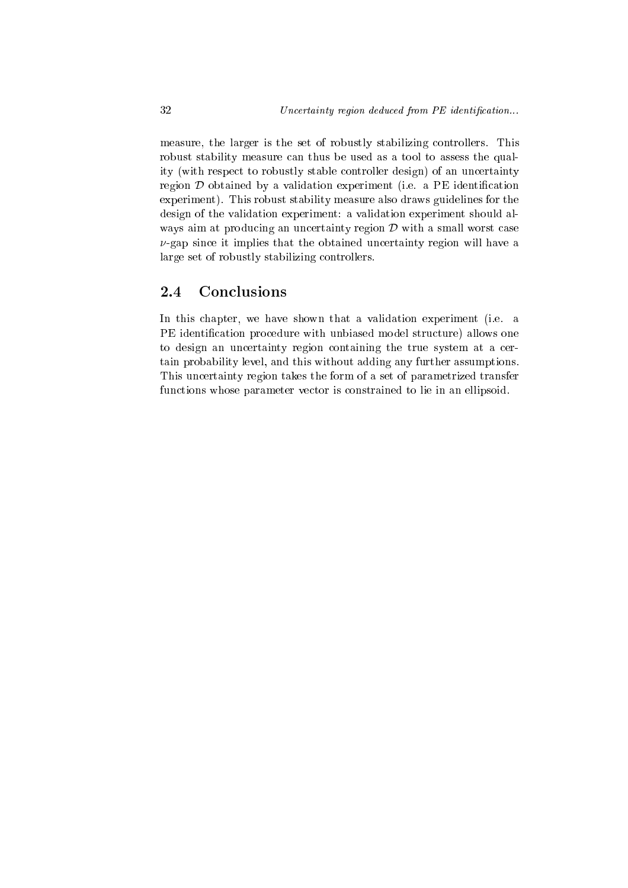measure, the larger is the set of robustly stabilizing controllers. This robust stability measure can thus be used as a tool to assess the quality (with respe
t to robustly stable ontroller design) of an un
ertainty region  $D$  obtained by a validation experiment (i.e. a PE identification experiment). This robust stability measure also draws guidelines for the design of the validation experiment: a validation experiment should always aim at producing an uncertainty region  $D$  with a small worst case  $\nu$ -gap since it implies that the obtained uncertainty region will have a large set of robustly stabilizing ontrollers.

### 2.4 Con
lusions

In this chapter, we have shown that a validation experiment (i.e. a PE identification procedure with unbiased model structure) allows one to design an uncertainty region containing the true system at a certain probability level, and this without adding any further assumptions. This un
ertainty region takes the form of a set of parametrized transfer functions whose parameter vector is constrained to lie in an ellipsoid.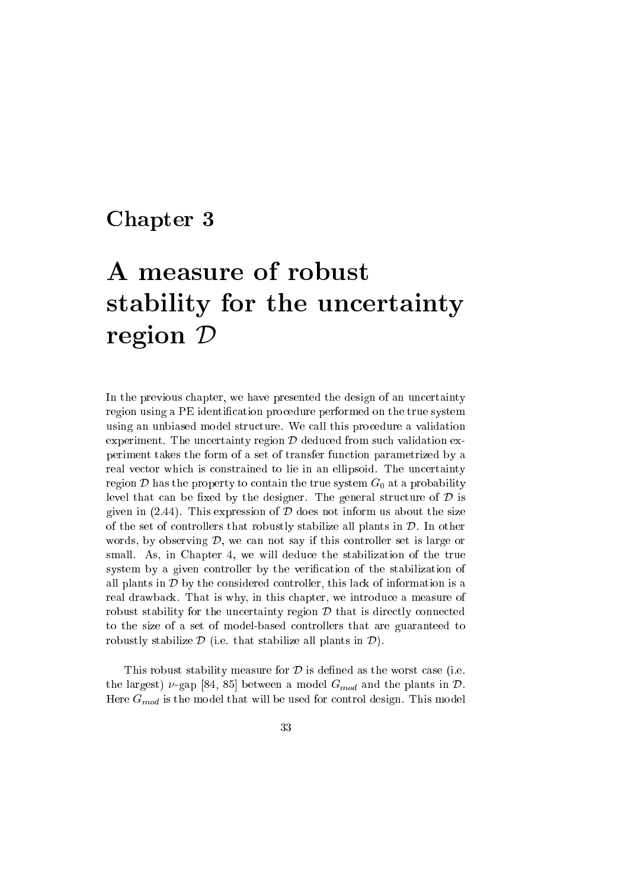# Chapter 3

# A measure of robust stability for the uncertainty region <sup>D</sup>

In the previous chapter, we have presented the design of an uncertainty region using a PE identification procedure performed on the true system using an unbiased model structure. We call this procedure a validation experiment. The uncertainty region  $\mathcal D$  deduced from such validation experiment takes the form of a set of transfer function parametrized by a real vector which is constrained to lie in an ellipsoid. The uncertainty region D in the property to the true system can be the true system G0 at a probability  $\alpha$ level that can be fixed by the designer. The general structure of  $D$  is given in  $(2.44)$ . This expression of  $D$  does not inform us about the size of the set of controllers that robustly stabilize all plants in  $\mathcal{D}$ . In other words, by observing  $\mathcal{D}$ , we can not say if this controller set is large or small. As, in Chapter 4, we will dedu
e the stabilization of the true system by a given controller by the verification of the stabilization of all plants in  $D$  by the considered controller, this lack of information is a real drawba
k. That is why, in this hapter, we introdu
e a measure of robust stability for the uncertainty region  $\mathcal D$  that is directly connected to the size of a set of model-based ontrollers that are guaranteed to robustly stabilize  $\mathcal D$  (i.e. that stabilize all plants in  $\mathcal D$ ).

This robust stability measure for  $D$  is defined as the worst case (i.e. the largest)  $\nu$ -gap [84, 85] between a model  $G_{mod}$  and the plants in  $\mathcal{D}$ . Here  $G_{mod}$  is the model that will be used for control design. This model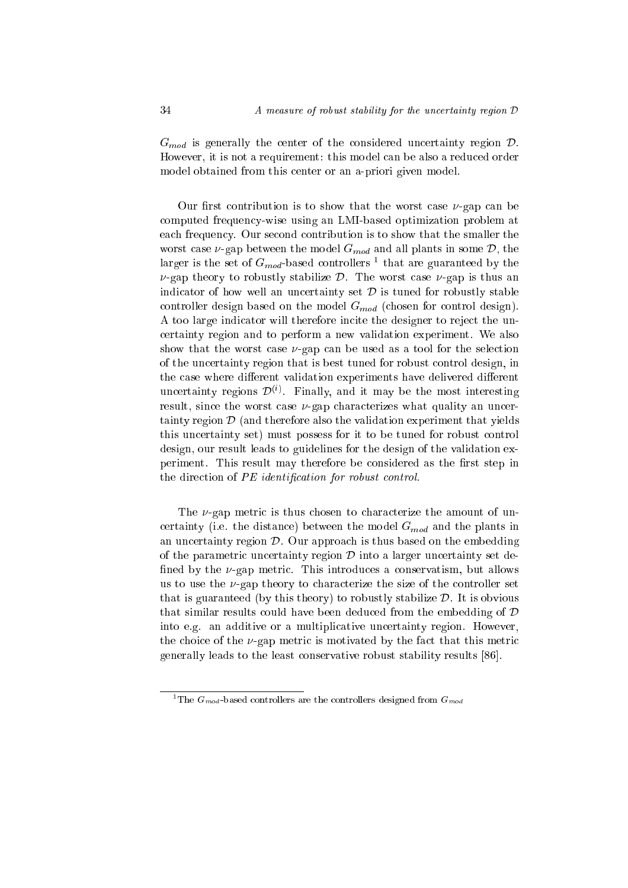$G_{mod}$  is generally the center of the considered uncertainty region  $\mathcal{D}$ . However, it is not a requirement: this model can be also a reduced order model obtained from this enter or an a-priori given model.

Our first contribution is to show that the worst case  $\nu$ -gap can be omputed frequen
y-wise using an LMI-based optimization problem at each frequency. Our second contribution is to show that the smaller the worst case  $\nu$ -gap between the model  $G_{mod}$  and all plants in some  $\mathcal{D}$ , the larger is the set of  $G_{mod}$ -based controllers – that are guaranteed by the  $\nu$ -gap theory to robustly stabilize D. The worst case  $\nu$ -gap is thus an indicator of how well an uncertainty set  $\mathcal D$  is tuned for robustly stable controller design based on the model  $G_{mod}$  (chosen for control design). A too large indicator will therefore incite the designer to reject the unertainty region and to perform a new validation experiment. We also show that the worst case  $\nu$ -gap can be used as a tool for the selection of the un
ertainty region that is best tuned for robust ontrol design, in the case where different validation experiments have delivered different uncertainty regions  $\nu$ . Finally, and it may be the most interesting result, since the worst case  $\nu$ -gap characterizes what quality an uncertainty region  $\mathcal{D}$  (and therefore also the validation experiment that yields this un
ertainty set) must possess for it to be tuned for robust ontrol design, our result leads to guidelines for the design of the validation experiment. This result may therefore be considered as the first step in the direction of PE identification for robust control.

The  $\nu$ -gap metric is thus chosen to characterize the amount of uncertainty (i.e. the distance) between the model  $G_{mod}$  and the plants in an uncertainty region  $\mathcal{D}$ . Our approach is thus based on the embedding of the parametric uncertainty region  $\mathcal D$  into a larger uncertainty set defined by the  $\nu$ -gap metric. This introduces a conservatism, but allows us to use the  $\nu$ -gap theory to characterize the size of the controller set that is guaranteed (by this theory) to robustly stabilize  $\mathcal{D}$ . It is obvious that similar results ould have been dedu
ed from the embedding of <sup>D</sup> into e.g. an additive or a multiplicative uncertainty region. However, the choice of the  $\nu$ -gap metric is motivated by the fact that this metric generally leads to the least conservative robust stability results [86].

The  $G_{mod}$ -based controllers are the controllers designed from  $G_{mod}$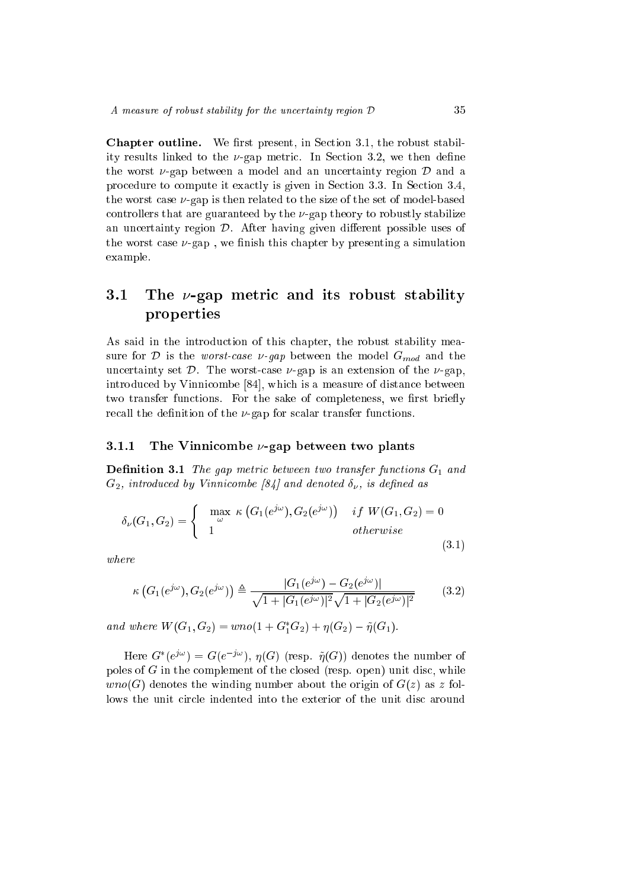**Chapter outline.** We first present, in Section 3.1, the robust stability results linked to the  $\nu$ -gap metric. In Section 3.2, we then define the worst  $\nu$ -gap between a model and an uncertainty region  $\mathcal{D}$  and a procedure to compute it exactly is given in Section 3.3. In Section 3.4, the worst case  $\nu$ -gap is then related to the size of the set of model-based controllers that are guaranteed by the  $\nu$ -gap theory to robustly stabilize an uncertainty region  $D$ . After having given different possible uses of the worst case  $\nu$ -gap, we finish this chapter by presenting a simulation example.

### 3.1 The  $\nu$ -gap metric and its robust stability properties

As said in the introduction of this chapter, the robust stability measure for  $D$  is the worst-case  $\nu$ -gap between the model  $G_{mod}$  and the uncertainty set  $D$ . The worst-case  $\nu$ -gap is an extension of the  $\nu$ -gap, introduced by Vinnicombe [84], which is a measure of distance between two transfer functions. For the sake of completeness, we first briefly recall the definition of the  $\nu$ -gap for scalar transfer functions.

### 3.1.1 The Vinnicombe  $\nu$ -gap between two plants

Denition 3.1 The gap metri between two transfer fun
tions G1 and  $G_2$ , introduced by Vinnicombe [84] and denoted  $\delta_{\nu}$ , is defined as

$$
\delta_{\nu}(G_1, G_2) = \begin{cases}\n\max_{\omega} \kappa (G_1(e^{j\omega}), G_2(e^{j\omega})) & \text{if } W(G_1, G_2) = 0 \\
1 & \text{otherwise}\n\end{cases}
$$
\n(3.1)

where

$$
\kappa\left(G_1(e^{j\omega}), G_2(e^{j\omega})\right) \triangleq \frac{|G_1(e^{j\omega}) - G_2(e^{j\omega})|}{\sqrt{1 + |G_1(e^{j\omega})|^2}\sqrt{1 + |G_2(e^{j\omega})|^2}} \tag{3.2}
$$

and where  $W(G_1, G_2) = wno(1 + G_1G_2) + \eta(G_2) - \eta(G_1)$ .

Here G  $(e^{j\pi}) = G(e^{-j\pi}), \eta(G)$  (resp.  $\eta(G)$ ) denotes the number of poles of  $G$  in the complement of the closed (resp. open) unit disc, while  $wno(G)$  denotes the winding number about the origin of  $G(z)$  as z follows the unit circle indented into the exterior of the unit disc around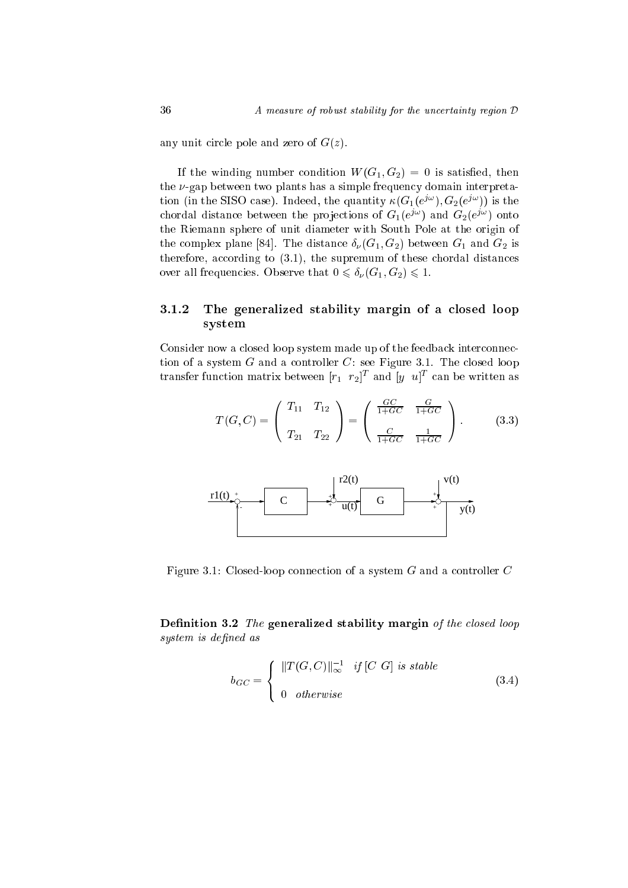any unit circle pole and zero of  $G(z)$ .

If the winding number condition  $W(G_1, G_2) = 0$  is satisfied, then the  $\nu$ -gap between two plants has a simple frequency domain interpretation (in the SISO case). Indeed, the quantity  $\kappa(\mathbf{G}_1(e^{\gamma-\gamma}), \mathbf{G}_2(e^{\gamma-\gamma}))$  is the chordal distance between the projections of  $\sigma_1(e^z$  ) and  $\sigma_2(e^z)$  onto the Riemann sphere of unit diameter with South Pole at the origin of the complex plane [84]. The distance  $\delta_{\nu}(G_1, G_2)$  between  $G_1$  and  $G_2$  is therefore, according to  $(3.1)$ , the supremum of these chordal distances over all frequencies. Observe that  $0 \leq \delta_{\nu}(G_1, G_2) \leq 1$ .

### 3.1.2 The generalized stability margin of a closed loop system

Consider now a closed loop system made up of the feedback interconnection of a system  $G$  and a controller  $C$ : see Figure 3.1. The closed loop transfer function matrix between  $|r_1 \r_2|^2$  and  $|y \r u|^2$  can be written as

$$
T(G, C) = \begin{pmatrix} T_{11} & T_{12} \\ T_{21} & T_{22} \end{pmatrix} = \begin{pmatrix} \frac{GC}{1+GC} & \frac{G}{1+GC} \\ \frac{C}{1+GC} & \frac{1}{1+GC} \end{pmatrix}.
$$
 (3.3)



Figure 3.1: Closed-loop onne
tion of a system G and a ontroller C

Definition 3.2 The generalized stability margin of the closed loop system is defined as

$$
b_{GC} = \begin{cases} ||T(G, C)||_{\infty}^{-1} & if [C \ G] \ is \ stable \\ 0 & otherwise \end{cases}
$$
 (3.4)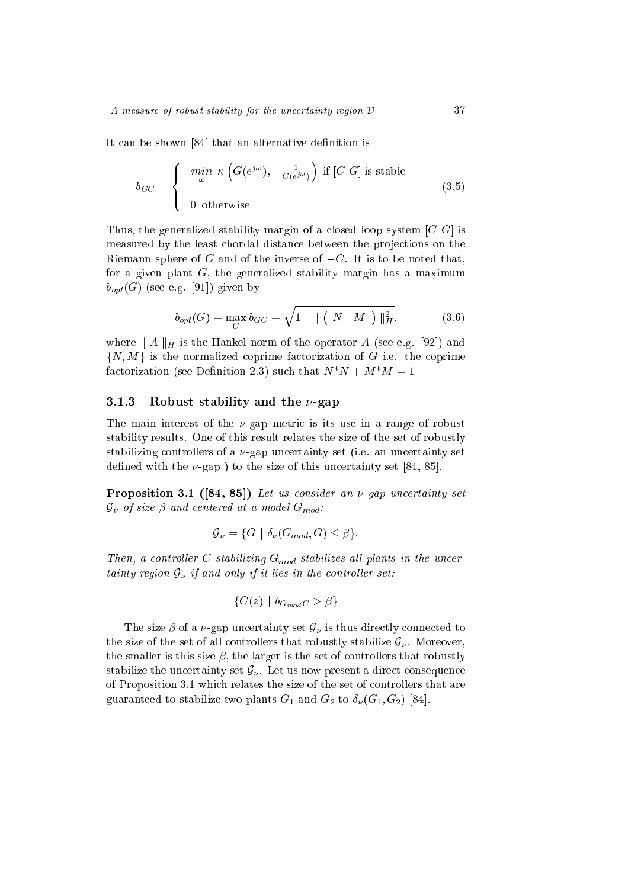It can be shown [84] that an alternative definition is

$$
b_{GC} = \begin{cases} \min_{\omega} \kappa \left( G(e^{j\omega}), -\frac{1}{C(e^{j\omega})} \right) & \text{if } [C \ G] \text{ is stable} \\ 0 & \text{otherwise} \end{cases}
$$
(3.5)

Thus, the generalized stability margin of a closed loop system  $[C G]$  is measured by the least chordal distance between the projections on the Riemann sphere of G and of the inverse of  $-C$ . It is to be noted that, for a given plant  $G$ , the generalized stability margin has a maximum  $b_{opt}(G)$  (see e.g. [91]) given by

$$
b_{opt}(G) = \max_{C} b_{GC} = \sqrt{1 - || (N \quad M) ||_{H}^{2}}, \tag{3.6}
$$

where  $|| A ||_H$  is the Hankel norm of the operator A (see e.g. [92]) and  $\{N, M\}$  is the normalized coprime factorization of G i.e. the coprime factorization (see Definition 2.3) such that  $N^*N + M^*M = 1$ 

### 3.1.3 Robust stability and the  $\nu$ -gap

The main interest of the  $\nu$ -gap metric is its use in a range of robust stability results. One of this result relates the size of the set of robustly stabilizing controllers of a  $\nu$ -gap uncertainty set (i.e. an uncertainty set defined with the  $\nu$ -gap) to the size of this uncertainty set [84, 85].

**Proposition 3.1** ([84, 85]) Let us consider an  $\nu$ -gap uncertainty set  $\mathcal{G}_{\nu}$  of size  $\beta$  and centered at a model  $G_{mod}$ .

$$
\mathcal{G}_{\nu} = \{ G \mid \delta_{\nu}(G_{mod}, G) \leq \beta \}.
$$

Then, a controller C stabilizing  $G_{mod}$  stabilizes all plants in the uncertainty region  $\mathcal{G}_{\nu}$  if and only if it lies in the controller set:

$$
\{C(z) \mid b_{G_{mod}C} > \beta\}
$$

The size  $\beta$  of a  $\nu$ -gap uncertainty set  $\mathcal{G}_{\nu}$  is thus directly connected to the size of the set of all controllers that robustly stabilize  $\mathcal{G}_{\nu}$ . Moreover, the smaller is this size  $\beta$ , the larger is the set of controllers that robustly stabilize the uncertainty set  $\mathcal{G}_{\nu}$ . Let us now present a direct consequence of Proposition 3.1 whi
h relates the size of the set of ontrollers that are guaranteed to stabilize two plants G1 and G2 to Æ (G1; G2) [84℄.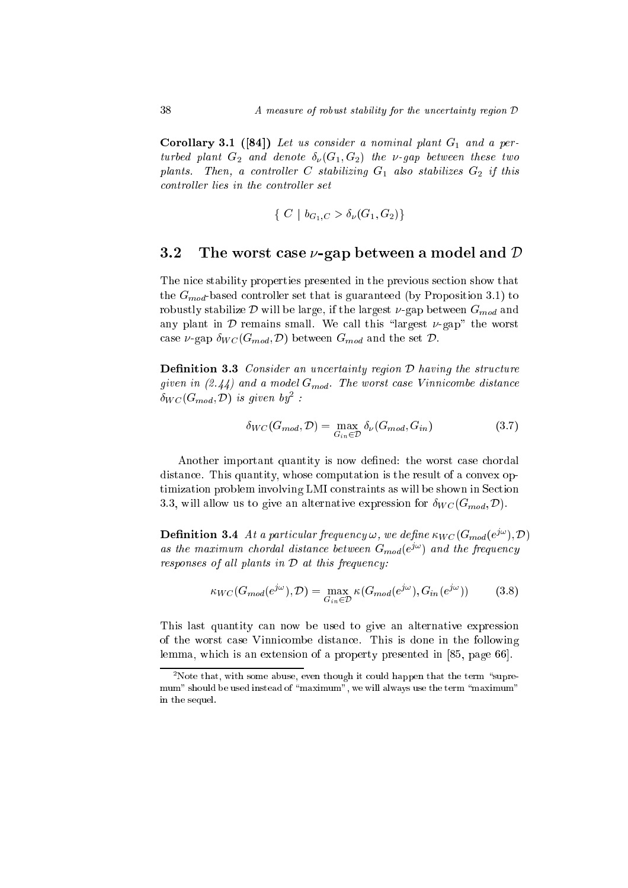onsider a nominal plant and a nominal plant consider  $\mathbb{Z}_1$  and a perturbed plant  $\mu$  and denote  $\mu$  and  $\mu$  and  $\mu$  between the  $g$ plants. Then, a ontrol ler C stabilizing G1 also stabilizes G2 if this controller lies in the controller set

$$
\{ C \mid b_{G_1, C} > \delta_{\nu}(G_1, G_2) \}
$$

### 3.2 The worst case  $\nu$ -gap between a model and D

The ni
e stability properties presented in the previous se
tion show that the  $G_{mod}$ -based controller set that is guaranteed (by Proposition 3.1) to robustly stabilize  $\mathcal D$  will be large, if the largest  $\nu$ -gap between  $G_{mod}$  and any plant in  $D$  remains small. We call this "largest  $\nu$ -gap" the worst case  $\nu$ -gap  $\delta_{WC}(G_{mod}, \mathcal{D})$  between  $G_{mod}$  and the set  $\mathcal{D}$ .

**Definition 3.3** Consider an uncertainty region  $\mathcal{D}$  having the structure given in  $(2.44)$  and a model  $G_{mod}$ . The worst case Vinnicombe distance  ${}^{0}W C$  (G  ${}_{mod}$ ,  $\nu$ ) is given by :

$$
\delta_{WC}(G_{mod}, \mathcal{D}) = \max_{G_{in} \in \mathcal{D}} \delta_{\nu}(G_{mod}, G_{in}) \tag{3.7}
$$

Another important quantity is now defined: the worst case chordal distance. This quantity, whose computation is the result of a convex optimization problem involving LMI constraints as will be shown in Section 3.3, will allow us to give an alternative expression for  $\delta_{WC}(G_{mod}, \mathcal{D})$ .

**Demition 3.4** At a particular frequency  $\omega$ , we define  $\kappa_{WC}(\sigma_{mod}(e^{j\omega}), \nu)$ as the maximum choraal aistance between  $\mathbf{G}_{mod}(\mathrm{e}^{j\,\cdot\cdot})$  and the frequency responses of all plants in  $D$  at this frequency:

$$
\kappa_{WC}(G_{mod}(e^{j\omega}), \mathcal{D}) = \max_{G_{in} \in \mathcal{D}} \kappa(G_{mod}(e^{j\omega}), G_{in}(e^{j\omega})) \tag{3.8}
$$

This last quantity an now be used to give an alternative expression of the worst ase Vinni
ombe distan
e. This is done in the following lemma, which is an extension of a property presented in  $[85, \text{ page } 66]$ .

<sup>-</sup>Note that, with some abuse, even though it could happen that the term  $\,$  -supre-  $\,$ mum" should be used instead of "maximum", we will always use the term "maximum" in the sequel.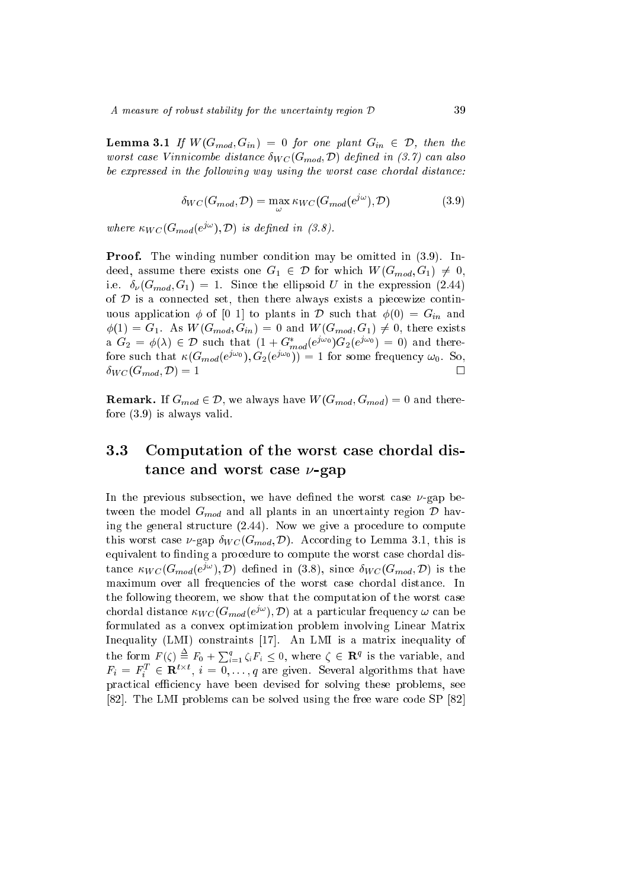A measure of robust stability for the uncertainty region  $D$  39

**Lemma 3.1** If  $W(G_{mod}, G_{in}) = 0$  for one plant  $G_{in} \in \mathcal{D}$ , then the worst case Vinnicombe distance  $\delta_{WC}(G_{mod}, \mathcal{D})$  defined in (3.7) can also be expressed in the following way using the worst case chordal distance:

$$
\delta_{WC}(G_{mod}, \mathcal{D}) = \max_{\omega} \kappa_{WC}(G_{mod}(e^{j\omega}), \mathcal{D})
$$
\n(3.9)

where  $\kappa_{WC}(\text{G}_{mod}(e^{j\pi}), \nu)$  is defined in (3.8).

**Proof.** The winding number condition may be omitted in  $(3.9)$ . Indeed, assume there exists one G1  $\pm$  D for which which we can also define  $\alpha$ i.e.  $\delta_{\nu}(G_{mod}, G_1) = 1$ . Since the ellipsoid U in the expression (2.44) of  $D$  is a connected set, then there always exists a piecewize continuous application  $\phi$  of [0 1] to plants in D such that  $\phi(0) = G_{in}$  and  $\phi(1) = G_1$ . As  $W(G_{mod}, G_{in}) = 0$  and  $W(G_{mod}, G_1) \neq 0$ , there exists a  $G_2 = \varphi(\lambda) \in D$  such that  $(1 + G_{mod}(e^{\lambda-\nu})G_2(e^{\nu-\nu}) = 0)$  and therefore such that  $\kappa(\mathbf{G}_{mod}(e^{j\omega_0}), \mathbf{G}_2(e^{j\omega_0})) = 1$  for some frequency  $\omega_0$ . So,  $\delta_{WC}(G_{mod}, \mathcal{D}) = 1$ Г

**Remark.** If  $G_{mod} \in \mathcal{D}$ , we always have  $W(G_{mod}, G_{mod}) = 0$  and therefore (3.9) is always valid.

## 3.3 Computation of the worst case chordal distance and worst case  $\nu$ -gap

In the previous subsection, we have defined the worst case  $\nu$ -gap between the model  $G_{mod}$  and all plants in an uncertainty region  $D$  having the general structure  $(2.44)$ . Now we give a procedure to compute this worst case  $\nu$ -gap  $\delta_{WC}(G_{mod}, \mathcal{D})$ . According to Lemma 3.1, this is equivalent to finding a procedure to compute the worst case chordal distance  $K_{WC}(\mathbf{G}_{mod}(\ell^s)), \mathcal{D})$  defined in (5.8), since  $\sigma_{WC}(\mathbf{G}_{mod}, \mathcal{D})$  is the maximum over all frequencies of the worst case chordal distance. In the following theorem, we show that the omputation of the worst ase enordal distance  $\kappa_{WC}(\sigma_{mod}(e^{j\alpha}), \nu)$  at a particular frequency  $\omega$  can be formulated as a onvex optimization problem involving Linear Matrix Inequality (LMI) constraints [17]. An LMI is a matrix inequality of the form  $F(\zeta) \triangleq F_0 + \sum_{i=1}^q \zeta_i F_i \leq 0$ , where  $\zeta \in \mathbb{R}^q$  is the variable, and  $\mathbf{r}_i = \mathbf{r}_i^{\top} \in \mathbf{R}^{n \cdots}, i = 0, \ldots, q$  are given. Several algorithms that have practical efficiency have been devised for solving these problems, see [82]. The LMI problems can be solved using the free ware code  $SP$  [82]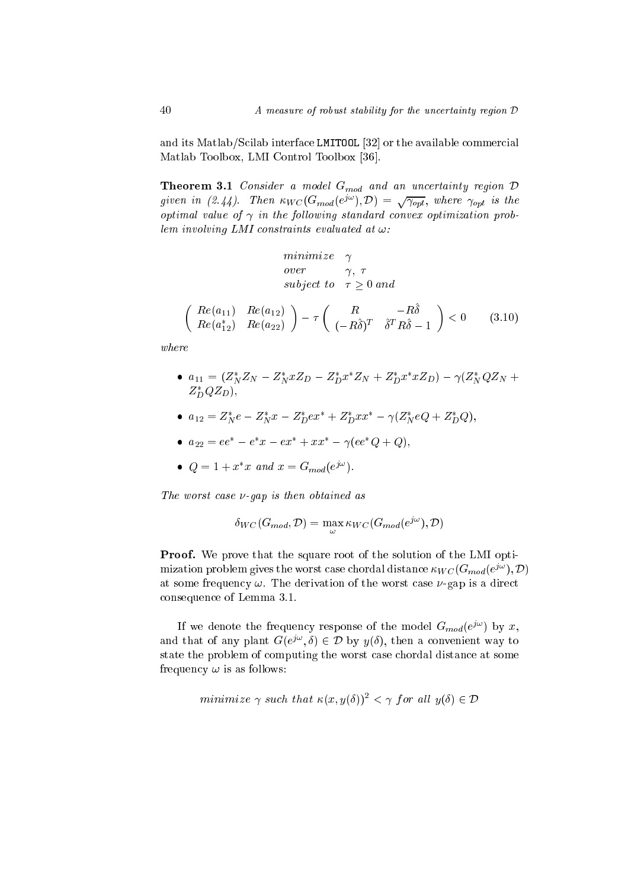and its Matlab/Scilab interface LMITOOL [32] or the available commercial Matlab Toolbox, LMI Control Toolbox [36].

**Theorem 3.1** Consider a model  $G_{mod}$  and an uncertainty region  $D$ given in (2.44). Then  $\kappa_{WC}(G_{mod}(e^{j\omega}), \mathcal{D}) = \sqrt{\gamma_{opt}}$ , where  $\gamma_{opt}$  is the optimal value of  $\gamma$  in the following standard convex optimization problem involving LMI constraints evaluated at  $\omega$ :

minimize 
$$
\gamma
$$
  
over  $\gamma$ ,  $\tau$   
subject to  $\tau \geq 0$  and

$$
\begin{pmatrix}\nRe(a_{11}) & Re(a_{12}) \\
Re(a_{12}^*) & Re(a_{22})\n\end{pmatrix} - \tau \begin{pmatrix}\nR & -R\hat{\delta} \\
(-R\hat{\delta})^T & \hat{\delta}^T R\hat{\delta} - 1\n\end{pmatrix} < 0 \tag{3.10}
$$

where

- $a_{11} = (\frac{Z_N}{Z_N} \frac{Z_N}{Z_D}) \frac{Z_D}{Z_N} \frac{Z_N}{Z_N} + \frac{Z_D}{Z_D} \frac{ZZ_D}{Z_D} \frac{\gamma(Z_N QZ_N + Z_D)}{\gamma(Z_N QZ_N)}$  $\omega_D$ Q $\omega_D$ ),
- $a_{12} = Z_N e Z_N x Z_D e x + Z_D x x \gamma (Z_N e Q + Z_D Q),$
- $a_{22} = ee e x e x + x x \gamma (ee Q + Q),$

• 
$$
Q = 1 + x^*x \text{ and } x = G_{mod}(e^{j\omega}).
$$

The worst case  $\nu$ -gap is then obtained as

$$
\delta_{WC}(G_{mod}, \mathcal{D}) = \max_{\omega} \kappa_{WC}(G_{mod}(e^{j\omega}), \mathcal{D})
$$

Proof. We prove that the square root of the solution of the LMI optimization problem gives the worst case chordal distance  $\kappa_{WC}(\mathbf{G}_{mod}(e^{j\alpha})), \nu)$ at some frequency  $\omega$ . The derivation of the worst case  $\nu$ -gap is a direct onsequen
e of Lemma 3.1.

If we denote the frequency response of the model  $G_{mod}(e^s)$  by  $x,$ and that of any plant  $G(e^{\beta \pi},\theta) \in D$  by  $y(\theta)$ , then a convenient way to state the problem of computing the worst case chordal distance at some frequency  $\omega$  is as follows:

minimize 
$$
\gamma
$$
 such that  $\kappa(x, y(\delta))^2 < \gamma$  for all  $y(\delta) \in \mathcal{D}$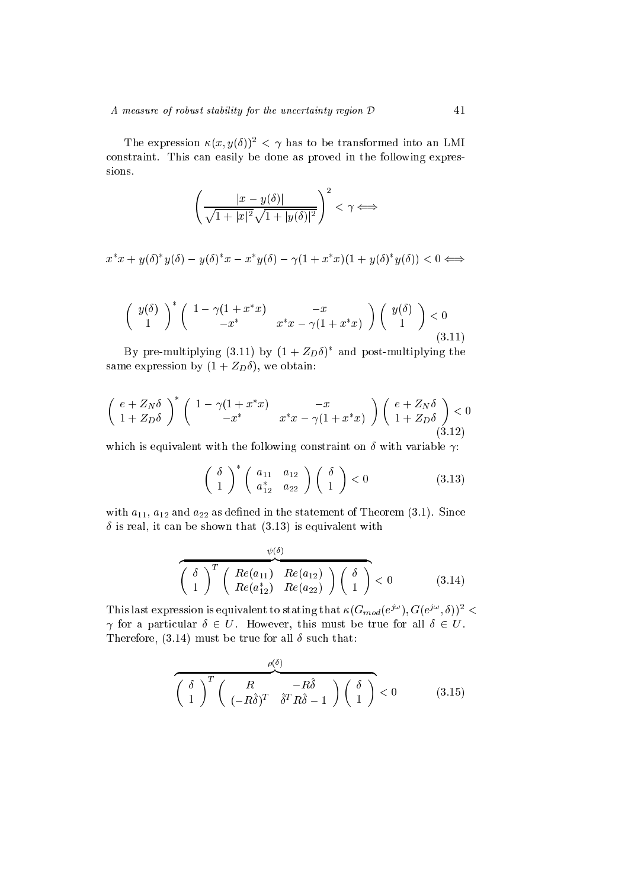The expression  $\kappa(x, y(\delta))^2 < \gamma$  has to be transformed into an LMI onstraint. This an easily be done as proved in the following expressions.

$$
\left(\frac{|x-y(\delta)|}{\sqrt{1+|x|^2}\sqrt{1+|y(\delta)|^2}}\right)^2 < \gamma \iff
$$

$$
x^*x + y(\delta)^*y(\delta) - y(\delta)^*x - x^*y(\delta) - \gamma(1+x^*x)(1+y(\delta)^*y(\delta)) < 0 \Longleftrightarrow
$$

$$
\begin{pmatrix} y(\delta) \\ 1 \end{pmatrix}^* \begin{pmatrix} 1 - \gamma(1 + x^*x) & -x \\ -x^* & x^*x - \gamma(1 + x^*x) \end{pmatrix} \begin{pmatrix} y(\delta) \\ 1 \end{pmatrix} < 0
$$
\n(3.11)

by pre-multiplying (3.11) by  $(1 + Z_D \theta)$  and post-multiplying the same expression by  $(1 + Z_D \delta)$ , we obtain:

$$
\begin{pmatrix}\ne+Z_N\delta \\
1+Z_D\delta\n\end{pmatrix}^* \begin{pmatrix}\n1-\gamma(1+x^*x) & -x \\
-x^* & x^*x-\gamma(1+x^*x)\n\end{pmatrix}\n\begin{pmatrix}\ne+Z_N\delta \\
1+Z_D\delta\n\end{pmatrix} < 0
$$
\n(3.12)

which is equivalent with the following constraint on  $\delta$  with variable  $\gamma$ :

$$
\left(\begin{array}{c}\n\delta \\
1\n\end{array}\right)^{*}\n\left(\begin{array}{cc}\na_{11} & a_{12} \\
a_{12}^* & a_{22}\n\end{array}\right)\n\left(\begin{array}{c}\n\delta \\
1\n\end{array}\right) < 0\n\tag{3.13}
$$

with all  $\sim$  11, and all  $\sim$  22 and decreased in the statement of Theorem (3.1). Since  $\sim$  $\delta$  is real, it can be shown that (3.13) is equivalent with

$$
\frac{\psi(\delta)}{\left(\begin{array}{c}\delta\\1\end{array}\right)^T \left(\begin{array}{c} Re(a_{11}) & Re(a_{12})\\Re(a_{12}^*) & Re(a_{22})\end{array}\right) \left(\begin{array}{c}\delta\\1\end{array}\right)} < 0 \tag{3.14}
$$

I fils last expression is equivalent to stating that  $\kappa(\mathbf{G}_{mod}(e^j), \mathbf{G}(e^j), \sigma)$  $\gamma$  for a particular  $\delta \in U$ . However, this must be true for all  $\delta \in U$ . Therefore, (3.14) must be true for all  $\delta$  such that:

 $\mathbb{R}^{\mathbb{Z}}$ 

$$
\overbrace{\left(\begin{array}{c} \delta \\ 1 \end{array}\right)^T \left(\begin{array}{c} R \\ (-R\hat{\delta})^T \end{array} \begin{array}{c} -R\hat{\delta} \\ \hat{\delta}^T R\hat{\delta} - 1 \end{array}\right) \left(\begin{array}{c} \delta \\ 1 \end{array}\right)}^{P(\delta)} < 0 \tag{3.15}
$$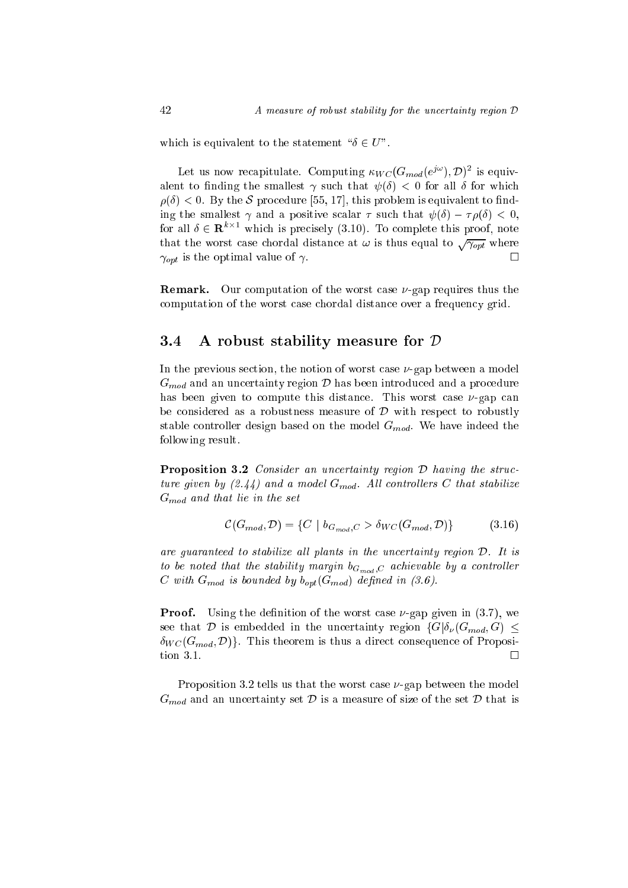which is equivalent to the statement " $\delta \in U$ ".

Let us now recapitulate. Computing  $\kappa_{WC}(\mathbf{G}_{mod}(e^{j\alpha}), \mathcal{D})$  is equivalent to finding the smallest  $\gamma$  such that  $\psi(\delta) < 0$  for all  $\delta$  for which  $\rho(\delta)$  < 0. By the S procedure [55, 17], this problem is equivalent to finding the smallest  $\gamma$  and a positive scalar  $\tau$  such that  $\psi(\delta) - \tau \rho(\delta) < 0$ , for all  $o \in \mathbf{R}$  which is precisely (3.10). To complete this proof, note that the worst case chordal distance at  $\omega$  is thus equal to  $\sqrt{\gamma_{opt}}$  where  $\gamma_{opt}$  is the optimal value of  $\gamma$ .

**Remark.** Our computation of the worst case  $\nu$ -gap requires thus the computation of the worst case chordal distance over a frequency grid.

### 3.4 A robust stability measure for <sup>D</sup>

In the previous section, the notion of worst case  $\nu$ -gap between a model  $G_{mod}$  and an uncertainty region D has been introduced and a procedure has been given to compute this distance. This worst case  $\nu$ -gap can be considered as a robustness measure of  $D$  with respect to robustly stable controller design based on the model  $G_{mod}$ . We have indeed the following result.

Proposition 3.2 Consider an uncertainty region D having the structure given by  $(2.44)$  and a model  $G_{mod}$ . All controllers C that stabilize  $G_{mod}$  and that lie in the set

$$
\mathcal{C}(G_{mod}, \mathcal{D}) = \{ C \mid b_{G_{mod}, C} > \delta_{WC}(G_{mod}, \mathcal{D}) \}
$$
(3.16)

are guaranteed to stabilize all plants in the uncertainty region  $D$ . It is to be noted that the stability margin  $b_{G_{mod},C}$  achievable by a controller C with  $G_{mod}$  is bounded by  $b_{opt}(G_{mod})$  defined in (3.6).

**Proof.** Using the definition of the worst case  $\nu$ -gap given in (3.7), we see that D is embedded in the uncertainty region  $\{G|\delta_{\nu}(G_{mod}, G)\}\leq$  $\delta_{WC}(G_{mod}, \mathcal{D})$ . This theorem is thus a direct consequence of Proposition 3.1.  $\Box$ 

Proposition 3.2 tells us that the worst case  $\nu$ -gap between the model  $G_{mod}$  and an uncertainty set D is a measure of size of the set D that is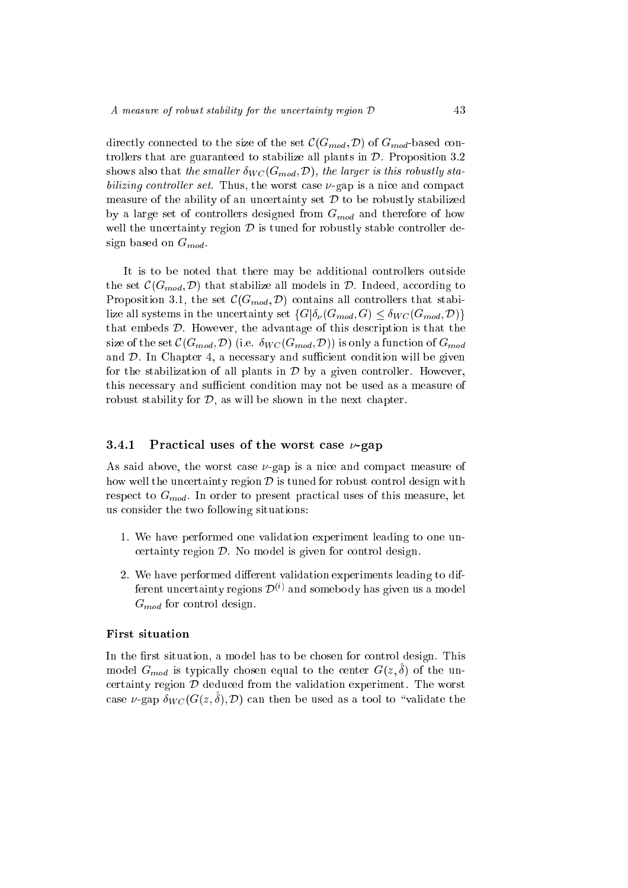directly connected to the size of the set  $\mathcal{C}(G_{mod}, \mathcal{D})$  of  $G_{mod}$ -based controllers that are guaranteed to stabilize all plants in  $\mathcal{D}$ . Proposition 3.2 shows also that the smaller  $\delta_{WC}(G_{mod}, \mathcal{D})$ , the larger is this robustly stabilizing controller set. Thus, the worst case  $\nu$ -gap is a nice and compact measure of the ability of an uncertainty set  $\mathcal D$  to be robustly stabilized by a large set of controllers designed from  $G_{mod}$  and therefore of how well the uncertainty region  $D$  is tuned for robustly stable controller design based on  $G_{mod}$ .

It is to be noted that there may be additional controllers outside the set  $\mathcal{C}(G_{mod}, \mathcal{D})$  that stabilize all models in  $\mathcal{D}$ . Indeed, according to Proposition 3.1, the set  $\mathcal{C}(G_{mod}, \mathcal{D})$  contains all controllers that stabilize all systems in the uncertainty set  $\{G|\delta_{\nu}(G_{mod}, G) \leq \delta_{WC}(G_{mod}, \mathcal{D})\}$ that embeds  $D$ . However, the advantage of this description is that the size of the set  $\mathcal{C}(G_{mod}, \mathcal{D})$  (i.e.  $\delta_{WC}(G_{mod}, \mathcal{D})$ ) is only a function of  $G_{mod}$ and  $\mathcal{D}$ . In Chapter 4, a necessary and sufficient condition will be given for the stabilization of all plants in  $D$  by a given controller. However, this necessary and sufficient condition may not be used as a measure of robust stability for  $D$ , as will be shown in the next chapter.

### 3.4.1 Practical uses of the worst case  $\nu$ -gap

As said above, the worst case  $\nu$ -gap is a nice and compact measure of how well the uncertainty region  $\mathcal D$  is tuned for robust control design with respect to  $G_{mod}$ . In order to present practical uses of this measure, let us onsider the two following situations:

- 1. We have performed one validation experiment leading to one un certainty region  $D$ . No model is given for control design.
- 2. We have performed different validation experiments leading to dif $f$  referred trainty regions  $D_{1}$  and somebody has given us a model  $G_{mod}$  for control design.

### First situation

In the first situation, a model has to be chosen for control design. This model  $G_{mod}$  is typically chosen equal to the center  $G(z, \sigma)$  of the unertainty region <sup>D</sup> dedu
ed from the validation experiment. The worst case  $\nu$ -gap  $\sigma_{WC}(\sigma(z, \sigma), \nu)$  can then be used as a tool to validate the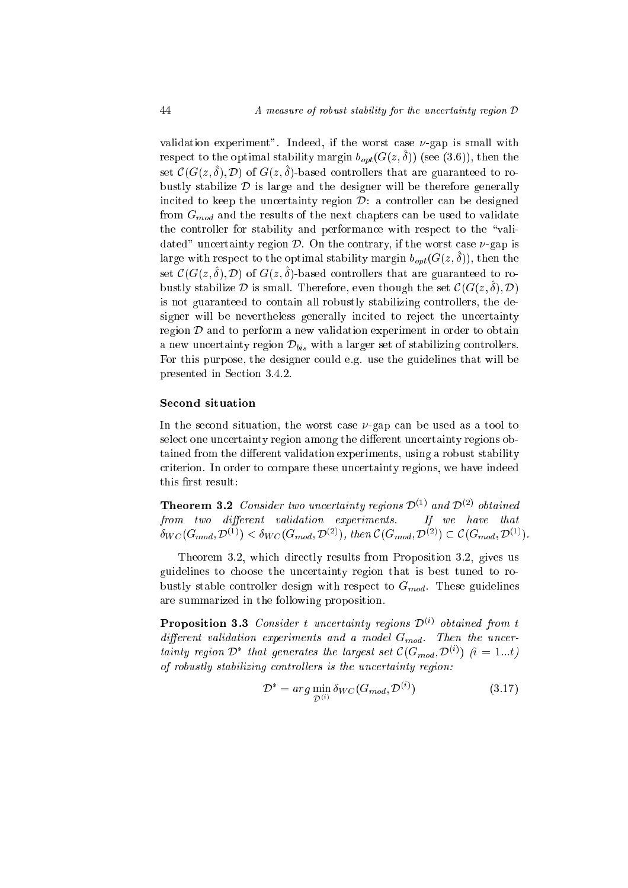validation experiment". Indeed, if the worst case  $\nu$ -gap is small with respect to the optimal stability margin  $v_{opt}(\sigma(z, \sigma))$  (see (5.6)), then the Set  $C(G(z, v), D)$  of  $G(z, v)$ -based controllers that are guaranteed to robustly stabilize  $D$  is large and the designer will be therefore generally incited to keep the uncertainty region  $D$ : a controller can be designed from  $G_{mod}$  and the results of the next chapters can be used to validate the controller for stability and performance with respect to the "validated" uncertainty region  $\mathcal{D}$ . On the contrary, if the worst case  $\nu$ -gap is rarge with respect to the optimal stability margin  $v_{opt}(\sigma(z, \sigma))$ , then the Set  $C(G(z, v), D)$  of  $G(z, v)$ -based controllers that are guaranteed to robustly stabilize D is small. Therefore, even though the set  $C(G(z, \theta), D)$ is not guaranteed to contain all robustly stabilizing controllers, the designer will be nevertheless generally incited to reject the uncertainty region  $\mathcal D$  and to perform a new validation experiment in order to obtain a new uncertainty region  $\mathcal{D}_{his}$  with a larger set of stabilizing controllers. For this purpose, the designer ould e.g. use the guidelines that will be presented in Se
tion 3.4.2.

### Second situation

In the second situation, the worst case  $\nu$ -gap can be used as a tool to select one uncertainty region among the different uncertainty regions obtained from the different validation experiments, using a robust stability criterion. In order to compare these uncertainty regions, we have indeed this first result:

**Theorem 3.2** Consider two uncertainty regions  $\mathcal{D}^{(1)}$  and  $\mathcal{D}^{(2)}$  obtained from two dierent validation experiments. If we have that  $\mathcal{C}(\mathbf{G}_{mod}, \mathcal{D}^{(-)}) \leq \mathcal{C}(\mathbf{G}_{mod}, \mathcal{D}^{(-)})$ , then  $\mathcal{C}(\mathbf{G}_{mod}, \mathcal{D}^{(-)}) \subset \mathcal{C}(\mathbf{G}_{mod}, \mathcal{D}^{(-)})$ .

Theorem 3.2, which directly results from Proposition 3.2, gives us guidelines to hoose the un
ertainty region that is best tuned to robustly stable controller design with respect to  $G_{mod}$ . These guidelines are summarized in the following proposition.

**Proposition 3.3** Consider t uncertainty reqions  $D^{(3)}$  obtained from t different validation experiments and a model  $G_{mod}$ . Then the uncertainty region D and generates the targest set  $C(\mathbf{G}_{mod}, D^{\vee})$  (i = 1...t) of robustly stabilizing controllers is the uncertainty region:

$$
\mathcal{D}^* = \arg\min_{\mathcal{D}^{(i)}} \delta_{WC}(G_{mod}, \mathcal{D}^{(i)})
$$
\n(3.17)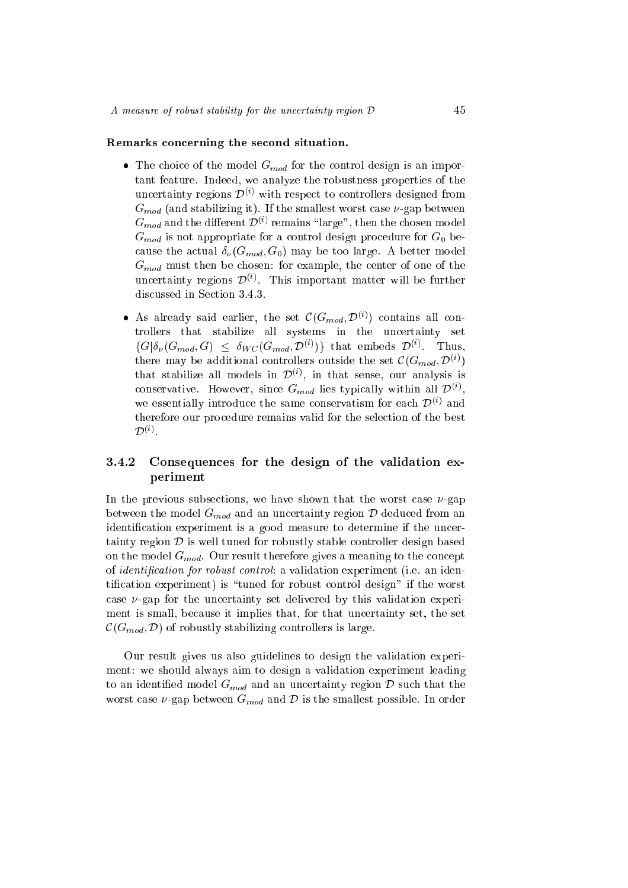#### Remarks concerning the second situation.

- The hoi
e of the model Gmod for the ontrol design is an important feature. Indeed, we analyze the robustness properties of the uncertainty regions  $\mathcal{D}^{(i)}$  with respect to controllers designed from  $G_{mod}$  (and stabilizing it). If the smallest worst case  $\nu$ -gap between  $G_{mod}$  and the different  $\nu$   $\heartsuit$  remains "large", then the chosen model  $G_{mod}$  is not appropriate for a control design procedure for  $G_0$  because the actual  $\delta_{\nu}(G_{mod}, G_0)$  may be too large. A better model  $G_{mod}$  must then be chosen: for example, the center of one of the uncertainty regions  $\nu$ <sup>o</sup>. This important matter will be further discussed in Section 3.4.3.
- As already said earlier, the set  $\mathcal{C}(G_{mod}, D^{\leq \epsilon})$  contains all controllers that stabilize all systems in the un
ertainty set  $\{G | \theta_V(G_{mod}, G) \leq \theta_W(C(G_{mod}, D^{\vee}))\}$  that embeds  $D^{\vee}$ . Thus, there may be additional controllers outside the set  $C(\mathbf{G}_{mod}, D^{(1)})$ that stabilize all models in  $\nu_{\gamma}$ , in that sense, our analysis is conservative. However, since  $G_{mod}$  hes typically within all  $D^{(3)}$ , we essentially introduce the same conservatism for each  $\nu_{\odot}$  and therefore our pro
edure remains valid for the sele
tion of the best  $\nu$ .

### 3.4.2 Consequen
es for the design of the validation experiment

In the previous subsections, we have shown that the worst case  $\nu$ -gap between the model  $G_{mod}$  and an uncertainty region  $D$  deduced from an identification experiment is a good measure to determine if the uncertainty region  $D$  is well tuned for robustly stable controller design based on the model  $G_{mod}$ . Our result therefore gives a meaning to the concept of *identification for robust control*: a validation experiment (i.e. an identification experiment) is "tuned for robust control design" if the worst case  $\nu$ -gap for the uncertainty set delivered by this validation experiment is small, because it implies that, for that uncertainty set, the set  $\mathcal{C}(G_{mod}, \mathcal{D})$  of robustly stabilizing controllers is large.

Our result gives us also guidelines to design the validation experiment: we should always aim to design a validation experiment leading to an identified model  $G_{mod}$  and an uncertainty region  $D$  such that the worst case  $\nu$ -gap between  $G_{mod}$  and  $\mathcal D$  is the smallest possible. In order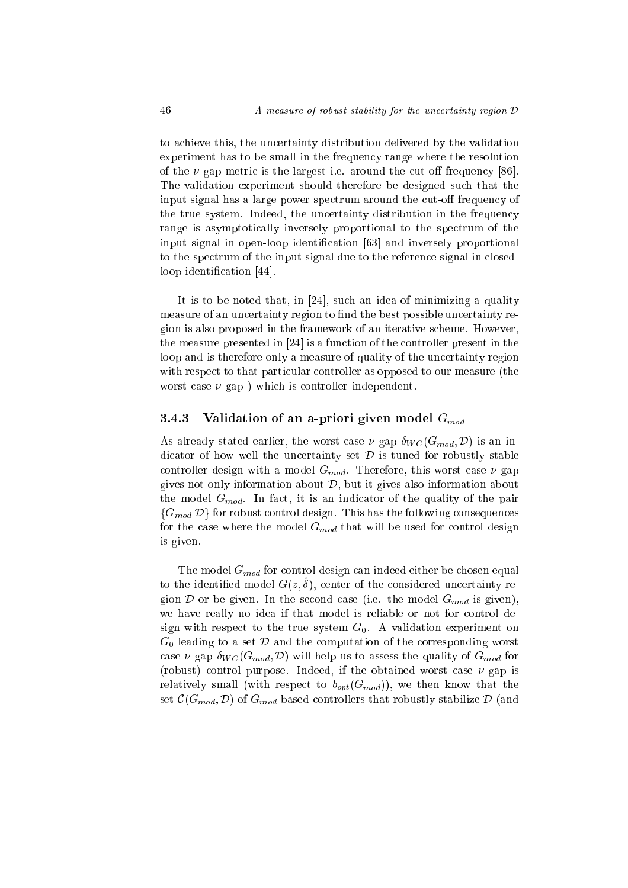to a
hieve this, the un
ertainty distribution delivered by the validation experiment has to be small in the frequency range where the resolution of the  $\nu$ -gap metric is the largest i.e. around the cut-off frequency [86]. The validation experiment should therefore be designed such that the input signal has a large power spectrum around the cut-off frequency of the true system. Indeed, the uncertainty distribution in the frequency range is asymptotically inversely proportional to the spectrum of the input signal in open-loop identification [63] and inversely proportional to the spectrum of the input signal due to the reference signal in closedloop identification [44].

It is to be noted that, in  $[24]$ , such an idea of minimizing a quality measure of an uncertainty region to find the best possible uncertainty region is also proposed in the framework of an iterative s
heme. However, the measure presented in  $[24]$  is a function of the controller present in the loop and is therefore only a measure of quality of the uncertainty region with respect to that particular controller as opposed to our measure (the worst case  $\nu$ -gap ) which is controller-independent.

### 3.4.3 Validation of an a-priori given model  $G_{mod}$

As already stated earlier, the worst-case  $\nu$ -gap  $\delta_{WC}(G_{mod}, \mathcal{D})$  is an indicator of how well the uncertainty set  $\mathcal D$  is tuned for robustly stable controller design with a model  $G_{mod}$ . Therefore, this worst case  $\nu$ -gap gives not only information about  $D$ , but it gives also information about the model  $G_{mod}$ . In fact, it is an indicator of the quality of the pair  $\{G_{mod} \mathcal{D}\}\$ for robust control design. This has the following consequences for the case where the model  $G_{mod}$  that will be used for control design is given.

The model  $G_{mod}$  for control design can indeed either be chosen equal to the identified model  $G(z, v)$ , center of the considered uncertainty region  $\mathcal D$  or be given. In the second case (i.e. the model  $G_{mod}$  is given), we have really no idea if that model is reliable or not for control design with respect to the true system  $G_0$ . A validation experiment on omputation of the set of the set of the set of the the set of the set  $\Omega$  worst. case  $\nu$ -gap  $\delta_{WC}(G_{mod}, \mathcal{D})$  will help us to assess the quality of  $G_{mod}$  for (robust) control purpose. Indeed, if the obtained worst case  $\nu$ -gap is relatively small (with respect to  $b_{opt}(G_{mod})$ ), we then know that the set  $\mathcal{C}(G_{mod}, \mathcal{D})$  of  $G_{mod}$ -based controllers that robustly stabilize  $\mathcal{D}$  (and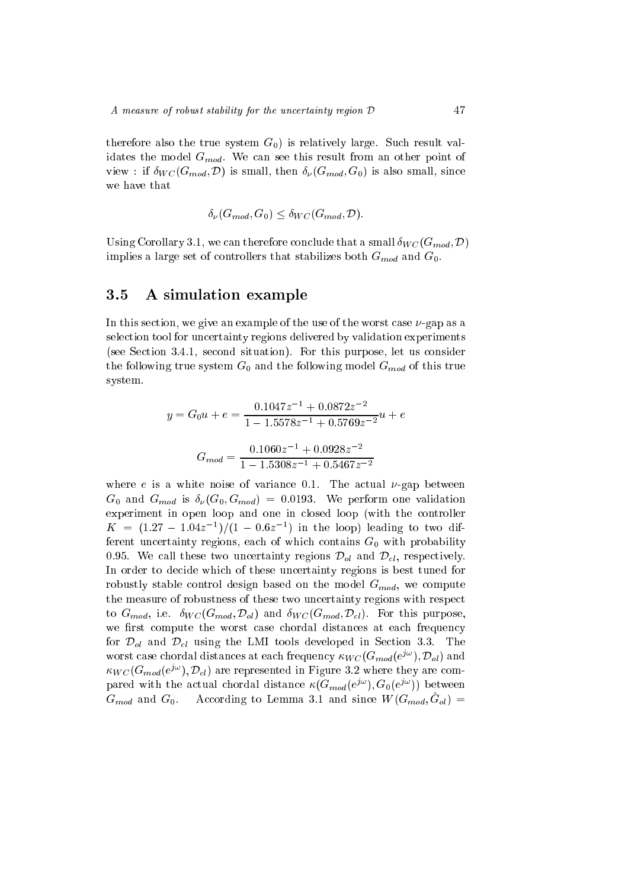therefore also the true system  $G_0$ ) is relatively large. Such result validates the model  $G_{mod}$ . We can see this result from an other point of view : if  $\delta_{WC}(G_{mod}, \mathcal{D})$  is small, then  $\delta_{\nu}(G_{mod}, G_0)$  is also small, since we have that

$$
\delta_{\nu}(G_{mod}, G_0) \leq \delta_{WC}(G_{mod}, \mathcal{D}).
$$

Using Corollary 3.1, we can therefore conclude that a small  $\delta_{WC}(G_{mod}, \mathcal{D})$ implies a large set of controllers that stabilizes both  $G_{mod}$  and  $G_0$ .

#### $3.5$ A simulation example

In this section, we give an example of the use of the worst case  $\nu$ -gap as a sele
tion tool for un
ertainty regions delivered by validation experiments (see Section 3.4.1, second situation). For this purpose, let us consider the following true system G0 and the following model G  $_{\rm H000}$  of the following model system.

$$
y = G_0 u + e = \frac{0.1047z^{-1} + 0.0872z^{-2}}{1 - 1.5578z^{-1} + 0.5769z^{-2}}u + e
$$

$$
G_{mod} = \frac{0.1060z^{-1} + 0.0928z^{-2}}{1 - 1.5308z^{-1} + 0.5467z^{-2}}
$$

where e is a white noise of variance 0.1. The actual  $\nu$ -gap between G0 and Gmod is Æ (G0; Gmod) <sup>=</sup> 0:0193. We perform one validation experiment in open loop and one in closed loop (with the controller  $K = (1.27 - 1.04z^{-1})/(1 - 0.0z^{-1})$  in the loop) leading to two different un
ertainty regions, ea
h of whi
h ontains G0 with probability 0.95. We call these two uncertainty regions  $\mathcal{D}_{ol}$  and  $\mathcal{D}_{cl}$ , respectively. In order to decide which of these uncertainty regions is best tuned for robustly stable control design based on the model  $G_{mod}$ , we compute the measure of robustness of these two uncertainty regions with respect to  $G_{mod}$ , i.e.  $\delta_{WC}(G_{mod}, \mathcal{D}_{ol})$  and  $\delta_{WC}(G_{mod}, \mathcal{D}_{cl})$ . For this purpose, we first compute the worst case chordal distances at each frequency for  $\mathcal{D}_{ol}$  and  $\mathcal{D}_{cl}$  using the LMI tools developed in Section 3.3. The worst case chordal distances at each frequency  $\kappa_{WC}(\mathbf{G}_{mod}(e^s \mid \mid \mathcal{D}_{ol}))$  and  $\kappa_{WC}(\sigma_{mod}(e^s_{-}), \nu_{cl})$  are represented in Figure 3.2 where they are compared with the actual chordal distance  $\kappa(\sigma_{mod}(e^{\jmath\omega}),G_0(e^{\jmath\omega}))$  between  $G_{mod}$  and  $G_0$ . According to Bennia 3.1 and since W ( $G_{mod}$ ,  $G_{ol}$ ) =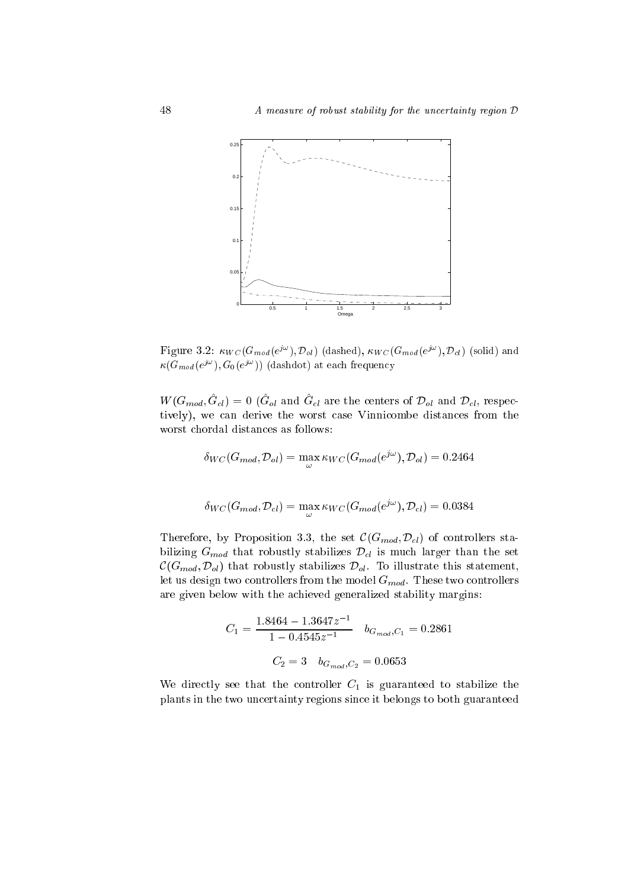

**Figure 3.2:**  $K_{WC}(\mathbf{G}_{mod}(e^{j\omega}))$ ,  $\mathcal{D}_{ol}$ ) (dashed),  $K_{WC}(\mathbf{G}_{mod}(e^{j\omega}))$ ,  $\mathcal{D}_{cl}$ ) (solid) and  $\kappa$ (G $_{mod}$ (e<sup>o -</sup>), G<sub>0</sub>(e<sup>o -</sup>)) (dashdot) at each frequency

W ( $G_{mod}$ ,  $G_{cl}$ ) = 0 ( $G_{ol}$  and  $G_{cl}$  are the centers of  $D_{ol}$  and  $D_{cl}$ , respectively tively), we can derive the worst case Vinnicombe distances from the worst hordal distan
es as follows:

$$
\delta_{WC}(G_{mod}, \mathcal{D}_{ol}) = \max_{\omega} \kappa_{WC}(G_{mod}(e^{j\omega}), \mathcal{D}_{ol}) = 0.2464
$$

$$
\delta_{WC}(G_{mod}, \mathcal{D}_{cl}) = \max_{\omega} \kappa_{WC}(G_{mod}(e^{j\omega}), \mathcal{D}_{cl}) = 0.0384
$$

Therefore, by Proposition 3.3, the set  $\mathcal{C}(G_{mod}, \mathcal{D}_{cl})$  of controllers stabilizing  $G_{mod}$  that robustly stabilizes  $\mathcal{D}_{cl}$  is much larger than the set  $\mathcal{C}(G_{mod}, \mathcal{D}_{ol})$  that robustly stabilizes  $\mathcal{D}_{ol}$ . To illustrate this statement, let us design two controllers from the model  $G_{mod}$ . These two controllers are given below with the achieved generalized stability margins:

$$
C_1 = \frac{1.8464 - 1.3647z^{-1}}{1 - 0.4545z^{-1}} \quad b_{G_{mod}, C_1} = 0.2861
$$

$$
C_2 = 3 \quad b_{G_{mod}, C_2} = 0.0653
$$

We dire
tly see that the ontroller C1 is guaranteed to stabilize the plants in the two un
ertainty regions sin
e it belongs to both guaranteed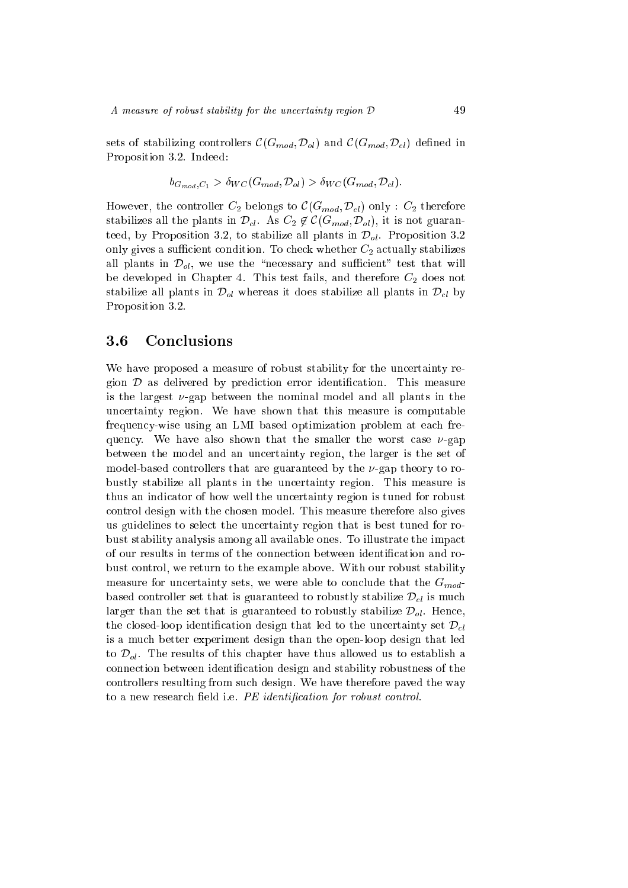sets of stabilizing controllers  $\mathcal{C}(G_{mod}, \mathcal{D}_{ol})$  and  $\mathcal{C}(G_{mod}, \mathcal{D}_{cl})$  defined in Proposition 3.2. Indeed:

$$
b_{G_{mod},C_1} > \delta_{WC}(G_{mod}, \mathcal{D}_{ol}) > \delta_{WC}(G_{mod}, \mathcal{D}_{cl}).
$$

However, the ontroller C2 belongs to C(Gmod; D
l) only : C2 therefore stabilizes all the plants in  $\mathcal{D}_{cl}$ . As  $C_2 \notin \mathcal{C}(G_{mod}, \mathcal{D}_{ol})$ , it is not guaranteed, by Proposition 3.2, to stabilize all plants in  $\mathcal{D}_{ol}$ . Proposition 3.2 ient die kommunisme verwerken is die kommunisme om die kommunisme om die kommunisme van die kommunisme van die all plants in  $\mathcal{D}_{ol}$ , we use the "necessary and sufficient" test that will be developed in Chapter 4. This test fails, and therefore C2 does not stabilize all plants in  $\mathcal{D}_{ol}$  whereas it does stabilize all plants in  $\mathcal{D}_{cl}$  by Proposition 3.2.

#### 3.6 Con
lusions

We have proposed a measure of robust stability for the uncertainty region  $\mathcal D$  as delivered by prediction error identification. This measure is the largest  $\nu$ -gap between the nominal model and all plants in the un
ertainty region. We have shown that this measure is omputable frequen
y-wise using an LMI based optimization problem at ea
h frequency. We have also shown that the smaller the worst case  $\nu$ -gap between the model and an un
ertainty region, the larger is the set of model-based controllers that are guaranteed by the  $\nu$ -gap theory to robustly stabilize all plants in the uncertainty region. This measure is thus an indi
ator of how well the un
ertainty region is tuned for robust control design with the chosen model. This measure therefore also gives us guidelines to sele
t the un
ertainty region that is best tuned for robust stability analysis among all available ones. To illustrate the impa
t of our results in terms of the connection between identification and robust ontrol, we return to the example above. With our robust stability measure for uncertainty sets, we were able to conclude that the  $G_{mod}$ based controller set that is guaranteed to robustly stabilize  $\mathcal{D}_{cl}$  is much larger than the set that is guaranteed to robustly stabilize  $\mathcal{D}_{ol}$ . Hence, the closed-loop identification design that led to the uncertainty set  $\mathcal{D}_{cl}$ is a mu
h better experiment design than the open-loop design that led to  $\mathcal{D}_{ol}$ . The results of this chapter have thus allowed us to establish a onne
tion between identi
ation design and stability robustness of the ontrollers resulting from su
h design. We have therefore paved the way to a new research field i.e. PE identification for robust control.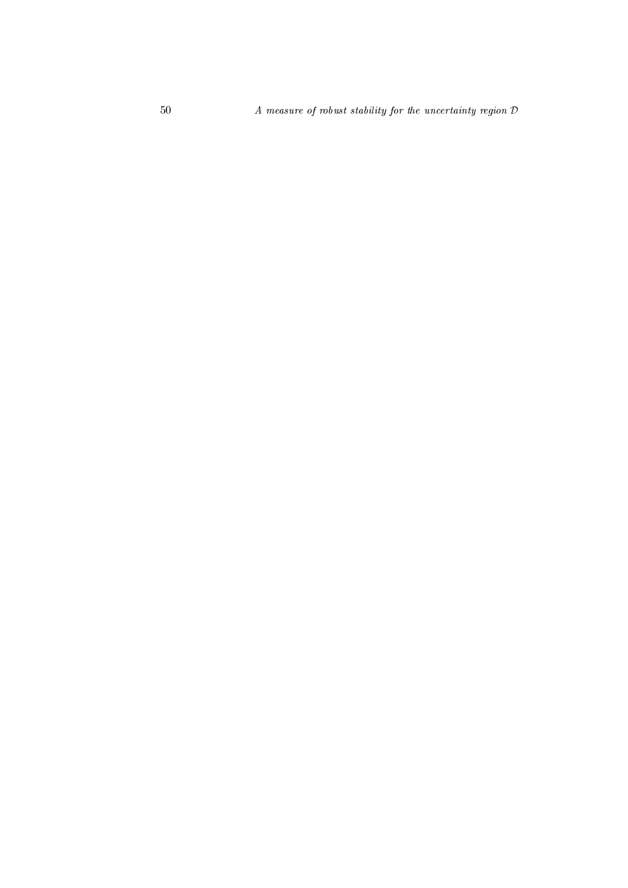50 A measure of robust stability for the uncertainty region  $D$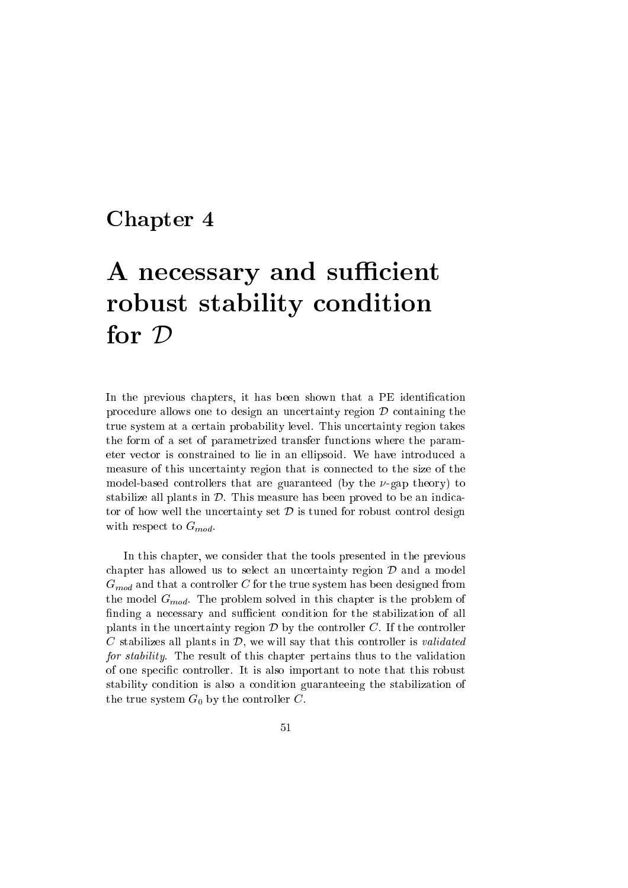## Chapter 4

# A necessary and sufficient robust stability condition for <sup>D</sup>

In the previous chapters, it has been shown that a PE identification procedure allows one to design an uncertainty region  $D$  containing the true system at a ertain probability level. This un
ertainty region takes the form of a set of parametrized transfer fun
tions where the parameter ve
tor is onstrained to lie in an ellipsoid. We have introdu
ed a measure of this uncertainty region that is connected to the size of the model-based controllers that are guaranteed (by the  $\nu$ -gap theory) to stabilize all plants in  $D$ . This measure has been proved to be an indicator of how well the uncertainty set  $\mathcal D$  is tuned for robust control design with respect to  $G_{mod}$ .

In this chapter, we consider that the tools presented in the previous chapter has allowed us to select an uncertainty region  $D$  and a model  $G_{mod}$  and that a controller C for the true system has been designed from the model  $G_{mod}$ . The problem solved in this chapter is the problem of finding a necessary and sufficient condition for the stabilization of all plants in the uncertainty region  $D$  by the controller  $C$ . If the controller C stabilizes all plants in  $\mathcal{D}$ , we will say that this controller is validated for *stability*. The result of this chapter pertains thus to the validation of one specific controller. It is also important to note that this robust stability ondition is also a ondition guaranteeing the stabilization of the true system God by the true system God by the  $\alpha$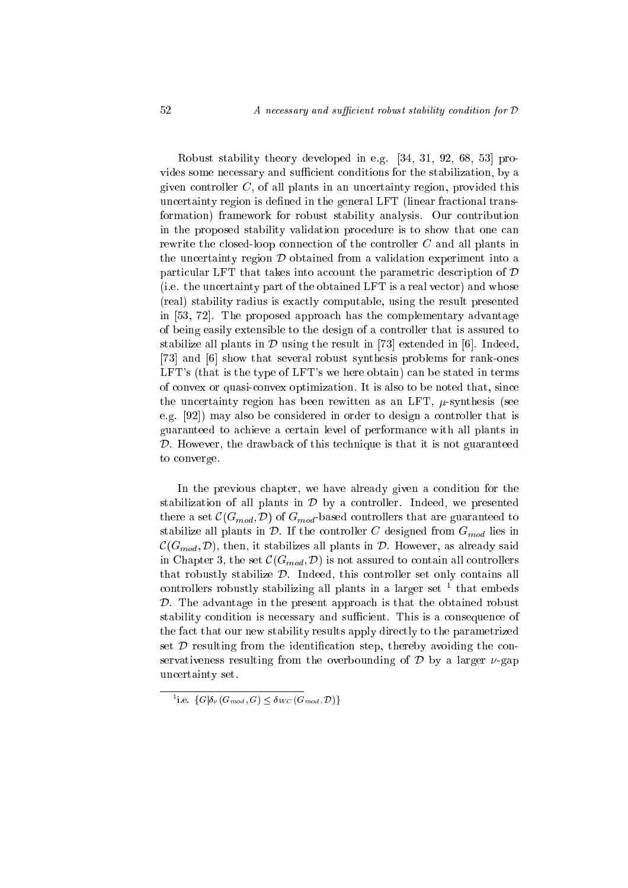Robust stability theory developed in e.g.  $[34, 31, 92, 68, 53]$  provides some necessary and sufficient conditions for the stabilization, by a given ontroller C, of all plants in an un
ertainty region, provided this uncertainty region is defined in the general LFT (linear fractional transformation) framework for robust stability analysis. Our ontribution in the proposed stability validation procedure is to show that one can rewrite the closed-loop connection of the controller C and all plants in the uncertainty region  $D$  obtained from a validation experiment into a particular LFT that takes into account the parametric description of  $D$ (i.e. the uncertainty part of the obtained LFT is a real vector) and whose (real) stability radius is exa
tly omputable, using the result presented in  $[53, 72]$ . The proposed approach has the complementary advantage of being easily extensible to the design of a ontroller that is assured to stabilize all plants in  $D$  using the result in [73] extended in [6]. Indeed, [73] and [6] show that several robust synthesis problems for rank-ones LFT's (that is the type of LFT's we here obtain) an be stated in terms of onvex or quasionvex optimization. It is also to be noted that, sin
e the uncertainty region has been rewitten as an LFT,  $\mu$ -synthesis (see e.g.  $[92]$  may also be considered in order to design a controller that is guaranteed to a
hieve a ertain level of performan
e with all plants in  $D.$  However, the drawback of this technique is that it is not guaranteed to converge.

In the previous chapter, we have already given a condition for the stabilization of all plants in  $D$  by a controller. Indeed, we presented there a set  $C(G_{mod}, \mathcal{D})$  of  $G_{mod}$ -based controllers that are guaranteed to stabilize all plants in  $\mathcal{D}$ . If the controller C designed from  $G_{mod}$  lies in  $\mathcal{C}(G_{mod}, \mathcal{D})$ , then, it stabilizes all plants in  $\mathcal{D}$ . However, as already said in Chapter 3, the set  $\mathcal{C}(G_{mod}, \mathcal{D})$  is not assured to contain all controllers that robustly stabilize  $D$ . Indeed, this controller set only contains all controllers robustly stabilizing all plants in a larger set that embeds D. The advantage in the present approa
h is that the obtained robust stability condition is necessary and sufficient. This is a consequence of the fact that our new stability results apply directly to the parametrized set  $D$  resulting from the identification step, thereby avoiding the conservativeness resulting from the overbounding of  $\mathcal D$  by a larger  $\nu$ -gap un
ertainty set.

<sup>1.</sup>e.  $\{G | \mathcal{O}_V(G_{mod}, G) \leq \mathcal{O}_{WC}(G_{mod}, D)\}$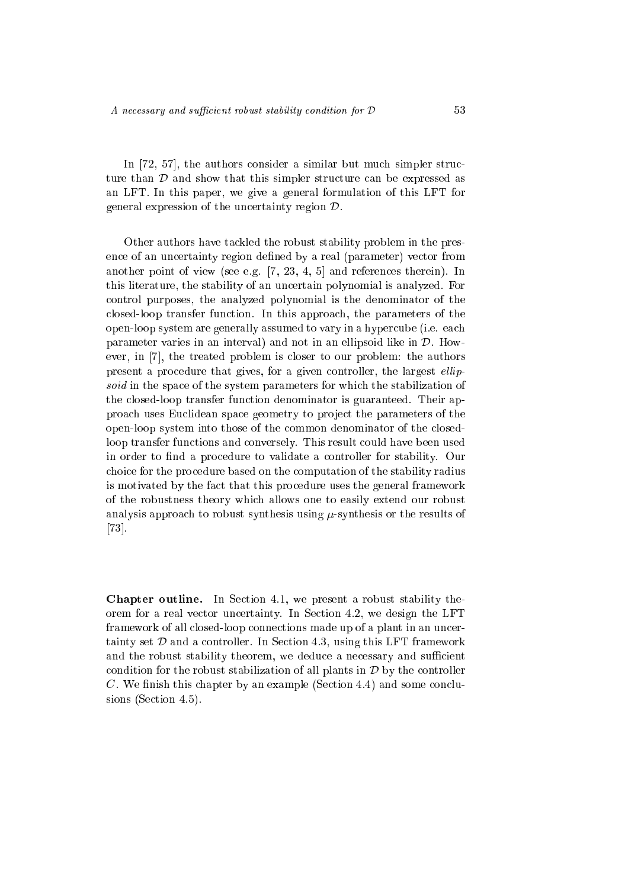In  $[72, 57]$ , the authors consider a similar but much simpler structure than  $D$  and show that this simpler structure can be expressed as an LFT. In this paper, we give a general formulation of this LFT for general expression of the uncertainty region  $\mathcal{D}$ .

Other authors have tackled the robust stability problem in the presence of an uncertainty region defined by a real (parameter) vector from another point of view (see e.g.  $[7, 23, 4, 5]$  and references therein). In this literature, the stability of an un
ertain polynomial is analyzed. For ontrol purposes, the analyzed polynomial is the denominator of the closed-loop transfer function. In this approach, the parameters of the open-loop system are generally assumed to vary in a hypercube (i.e. each parameter varies in an interval) and not in an ellipsoid like in  $\mathcal{D}$ . However, in  $[7]$ , the treated problem is closer to our problem: the authors present a procedure that gives, for a given controller, the largest ellipsoid in the space of the system parameters for which the stabilization of the losed-loop transfer fun
tion denominator is guaranteed. Their approach uses Euclidean space geometry to project the parameters of the open-loop system into those of the ommon denominator of the losedloop transfer functions and conversely. This result could have been used in order to find a procedure to validate a controller for stability. Our hoi
e for the pro
edure based on the omputation of the stability radius is motivated by the fa
t that this pro
edure uses the general framework of the robustness theory whi
h allows one to easily extend our robust analysis approach to robust synthesis using  $\mu$ -synthesis or the results of  $[73]$ .

Chapter outline. In Section 4.1, we present a robust stability theorem for a real vector uncertainty. In Section 4.2, we design the LFT framework of all closed-loop connections made up of a plant in an uncertainty set  $\mathcal D$  and a controller. In Section 4.3, using this LFT framework and the robust stability theorem, we deduce a necessary and sufficient condition for the robust stabilization of all plants in  $D$  by the controller  $C$ . We finish this chapter by an example (Section 4.4) and some conclusions (Section 4.5).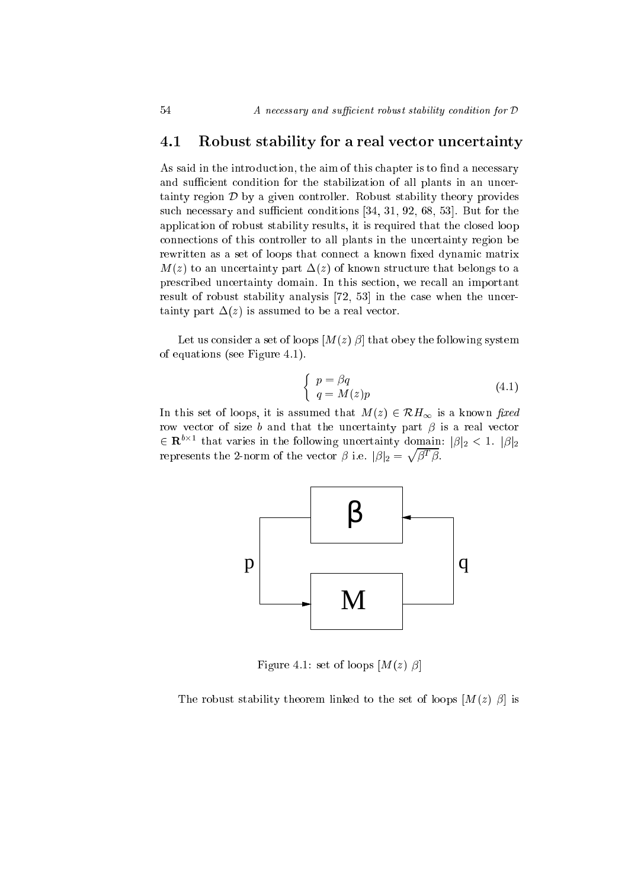#### 4.1 Robust stability for a real vector uncertainty

As said in the introduction, the aim of this chapter is to find a necessary and sufficient condition for the stabilization of all plants in an uncertainty region  $D$  by a given controller. Robust stability theory provides such necessary and sufficient conditions  $[34, 31, 92, 68, 53]$ . But for the application of robust stability results, it is required that the closed loop onne
tions of this ontroller to all plants in the un
ertainty region be rewritten as a set of loops that connect a known fixed dynamic matrix  $M(z)$  to an uncertainty part  $\Delta(z)$  of known structure that belongs to a pres
ribed un
ertainty domain. In this se
tion, we re
all an important result of robust stability analysis  $[72, 53]$  in the case when the uncertainty part  $\Delta(z)$  is assumed to be a real vector.

Let us consider a set of loops  $[M(z) \beta]$  that obey the following system of equations (see Figure 4.1).

$$
\begin{cases}\np = \beta q \\
q = M(z)p\n\end{cases} \tag{4.1}
$$

In this set of loops, it is assumed that  $M(z) \in \mathcal{R}H_{\infty}$  is a known fixed row vector of size  $b$  and that the uncertainty part  $\beta$  is a real vector  $\epsilon$  **R** - that varies in the following uncertainty domain:  $|\rho|_2 \leq 1$ .  $|\rho|_2$ represented the 2-norm of the vertice  $\mu$  fish  $\mu$  is  $\sqrt{\beta^T \beta}$ .



Figure 4.1: set of loops  $[M(z)$   $\beta]$ 

The robust stability theorem linked to the set of loops  $[M(z)$   $\beta]$  is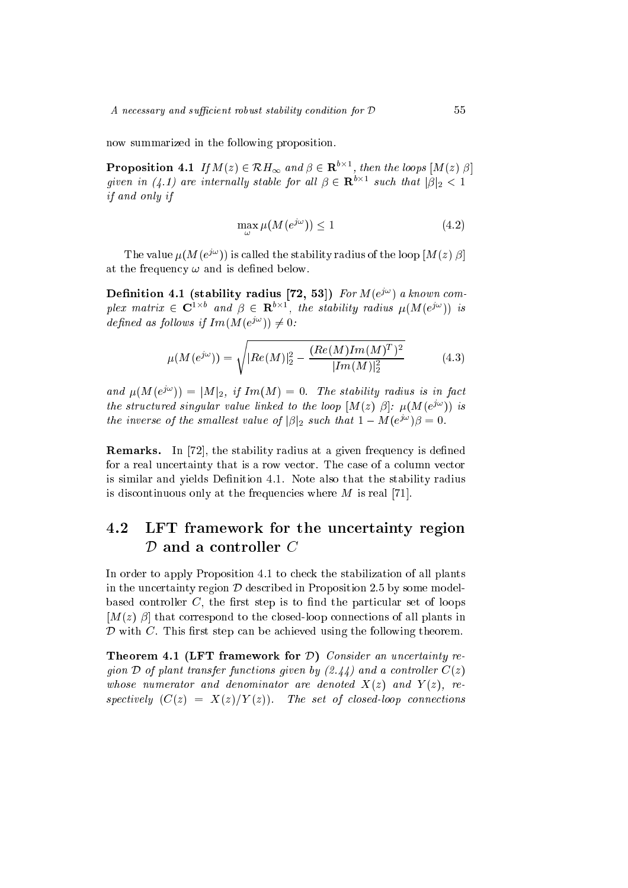now summarized in the following proposition.

**Proposition 4.1** If  $M(z) \in \mathcal{K}H_{\infty}$  and  $\beta \in \mathbf{R}^{n-1}$ , then the loops  $|M(z)|\beta|$ given in (4.1) are internally stable for all  $\beta \in {\bf R}^{++}$  such that  $|\beta|_2 < 1$ if and only if

$$
\max \mu(M(e^{j\omega})) \le 1\tag{4.2}
$$

I he value  $\mu(M(e^{\gamma+1}))$  is called the stability radius of the loop  $|M(Z)|$ at the frequency  $\omega$  and is defined below.

Definition 4.1 (stability radius  $(T2, 55)$ ) For M (e) Ta known complex matrix  $\in$   $\in$   $\in$  and  $p \in$   $\in$   $\in$  me stability radius  $\mu$ (M(e<sup>3+</sup>)) is  $a$ eµnea as jouows ij Im(M(e<sup>3+</sup>))  $\neq$  0:

$$
\mu(M(e^{j\omega})) = \sqrt{|Re(M)|_2^2 - \frac{(Re(M)Im(M)^T)^2}{|Im(M)|_2^2}}
$$
(4.3)

and  $\mu(\mathcal{M}(e^{\jmath\cdot\cdot})) = |\mathcal{M}|_2$ , if  $Im(\mathcal{M}) = 0$ . The stability radius is in fact the structured singular value tinked to the loop  $|M(z)|p|$ :  $\mu(M(e^{j\omega}))$  is the inverse of the smallest value of  $|p|_2$  such that  $1 - M(e^{\beta})/p = 0$ .

**Remarks.** In [72], the stability radius at a given frequency is defined for a real uncertainty that is a row vector. The case of a column vector is similar and yields Definition 4.1. Note also that the stability radius is discontinuous only at the frequencies where M is real [71].

#### 4.2 LFT framework for the uncertainty region  $\mathcal D$  and a controller  $C$

In order to apply Proposition 4.1 to check the stabilization of all plants in the uncertainty region  $D$  described in Proposition 2.5 by some modelbased controller  $C$ , the first step is to find the particular set of loops  $[M(z)$   $\beta]$  that correspond to the closed-loop connections of all plants in  $\mathbf{r}$  and  $\mathbf{r}$  returns step using the following theorem. The following theorem. The following theorem.

**Theorem 4.1 (LFT framework for D)** Consider an uncertainty region  $\mathcal D$  of plant transfer functions given by (2.44) and a controller  $C(z)$ whose numerator and denominator are denoted  $X(z)$  and  $Y(z)$ , respectively  $(C(z) = X(z)/Y(z))$ . The set of closed-loop connections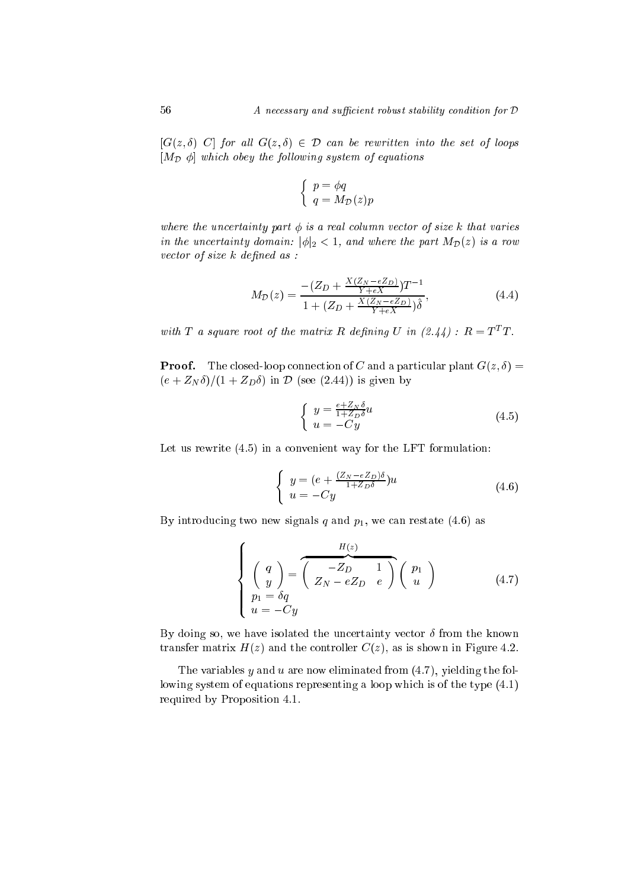$[G(z, \delta) C]$  for all  $G(z, \delta) \in \mathcal{D}$  can be rewritten into the set of loops  $[M_{\mathcal{D}} \phi]$  which obey the following system of equations

$$
\begin{cases}\np = \phi q \\
q = M_{\mathcal{D}}(z)p\n\end{cases}
$$

where the uncertainty part  $\phi$  is a real column vector of size k that varies in the uncertainty domain:  $|\phi|_2 < 1$ , and where the part  $M_{\mathcal{D}}(z)$  is a row vector of size  $k$  defined as :

$$
M_{\mathcal{D}}(z) = \frac{-\left(Z_D + \frac{X(Z_N - eZ_D)}{Y + eX}\right)T^{-1}}{1 + \left(Z_D + \frac{X(Z_N - eZ_D)}{Y + eX}\right)\hat{\delta}},\tag{4.4}
$$

with T a square root of the matrix R defining U in  $(2.44)$ :  $R = T^{T}T$ .

**Proof.** The closed-loop connection of C and a particular plant  $G(z, \delta)$  $(e + Z_N \delta)/(1 + Z_D \delta)$  in  $\mathcal{D}$  (see (2.44)) is given by

$$
\begin{cases}\n y = \frac{e + Z_N \delta}{1 + Z_D \delta} u \\
 u = -Cy\n\end{cases}
$$
\n(4.5)

Let us rewrite  $(4.5)$  in a convenient way for the LFT formulation:

$$
\begin{cases}\n y = (e + \frac{(Z_N - eZ_D)\delta}{1 + Z_D \delta})u \\
 u = -Cy\n\end{cases}
$$
\n(4.6)

By introducing two new signals q and  $p_1$ , we can restate (4.6) as

$$
\begin{cases}\n\begin{pmatrix}\nq \\
y\n\end{pmatrix} = \overbrace{\begin{pmatrix}\n-Z_D & 1 \\
Z_N - eZ_D & e\n\end{pmatrix}}^{H(z)} \begin{pmatrix}\np_1 \\
u\n\end{pmatrix}
$$
\n(4.7)\n  
\n $p_1 = \delta q$ \n  
\n $u = -Cy$ \n

By doing so, we have isolated the uncertainty vector  $\delta$  from the known transfer matrix  $H(z)$  and the controller  $C(z)$ , as is shown in Figure 4.2.

The variables  $y$  and  $u$  are now eliminated from  $(4.7)$ , yielding the following system of equations representing a loop which is of the type  $(4.1)$ required by Proposition 4.1.

56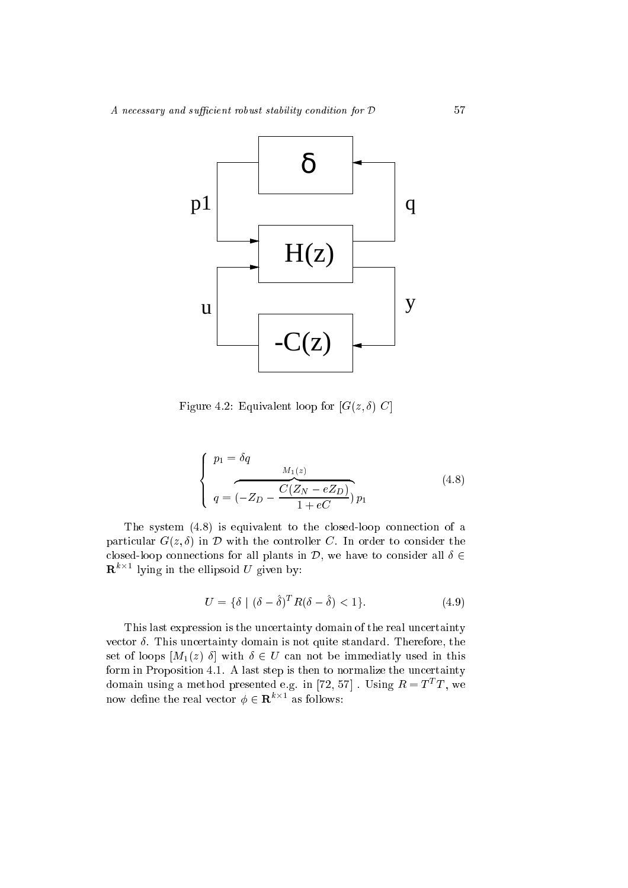

Figure 4.2: Equivalent loop for  $[G(z, \delta) C]$ 

$$
\begin{cases}\n p_1 = \delta q \\
 \frac{M_1(z)}{q = (-Z_D - \frac{C(Z_N - eZ_D)}{1 + eC})} p_1\n\end{cases}
$$
\n(4.8)

The system  $(4.8)$  is equivalent to the closed-loop connection of a particular  $G(z, \delta)$  in  $\mathcal D$  with the controller C. In order to consider the closed-loop connections for all plants in  $\mathcal{D}$ , we have to consider all  $\delta \in$  $\mathbf{R}$  - Iying in the empsoid  $U$  given by:

$$
U = \{ \delta \mid (\delta - \hat{\delta})^T R (\delta - \hat{\delta}) < 1 \}. \tag{4.9}
$$

This last expression is the uncertainty domain of the real uncertainty vector  $\delta$ . This uncertainty domain is not quite standard. Therefore, the set of loops  $[M_1(z)$   $\delta]$  with  $\delta \in U$  can not be immediatly used in this form in Proposition 4.1. A last step is then to normalize the uncertainty domain using a method presented e.g. in  $(2, 57)$  . Using  $K \equiv T^*T$ , we now define the real vector  $\varphi \in \mathbf{R}^{n+1}$  as follows: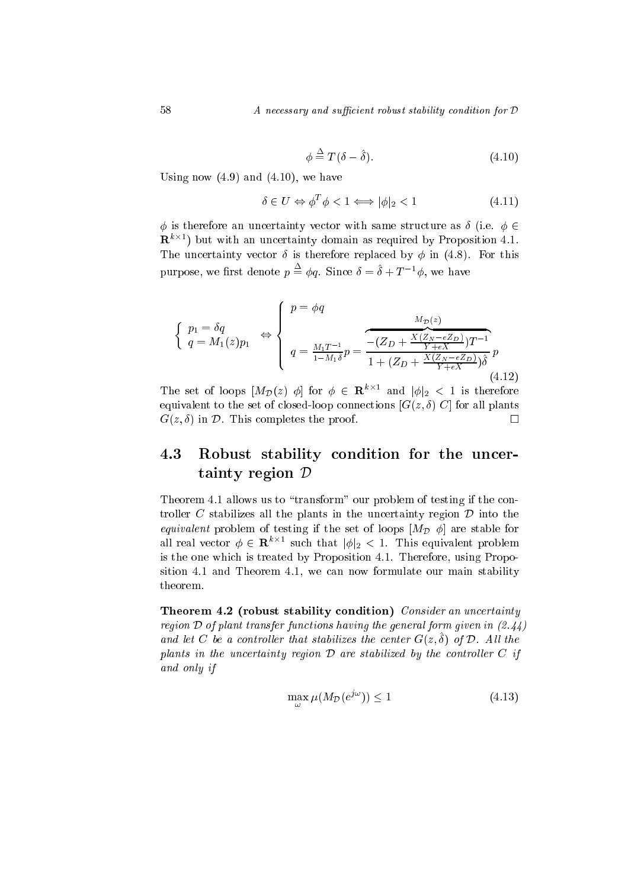58 A necessary and sufficient robust stability condition for D

$$
\phi \stackrel{\Delta}{=} T(\delta - \hat{\delta}).\tag{4.10}
$$

Using now  $(4.9)$  and  $(4.10)$ , we have

$$
\delta \in U \Leftrightarrow \phi^T \phi < 1 \Longleftrightarrow |\phi|_2 < 1 \tag{4.11}
$$

 $\phi$  is therefore an uncertainty vector with same structure as  $\delta$  (i.e.  $\phi \in$  $\mathbf{R}$  ) but with an uncertainty domain as required by Proposition 4.1. The uncertainty vector  $\delta$  is therefore replaced by  $\phi$  in (4.8). For this purpose, we first denote  $p \equiv \phi q$ . Since  $\delta = \delta + T^{-1} \phi$ , we have

$$
\begin{cases}\n p_1 = \delta q \\
 q = M_1(z)p_1\n\end{cases}\n\Leftrightarrow\n\begin{cases}\n p = \phi q \\
 q = \frac{M_1 T^{-1}}{1 - M_1 \delta} p = \frac{-\left(Z_D + \frac{X(Z_N - eZ_D)}{Y + eX}\right) T^{-1}}{1 + \left(Z_D + \frac{X(Z_N - eZ_D)}{Y + eX}\right) \delta} p\n\end{cases}
$$
\n(4.12)

The set of loops  $|M_{\mathcal{D}}(z)| \varphi|$  for  $\varphi \in \mathbb{R}^{n+1}$  and  $|\varphi|_2 < 1$  is therefore equivalent to the set of closed-loop connections  $[G(z, \delta) C]$  for all plants  $G(z, \delta)$  in D. This completes the proof.

### 4.3 Robust stability ondition for the un
ertainty region <sup>D</sup>

Theorem 4.1 allows us to "transform" our problem of testing if the controller C stabilizes all the plants in the uncertainty region  $\mathcal D$  into the equivalent problem of testing if the set of loops  $[M_{\mathcal{D}} \phi]$  are stable for all real vector  $\varphi \in \mathbf{R}^{n+1}$  such that  $|\varphi|_2 < 1$ . This equivalent problem is the one whi
h is treated by Proposition 4.1. Therefore, using Proposition 4.1 and Theorem 4.1, we can now formulate our main stability theorem.

Theorem 4.2 (robust stability condition) Consider an uncertainty region  $\mathcal D$  of plant transfer functions having the general form given in (2.44) and let  $C$  be a controller that stabilizes the center  $G(z, \sigma)$  of  $D$ . All the plants in the uncertainty region  $\mathcal D$  are stabilized by the controller  $C$  if and only if

$$
\max_{\omega} \mu(M_{\mathcal{D}}(e^{j\omega})) \le 1\tag{4.13}
$$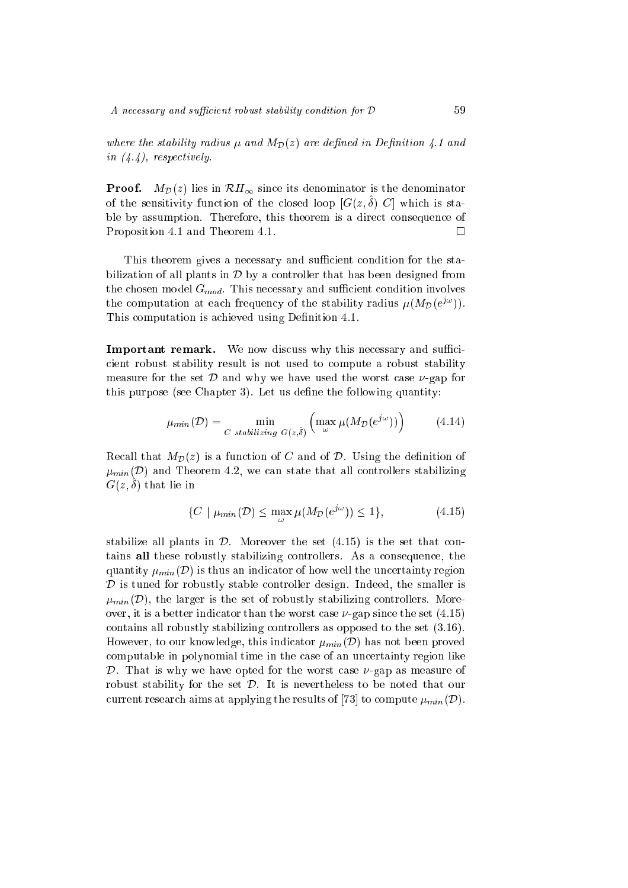where the stability radius  $\mu$  and  $M_{\mathcal{D}}(z)$  are defined in Definition 4.1 and in  $(4.4)$ , respectively.

**Proof.**  $M_{\mathcal{D}}(z)$  lies in  $\mathcal{R}H_{\infty}$  since its denominator is the denominator of the sensitivity function of the closed loop  $|G(z, \theta)| \gets |W|$  which is stable by assumption. Therefore, this theorem is a direct consequence of Proposition 4.1 and Theorem 4.1.  $\Box$ 

This theorem gives a necessary and sufficient condition for the stabilization of all plants in  $\mathcal D$  by a controller that has been designed from the chosen model  $G_{mod}$ . This necessary and sufficient condition involves the computation at each frequency of the stability radius  $\mu(w_\mathcal{D}(e^{\jmath\cdot\cdot}))$ . This computation is achieved using Definition 4.1.

Important remark. We now discuss why this necessary and sufficicient robust stability result is not used to compute a robust stability measure for the set  $\mathcal D$  and why we have used the worst case  $\nu$ -gap for this purpose (see Chapter 3). Let us define the following quantity:

$$
\mu_{min}(\mathcal{D}) = \min_{C \text{ stabilizing } G(z,\hat{\delta})} \left( \max_{\omega} \mu(M_{\mathcal{D}}(e^{j\omega})) \right) \tag{4.14}
$$

Recall that  $M_{\mathcal{D}}(z)$  is a function of C and of D. Using the definition of  $\mu_{min}(\mathcal{D})$  and Theorem 4.2, we can state that all controllers stabilizing  $G(z, v)$  that lie in

$$
\{C \mid \mu_{min}(\mathcal{D}) \le \max_{\omega} \mu(M_{\mathcal{D}}(e^{j\omega})) \le 1\},\tag{4.15}
$$

stabilize all plants in  $\mathcal{D}$ . Moreover the set  $(4.15)$  is the set that contains all these robustly stabilizing ontrollers. As a onsequen
e, the quantity  $\mu_{min}(\mathcal{D})$  is thus an indicator of how well the uncertainty region D is tuned for robustly stable ontroller design. Indeed, the smaller is  $\mu_{min}(\mathcal{D})$ , the larger is the set of robustly stabilizing controllers. Moreover, it is a better indicator than the worst case  $\nu$ -gap since the set (4.15) ontains all robustly stabilizing ontrollers as opposed to the set (3.16). However, to our knowledge, this indicator  $\mu_{min}(\mathcal{D})$  has not been proved computable in polynomial time in the case of an uncertainty region like D. That is why we have opted for the worst case  $\nu$ -gap as measure of robust stability for the set  $D$ . It is nevertheless to be noted that our current research aims at applying the results of [73] to compute  $\mu_{min}(\mathcal{D})$ .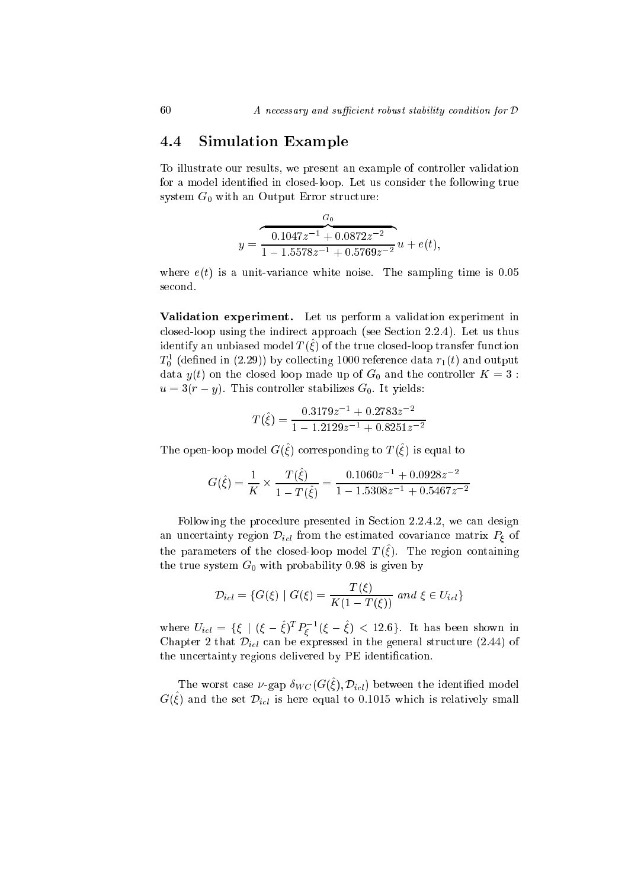#### 4.4 Simulation Example

To illustrate our results, we present an example of ontroller validation for a model identified in closed-loop. Let us consider the following true system G0 with an Output Error stru
ture:

$$
y = \overbrace{1 - 1.5578z^{-1} + 0.0872z^{-2}}^{G_0}
$$
  
 
$$
y = \overbrace{1 - 1.5578z^{-1} + 0.5769z^{-2}}^{G_0} u + e(t),
$$

where  $e(t)$  is a unit-variance white noise. The sampling time is 0.05 second.

Validation experiment. Let us perform a validation experiment in closed-loop using the indirect approach (see Section 2.2.4). Let us thus  $\mu$  and  $\mu$  and  $\mu$  and  $\mu$  and  $\mu$  (c) of the true closed-loop transfer function  $T_0$  (defined in (2.29)) by conecting 1000 reference data  $r_1(t)$  and output data is defined as in the set of G0 and the G0 and the G0 and the G0 and the G0 and the G0 and the G0 and the G  $u = 3(r - y)$ . This controller stabilizes  $G_0$ . It yields:

$$
T(\hat{\xi}) = \frac{0.3179z^{-1} + 0.2783z^{-2}}{1 - 1.2129z^{-1} + 0.8251z^{-2}}
$$

The open-loop model  $G(\zeta)$  corresponding to T  $(\zeta)$  is equal to

$$
G(\hat{\xi}) = \frac{1}{K} \times \frac{T(\hat{\xi})}{1 - T(\hat{\xi})} = \frac{0.1060z^{-1} + 0.0928z^{-2}}{1 - 1.5308z^{-1} + 0.5467z^{-2}}
$$

Following the procedure presented in Section 2.2.4.2, we can design an uncertainty region  $\mathcal{D}_{icl}$  from the estimated covariance matrix  $P_{\xi}$  of the parameters of the closed-loop model  $T(\zeta)$ . The region containing the true system G0 with probability 0.98 is given by

$$
\mathcal{D}_{icl} = \{ G(\xi) \mid G(\xi) = \frac{T(\xi)}{K(1 - T(\xi))} \text{ and } \xi \in U_{icl} \}
$$

where  $U_{icl} = \{\xi \mid (\xi - \xi)^T P_\xi \mid (\xi - \xi) \leq 12.6\}$ . It has been shown in chapter 2 that Difference is the general structure of the general structure (2.44) of the uncertainty regions delivered by PE identification.

The worst case  $\nu$ -gap  $\varphi_{W}$ ( $\sigma$ ( $\varsigma$ ),  $\nu_{\textit{rel}}$ ) between the identified model  $G(\zeta)$  and the set  $D_{ic}$  is here equal to 0.1015 which is relatively small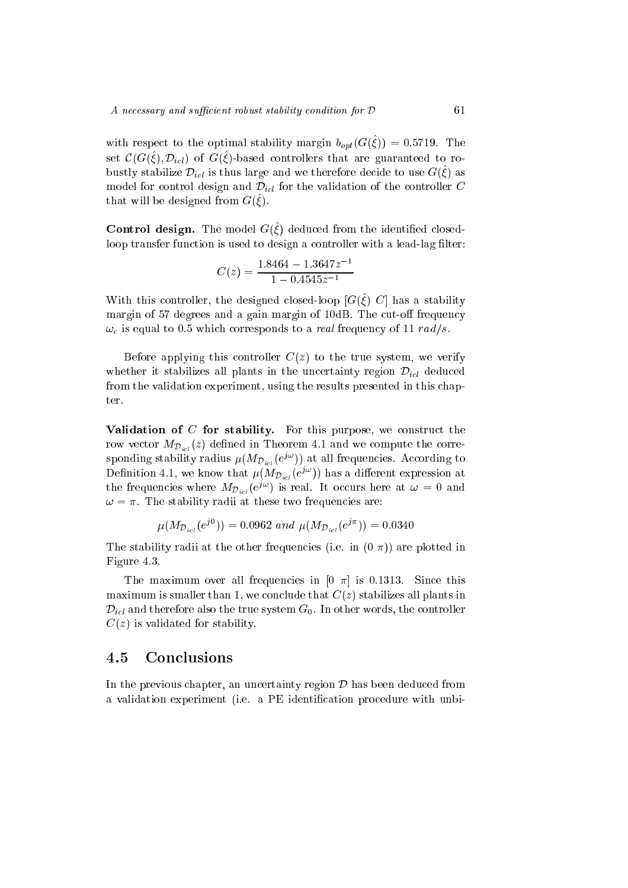with respect to the optimal stability margin  $v_{opt}(\sigma(\zeta)) = 0.5719$ . The set  $C(G(\zeta), \nu_{icl})$  of  $G(\zeta)$ -based controllers that are guaranteed to robustly stabilize  $\nu_{ic}$  is thus large and we therefore decline to use  $\sigma(\zeta)$  as model for control design and  $\mathcal{D}_{icl}$  for the validation of the controller C  $\alpha$  will be designed from  $G(\zeta)$ .

Control design. The model  $G(\zeta)$  deduced from the identified closedloop transfer function is used to design a controller with a lead-lag filter:

$$
C(z) = \frac{1.8464 - 1.3647z^{-1}}{1 - 0.4545z^{-1}}
$$

When this controller, the designed closed-loop  $|G(\zeta)|$   $\cup$  has a stability margin of 57 degrees and a gain margin of 10dB. The cut-off frequency  $\omega_c$  is equal to 0.5 which corresponds to a *real* frequency of 11 rad/s.

Before applying this controller  $C(z)$  to the true system, we verify whether it stabilizes all plants in the uncertainty region  $\mathcal{D}_{icl}$  deduced from the validation experiment, using the results presented in this chapter.

Validation of  $C$  for stability. For this purpose, we construct the row vector  $M_{\mathcal{D}_{icl}}(z)$  defined in Theorem 4.1 and we compute the corresponding stability radius  $\mu(w_{\mathcal{D}_{icl}}(e^{\jmath \cdot \cdot}))$  at all frequencies. According to Definition 4.1, we know that  $\mu(M_{\mathcal{D}_{icl}}(e^{\jmath \cdot \cdot}))$  has a different expression at the frequencies where  $M_{\mathcal{D}_{icl}}(e^{\jmath \cdot \cdot})$  is real. It occurs here at  $\omega = 0$  and  $\omega = \pi$ . The stability radii at these two frequencies are:

$$
\mu(M_{\mathcal{D}_{icl}}(e^{j0})) = 0.0962
$$
 and  $\mu(M_{\mathcal{D}_{icl}}(e^{j\pi})) = 0.0340$ 

The stability radii at the other frequencies (i.e. in  $(0 \pi)$ ) are plotted in Figure 4.3.

The maximum over all frequencies in  $[0 \pi]$  is 0.1313. Since this maximum is smaller than 1, we conclude that  $C(z)$  stabilizes all plants in  $\mathcal{D}_{icl}$  and therefore also the true system  $G_0$ . In other words, the controller  $C(z)$  is validated for stability.

#### 4.5 Con
lusions

In the previous chapter, an uncertainty region  $D$  has been deduced from a validation experiment (i.e. a PE identification procedure with unbi-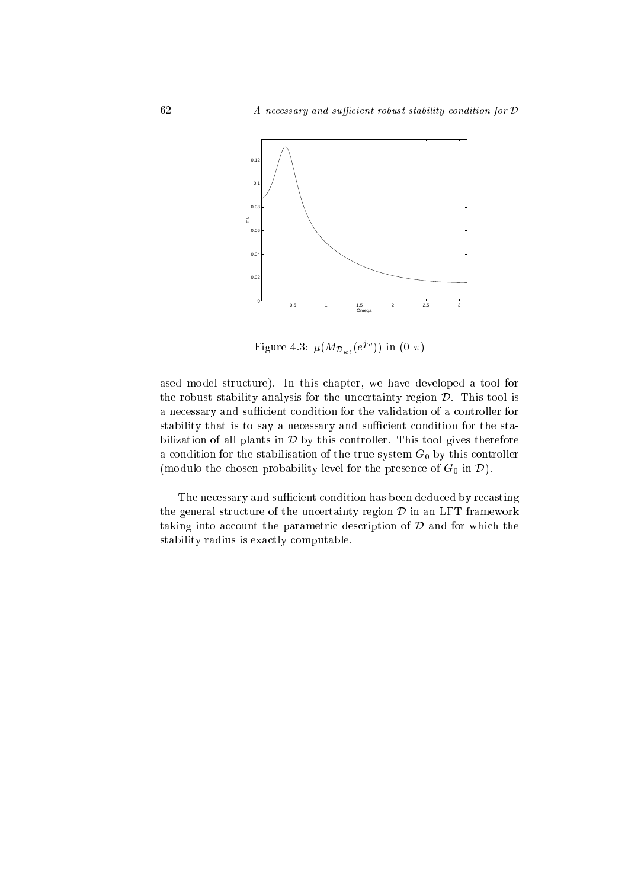

Figure 4.3:  $\mu(M_{\mathcal{D}_{icl}}(e^{j\omega}))$  in  $(0 \pi)$ 

ased model structure). In this chapter, we have developed a tool for the robust stability analysis for the uncertainty region  $D$ . This tool is a necessary and sufficient condition for the validation of a controller for stability that is to say a necessary and sufficient condition for the stabilization of all plants in  $D$  by this controller. This tool gives therefore a condition for the stabilisation of the true system  $G_0$  by this controller (modulo the chosen probability level for the presence of  $G_0$  in  $\mathcal{D}$ ).

The necessary and sufficient condition has been deduced by recasting the general structure of the uncertainty region  $D$  in an LFT framework taking into account the parametric description of  $D$  and for which the stability radius is exactly computable.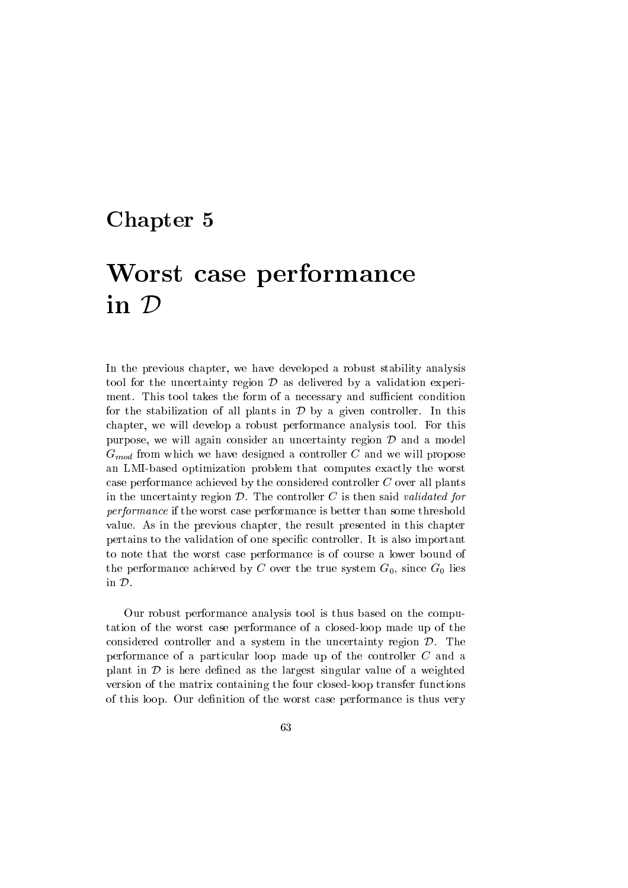## Chapter 5

# Worst ase performan
e in <sup>D</sup>

In the previous hapter, we have developed a robust stability analysis tool for the uncertainty region  $\mathcal D$  as delivered by a validation experiment. This tool takes the form of a necessary and sufficient condition for the stabilization of all plants in  $\mathcal D$  by a given controller. In this hapter, we will develop a robust performan
e analysis tool. For this purpose, we will again consider an uncertainty region  $\mathcal D$  and a model  $G_{mod}$  from which we have designed a controller  $C$  and we will propose an LMI-based optimization problem that computes exactly the worst ase performan
e a
hieved by the onsidered ontroller C over all plants in the uncertainty region  $\mathcal{D}$ . The controller C is then said validated for performance if the worst case performance is better than some threshold value. As in the previous hapter, the result presented in this hapter pertains to the validation of one specific controller. It is also important to note that the worst case performance is of course a lower bound of e also performance the control of the true system God and G0, since  $\alpha$  , the true system G0, since in D.

Our robust performan
e analysis tool is thus based on the omputation of the worst ase performan
e of a losed-loop made up of the considered controller and a system in the uncertainty region  $\mathcal{D}$ . The performance of a particular loop made up of the controller C and a plant in  $D$  is here defined as the largest singular value of a weighted version of the matrix containing the four closed-loop transfer functions of this loop. Our definition of the worst case performance is thus very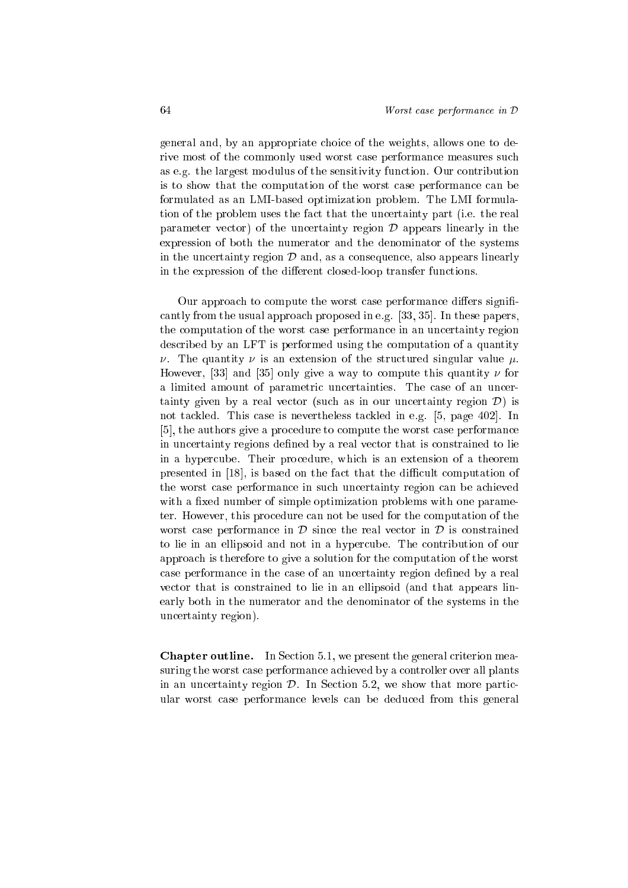general and, by an appropriate hoi
e of the weights, allows one to derive most of the commonly used worst case performance measures such as e.g. the largest modulus of the sensitivity function. Our contribution is to show that the computation of the worst case performance can be formulated as an LMI-based optimization problem. The LMI formulation of the problem uses the fact that the uncertainty part (i.e. the real parameter vector) of the uncertainty region  $\mathcal D$  appears linearly in the expression of both the numerator and the denominator of the systems in the uncertainty region  $\mathcal D$  and, as a consequence, also appears linearly in the expression of the different closed-loop transfer functions.

Our approach to compute the worst case performance differs significantly from the usual approach proposed in e.g.  $[33, 35]$ . In these papers, the computation of the worst case performance in an uncertainty region described by an LFT is performed using the computation of a quantity  $\nu$ . The quantity  $\nu$  is an extension of the structured singular value  $\mu$ . However, [33] and [35] only give a way to compute this quantity  $\nu$  for a limited amount of parametric uncertainties. The case of an uncertainty given by a real vector (such as in our uncertainty region  $\mathcal{D}$ ) is not tackled. This case is nevertheless tackled in e.g. [5, page 402]. In [5], the authors give a procedure to compute the worst case performance in uncertainty regions defined by a real vector that is constrained to lie in a hyper
ube. Their pro
edure, whi
h is an extension of a theorem presented in  $[18]$ , is based on the fact that the difficult computation of the worst ase performan
e in su
h un
ertainty region an be a
hieved with a fixed number of simple optimization problems with one parameter. However, this pro
edure an not be used for the omputation of the worst case performance in  $\mathcal D$  since the real vector in  $\mathcal D$  is constrained to lie in an ellipsoid and not in a hypercube. The contribution of our approa
h is therefore to give a solution for the omputation of the worst ase performan
e in the ase of an un
ertainty region dened by a real ve
tor that is onstrained to lie in an ellipsoid (and that appears linearly both in the numerator and the denominator of the systems in the un
ertainty region).

**Chapter outline.** In Section 5.1, we present the general criterion measuring the worst case performance achieved by a controller over all plants in an uncertainty region  $D$ . In Section 5.2, we show that more particular worst ase performan
e levels an be dedu
ed from this general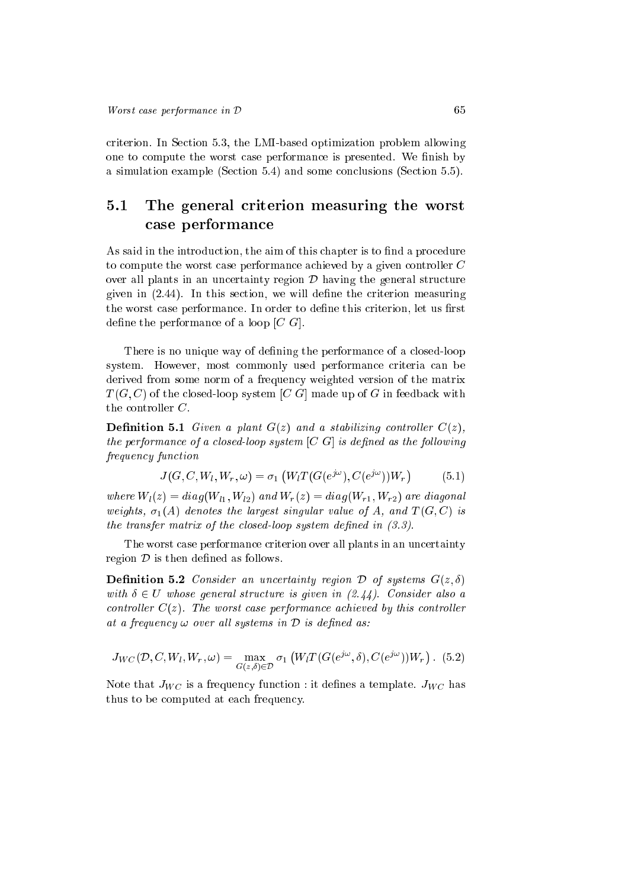riterion. In Se
tion 5.3, the LMI-based optimization problem allowing one to compute the worst case performance is presented. We finish by a simulation example (Section 5.4) and some conclusions (Section 5.5).

### 5.1 The general criterion measuring the worst ase performan
e

As said in the introduction, the aim of this chapter is to find a procedure to compute the worst case performance achieved by a given controller  $C$ over all plants in an uncertainty region  $\mathcal D$  having the general structure given in  $(2.44)$ . In this section, we will define the criterion measuring the worst case performance. In order to define this criterion, let us first define the performance of a loop  $[C\ G].$ 

There is no unique way of defining the performance of a closed-loop system. However, most commonly used performance criteria can be derived from some norm of a frequency weighted version of the matrix  $T(G, C)$  of the closed-loop system [C G] made up of G in feedback with the controller C.

**Definition 5.1** Given a plant  $G(z)$  and a stabilizing controller  $C(z)$ , the performance of a closed-loop system  $[C\ G]$  is defined as the following frequency function

$$
J(G, C, W_l, W_r, \omega) = \sigma_1 \left( W_l T(G(e^{j\omega}), C(e^{j\omega})) W_r \right) \tag{5.1}
$$

where  $W_l(z) = diag(W_{l1}, W_{l2})$  and  $W_r(z) = diag(W_{r1}, W_{r2})$  are diagonal weights,  $\sigma_1(A)$  denotes the largest singular value of A, and  $T(G, C)$  is the transfer matrix of the closed-loop system defined in  $(3.3)$ .

The worst case performance criterion over all plants in an uncertainty region  $D$  is then defined as follows.

**Definition 5.2** Consider an uncertainty region  $D$  of systems  $G(z, \delta)$ with  $\delta \in U$  whose general structure is given in  $(2.44)$ . Consider also a controller  $C(z)$ . The worst case performance achieved by this controller at a frequency  $\omega$  over all systems in  $\mathcal D$  is defined as:

$$
J_{WC}(\mathcal{D}, C, W_l, W_r, \omega) = \max_{G(z, \delta) \in \mathcal{D}} \sigma_1 \left( W_l T(G(e^{j\omega}, \delta), C(e^{j\omega})) W_r \right). (5.2)
$$

Note that  $J_{WC}$  is a frequency function : it defines a template.  $J_{WC}$  has thus to be computed at each frequency.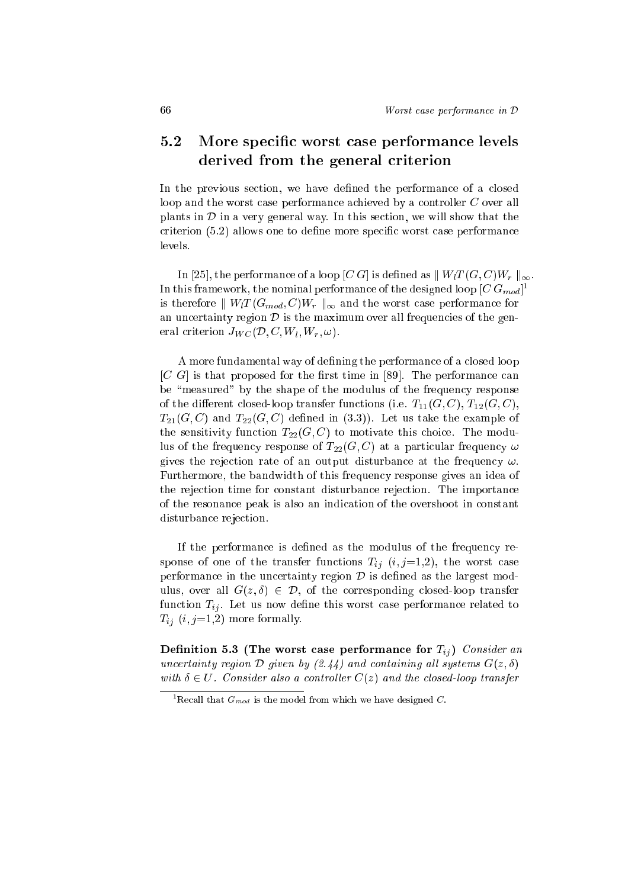### 5.2 More specific worst case performance levels derived from the general criterion

In the previous section, we have defined the performance of a closed loop and the worst case performance achieved by a controller C over all plants in  $D$  in a very general way. In this section, we will show that the criterion (5.2) allows one to define more specific worst case performance levels.

In [25], the performance of a loop [C G] is defined as  $||W_lT(G, C)W_r||_{\infty}$ . In this framework, the nominal performance of the designed loop [C  $\rm{G}_{mod}$ ]. is therefore  $|| W_l T(G_{mod}, C)W_r ||_{\infty}$  and the worst case performance for an uncertainty region  $\mathcal D$  is the maximum over all frequencies of the general criterion  $J_{WC}(\mathcal{D}, C, W_l, W_r, \omega)$ .

A more fundamental way of defining the performance of a closed loop  $[C G]$  is that proposed for the first time in [89]. The performance can be "measured" by the shape of the modulus of the frequency response of the different closed-loop transfer functions (i.e.  $T_{11}(G, C), T_{12}(G, C),$  $T_{21}(G, C)$  and  $T_{22}(G, C)$  defined in (3.3)). Let us take the example of the sensitivity function  $T_{22}(G, C)$  to motivate this choice. The modulus of the frequency response of  $T_{22}(G, C)$  at a particular frequency  $\omega$ gives the rejection rate of an output disturbance at the frequency  $\omega$ . Furthermore, the bandwidth of this frequency response gives an idea of the rejection time for constant disturbance rejection. The importance of the resonan
e peak is also an indi
ation of the overshoot in onstant disturbance rejection.

If the performance is defined as the modulus of the frequency response of one of the transfer functions  $T_{ij}$   $(i, j=1,2)$ , the worst case performance in the uncertainty region  $D$  is defined as the largest modulus, over all  $G(z, \delta) \in \mathcal{D}$ , of the corresponding closed-loop transfer function  $T_{ij}$ . Let us now define this worst case performance related to  $T_{ij}$   $(i, j=1,2)$  more formally.

Definition 5.3 (The worst case performance for  $T_{ij}$ ) Consider an uncertainty region D given by  $(2.44)$  and containing all systems  $G(z, \delta)$ with  $\delta \in U$ . Consider also a controller  $C(z)$  and the closed-loop transfer

<sup>-</sup>Recall that  $G_{mod}$  is the model from which we have designed  $C$ .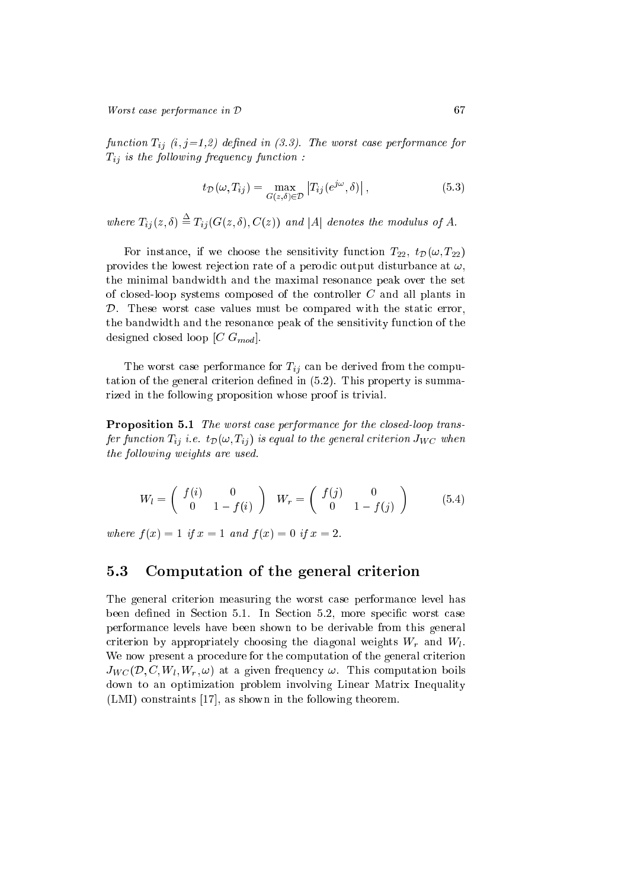Worst ase performan
e in <sup>D</sup> 67

function  $T_{ij}\;\left(i,j\!=\!1,2\right)$  defined in (3.3). The worst case performance for  $T_{ij}$  is the following frequency function:

$$
t_{\mathcal{D}}(\omega, T_{ij}) = \max_{G(z,\delta) \in \mathcal{D}} |T_{ij}(e^{j\omega}, \delta)|, \qquad (5.3)
$$

where  $T_{ij}(z, \delta) \equiv T_{ij}(G(z, \delta), C(z))$  and |A| denotes the modulus of A.

For instance, if we choose the sensitivity function  $T_{22}$ ,  $t_D(\omega, T_{22})$ provides the lowest rejection rate of a perodic output disturbance at  $\omega$ , the minimal bandwidth and the maximal resonan
e peak over the set of losed-loop systems omposed of the ontroller C and all plants in  $D$ . These worst case values must be compared with the static error, the bandwidth and the resonan
e peak of the sensitivity fun
tion of the designed closed loop [C  $G_{mod}$ ].

The worst case performance for  $T_{ij}$  can be derived from the compu $tation of the general criterion defined in (5.2). This property is summa$ rized in the following proposition whose proof is trivial.

Proposition 5.1 The worst case performance for the closed-loop transfer function  $T_{ij}$  i.e. t $_D(\omega, T_{ij})$  is equal to the general criterion  $J_{WC}$  when the following weights are used.

$$
W_l = \left(\begin{array}{cc} f(i) & 0\\ 0 & 1 - f(i) \end{array}\right) \quad W_r = \left(\begin{array}{cc} f(j) & 0\\ 0 & 1 - f(j) \end{array}\right) \tag{5.4}
$$

where  $f(x) = 1$  if  $x = 1$  and  $f(x) = 0$  if  $x = 2$ .

#### 5.3 Computation of the general criterion

The general criterion measuring the worst case performance level has been defined in Section 5.1. In Section 5.2, more specific worst case performan
e levels have been shown to be derivable from this general criterion by appropriately choosing the diagonal weights  $W_r$  and  $W_l$ . We now present a procedure for the computation of the general criterion  $J_{WC}(\mathcal{D}, C, W_l, W_r, \omega)$  at a given frequency  $\omega$ . This computation boils down to an optimization problem involving Linear Matrix Inequality  $(LMI)$  constraints [17], as shown in the following theorem.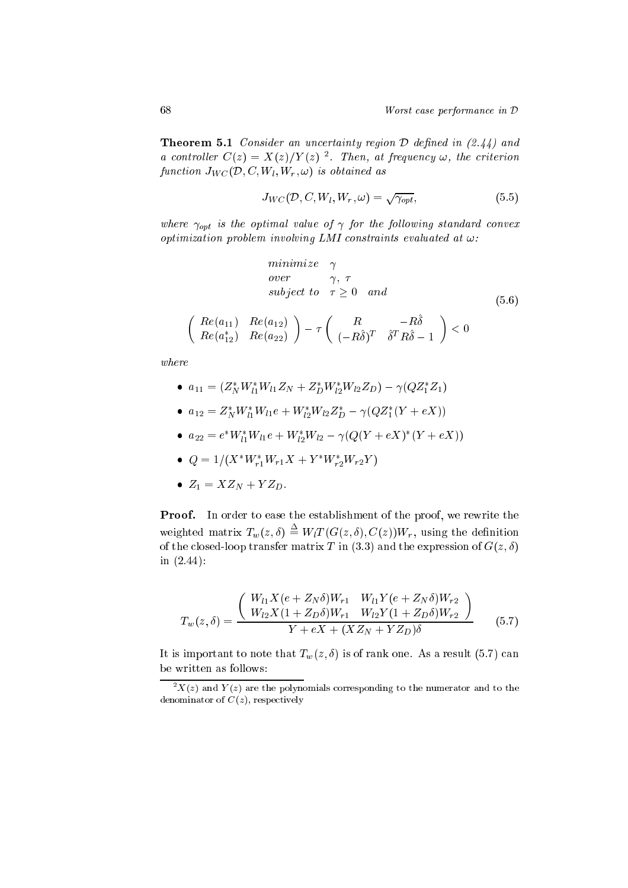**Theorem 5.1** Consider an uncertainty region  $D$  defined in (2.44) and a controller  $C(z) = X(z)/Y(z)^{2}$ . Then, at frequency  $\omega$ , the criterion function  $J_{WC}(\mathcal{D}, C, W_l, W_r, \omega)$  is obtained as

$$
J_{WC}(\mathcal{D}, C, W_l, W_r, \omega) = \sqrt{\gamma_{opt}}, \qquad (5.5)
$$

where  $\gamma_{opt}$  is the optimal value of  $\gamma$  for the following standard convex optimization problem involving LMI constraints evaluated at  $\omega$ :

$$
\begin{array}{ccc}\n\text{minimize} & \gamma \\
\text{over} & \gamma, \tau \\
\text{subject to} & \tau \ge 0 \quad \text{and} \\
\left( \begin{array}{cc} Re(a_{11}) & Re(a_{12}) \\ Re(a_{12}^*) & Re(a_{22}) \end{array} \right) - \tau \left( \begin{array}{cc} R & -R\hat{\delta} \\
(-R\hat{\delta})^T & \hat{\delta}^T R\hat{\delta} - 1 \end{array} \right) < 0\n\end{array} \tag{5.6}
$$

 $where$ 

• 
$$
a_{11} = (Z_N^* W_{l1}^* W_{l1} Z_N + Z_D^* W_{l2}^* W_{l2} Z_D) - \gamma (Q Z_1^* Z_1)
$$

- $a_{12} = Z_N^* W_{11}^* W_{11} e + W_{12}^* W_{12} Z_D^* \gamma (Q Z_1^* (Y + e X))$
- $a_{22} = e^* W_{11}^* W_{11} e + W_{12}^* W_{12} \gamma (Q(Y + eX)^* (Y + eX))$
- $Q = 1/(X^*W_{r1}^*W_{r1}X + Y^*W_{r2}^*W_{r2}Y)$
- $Z_1 = XZ_N + YZ_D$ .

**Proof.** In order to ease the establishment of the proof, we rewrite the weighted matrix  $T_w(z, \delta) \triangleq W_l T(G(z, \delta), C(z))W_r$ , using the definition of the closed-loop transfer matrix T in (3.3) and the expression of  $G(z,\delta)$ in  $(2.44)$ :

$$
T_w(z,\delta) = \frac{\left(\begin{array}{cc} W_{l1}X(e+Z_N\delta)W_{r1} & W_{l1}Y(e+Z_N\delta)W_{r2} \\ W_{l2}X(1+Z_D\delta)W_{r1} & W_{l2}Y(1+Z_D\delta)W_{r2} \end{array}\right)}{Y+eX+(XZ_N+YZ_D)\delta} \qquad (5.7)
$$

It is important to note that  $T_w(z, \delta)$  is of rank one. As a result (5.7) can be written as follows:

 $\sqrt[2]{2X(z)}$  and  $Y(z)$  are the polynomials corresponding to the numerator and to the denominator of  $C(z)$ , respectively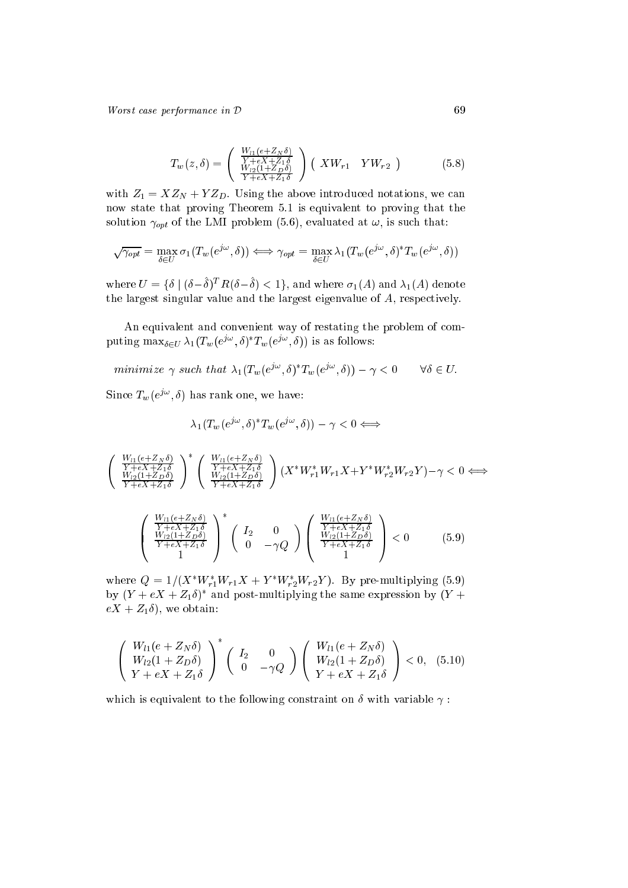Worst case performance in D

$$
T_w(z,\delta) = \begin{pmatrix} \frac{W_{11}(e+Z_N\delta)}{Y+eX+Z_1\delta} \\ \frac{W_{12}(1+Z_D\delta)}{Y+eX+Z_1\delta} \end{pmatrix} (XW_{r1} YW_{r2})
$$
(5.8)

with  $Z_1 = XZ_N + YZ_D$ . Using the above introduced notations, we can now state that proving Theorem 5.1 is equivalent to proving that the solution  $\gamma_{opt}$  of the LMI problem (5.6), evaluated at  $\omega$ , is such that:

$$
\sqrt{\gamma_{opt}} = \max_{\delta \in U} \sigma_1(T_w(e^{j\omega}, \delta)) \iff \gamma_{opt} = \max_{\delta \in U} \lambda_1(T_w(e^{j\omega}, \delta)^* T_w(e^{j\omega}, \delta))
$$

where  $U = {\delta | (\delta - \hat{\delta})^T R(\delta - \hat{\delta})} < 1$ , and where  $\sigma_1(A)$  and  $\lambda_1(A)$  denote the largest singular value and the largest eigenvalue of  $A$ , respectively.

An equivalent and convenient way of restating the problem of computing  $\max_{\delta \in U} \lambda_1(T_w(e^{j\omega}, \delta)^* T_w(e^{j\omega}, \delta))$  is as follows:

minimize  $\gamma$  such that  $\lambda_1(T_w(e^{j\omega}, \delta)^*T_w(e^{j\omega}, \delta)) - \gamma < 0$  $\forall \delta \in U.$ 

Since  $T_w(e^{j\omega}, \delta)$  has rank one, we have:

$$
\lambda_1(T_w(e^{j\omega},\delta)^*T_w(e^{j\omega},\delta)) - \gamma < 0 \Longleftrightarrow
$$

$$
\begin{pmatrix}\n\frac{W_{11}(e+Z_N\delta)}{Y+eX+Z_1\delta} \\
\frac{W_{12}(1+Z_D\delta)}{Y+eX+Z_1\delta}\n\end{pmatrix}^* \begin{pmatrix}\n\frac{W_{11}(e+Z_N\delta)}{Y+eX+Z_1\delta} \\
\frac{W_{12}(1+Z_D\delta)}{Y+eX+Z_1\delta}\n\end{pmatrix} (X^*W_{r1}^*W_{r1}X+Y^*W_{r2}^*W_{r2}Y) - \gamma < 0 \iff
$$
\n
$$
\begin{pmatrix}\n\frac{W_{11}(e+Z_N\delta)}{Y+eX+Z_1\delta} \\
\frac{W_{12}(1+Z_D\delta)}{Y+eX+Z_1\delta}\n\end{pmatrix}^* \begin{pmatrix}\nI_2 & 0 \\
0 & -\gamma Q\n\end{pmatrix} \begin{pmatrix}\n\frac{W_{11}(e+Z_N\delta)}{Y+eX+Z_1\delta} \\
\frac{W_{12}(1+Z_D\delta)}{Y+eX+Z_1\delta}\n\end{pmatrix} < 0 \tag{5.9}
$$

where  $Q = 1/(X^*W_{r1}^*W_{r1}X + Y^*W_{r2}^*W_{r2}Y)$ . By pre-multiplying (5.9) by  $(Y + eX + Z_1\delta)^*$  and post-multiplying the same expression by  $(Y +$  $eX + Z_1\delta$ , we obtain:

$$
\begin{pmatrix} W_{l1}(e+Z_N\delta) \\ W_{l2}(1+Z_D\delta) \\ Y+eX+Z_1\delta \end{pmatrix}^* \begin{pmatrix} I_2 & 0 \\ 0 & -\gamma Q \end{pmatrix} \begin{pmatrix} W_{l1}(e+Z_N\delta) \\ W_{l2}(1+Z_D\delta) \\ Y+eX+Z_1\delta \end{pmatrix} < 0, (5.10)
$$

which is equivalent to the following constraint on  $\delta$  with variable  $\gamma$ :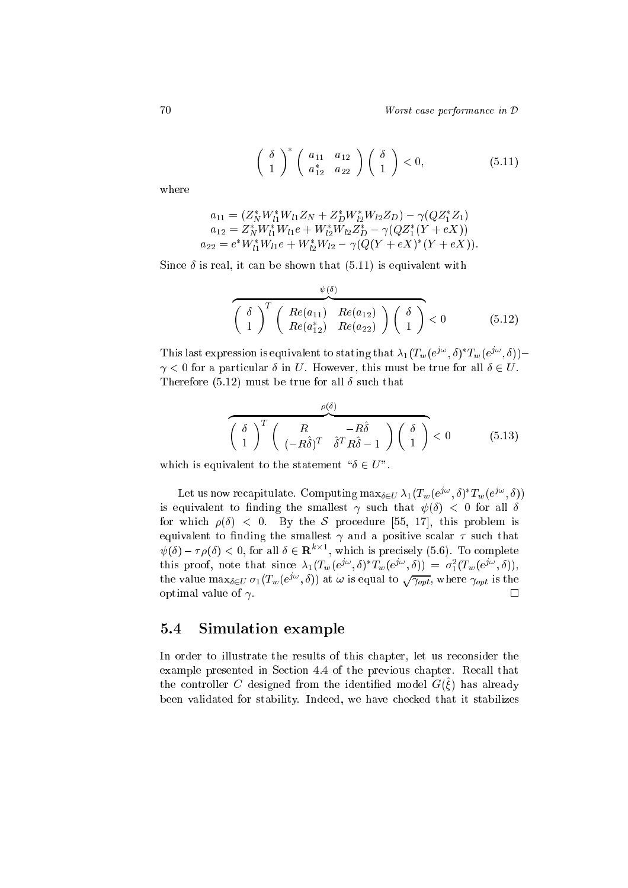$\begin{pmatrix} \delta \\ 1 \end{pmatrix}^* \begin{pmatrix} a_{11} & a_{12} \\ a_{12}^* & a_{22} \end{pmatrix} \begin{pmatrix} \delta \\ 1 \end{pmatrix} < 0,$  $(5.11)$ 

where

$$
a_{11} = (Z_N^* W_{l1}^* W_{l1} Z_N + Z_D^* W_{l2}^* W_{l2} Z_D) - \gamma (Q Z_1^* Z_1)
$$
  
\n
$$
a_{12} = Z_N^* W_{l1}^* W_{l1} e + W_{l2}^* W_{l2} Z_D^* - \gamma (Q Z_1^* (Y + e X))
$$
  
\n
$$
a_{22} = e^* W_{l1}^* W_{l1} e + W_{l2}^* W_{l2} - \gamma (Q(Y + e X)^* (Y + e X)).
$$

Since  $\delta$  is real, it can be shown that (5.11) is equivalent with

$$
\frac{\psi(\delta)}{\left(\begin{array}{c}\delta\\1\end{array}\right)^T \left(\begin{array}{c} Re(a_{11}) & Re(a_{12})\\Re(a_{12}^*) & Re(a_{22})\end{array}\right) \left(\begin{array}{c}\delta\\1\end{array}\right)} < 0 \tag{5.12}
$$

This last expression is equivalent to stating that  $\lambda_1(T_w(e^{j\omega}, \delta)^*T_w(e^{j\omega}, \delta))$  $\gamma$  < 0 for a particular  $\delta$  in U. However, this must be true for all  $\delta \in U$ . Therefore (5.12) must be true for all  $\delta$  such that

$$
\frac{\rho(\delta)}{\left(\begin{array}{c}\delta\\1\end{array}\right)^T \left(\begin{array}{cc}R & -R\hat{\delta} \\ (-R\hat{\delta})^T & \hat{\delta}^T R\hat{\delta}-1\end{array}\right) \left(\begin{array}{c}\delta\\1\end{array}\right)} < 0 \tag{5.13}
$$

which is equivalent to the statement " $\delta \in U$ ".

Let us now recapitulate. Computing  $\max_{\delta \in U} \lambda_1(T_w(e^{j\omega}, \delta)^* T_w(e^{j\omega}, \delta))$ is equivalent to finding the smallest  $\gamma$  such that  $\psi(\delta)$  < 0 for all  $\delta$ for which  $\rho(\delta)$  < 0. By the S procedure [55, 17], this problem is equivalent to finding the smallest  $\gamma$  and a positive scalar  $\tau$  such that  $\psi(\delta) - \tau \rho(\delta) < 0$ , for all  $\delta \in \mathbf{R}^{k \times 1}$ , which is precisely (5.6). To complete this proof, note that since  $\lambda_1(T_w(e^{j\omega},\delta)^*T_w(e^{j\omega},\delta)) = \sigma_1^2(T_w(e^{j\omega},\delta)),$ the value  $\max_{\delta \in U} \sigma_1(T_w(e^{j\omega}, \delta))$  at  $\omega$  is equal to  $\sqrt{\gamma_{opt}}$ , where  $\gamma_{opt}$  is the optimal value of  $\gamma$ .  $\Box$ 

#### $5.4$ Simulation example

In order to illustrate the results of this chapter, let us reconsider the example presented in Section 4.4 of the previous chapter. Recall that the controller C designed from the identified model  $G(\xi)$  has already been validated for stability. Indeed, we have checked that it stabilizes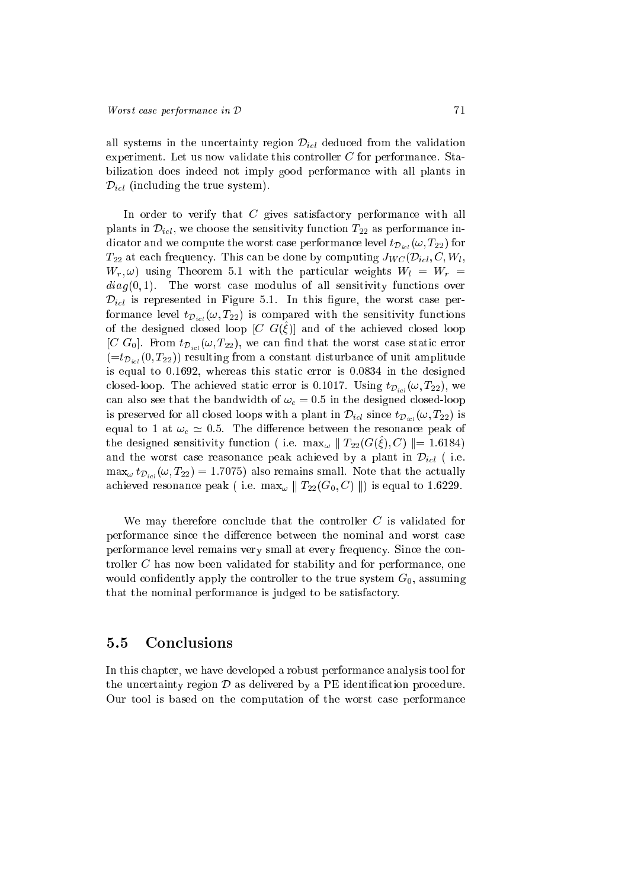all systems in the uncertainty region  $\mathcal{D}_{icl}$  deduced from the validation experiment. Let us now validate this controller  $C$  for performance. Stabilization does indeed not imply good performan
e with all plants in  $\mathcal{D}_{icl}$  (including the true system).

In order to verify that C gives satisfactory performance with all plants in  $\mathcal{D}_{icl}$ , we choose the sensitivity function  $T_{22}$  as performance indicator and we compute the worst case performance level  $t_{\mathcal{D}_{rel}}(\omega, T_{22})$  for w. This is a frequency of the domestic and the domestic group of the computing of  $\mathcal{W}$  . Control is a finite  $W_r, \omega$ ) using Theorem 5.1 with the particular weights  $W_l = W_r$  $diag(0, 1)$ . The worst case modulus of all sensitivity functions over  $\mathcal{D}_{icl}$  is represented in Figure 5.1. In this figure, the worst case performance level  $t_{\mathcal{D}_{rel}}(\omega, T_{22})$  is compared with the sensitivity functions of the designed closed loop  $|C|$   $G(\zeta)|$  and of the addressed closed loop [C G<sub>0</sub>]. From  $t_{\mathcal{D}_{rel}}(\omega, T_{22})$ , we can find that the worst case static error  $(=t_{\mathcal{D}_{rel}}(0,T_{22}))$  resulting from a constant disturbance of unit amplitude is equal to 0.1692, whereas this stati error is 0.0834 in the designed closed-loop. The achieved static error is 0.1017. Using  $t_{\mathcal{D}_{rel}}(\omega, T_{22})$ , we can also see that the bandwidth of  $\omega_c = 0.5$  in the designed closed-loop is preserved for all closed loops with a plant in  $\mathcal{D}_{icl}$  since  $t_{\mathcal{D}_{icl}}(\omega, T_{22})$  is equal to 1 at  $\omega_c \simeq 0.5$ . The difference between the resonance peak of the designed sensitivity function ( i.e.  $\max_{\omega}$  ||  $T_{22}(\mathbf{G}(\zeta), \mathbf{C})$  ||- 1.0184) and the worst case reasonance peak achieved by a plant in  $\mathcal{D}_{icl}$  (i.e.  $\max_{\omega} t_{\mathcal{D}_{icl}}(\omega, T_{22}) = 1.7075$  also remains small. Note that the actually achieved resonance peak (i.e.  $\max_{\omega} \| T_{22}(G_0, C) \|$ ) is equal to 1.6229.

We may therefore conclude that the controller  $C$  is validated for performance since the difference between the nominal and worst case performance level remains very small at every frequency. Since the controller C has now been validated for stability and for performan
e, one would confidently apply the controller to the true system  $G_0$ , assuming that the nominal performan
e is judged to be satisfa
tory.

#### 5.5 Con
lusions

In this chapter, we have developed a robust performance analysis tool for the uncertainty region  $D$  as delivered by a PE identification procedure. Our tool is based on the computation of the worst case performance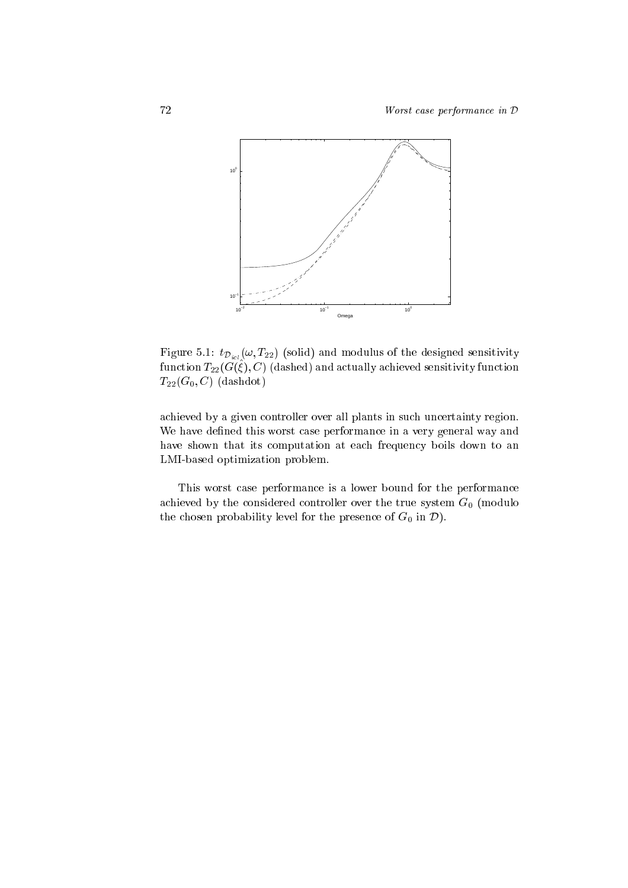

Figure 5.1:  $t_{\mathcal{D}_{\text{rel}}}(\omega, T_{22})$  (solid) and modulus of the designed sensitivity  $\limsup$   $T_2(\mathbf{G}(\zeta), \mathbf{C})$  (dashed) and actually achieved sensitivity function  $T_{22}(G_0, C)$  (dashdot)

a
hieved by a given ontroller over all plants in su
h un
ertainty region. We have defined this worst case performance in a very general way and have shown that its computation at each frequency boils down to an LMI-based optimization problem.

This worst case performance is a lower bound for the performance and the true system  $\mathcal{O}$  on the true system G0 (modulo system G0 (modulo system G0 (modulo system G0 (modulo system) the hosen probability level for the presen
e of G0 in D).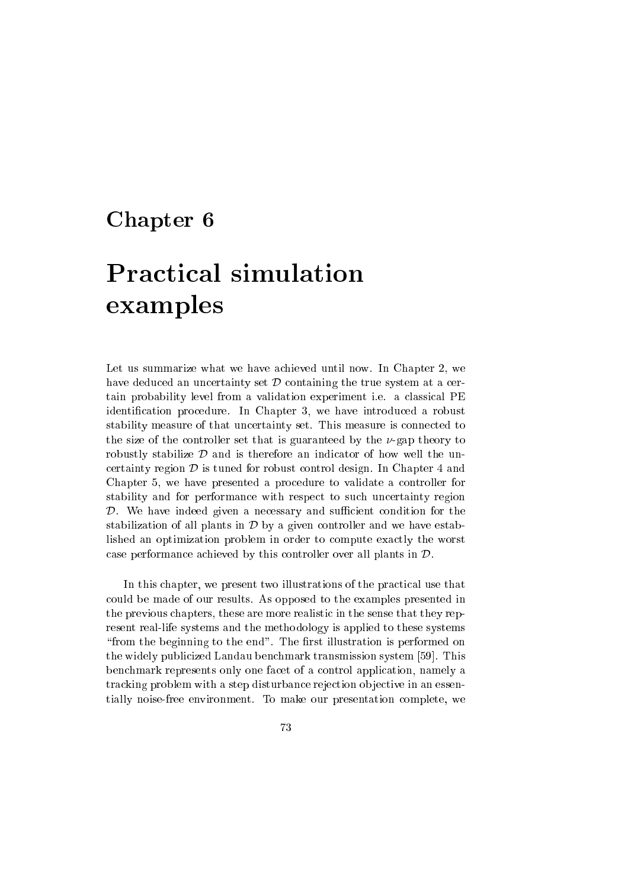## Chapter 6

# Practical simulation examples

Let us summarize what we have achieved until now. In Chapter 2, we have deduced an uncertainty set  $\mathcal D$  containing the true system at a certain probability level from a validation experiment i.e. a lassi
al PE identification procedure. In Chapter 3, we have introduced a robust stability measure of that uncertainty set. This measure is connected to the size of the controller set that is guaranteed by the  $\nu$ -gap theory to robustly stabilize  $D$  and is therefore an indicator of how well the uncertainty region  $\mathcal D$  is tuned for robust control design. In Chapter 4 and Chapter 5, we have presented a pro
edure to validate a ontroller for stability and for performance with respect to such uncertainty region  $\mathcal{D}$ . We have indeed given a necessary and sufficient condition for the stabilization of all plants in  $\mathcal D$  by a given controller and we have established an optimization problem in order to compute exactly the worst ase performan
e a
hieved by this ontroller over all plants in D.

In this chapter, we present two illustrations of the practical use that ould be made of our results. As opposed to the examples presented in the previous hapters, these are more realisti in the sense that they represent real-life systems and the methodology is applied to these systems "from the beginning to the end". The first illustration is performed on the widely publicized Landau benchmark transmission system [59]. This benchmark represents only one facet of a control application, namely a tracking problem with a step disturbance rejection objective in an essentially noise-free environment. To make our presentation omplete, we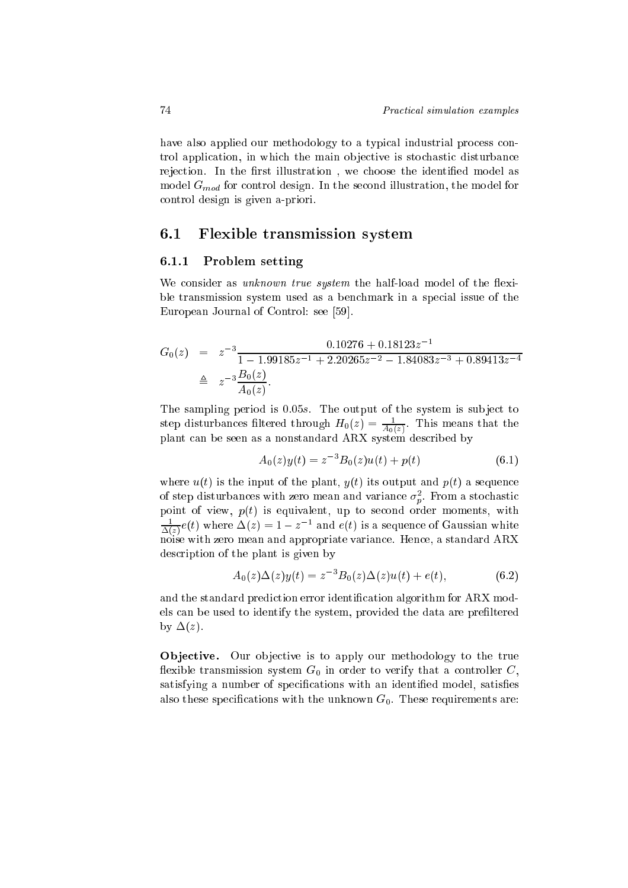have also applied our methodology to a typical industrial process control application, in which the main objective is stochastic disturbance rejection. In the first illustration, we choose the identified model as model  $G_{mod}$  for control design. In the second illustration, the model for control design is given a-priori.

#### $6.1$ **Flexible transmission system**

#### $6.1.1$ Problem setting

We consider as *unknown true system* the half-load model of the flexible transmission system used as a benchmark in a special issue of the European Journal of Control: see [59].

$$
G_0(z) = z^{-3} \frac{0.10276 + 0.18123z^{-1}}{1 - 1.99185z^{-1} + 2.20265z^{-2} - 1.84083z^{-3} + 0.89413z^{-4}}
$$
  

$$
\triangleq z^{-3} \frac{B_0(z)}{A_0(z)}.
$$

The sampling period is 0.05s. The output of the system is subject to step disturbances filtered through  $H_0(z) = \frac{1}{A_0(z)}$ . This means that the plant can be seen as a nonstandard ARX system described by

$$
A_0(z)y(t) = z^{-3}B_0(z)u(t) + p(t)
$$
\n(6.1)

where  $u(t)$  is the input of the plant,  $y(t)$  its output and  $p(t)$  a sequence of step disturbances with zero mean and variance  $\sigma_p^2$ . From a stochastic point of view,  $p(t)$  is equivalent, up to second order moments, with  $\frac{1}{\Delta(z)}e(t)$  where  $\Delta(z) = 1 - z^{-1}$  and  $e(t)$  is a sequence of Gaussian white noise with zero mean and appropriate variance. Hence, a standard ARX description of the plant is given by

$$
A_0(z)\Delta(z)y(t) = z^{-3}B_0(z)\Delta(z)u(t) + e(t), \qquad (6.2)
$$

and the standard prediction error identification algorithm for ARX models can be used to identify the system, provided the data are prefiltered by  $\Delta(z)$ .

**Objective.** Our objective is to apply our methodology to the true flexible transmission system  $G_0$  in order to verify that a controller C, satisfying a number of specifications with an identified model, satisfies also these specifications with the unknown  $G_0$ . These requirements are: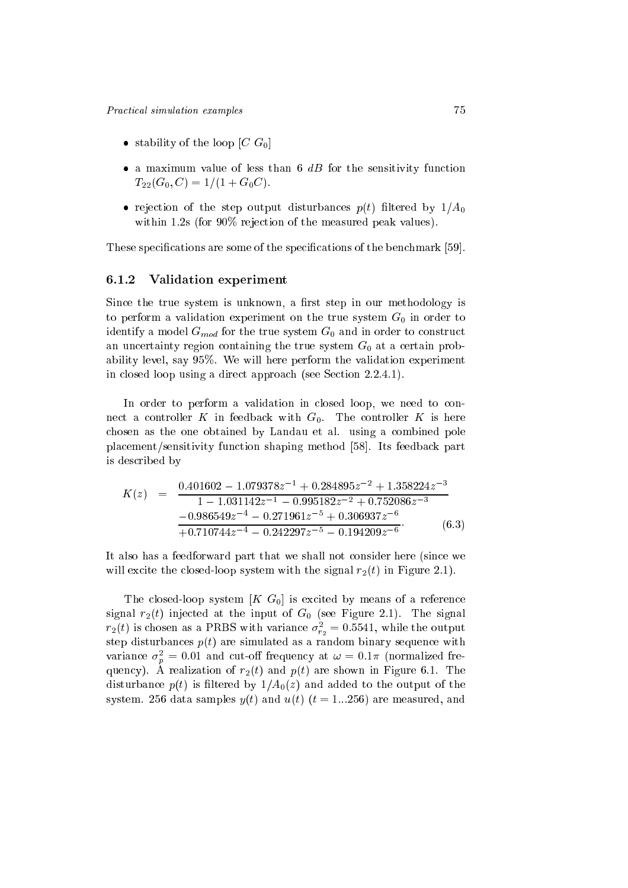- stability of the loop  $\mathbb{R}^n$  and  $\mathbb{C}^n$
- a maximum value of less thank 6 dB for the sensitivity function  $T_{22}(G_0, C) = 1/(1 + G_0C).$
- reje
tion of the step output disturban
es p(t) ltered by 1=A0within 1.2s (for 90% rejection of the measured peak values).

These specifications are some of the specifications of the benchmark [59].

#### 6.1.2 Validation experiment

Since the true system is unknown, a first step in our methodology is to perform a validation experiment on the true system  $\mathcal{A}$ identify a model  $G_{mod}$  for the true system  $G_0$  and in order to construct an undertainty region containing the true system G0 at a containing probability level, say 95%. We will here perform the validation experiment in closed loop using a direct approach (see Section 2.2.4.1).

In order to perform a validation in closed loop, we need to connect a controller K in feedback with  $G_0$ . The controller K is here hosen as the one obtained by Landau et al. using a ombined pole placement/sensitivity function shaping method [58]. Its feedback part is des
ribed by

$$
K(z) = \frac{0.401602 - 1.079378z^{-1} + 0.284895z^{-2} + 1.358224z^{-3}}{1 - 1.031142z^{-1} - 0.995182z^{-2} + 0.752086z^{-3}} - \frac{-0.986549z^{-4} - 0.271961z^{-5} + 0.306937z^{-6}}{+0.710744z^{-4} - 0.242297z^{-5} - 0.194209z^{-6}}.
$$
(6.3)

It also has a feedforward part that we shall not onsider here (sin
e we will excite the closed-loop system with the signal  $r_2(t)$  in Figure 2.1).

The closed-loop system [K  $G_0$ ] is excited by means of a reference signal r2(t) injeted at the input of SU (see Figure 2.1). The signal  $r_2(t)$  is chosen as a PRBS with variance  $\sigma_{r_2}^{\ast}=$  0.5541, while the output step disturbances  $p(t)$  are simulated as a random binary sequence with variance  $\sigma_p^2 = 0.01$  and cut-off frequency at  $\omega = 0.1\pi$  (normalized frequency). A realization of  $r_2(t)$  and  $p(t)$  are shown in Figure 6.1. The e polynomials and added to the output of the output of the output of the output of the output of the output of the output of the output of the output of the output of the output of the output of the output of the output o system. 256 data samples  $y(t)$  and  $u(t)$  ( $t = 1...256$ ) are measured, and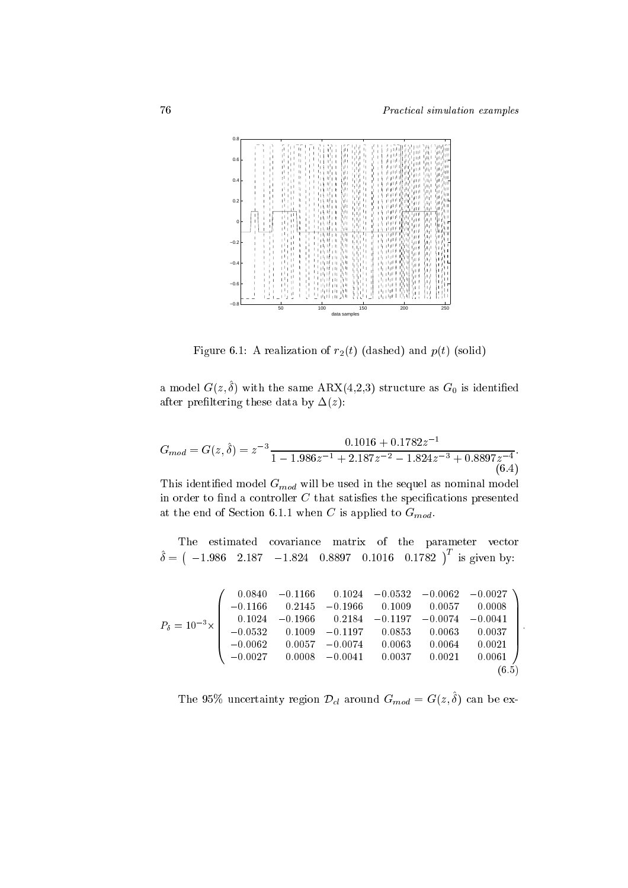

Figure 6.1: A realization of  $r_2(t)$  (dashed) and  $p(t)$  (solid)

a model  $G(z, \hat{\delta})$  with the same ARX(4,2,3) structure as  $G_0$  is identified after prefiltering these data by  $\Delta(z)$ :

$$
G_{mod} = G(z, \hat{\delta}) = z^{-3} \frac{0.1016 + 0.1782z^{-1}}{1 - 1.986z^{-1} + 2.187z^{-2} - 1.824z^{-3} + 0.8897z^{-4}}.
$$
\n
$$
(6.4)
$$

This identified model  $G_{mod}$  will be used in the sequel as nominal model in order to find a controller  $C$  that satisfies the specifications presented at the end of Section 6.1.1 when C is applied to  $G_{mod}$ .

The estimated covariance matrix of the parameter vector  $\hat{\delta} = (-1.986 \quad 2.187 \quad -1.824 \quad 0.8897 \quad 0.1016 \quad 0.1782)^T$  is given by:

|                                                                                                                                                                               |  |                                                         |  | $($ 0.0840 -0.1166 0.1024 -0.0532 -0.0062 -0.0027                                                                                                              |
|-------------------------------------------------------------------------------------------------------------------------------------------------------------------------------|--|---------------------------------------------------------|--|----------------------------------------------------------------------------------------------------------------------------------------------------------------|
| $P_{\delta} = 10^{-3} \times \begin{bmatrix} 0.1024 & -0.1966 & 0.2184 & -0.1197 & -0.0074 & -0.0041 \\ 0.0522 & 0.1002 & 0.1002 & 0.01197 & -0.0074 & -0.0041 \end{bmatrix}$ |  |                                                         |  | $-0.1166$ $0.2145$ $-0.1966$ $0.1009$ $0.0057$ $0.0008$                                                                                                        |
|                                                                                                                                                                               |  |                                                         |  |                                                                                                                                                                |
|                                                                                                                                                                               |  | $-0.0532$ $0.1009$ $-0.1197$ $0.0853$ $0.0063$ $0.0037$ |  |                                                                                                                                                                |
|                                                                                                                                                                               |  |                                                         |  | $\left( \begin{array}{ccc} -0.0062 & 0.0057 & -0.0074 & 0.0063 & 0.0064 & 0.0021 \\ -0.0027 & 0.0008 & -0.0041 & 0.0037 & 0.0021 & 0.0061 \end{array} \right)$ |
|                                                                                                                                                                               |  |                                                         |  |                                                                                                                                                                |
|                                                                                                                                                                               |  |                                                         |  | (6.5)                                                                                                                                                          |

The 95% uncertainty region  $\mathcal{D}_{cl}$  around  $G_{mod} = G(z, \hat{\delta})$  can be ex-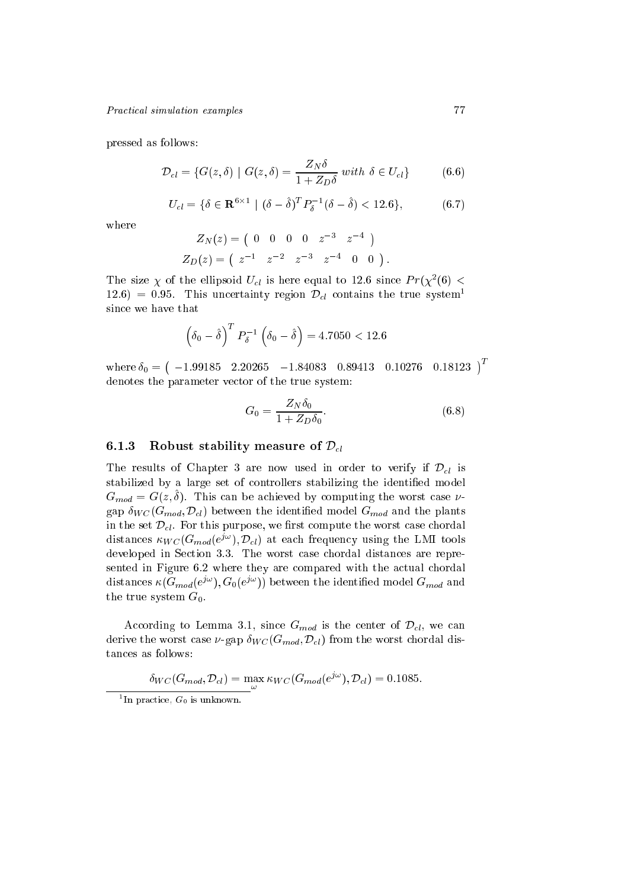Practical simulation examples 77

pressed as follows:

$$
\mathcal{D}_{cl} = \{ G(z, \delta) \mid G(z, \delta) = \frac{Z_N \delta}{1 + Z_D \delta} \text{ with } \delta \in U_{cl} \}
$$
 (6.6)

$$
U_{cl} = \{ \delta \in \mathbf{R}^{6 \times 1} \mid (\delta - \hat{\delta})^T P_{\delta}^{-1} (\delta - \hat{\delta}) < 12.6 \},\tag{6.7}
$$

where

$$
Z_N(z) = \begin{pmatrix} 0 & 0 & 0 & 0 & z^{-3} & z^{-4} \end{pmatrix}
$$
  
\n
$$
Z_D(z) = \begin{pmatrix} z^{-1} & z^{-2} & z^{-3} & z^{-4} & 0 & 0 \end{pmatrix}.
$$

The size  $\chi$  of the empsoid  $U_{cl}$  is here equal to 12.6 since  $Pr(\chi^{-}(0) \leq$ 12.6) = 0.95. This uncertainty region  $\mathcal{D}_{cl}$  contains the true system<sup>1</sup> sin
e we have that

$$
\left(\delta_0 - \hat{\delta}\right)^T P_{\delta}^{-1} \left(\delta_0 - \hat{\delta}\right) = 4.7050 < 12.6
$$

where  $\mathbf{W}$  and  $\mathbf{W}$  $($  -1.99185 2.20265 -1.84083 0.89413 0.10276 0.18123  $)^T$ denotes the parameter vector of the true system:

$$
G_0 = \frac{Z_N \delta_0}{1 + Z_D \delta_0}.\tag{6.8}
$$

#### 6.1.3 Robust stability measure of  $\mathcal{D}_{cl}$

The results of Chapter 3 are now used in order to verify if  $\mathcal{D}_{cl}$  is stabilized by a large set of controllers stabilizing the identified model  $G_{mod} = G(z, \sigma)$ . This can be achieved by computing the worst case  $\nu$ gap  $\delta_{WC}(G_{mod}, \mathcal{D}_{cl})$  between the identified model  $G_{mod}$  and the plants in the set  $\mathcal{D}_{cl}$ . For this purpose, we first compute the worst case chordal distances  $\kappa_{WC}(\mathrm{G}_{mod}(e^{\flat}-),\nu_{cl})$  at each frequency using the LIMI tools developed in Section 3.3. The worst case chordal distances are represented in Figure 6.2 where they are compared with the actual chordal distances  $\kappa$ ( $\sigma_{mod}$ ( $e$ )"  $\sigma_{0}$ ( $e$ )"  $\mu$ ) between the identified model  $\sigma_{mod}$  and the true system  $G_0$ .

According to Lemma 3.1, since  $G_{mod}$  is the center of  $\mathcal{D}_{cl}$ , we can derive the worst case  $\nu$ -gap  $\delta_{WC}(G_{mod}, \mathcal{D}_{cl})$  from the worst chordal distan
es as follows:

 $\omega_{WC}(\text{G}_{mod}, D_{cl}) = \max_{\omega} \kappa_{WC}(\text{G}_{mod}(e^{j\omega}), D_{cl}) = 0.1085.$ 

In practice, G<sub>0</sub> is unknown.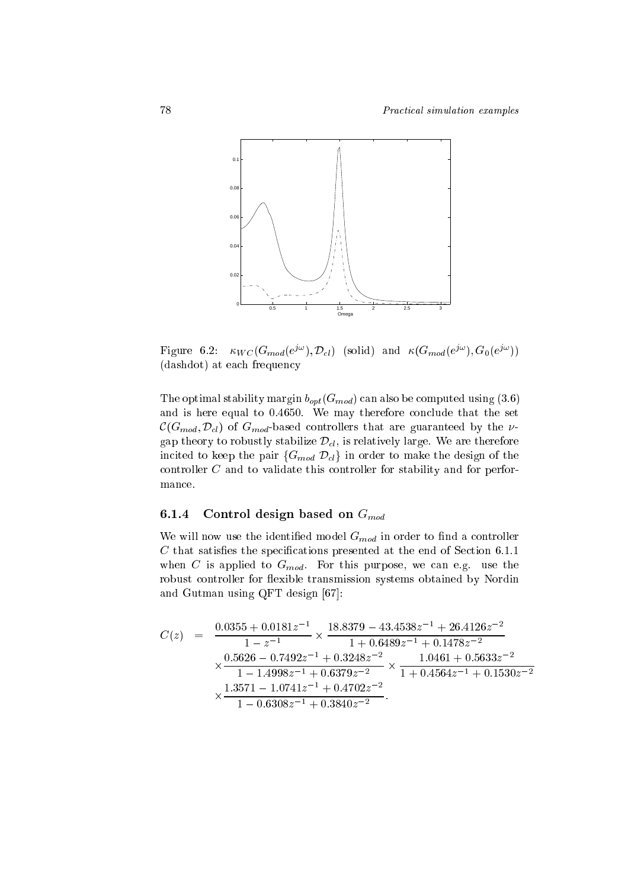

rigure 0.2:  $K_{WC}(\text{G}_{mod}(e^s)), \nu_{cl})$  (solid) and  $K(\text{G}_{mod}(e^s)), \text{G}(e^s)$ ) (dashdot) at ea
h frequen
y

The optimal stability margin  $b_{opt}(G_{mod})$  can also be computed using (3.6) and is here equal to 0.4650. We may therefore on
lude that the set  $\mathcal{C}(G_{mod}, \mathcal{D}_{cl})$  of  $G_{mod}$ -based controllers that are guaranteed by the  $\nu$ gap theory to robustly stabilize  $\mathcal{D}_{cl}$ , is relatively large. We are therefore incited to keep the pair  ${G_{mod} \mathcal{D}_{cl}}$  in order to make the design of the ontroller C and to validate this ontroller for stability and for performan
e.

#### 6.1.4 Control design based on  $G_{mod}$

We will now use the identified model  $G_{mod}$  in order to find a controller  $C$  that satisfies the specifications presented at the end of Section 6.1.1 when C is applied to  $G_{mod}$ . For this purpose, we can e.g. use the robust controller for flexible transmission systems obtained by Nordin and Gutman using QFT design  $[67]$ :

$$
C(z) = \frac{0.0355 + 0.0181z^{-1}}{1 - z^{-1}} \times \frac{18.8379 - 43.4538z^{-1} + 26.4126z^{-2}}{1 + 0.6489z^{-1} + 0.1478z^{-2}} \times \frac{0.5626 - 0.7492z^{-1} + 0.3248z^{-2}}{1 - 1.4998z^{-1} + 0.6379z^{-2}} \times \frac{1.0461 + 0.5633z^{-2}}{1 + 0.4564z^{-1} + 0.1530z^{-2}} \times \frac{1.3571 - 1.0741z^{-1} + 0.4702z^{-2}}{1 - 0.6308z^{-1} + 0.3840z^{-2}}.
$$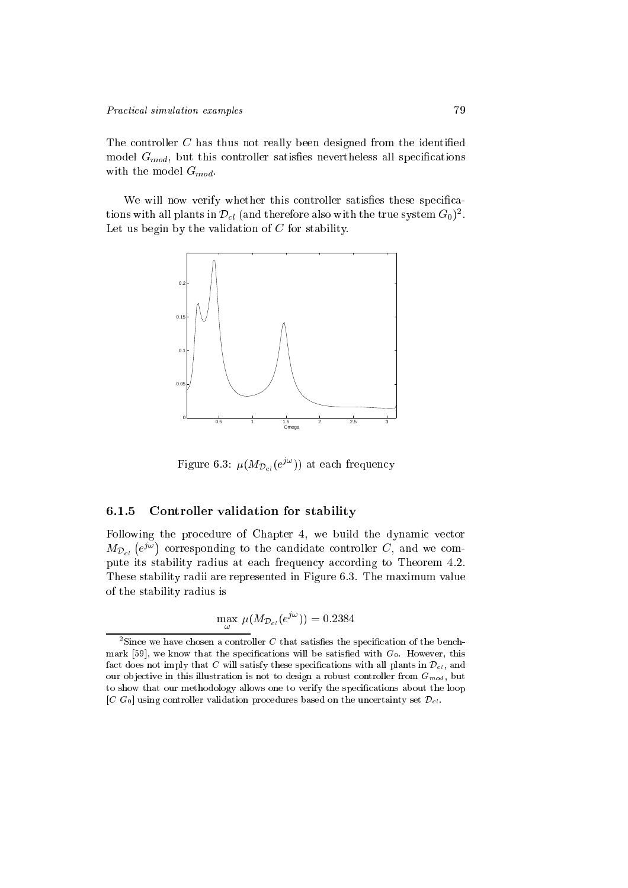The controller C has thus not really been designed from the identified model  $G_{mod}$ , but this controller satisfies nevertheless all specifications with the model  $G_{mod}$ .

We will now verify whether this controller satisfies these specifications with all plants in  $\nu_{cl}$  (and therefore also with the true system  $\mathrm{G}_0$ )". Let us begin by the validation of  $C$  for stability.



r igure 0.3:  $\mu(w_{\mathcal{D}_{cl}}(e^y \mid))$  at each frequency

#### 6.1.5 Controller validation for stability

Following the procedure of Chapter 4, we build the dynamic vector  $M_{\mathcal{D}_{cl}}(e^{j\omega})$  corresponding to the candidate controller C, and we compute its stability radius at each frequency according to Theorem 4.2. These stability radii are represented in Figure 6.3. The maximum value of the stability radius is

$$
\max_{\omega} \mu(M_{\mathcal{D}_{cl}}(e^{j\omega})) = 0.2384
$$

<sup>-</sup>Since we have chosen a controller  $\rm{C}$  that satisfies the specification of the benchmark [59], we know that the specifications will be satisfied with  $G_0$ . However, this fact does not imply that C will satisfy these specifications with all plants in  $\mathcal{D}_{cl}$ , and our objective in this illustration is not to design a robust controller from  $G_{mod}$ , but to show that our methodology allows one to verify the specifications about the loop [C G<sub>0</sub>] using controller validation procedures based on the uncertainty set  $\mathcal{D}_{cl}$ .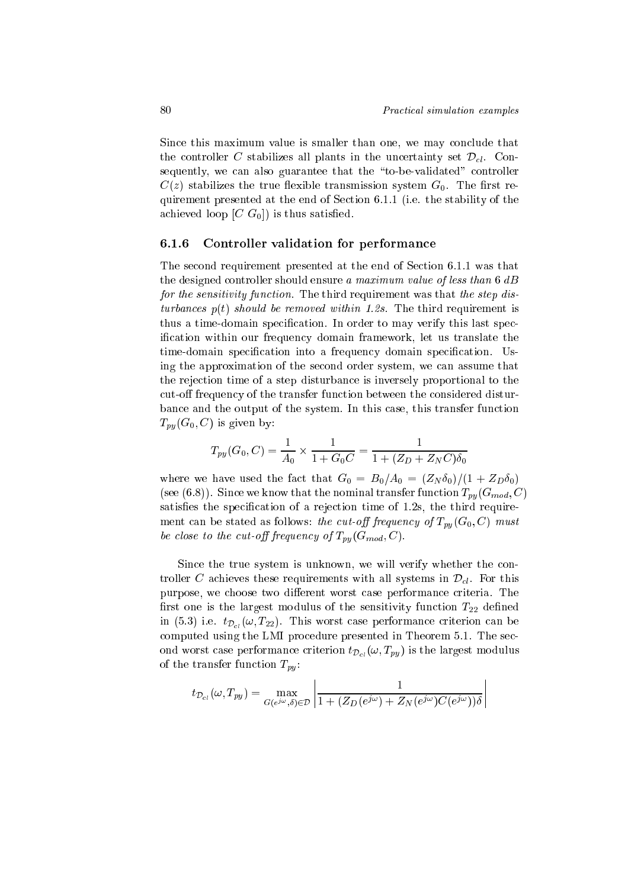Sin
e this maximum value is smaller than one, we may on
lude that the controller C stabilizes all plants in the uncertainty set  $\mathcal{D}_{cl}$ . Consequently, we can also guarantee that the "to-be-validated" controller  $C(z)$  stabilizes the true flexible transmission system  $G_0$ . The first requirement presented at the end of Section 6.1.1 (i.e. the stability of the achieved loop  $[C G_0]$  is thus satisfied.

#### 6.1.6 Controller validation for performan
e

The second requirement presented at the end of Section 6.1.1 was that the designed controller should ensure a maximum value of less than 6 dB for the sensitivity function. The third requirement was that the step disturbances  $p(t)$  should be removed within 1.2s. The third requirement is thus a time-domain specification. In order to may verify this last specification within our frequency domain framework, let us translate the time-domain specification into a frequency domain specification. Using the approximation of the second order system, we can assume that the reje
tion time of a step disturban
e is inversely proportional to the cut-off frequency of the transfer function between the considered disturbance and the output of the system. In this case, this transfer function  $T_{py}(G_0, C)$  is given by:

$$
T_{py}(G_0, C) = \frac{1}{A_0} \times \frac{1}{1 + G_0 C} = \frac{1}{1 + (Z_D + Z_N C)\delta_0}
$$

where we have the fact that  $\omega_0$  =  $\omega_1$  =  $\omega$  =  $\omega$  =  $\omega$  =  $\omega$  =  $\omega$ (see (6.8)). Since we know that the nominal transfer function  $T_{\text{pv}}(G_{\text{mod}}, C)$ satisfies the specification of a rejection time of 1.2s, the third requirement can be stated as follows: the cut-off frequency of  $T_{py}(G_0, C)$  must be close to the cut-off frequency of  $T_{\text{pv}}(G_{\text{mod}}, C)$ .

Since the true system is unknown, we will verify whether the controller C achieves these requirements with all systems in  $\mathcal{D}_{cl}$ . For this purpose, we choose two different worst case performance criteria. The rst one is the largest modulus of the sensitivity function  $\mathcal{L}_2$  defined in in (5.3) i.e.  $t_{\mathcal{D}_{cl}}(\omega, T_{22})$ . This worst case performance criterion can be computed using the LMI procedure presented in Theorem 5.1. The second worst case performance criterion  $t_{\mathcal{D}_{cl}}(\omega, T_{py})$  is the largest modulus of the transfer function  $T_{py}$ :

$$
t_{\mathcal{D}_{cl}}(\omega, T_{py}) = \max_{G(e^{j\omega}, \delta) \in \mathcal{D}} \left| \frac{1}{1 + (Z_D(e^{j\omega}) + Z_N(e^{j\omega}))C(e^{j\omega}))\delta} \right|
$$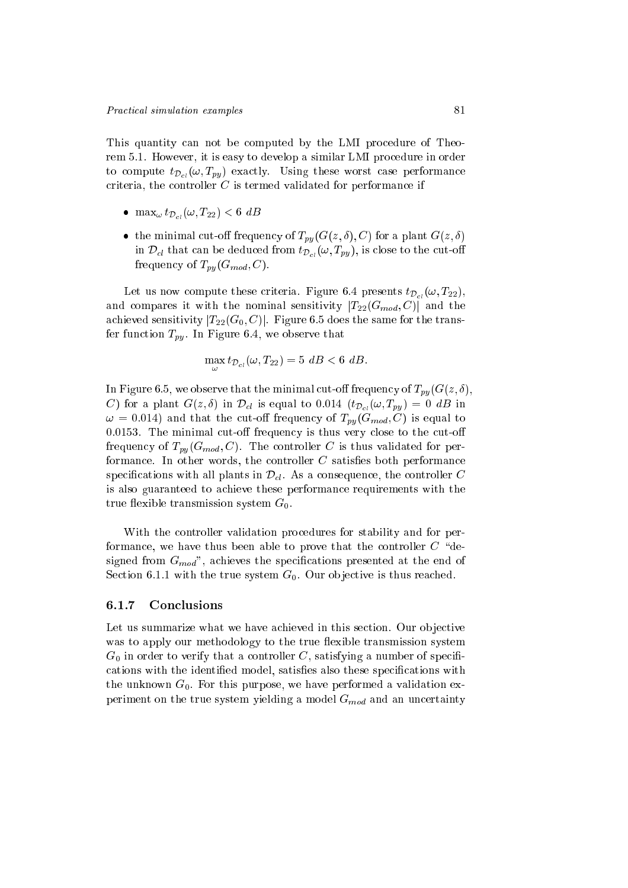This quantity an not be omputed by the LMI pro
edure of Theorem 5.1. However, it is easy to develop a similar LMI procedure in order to compute  $t_{\mathcal{D}_{cl}}(\omega, T_{py})$  exactly. Using these worst case performance criteria, the controller  $C$  is termed validated for performance if

- $\mu_{cl}$  (...)  $\mu_{22}$  , ...
- the minimum case  $\alpha$  for a plant  $\alpha$  for a plant  $\alpha$  (c) for a plant  $\alpha$  for a plant  $\alpha$  (z;  $\alpha$ ;  $\beta$ in  $\mathcal{D}_{cl}$  that can be deduced from  $t_{\mathcal{D}_{cl}}(\omega, T_{\nu\nu})$ , is close to the cut-off frequency of  $T_{pq}(G_{mod}, C)$ .

Let us now compute these criteria. Figure 6.4 presents  $t_{\mathcal{D}_{cl}}(\omega, T_{22})$ , and compares it with the nominal sensitivity  $|T_{22}(G_{mod}, C)|$  and the achieved sensitivity  $|T_{22}(G_0, C)|$ . Figure 6.5 does the same for the transfer function  $T_{py}$ . In Figure 6.4, we observe that

$$
\max_{\omega} t_{\mathcal{D}_{cl}}(\omega, T_{22}) = 5 \, dB < 6 \, dB.
$$

In Figure 6.5, we observe that the minimal cut-off frequency of  $T_{\text{pv}}(G(z, \delta))$ . C) for a plant  $G(z, \delta)$  in  $\mathcal{D}_{cl}$  is equal to 0.014  $(t_{\mathcal{D}_{cl}}(\omega, T_{py}) = 0$  dB in  $\omega = 0.014$ ) and that the cut-off frequency of  $T_{py}(G_{mod}, C)$  is equal to  $0.0153$ . The minimal cut-off frequency is thus very close to the cut-off frequency of  $T_{pq}(G_{mod}, C)$ . The controller C is thus validated for performance. In other words, the controller  $C$  satisfies both performance specifications with all plants in  $\mathcal{D}_{cl}$ . As a consequence, the controller C is also guaranteed to a
hieve these performan
e requirements with the true flexible transmission system  $G_0$ .

With the controller validation procedures for stability and for performance, we have thus been able to prove that the controller  $C$  "designed from  $G_{mod}$ ", achieves the specifications presented at the end of Section 6.1.1 with the true system  $G_0$ . Our objective is thus reached.

#### 6.1.7 Con
lusions

Let us summarize what we have achieved in this section. Our objective was to apply our methodology to the true flexible transmission system and the control to vertex that a number of the special  $\lambda$  in the special special control to the special special cations with the identified model, satisfies also these specifications with the unknown  $G_0$ . For this purpose, we have performed a validation experiment on the true system yielding a model  $G_{mod}$  and an uncertainty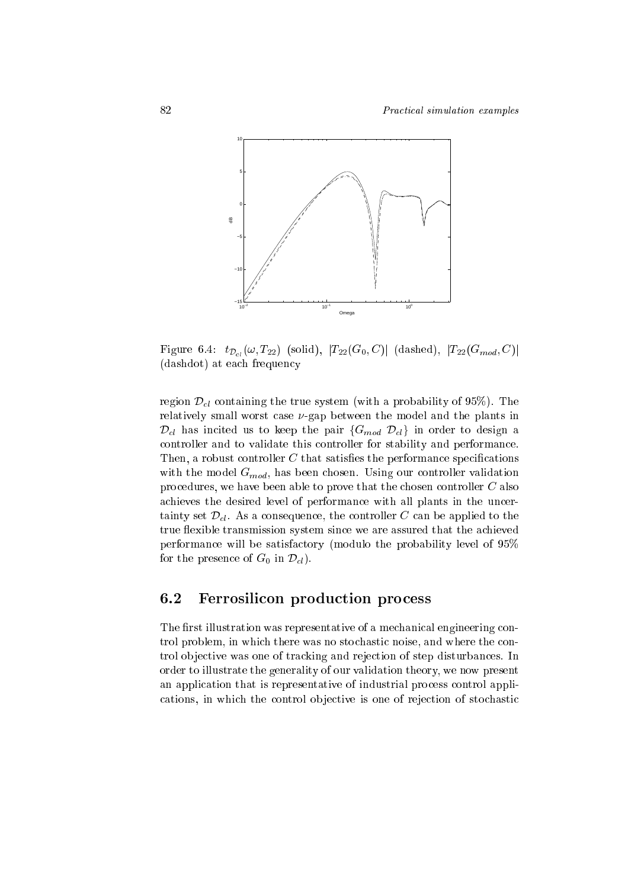

Figure 6.4:  $t_{\mathcal{D}_{cl}}(\omega, T_{22})$  (solid),  $|T_{22}(G_0, C)|$  (dashed),  $|T_{22}(G_{mod}, C)|$ (dashdot) at ea
h frequen
y

region  $\mathcal{D}_{cl}$  containing the true system (with a probability of 95%). The relatively small worst case  $\nu$ -gap between the model and the plants in  $\mathcal{D}_{cl}$  has incited us to keep the pair  $\{G_{mod} \mathcal{D}_{cl}\}$  in order to design a ontroller and to validate this ontroller for stability and performan
e. Then, a robust controller  $C$  that satisfies the performance specifications with the model  $G_{mod}$ , has been chosen. Using our controller validation pro
edures, we have been able to prove that the hosen ontroller C also a
hieves the desired level of performan
e with all plants in the un
ertainty set  $\mathcal{D}_{cl}$ . As a consequence, the controller C can be applied to the true flexible transmission system since we are assured that the achieved performan
e will be satisfa
tory (modulo the probability level of 95% for the presen
e of G0 in D
l).

#### 6.2 Ferrosilicon production process

The first illustration was representative of a mechanical engineering control problem, in which there was no stochastic noise, and where the control objective was one of tracking and rejection of step disturbances. In order to illustrate the generality of our validation theory, we now present an application that is representative of industrial process control applications, in which the control objective is one of rejection of stochastic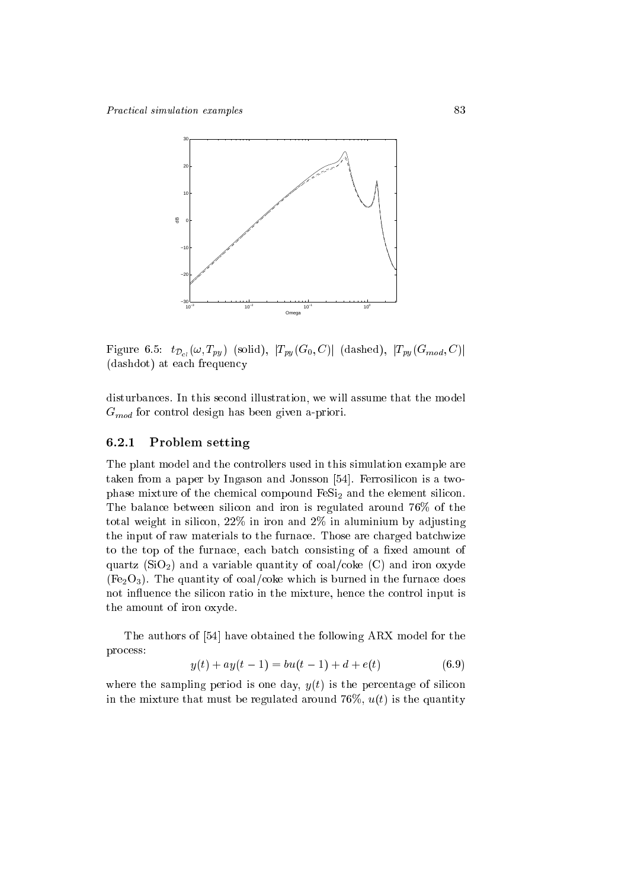

Figure 6.5:  $t_{\mathcal{D}_{cl}}(\omega, T_{py})$  (solid),  $|T_{py}(G_0, C)|$  (dashed),  $|T_{py}(G_{mod}, C)|$ (dashdot) at ea
h frequen
y

disturbances. In this second illustration, we will assume that the model  $G_{mod}$  for control design has been given a-priori.

#### 6.2.1 Problem setting

The plant model and the ontrollers used in this simulation example are taken from a paper by Ingason and Jonsson  $[54]$ . Ferrosilicon is a twophase of the element side of the element side of the element of the  $\Delta$  and the element silicon silicon. The balan
e between sili
on and iron is regulated around 76% of the total weight in sili
on, 22% in iron and 2% in aluminium by adjusting the input of raw materials to the furnace. Those are charged batchwize to the top of the furnace, each batch consisting of a fixed amount of quartz  $(SiO<sub>2</sub>)$  and a variable quantity of coal/coke (C) and iron oxyde  $(F_{\rm e_2}O_3)$ . The quantity of coal/coke which is burned in the furnace does not influence the silicon ratio in the mixture, hence the control input is the amount of iron oxyde.

The authors of [54] have obtained the following ARX model for the pro
ess:

$$
y(t) + ay(t-1) = bu(t-1) + d + e(t)
$$
\n(6.9)

where the sampling period is one day,  $y(t)$  is the percentage of silicon in the mixture that must be regulated around 76%,  $u(t)$  is the quantity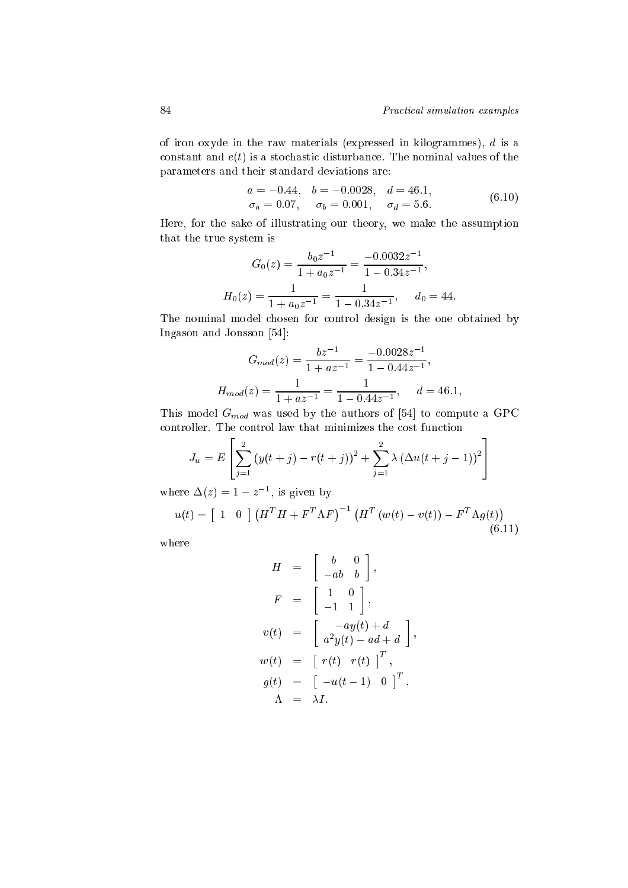of iron oxyde in the raw materials (expressed in kilogrammes), d is a constant and  $e(t)$  is a stochastic disturbance. The nominal values of the parameters and their standard deviations are:

$$
a = -0.44
$$
,  $b = -0.0028$ ,  $d = 46.1$ ,  
\n $\sigma_a = 0.07$ ,  $\sigma_b = 0.001$ ,  $\sigma_d = 5.6$ . (6.10)

Here, for the sake of illustrating our theory, we make the assumption that the true system is

$$
G_0(z) = \frac{b_0 z^{-1}}{1 + a_0 z^{-1}} = \frac{-0.0032 z^{-1}}{1 - 0.34 z^{-1}},
$$
  

$$
H_0(z) = \frac{1}{1 + a_0 z^{-1}} = \frac{1}{1 - 0.34 z^{-1}}, \quad d_0 = 44.
$$

The nominal model chosen for control design is the one obtained by Ingason and Jonsson  $[54]$ :

$$
G_{mod}(z) = \frac{bz^{-1}}{1 + az^{-1}} = \frac{-0.0028z^{-1}}{1 - 0.44z^{-1}},
$$
  

$$
H_{mod}(z) = \frac{1}{1 + az^{-1}} = \frac{1}{1 - 0.44z^{-1}}, \quad d = 46.1,
$$

This model  $G_{mod}$  was used by the authors of [54] to compute a GPC controller. The control law that minimizes the cost function

$$
J_u = E\left[\sum_{j=1}^{2} (y(t+j) - r(t+j))^2 + \sum_{j=1}^{2} \lambda (\Delta u(t+j-1))^2\right]
$$

where  $\Delta(z) = 1 - z$ , is given by

$$
u(t) = \begin{bmatrix} 1 & 0 \end{bmatrix} \left( H^T H + F^T \Lambda F \right)^{-1} \left( H^T \left( w(t) - v(t) \right) - F^T \Lambda g(t) \right) \tag{6.11}
$$

where

$$
H = \begin{bmatrix} b & 0 \\ -ab & b \end{bmatrix},
$$
  
\n
$$
F = \begin{bmatrix} 1 & 0 \\ -1 & 1 \end{bmatrix},
$$
  
\n
$$
v(t) = \begin{bmatrix} -ay(t) + d \\ a^2y(t) - ad + d \end{bmatrix},
$$
  
\n
$$
w(t) = \begin{bmatrix} r(t) & r(t) \end{bmatrix}^T,
$$
  
\n
$$
g(t) = \begin{bmatrix} -u(t-1) & 0 \end{bmatrix}^T,
$$
  
\n
$$
\Lambda = \lambda I.
$$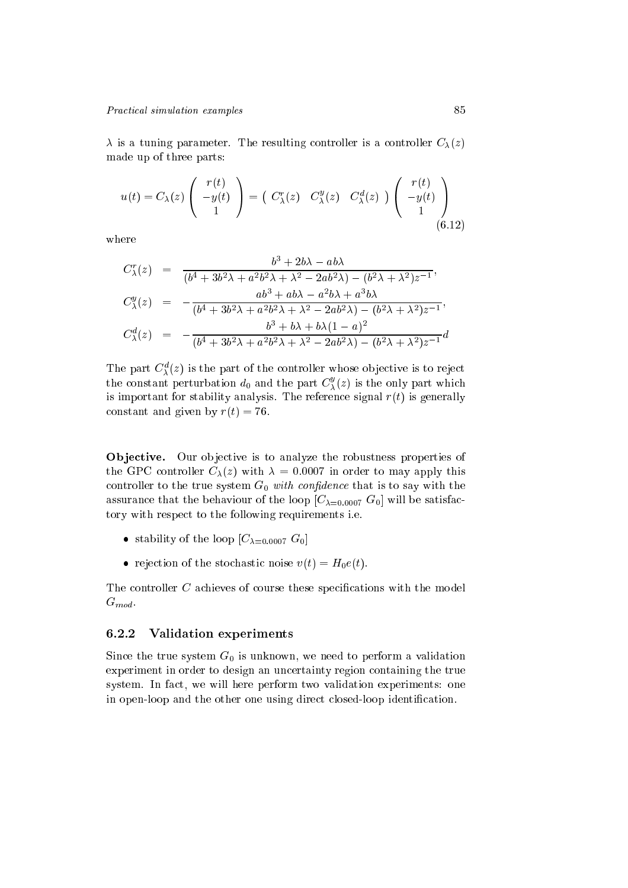$\lambda$  is a tuning parameter. The resulting controller is a controller  $C_{\lambda}(z)$ made up of three parts:

$$
u(t) = C_{\lambda}(z) \begin{pmatrix} r(t) \\ -y(t) \\ 1 \end{pmatrix} = \begin{pmatrix} C_{\lambda}^{r}(z) & C_{\lambda}^{y}(z) & C_{\lambda}^{d}(z) \end{pmatrix} \begin{pmatrix} r(t) \\ -y(t) \\ 1 \end{pmatrix}
$$
\n(6.12)

where

$$
C_{\lambda}^{r}(z) = \frac{b^{3} + 2b\lambda - ab\lambda}{(b^{4} + 3b^{2}\lambda + a^{2}b^{2}\lambda + \lambda^{2} - 2ab^{2}\lambda) - (b^{2}\lambda + \lambda^{2})z^{-1}},
$$
  
\n
$$
C_{\lambda}^{y}(z) = -\frac{ab^{3} + ab\lambda - a^{2}b\lambda + a^{3}b\lambda}{(b^{4} + 3b^{2}\lambda + a^{2}b^{2}\lambda + \lambda^{2} - 2ab^{2}\lambda) - (b^{2}\lambda + \lambda^{2})z^{-1}},
$$
  
\n
$$
C_{\lambda}^{d}(z) = -\frac{b^{3} + b\lambda + b\lambda(1 - a)^{2}}{(b^{4} + 3b^{2}\lambda + a^{2}b^{2}\lambda + \lambda^{2} - 2ab^{2}\lambda) - (b^{2}\lambda + \lambda^{2})z^{-1}}d
$$

The part  $C_\lambda(z)$  is the part of the controller whose objective is to reject the constant perturbation  $d_0$  and the part  $C_\lambda^z(z)$  is the only part which is important for stability analysis. The reference signal  $r(t)$  is generally constant and given by  $r(t) = 76$ .

Objective. Our objective is to analyze the robustness properties of the GPC controller  $C_{\lambda}(z)$  with  $\lambda = 0.0007$  in order to may apply this ontroller to the true system G0 with the true system G0 with the true system  $\mathcal{A}$ assurance that the behaviour of the loop  $[C_{\lambda=0.0007} G_0]$  will be satisfactory with respe
t to the following requirements i.e.

- $s = 0.0007$  GeV  $\sim 0.0007$
- rejet tion of the stock of the stock of the stock of the stock of the stock of the stock of the stock of the s

The controller  $C$  achieves of course these specifications with the model  $G_{mod}.$ 

## 6.2.2 Validation experiments

Sin
e the true system G0 is unknown, we need to perform <sup>a</sup> validation experiment in order to design an un
ertainty region ontaining the true system. In fact, we will here perform two validation experiments: one in open-loop and the other one using direct closed-loop identification.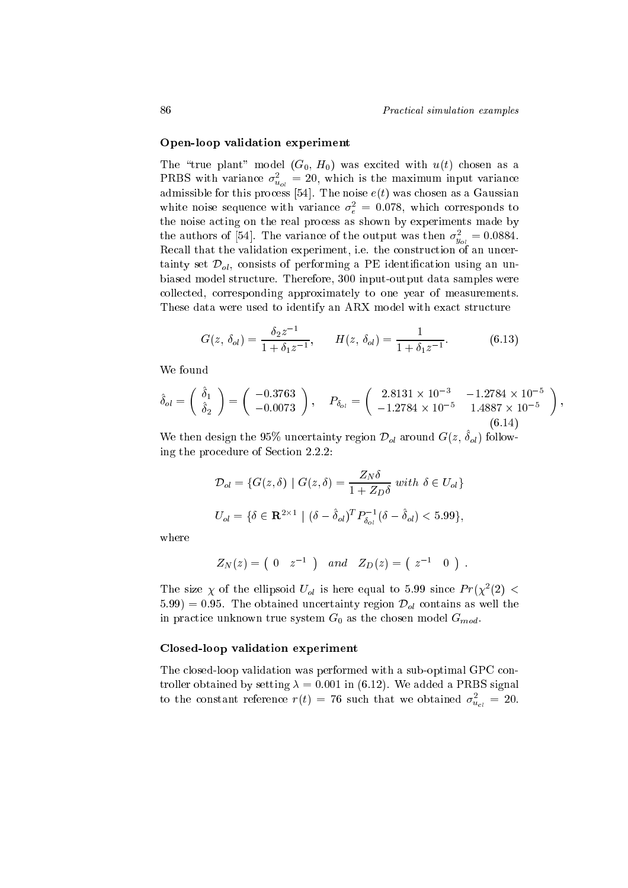### Open-loop validation experiment

The "true plant" model  $(G_0, H_0)$  was excited with  $u(t)$  chosen as a  $r$ къз with variance  $\sigma_{u_{ol}}^* = z$ o, which is the maximum input variance admissible for this process [54]. The noise  $e(t)$  was chosen as a Gaussian white hoise sequence with variance  $\sigma_{\epsilon} = 0.078$ , which corresponds to the noise a
ting on the real pro
ess as shown by experiments made by the authors of [54]. The variance of the output was then  $\sigma_{y_{ol}}^{\mathbf{y}} = 0.0884$ . Recall that the validation experiment, i.e. the construction of an uncertainty set  $\mathcal{D}_{ol}$ , consists of performing a PE identification using an unbiased model structure. Therefore, 300 input-output data samples were olle
ted, orresponding approximately to one year of measurements. These data were used to identify an ARX model with exact structure

$$
G(z, \delta_{ol}) = \frac{\delta_2 z^{-1}}{1 + \delta_1 z^{-1}}, \qquad H(z, \delta_{ol}) = \frac{1}{1 + \delta_1 z^{-1}}.
$$
 (6.13)

We found

$$
\hat{\delta}_{ol} = \begin{pmatrix} \hat{\delta}_1 \\ \hat{\delta}_2 \end{pmatrix} = \begin{pmatrix} -0.3763 \\ -0.0073 \end{pmatrix}, \quad P_{\delta_{ol}} = \begin{pmatrix} 2.8131 \times 10^{-3} & -1.2784 \times 10^{-5} \\ -1.2784 \times 10^{-5} & 1.4887 \times 10^{-5} \end{pmatrix}
$$
\n(6.14)

We then design the 95% uncertainty region  $\nu_{ol}$  around  $\sigma(z, v_{ol})$  following the pro
edure of Se
tion 2.2.2:

$$
\mathcal{D}_{ol} = \{ G(z, \delta) \mid G(z, \delta) = \frac{Z_N \delta}{1 + Z_D \delta} \text{ with } \delta \in U_{ol} \}
$$
  

$$
U_{ol} = \{ \delta \in \mathbf{R}^{2 \times 1} \mid (\delta - \hat{\delta}_{ol})^T P_{\delta_{ol}}^{-1} (\delta - \hat{\delta}_{ol}) < 5.99 \},
$$

where

$$
Z_N(z) = (0 \ z^{-1}) \quad and \quad Z_D(z) = (z^{-1} \ 0)
$$

The size  $\chi$  of the empsoid  $U_{ol}$  is here equal to 5.99 since  $PT(\chi^{-}(2) \leq$  $(5.99) = 0.95$ . The obtained uncertainty region  $\mathcal{D}_{ol}$  contains as well the in pra
ti
e unknown true system G0 as the hosen model Gmod.

### Closed-loop validation experiment

The closed-loop validation was performed with a sub-optimal GPC controller obtained by setting  $\lambda = 0.001$  in (6.12). We added a PRBS signal to the constant reference  $r(t) = 0$  such that we obtained  $\sigma_{u_{cl}}^2 = 20$ .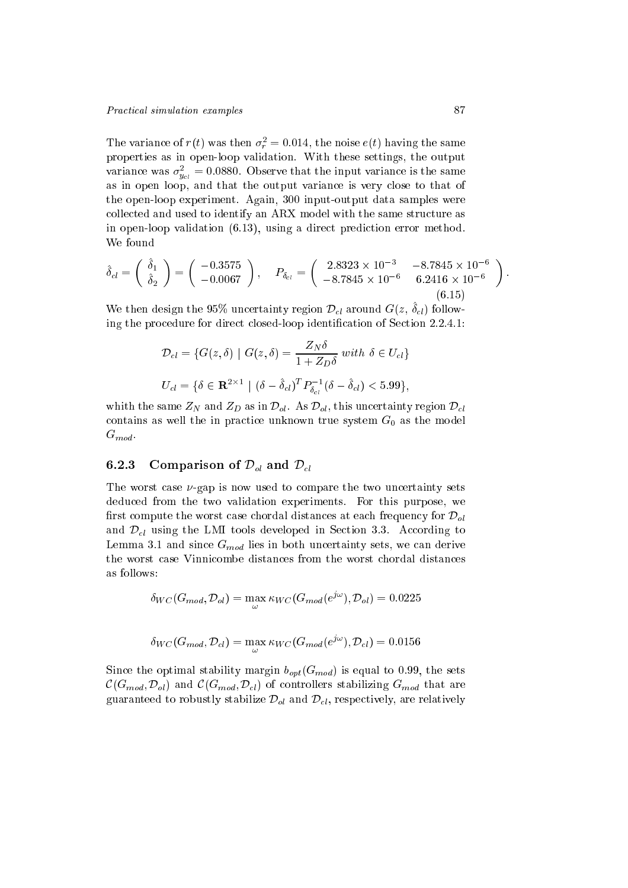The variance of  $r(t)$  was then  $\sigma_r = 0.014$ , the noise  $e(t)$  having the same properties as in open-loop validation. With these settings, the output variance was  $\sigma_{y_{cl}}^* = 0.0880$ . Observe that the input variance is the same as in open loop, and that the output varian
e is very lose to that of the open-loop experiment. Again, 300 input-output data samples were olle
ted and used to identify an ARX model with the same stru
ture as in open-loop validation (6.13), using a direct prediction error method. We found

$$
\hat{\delta}_{cl} = \begin{pmatrix} \hat{\delta}_1 \\ \hat{\delta}_2 \end{pmatrix} = \begin{pmatrix} -0.3575 \\ -0.0067 \end{pmatrix}, \quad P_{\delta_{cl}} = \begin{pmatrix} 2.8323 \times 10^{-3} & -8.7845 \times 10^{-6} \\ -8.7845 \times 10^{-6} & 6.2416 \times 10^{-6} \end{pmatrix}
$$
\n(6.15)

We then design the 90% uncertainty region  $\nu_{cl}$  around  $\sigma(z, \sigma_{cl})$  following the procedure for direct closed-loop identification of Section 2.2.4.1:

$$
\mathcal{D}_{cl} = \{ G(z, \delta) \mid G(z, \delta) = \frac{Z_N \delta}{1 + Z_D \delta} \text{ with } \delta \in U_{cl} \}
$$
  

$$
U_{cl} = \{ \delta \in \mathbf{R}^{2 \times 1} \mid (\delta - \hat{\delta}_{cl})^T P_{\delta_{cl}}^{-1} (\delta - \hat{\delta}_{cl}) < 5.99 \},\
$$

whith the same  $Z_N$  and  $Z_D$  as in  $\mathcal{D}_{ol}$ . As  $\mathcal{D}_{ol}$ , this uncertainty region  $\mathcal{D}_{cl}$  $\mathbf{r}$  as well the in practice system G0 as the model system G0 as the model system G0 as the model system G0 as the model system G0 as the model system G0 as the model system G0 as the model system G0 as the model syst  $G_{mod}.$ 

### **6.2.3** Comparison of  $\mathcal{D}_{ol}$  and  $\mathcal{D}_{cl}$

The worst case  $\nu$ -gap is now used to compare the two uncertainty sets dedu
ed from the two validation experiments. For this purpose, we first compute the worst case chordal distances at each frequency for  $\mathcal{D}_{ol}$ and  $\mathcal{D}_{cl}$  using the LMI tools developed in Section 3.3. According to Lemma 3.1 and since  $G_{mod}$  lies in both uncertainty sets, we can derive the worst case Vinnicombe distances from the worst chordal distances as follows:

$$
\delta_{WC}(G_{mod}, \mathcal{D}_{ol}) = \max_{\omega} \kappa_{WC}(G_{mod}(e^{j\omega}), \mathcal{D}_{ol}) = 0.0225
$$

$$
\delta_{WC}(G_{mod}, \mathcal{D}_{cl}) = \max_{\omega} \kappa_{WC}(G_{mod}(e^{j\omega}), \mathcal{D}_{cl}) = 0.0156
$$

Since the optimal stability margin  $b_{opt}(G_{mod})$  is equal to 0.99, the sets  $\mathcal{C}(G_{mod}, \mathcal{D}_{ol})$  and  $\mathcal{C}(G_{mod}, \mathcal{D}_{cl})$  of controllers stabilizing  $G_{mod}$  that are guaranteed to robustly stabilize  $\mathcal{D}_{ol}$  and  $\mathcal{D}_{cl}$ , respectively, are relatively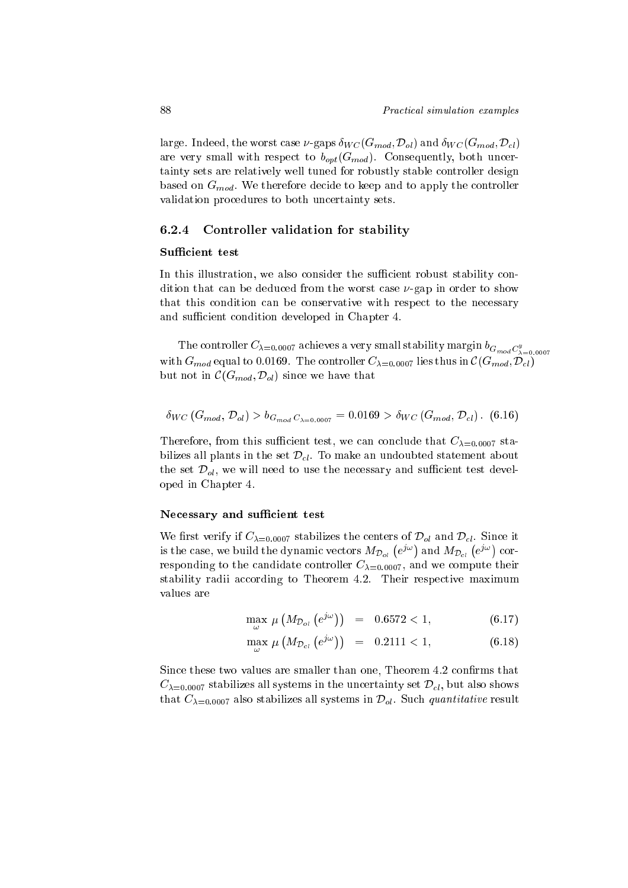large. Indeed, the worst case  $\nu$ -gaps  $\delta_{WC}(G_{mod}, \mathcal{D}_{ol})$  and  $\delta_{WC}(G_{mod}, \mathcal{D}_{cl})$ are very small with respect to  $b_{opt}(G_{mod})$ . Consequently, both uncertainty sets are relatively well tuned for robustly stable ontroller design based on  $G_{mod}$ . We therefore decide to keep and to apply the controller validation pro
edures to both un
ertainty sets.

## 6.2.4 Controller validation for stability

### Sufficient test

In this illustration, we also consider the sufficient robust stability condition that can be deduced from the worst case  $\nu$ -gap in order to show that this condition can be conservative with respect to the necessary and sufficient condition developed in Chapter 4.

The controller  $\vee$   $\lambda = 0.0007$  admitsted a very small stability margin  $\vee$   $G_{mod}$  $\vee_{\lambda=0.0007}^{\lambda=0.0007}$ with  $G_{mod}$  equal to 0.0169. The controller  $C_{\lambda=0.0007}$  lies thus in  $\mathcal{C}(G_{mod}, \mathcal{D}_{cl})$ but not in  $\mathcal{C}(G_{mod}, \mathcal{D}_{ol})$  since we have that

$$
\delta_{WC} (G_{mod}, \mathcal{D}_{ol}) > b_{G_{mod} C_{\lambda = 0.0007}} = 0.0169 > \delta_{WC} (G_{mod}, \mathcal{D}_{cl}).
$$
 (6.16)

Therefore, from this sufficient test, we can conclude that  $C_{\lambda=0.0007}$  stabilizes all plants in the set  $\mathcal{D}_{cl}$ . To make an undoubted statement about the set  $\mathcal{D}_{ol}$ , we will need to use the necessary and sufficient test developed in Chapter 4.

### Necessary and sufficient test

We first verify if  $C_{\lambda=0.0007}$  stabilizes the centers of  $\mathcal{D}_{ol}$  and  $\mathcal{D}_{cl}$ . Since it is the case, we build the dynamic vectors  $M_{\mathcal{D}_{ol}}\left(e^{j\omega}\right)$  and  $M_{\mathcal{D}_{cl}}\left(e^{j\omega}\right)$  corresponding to the candidate controller  $C_{\lambda=0.0007}$ , and we compute their stability radii according to Theorem 4.2. Their respective maximum values are

$$
\max_{\omega} \mu \left( M_{\mathcal{D}_{ol}} \left( e^{j\omega} \right) \right) = 0.6572 < 1,\tag{6.17}
$$

$$
\max_{\omega} \mu \left( M_{\mathcal{D}_{cl}} \left( e^{j\omega} \right) \right) = 0.2111 < 1, \tag{6.18}
$$

Since these two values are smaller than one, Theorem 4.2 confirms that  $C_{\lambda=0.0007}$  stabilizes all systems in the uncertainty set  $\mathcal{D}_{cl}$ , but also shows that  $C_{\lambda=0.0007}$  also stabilizes all systems in  $\mathcal{D}_{ol}$ . Such quantitative result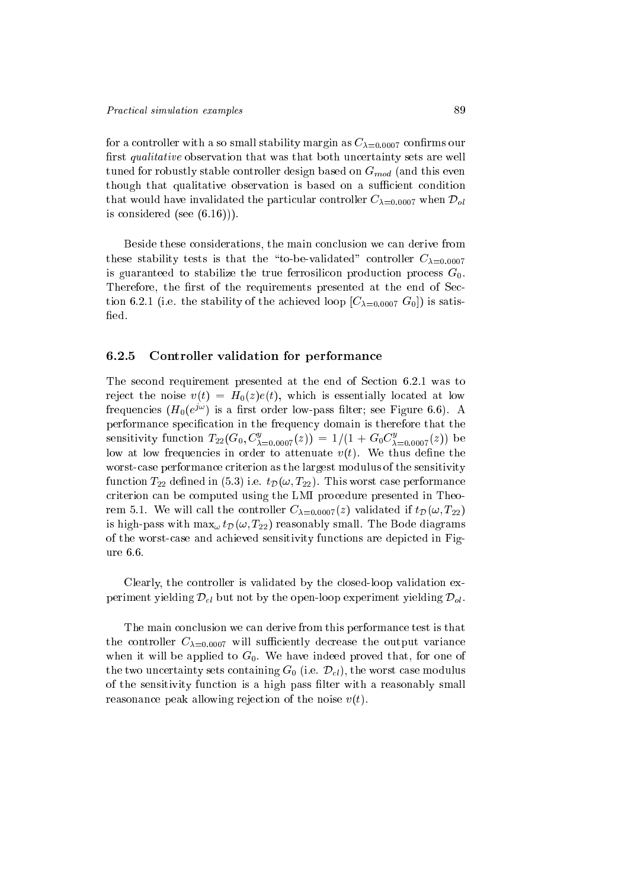for a controller with a so small stability margin as  $C_{\lambda=0.0007}$  confirms our first *qualitative* observation that was that both uncertainty sets are well tuned for robustly stable controller design based on  $G_{mod}$  (and this even though that qualitative observation is based on a sufficient condition that would have invalidated the particular controller  $C_{\lambda=0.0007}$  when  $\mathcal{D}_{ol}$ is considered (see  $(6.16)$ ).

Beside these considerations, the main conclusion we can derive from these stability tests is that the "to-be-validated" controller  $C_{\lambda=0.0007}$ is guaranteed to stabilize the true ferrosilicon production process  $G_0$ . Therefore, the first of the requirements presented at the end of Section 6.2.1 (i.e. the stability of the achieved loop  $[C_{\lambda=0.0007} G_0]$ ) is satisfied.

#### $6.2.5$ Controller validation for performance

The second requirement presented at the end of Section 6.2.1 was to reject the noise  $v(t) = H_0(z)e(t)$ , which is essentially located at low frequencies  $(H_0(e^r))$  is a first order low-pass inter; see Figure 6.6). A performance specification in the frequency domain is therefore that the sensitivity function  $T_{22}(G_0, C^s_{\lambda=0.0007}(z)) = 1/(1+G_0C^s_{\lambda=0.0007}(z))$  be low at low frequencies in order to attenuate  $v(t)$ . We thus define the worst-case performance criterion as the largest modulus of the sensitivity function  $\Delta_2$  denotes the function  $\Delta_1$  and  $\Delta_2$  (  $\Delta_3$  ). This worst is the performance of riterion an be omputed using the LMI pro
edure presented in Theorem 5.1. We will call the controller  $C_{\lambda=0.0007}(z)$  validated if  $t_D(\omega, T_{22})$ is high-pass with  $\max_{\omega} t_D(\omega, T_{22})$  reasonably small. The Bode diagrams of the worstase and a
hieved sensitivity fun
tions are depi
ted in Figure 6.6.

Clearly, the controller is validated by the closed-loop validation experiment yielding  $\mathcal{D}_{cl}$  but not by the open-loop experiment yielding  $\mathcal{D}_{ol}$ .

The main conclusion we can derive from this performance test is that the controller  $C_{\lambda=0.0007}$  will sufficiently decrease the output variance when it will be applied to  $G_0$ . We have indeed proved that, for one of  $\alpha$  is the sets of the sets  $\alpha$  is the modulus  $\alpha$  on  $\alpha$  (i.e.  $\alpha$  ), the worst complete  $\alpha$ of the sensitivity function is a high pass filter with a reasonably small reasonance peak allowing rejection of the noise  $v(t)$ .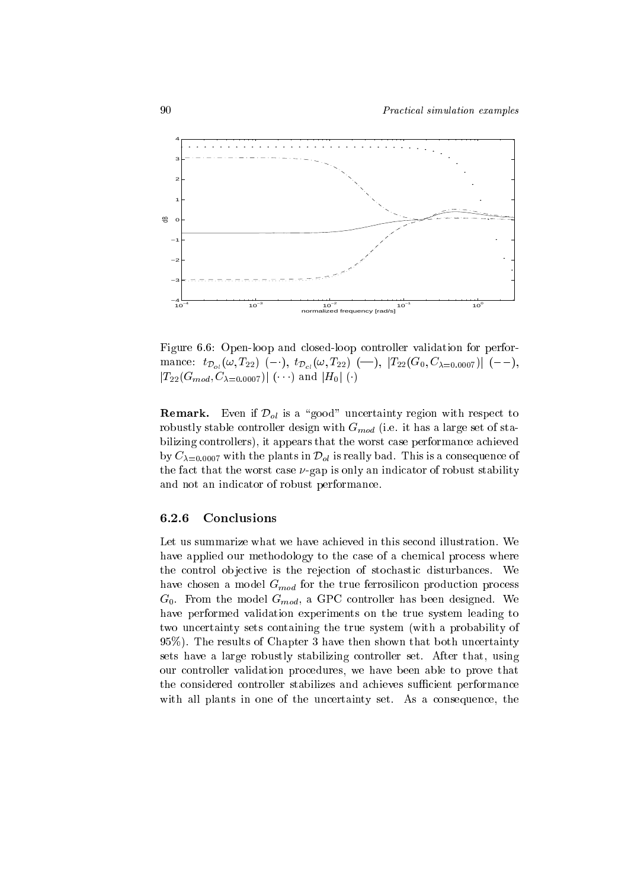

Figure 6.6: Open-loop and closed-loop controller validation for performance:  $t_{\mathcal{D}_{ol}}(\omega, T_{22})$  (--),  $t_{\mathcal{D}_{cl}}(\omega, T_{22})$  (--),  $|T_{22}(G_0, C_{\lambda=0.0007})|$  (--),  $|T_{22}(G_{mod}, C_{\lambda=0.0007})| \cdot \cdot \cdot$  and  $|H_0| \cdot \cdot$ 

**Remark.** Even if  $\mathcal{D}_{ol}$  is a "good" uncertainty region with respect to robustly stable controller design with  $G_{mod}$  (i.e. it has a large set of stabilizing controllers), it appears that the worst case performance achieved by  $C_{\lambda=0.0007}$  with the plants in  $\mathcal{D}_{ol}$  is really bad. This is a consequence of the fact that the worst case  $\nu$ -gap is only an indicator of robust stability and not an indi
ator of robust performan
e.

### 6.2.6 Con
lusions

Let us summarize what we have achieved in this second illustration. We have applied our methodology to the case of a chemical process where the control objective is the rejection of stochastic disturbances. We have chosen a model  $G_{mod}$  for the true ferrosilicon production process  $G_0$ . From the model  $G_{mod}$ , a GPC controller has been designed. We have performed validation experiments on the true system leading to two un
ertainty sets ontaining the true system (with a probability of 95%). The results of Chapter 3 have then shown that both un
ertainty sets have a large robustly stabilizing ontroller set. After that, using our ontroller validation pro
edures, we have been able to prove that the considered controller stabilizes and achieves sufficient performance with all plants in one of the uncertainty set. As a consequence, the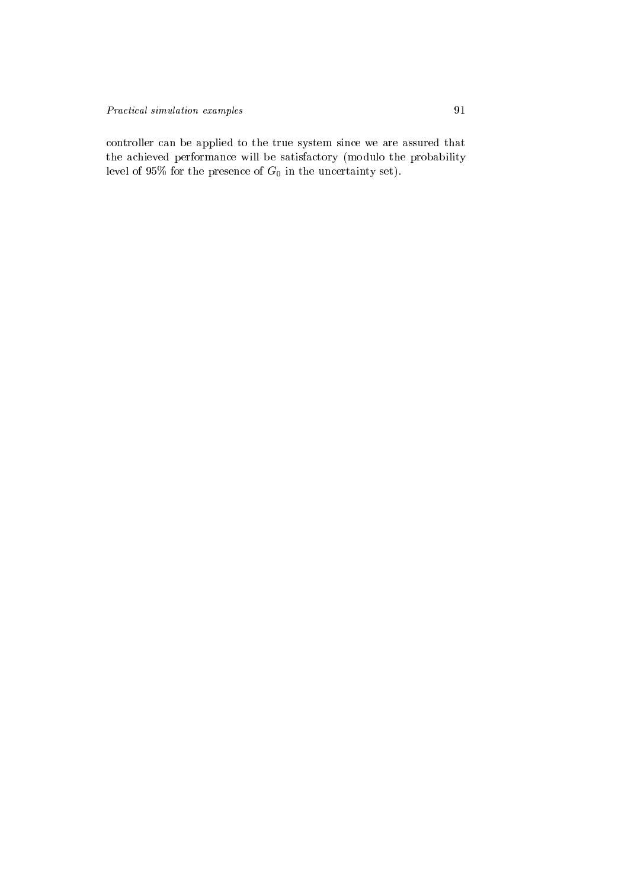ontroller an be applied to the true system sin
e we are assured that the a
hieved performan
e will be satisfa
tory (modulo the probability level of 95% for the presen
e of G0 in the un
ertainty set).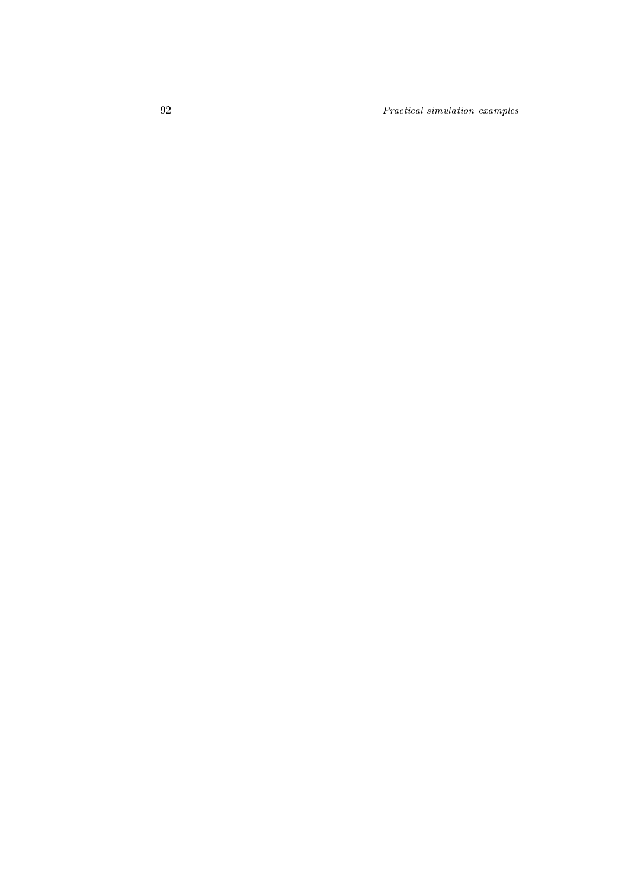Pra
ti
al simulation examples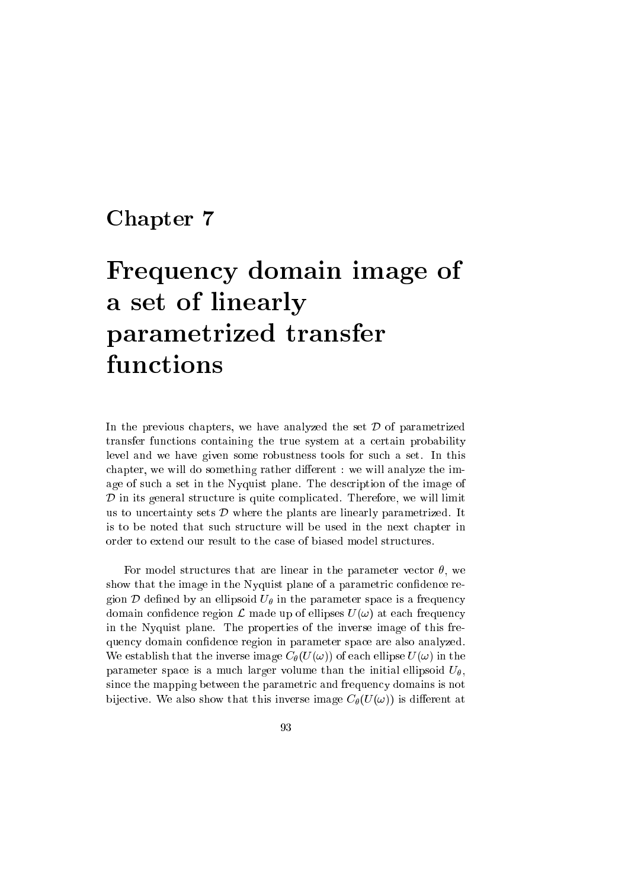# Chapter 7

# Frequen
y domain image of a set of linearly parametrized transfer fun
tions

In the previous chapters, we have analyzed the set  $\mathcal D$  of parametrized transfer fun
tions ontaining the true system at a ertain probability level and we have given some robustness tools for su
h a set. In this chapter, we will do something rather different : we will analyze the image of su
h a set in the Nyquist plane. The des
ription of the image of D in its general stru
ture is quite ompli
ated. Therefore, we will limit us to uncertainty sets  $D$  where the plants are linearly parametrized. It is to be noted that such structure will be used in the next chapter in order to extend our result to the case of biased model structures.

For model structures that are linear in the parameter vector  $\theta$ , we show that the image in the Nyquist plane of a parametric confidence region  $D$  defined by an ellipsoid  $U_{\theta}$  in the parameter space is a frequency domain confidence region  $\mathcal L$  made up of ellipses  $U(\omega)$  at each frequency in the Nyquist plane. The properties of the inverse image of this frequen
y domain onden
e region in parameter spa
e are also analyzed. We establish that the inverse image  $C_{\theta}(U(\omega))$  of each ellipse  $U(\omega)$  in the parameter space is a much larger volume than the initial ellipsoid  $U_{\theta}$ , since the mapping between the parametric and frequency domains is not bijective. We also show that this inverse image  $C_{\theta}(U(\omega))$  is different at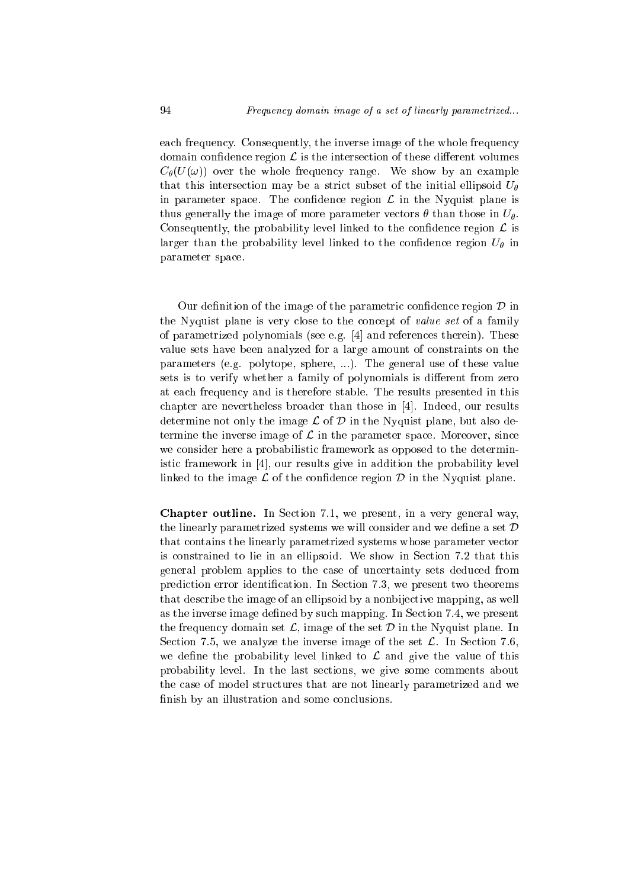each frequency. Consequently, the inverse image of the whole frequency domain confidence region  $\mathcal L$  is the intersection of these different volumes  $C_{\theta}(U(\omega))$  over the whole frequency range. We show by an example that this intersection may be a strict subset of the initial ellipsoid  $U_{\theta}$ in parameter space. The confidence region  $\mathcal L$  in the Nyquist plane is thus generally the image of more parameter vectors  $\theta$  than those in  $U_{\theta}$ . Consequently, the probability level linked to the confidence region  $\mathcal L$  is larger than the probability level linked to the confidence region  $U_{\theta}$  in parameter spa
e.

Our definition of the image of the parametric confidence region  $\mathcal D$  in the Nyquist plane is very close to the concept of *value set* of a family of parametrized polynomials (see e.g.  $[4]$  and references therein). These value sets have been analyzed for a large amount of constraints on the parameters (e.g. polytope, sphere, ...). The general use of these value sets is to verify whether a family of polynomials is different from zero at ea
h frequen
y and is therefore stable. The results presented in this chapter are nevertheless broader than those in  $[4]$ . Indeed, our results determine not only the image  $\mathcal L$  of  $\mathcal D$  in the Nyquist plane, but also determine the inverse image of  $\mathcal L$  in the parameter space. Moreover, since we consider here a probabilistic framework as opposed to the deterministic framework in  $[4]$ , our results give in addition the probability level linked to the image  $\mathcal L$  of the confidence region  $\mathcal D$  in the Nyquist plane.

Chapter outline. In Section 7.1, we present, in a very general way, the linearly parametrized systems we will consider and we define a set  $D$ that ontains the linearly parametrized systems whose parameter ve
tor is onstrained to lie in an ellipsoid. We show in Se
tion 7.2 that this general problem applies to the ase of un
ertainty sets dedu
ed from prediction error identification. In Section 7.3, we present two theorems that des
ribe the image of an ellipsoid by a nonbije
tive mapping, as well as the inverse image defined by such mapping. In Section 7.4, we present the frequency domain set  $\mathcal{L}$ , image of the set  $\mathcal{D}$  in the Nyquist plane. In Section 7.5, we analyze the inverse image of the set  $\mathcal{L}$ . In Section 7.6, we define the probability level linked to  $\mathcal L$  and give the value of this probability level. In the last se
tions, we give some omments about the case of model structures that are not linearly parametrized and we finish by an illustration and some conclusions.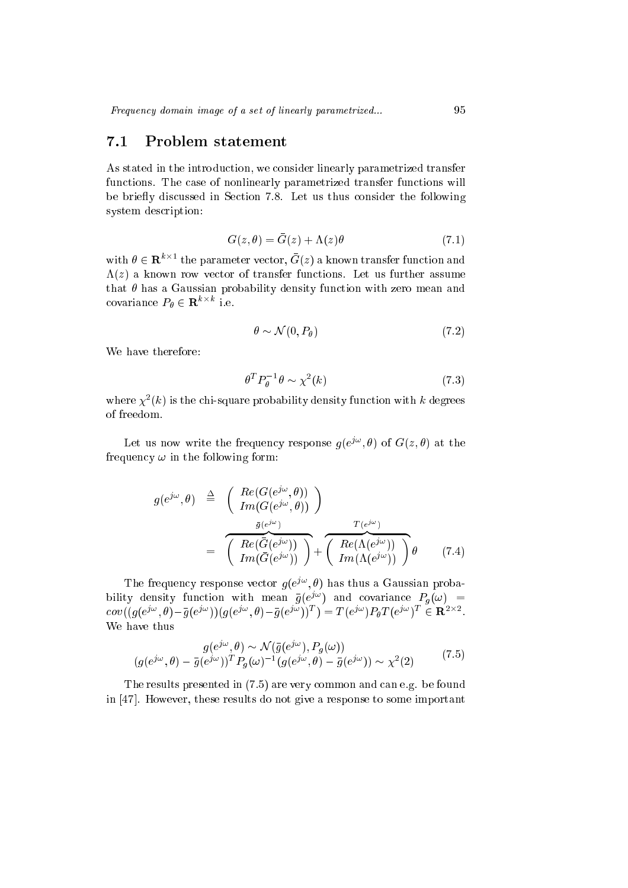# 7.1 Problem statement

As stated in the introduction, we consider linearly parametrized transfer functions. The case of nonlinearly parametrized transfer functions will be briefly discussed in Section 7.8. Let us thus consider the following system des
ription:

$$
G(z,\theta) = \bar{G}(z) + \Lambda(z)\theta \tag{7.1}
$$

with  $\theta \in \mathbf{R}^{n+1}$  the parameter vector,  $G(z)$  a known transfer function and  $\Lambda(z)$  a known row vector of transfer functions. Let us further assume that  $\theta$  has a Gaussian probability density function with zero mean and covariance  $P_\theta \in \mathbf{R}$  i.e.

$$
\theta \sim \mathcal{N}(0, P_{\theta}) \tag{7.2}
$$

We have therefore:

$$
\theta^T P_{\theta}^{-1} \theta \sim \chi^2(k) \tag{7.3}
$$

where  $\chi^-(\kappa)$  is the chi-square probability density function with  $\kappa$  degrees of freedom.

Let us now write the frequency response  $q(e^y, \sigma)$  of  $G(z, \sigma)$  at the frequency  $\omega$  in the following form:

$$
g(e^{j\omega}, \theta) \stackrel{\Delta}{=} \left( \frac{Re(G(e^{j\omega}, \theta))}{Im(G(e^{j\omega}, \theta))} \right)
$$

$$
= \overbrace{\left( \frac{Re(\overline{G}(e^{j\omega}))}{Im(\overline{G}(e^{j\omega}))} \right)}^{J(e^{j\omega})} + \overbrace{\left( \frac{Re(\Lambda(e^{j\omega}))}{Im(\Lambda(e^{j\omega}))} \right)}^{T(e^{j\omega})} \theta \qquad (7.4)
$$

I he frequency response vector  $q(e^y, \sigma)$  has thus a Gaussian probability density function with mean  $g(e^y$  ) and covariance  $F_g(\omega)$  =  $cov((g(e^{j\omega}, \theta)-g(e^{j\omega})) (g(e^{j\omega}, \theta)-g(e^{j\omega}))^+) = I(e^{j\omega})F_{\theta}I(e^{j\omega})^+ \in \mathbf{R}^{-}$ We have thus

$$
g(e^{j\omega}, \theta) \sim \mathcal{N}(\bar{g}(e^{j\omega}), P_g(\omega))
$$
  

$$
(g(e^{j\omega}, \theta) - \bar{g}(e^{j\omega}))^T P_g(\omega)^{-1} (g(e^{j\omega}, \theta) - \bar{g}(e^{j\omega})) \sim \chi^2(2)
$$
 (7.5)

The results presented in  $(7.5)$  are very common and can e.g. be found in  $[47]$ . However, these results do not give a response to some important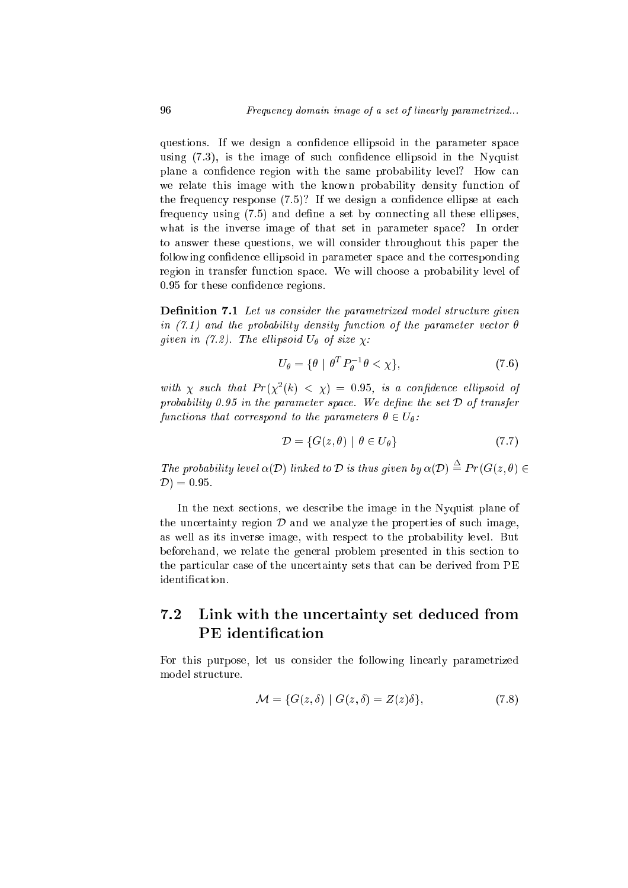questions. If we design a confidence ellipsoid in the parameter space using  $(7.3)$ , is the image of such confidence ellipsoid in the Nyquist plane a confidence region with the same probability level? How can we relate this image with the known probability density function of the frequency response  $(7.5)$ ? If we design a confidence ellipse at each frequency using  $(7.5)$  and define a set by connecting all these ellipses, what is the inverse image of that set in parameter spa
e? In order to answer these questions, we will onsider throughout this paper the following confidence ellipsoid in parameter space and the corresponding region in transfer function space. We will choose a probability level of 0.95 for these confidence regions.

**Definition 7.1** Let us consider the parametrized model structure given in (7.1) and the probability density function of the parameter vector  $\theta$ given in (7.2). The ellipsoid  $U_{\theta}$  of size  $\chi$ :

$$
U_{\theta} = \{ \theta \mid \theta^T P_{\theta}^{-1} \theta < \chi \},\tag{7.6}
$$

with  $\chi$  such that  $PT(\chi^-(\kappa)) \leq \chi^2$  = 0.95, is a confidence ettipsoid of probability 0.95 in the parameter space. We define the set  $D$  of transfer functions that correspond to the parameters  $\theta \in U_{\theta}$ :

$$
\mathcal{D} = \{ G(z, \theta) \mid \theta \in U_{\theta} \}
$$
\n
$$
(7.7)
$$

The probability level  $\alpha(\mathcal{D})$  linked to D is thus given by  $\alpha(\mathcal{D}) \equiv Pr(G(z, \theta) \in$  $D$ ) = 0.95.

In the next sections, we describe the image in the Nyquist plane of the uncertainty region  $D$  and we analyze the properties of such image, as well as its inverse image, with respe
t to the probability level. But beforehand, we relate the general problem presented in this se
tion to the particular case of the uncertainty sets that can be derived from PE identification.

### $7.2$ Link with the uncertainty set deduced from **PE** identification

For this purpose, let us onsider the following linearly parametrized model stru
ture.

$$
\mathcal{M} = \{ G(z, \delta) \mid G(z, \delta) = Z(z)\delta \},\tag{7.8}
$$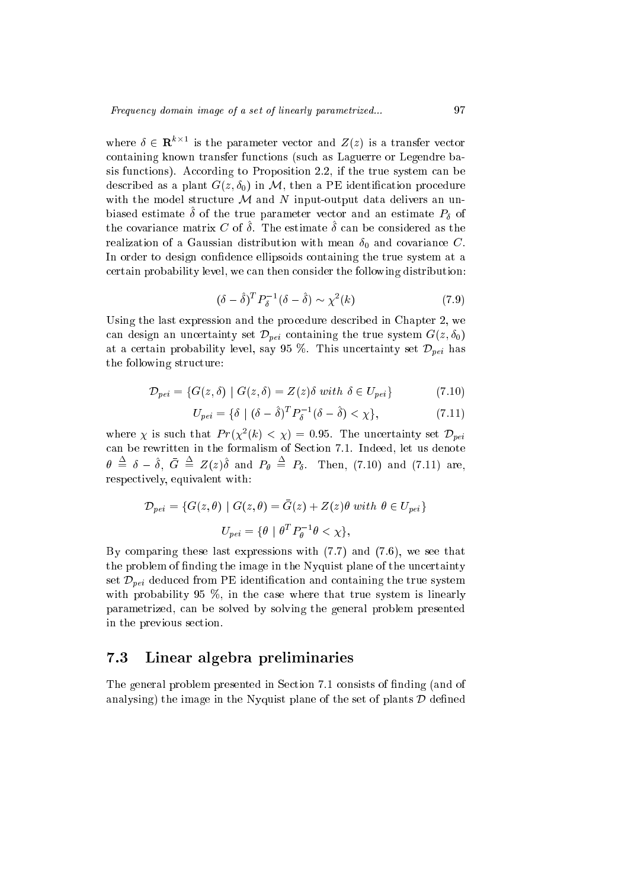where  $o \in \mathbf{R}$  is the parameter vector and  $Z(z)$  is a transfer vector ontaining known transfer fun
tions (su
h as Laguerre or Legendre basis functions). According to Proposition 2.2, if the true system can be described as a plant  $G(z, \delta_0)$  in M, then a PE identification procedure with the model structure  $M$  and  $N$  input-output data delivers an un- $\sigma$  biased estimate  $\sigma$  of the true parameter vector and an estimate  $\sigma_{\theta}$  of the covariance matrix  $\cup$  or  $\sigma$ . The estimate  $\sigma$  can be considered as the realization of a Gaussian distribution with mean Æ0 and ovarian
e C. In order to design confidence ellipsoids containing the true system at a ertain probability level, we an then onsider the following distribution:

$$
(\delta - \hat{\delta})^T P_{\delta}^{-1} (\delta - \hat{\delta}) \sim \chi^2(k) \tag{7.9}
$$

Using the last expression and the procedure described in Chapter 2, we can design an uncertainty set  $\mathcal{D}_{pei}$  containing the true system  $G(z, \delta_0)$ at a certain probability level, say 95 %. This uncertainty set  $\mathcal{D}_{\text{pei}}$  has the following stru
ture:

$$
\mathcal{D}_{pei} = \{ G(z, \delta) \mid G(z, \delta) = Z(z)\delta \text{ with } \delta \in U_{pei} \}
$$
(7.10)

$$
U_{pei} = \{\delta \mid (\delta - \hat{\delta})^T P_{\delta}^{-1} (\delta - \hat{\delta}) < \chi\},\tag{7.11}
$$

where  $\chi$  is such that  $PT(\chi^-(\kappa) \leq \chi) = 0.95$ . The uncertainty set  $\nu_{nei}$ an be rewritten in the formalism of Se
tion 7.1. Indeed, let us denote  $\theta \equiv \delta - \delta$ ,  $G \equiv Z(z)\delta$  and  $P_{\theta} \equiv P_{\delta}$ . Then, (7.10) and (7.11) are, respe
tively, equivalent with:

$$
\mathcal{D}_{pei} = \{ G(z, \theta) \mid G(z, \theta) = \bar{G}(z) + Z(z)\theta \text{ with } \theta \in U_{pei} \}
$$

$$
U_{pei} = \{ \theta \mid \theta^T P_{\theta}^{-1} \theta < \chi \},
$$

By omparing these last expressions with (7.7) and (7.6), we see that the problem of finding the image in the Nyquist plane of the uncertainty set  $\mathcal{D}_{\text{pei}}$  deduced from PE identification and containing the true system with probability 95 %, in the case where that true system is linearly parametrized, an be solved by solving the general problem presented in the previous se
tion.

# 7.3 Linear algebra preliminaries

The general problem presented in Section 7.1 consists of finding (and of analysing) the image in the Nyquist plane of the set of plants  $D$  defined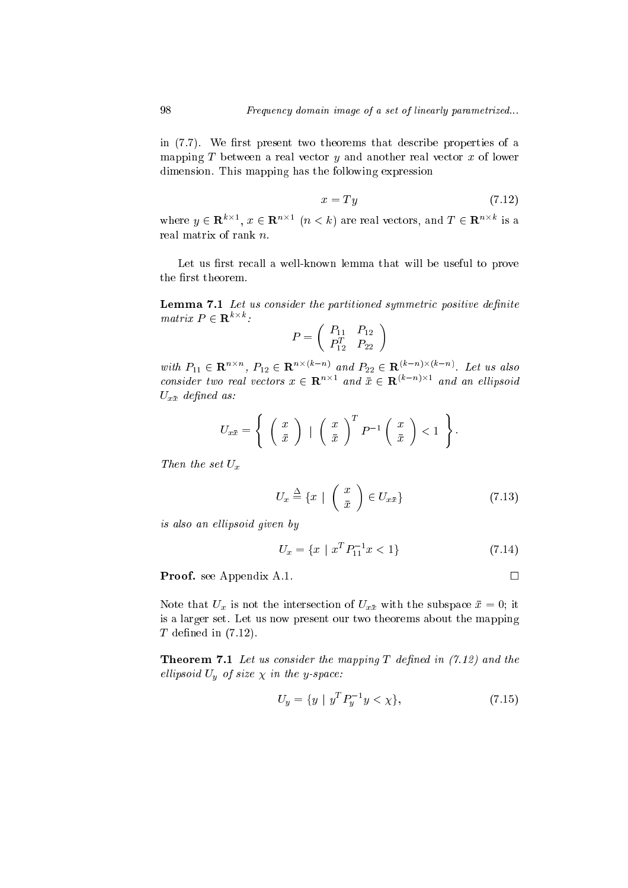in  $(7.7)$ . We first present two theorems that describe properties of a mapping T between a real vector  $y$  and another real vector x of lower dimension. This mapping has the following expression

$$
x = Ty \tag{7.12}
$$

where  $y \in \mathbf{R}$ ,  $x \in \mathbf{R}$ ,  $x \in \mathbf{R}$ ,  $n \leq k$  are real vectors, and  $T \in \mathbf{R}$ , is a real matrix of rank n.

Let us first recall a well-known lemma that will be useful to prove the first theorem.

**Lemma 7.1** Let us consider the partitioned symmetric positive definite matrix  $P \in \mathbf{R}$  :

$$
P = \left( \begin{array}{cc} P_{11} & P_{12} \\ P_{12}^T & P_{22} \end{array} \right)
$$

with  $P_{11} \in \mathbf{R}$  and  $P_{22} \in \mathbf{R}$  and  $P_{22} \in \mathbf{R}$  and  $P_{31} \in \mathbf{R}$  and  $\mathbf{R}$  are  $\mathbf{R}$  and  $\mathbf{R}$ consider two real vectors  $x \in \mathbf{R}$  and  $x \in \mathbf{R}$  and an ellipsoid  $U_{x\bar{x}}$  defined as:

$$
U_{x\bar{x}} = \left\{ \begin{array}{c} \left( \begin{array}{c} x \\ \bar{x} \end{array} \right) + \left( \begin{array}{c} x \\ \bar{x} \end{array} \right)^T P^{-1} \left( \begin{array}{c} x \\ \bar{x} \end{array} \right) < 1 \end{array} \right\}.
$$

Then the set  $U_x$ 

$$
U_x \stackrel{\Delta}{=} \{x \mid \begin{pmatrix} x \\ \bar{x} \end{pmatrix} \in U_{x\bar{x}}\} \tag{7.13}
$$

is also an ellipsoid given by

$$
U_x = \{x \mid x^T P_{11}^{-1} x < 1\} \tag{7.14}
$$

Proof. see Appendix A.1.

Note that  $U_x$  is not the intersection of  $U_{x\bar{x}}$  with the subspace  $\bar{x} = 0$ ; it is a larger set. Let us now present our two theorems about the mapping  $T$  defined in  $(7.12)$ .

**Theorem 7.1** Let us consider the mapping  $T$  defined in  $(7.12)$  and the ellipsoid  $U_y$  of size  $\chi$  in the y-space:

$$
U_y = \{ y \mid y^T P_y^{-1} y < \chi \},\tag{7.15}
$$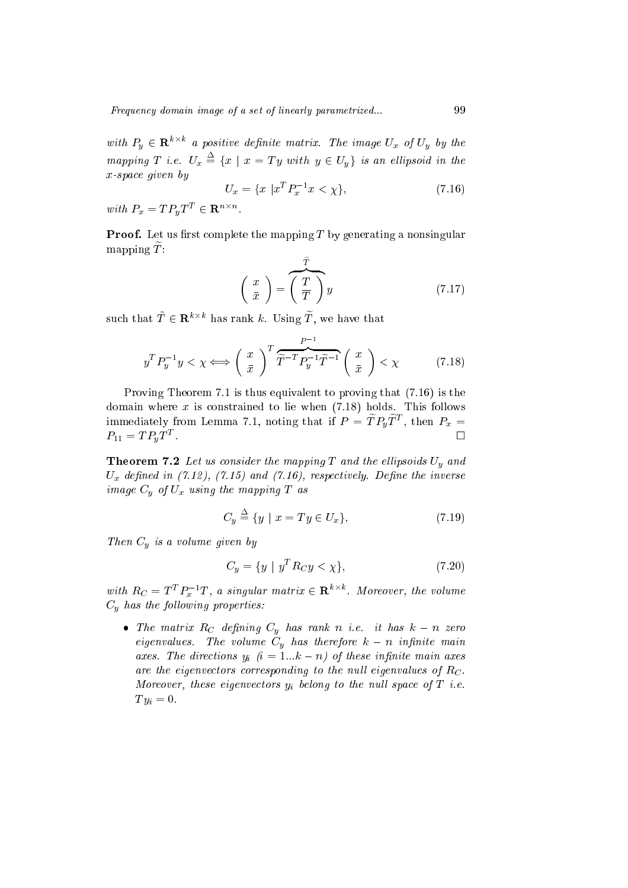Frequency domain image of a set of linearly parametrized... 99

with  $P_y \in \mathbf{R}$  - a positive definite matrix. The image  $U_x$  of  $U_y$  by the mapping T i.e.  $U_x \equiv \{x \mid x = Ty \text{ with } y \in U_y\}$  is an ellipsoid in the x-spa
e given by

$$
U_x = \{x \mid x^T P_x^{-1} x < \chi\},\tag{7.16}
$$

with  $P_x = I P_y I^{-} \in \mathbf{R}$ .

**Proof.** Let us first complete the mapping  $T$  by generating a nonsingular mapping  $T$ :

$$
\left(\begin{array}{c} x \\ \bar{x} \end{array}\right) = \overbrace{\left(\begin{array}{c} T \\ \overline{T} \end{array}\right)}^{T} y \tag{7.17}
$$

such that  $I \in \mathbf{R}^+$  has rank  $\kappa$ . Using I, we have that

$$
y^T P_y^{-1} y < \chi \Longleftrightarrow \left(\begin{array}{c} x \\ \bar{x} \end{array}\right)^T \widetilde{T}^{-T} P_y^{-1} \widetilde{T}^{-1} \left(\begin{array}{c} x \\ \bar{x} \end{array}\right) < \chi \tag{7.18}
$$

Proving Theorem 7.1 is thus equivalent to proving that (7.16) is the domain where  $x$  is constrained to lie when  $(7.18)$  holds. This follows immediately from Lemma 7.1, noting that if  $P = I P_y I^T$ , then  $P_x =$  $F_{11} = I F_y I^{-1}$ .

**Theorem 7.2** Let us consider the mapping T and the ellipsoids  $U_y$  and  $U_x$  defined in (7.12), (7.15) and (7.16), respectively. Define the inverse image  $C_y$  of  $U_x$  using the mapping T as

$$
C_y \stackrel{\Delta}{=} \{ y \mid x = Ty \in U_x \},\tag{7.19}
$$

Then  $C_y$  is a volume given by

$$
C_y = \{ y \mid y^T R_C y < \chi \},\tag{7.20}
$$

with  $R_C = I^{\perp} P_x^{\perp} I$ , a singular matrix  $\in {\bf R}^{n \times n}$ . Moreover, the volume  $C_y$  has the following properties:

The matrix RC defining Cy in a matrix is the matrix in the control of  $\mathbb{R}^n$ eigenvalues. The volume  $C_y$  has therefore  $k - n$  infinite main axes. The directions  $y_i$   $(i = 1...k - n)$  of these infinite main axes are the eigenvectors corresponding to the null eigenvalues of  $R_C$ . Moreover, these eigenvectors  $y_i$  belong to the null space of T i.e.  $Ty_i = 0.$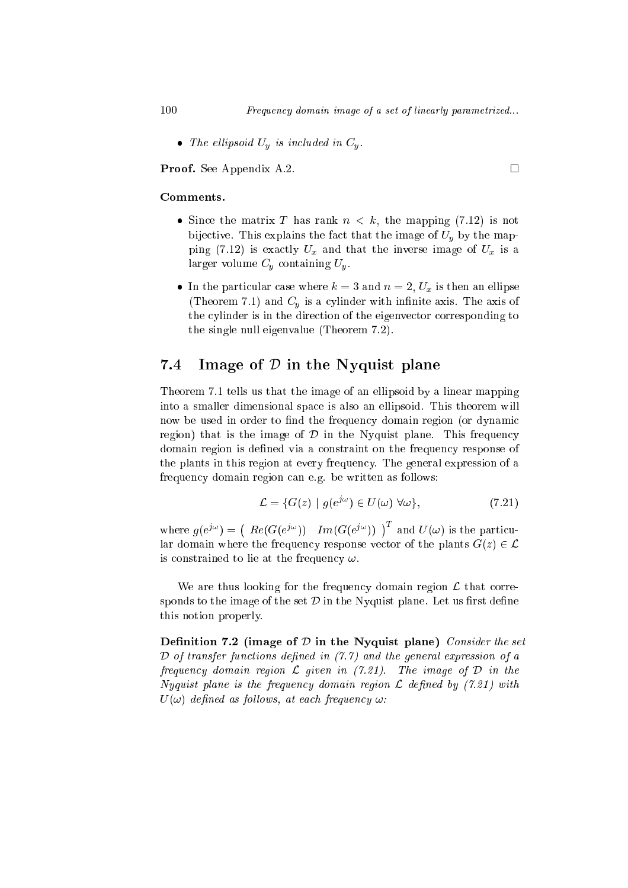The el lipsoid Uy is in
luded in Cy .

Proof. See Appendix A.2.

## Comments.

- Sin
e the matrix T has rank n < k, the mapping (7.12) is not bijective. This explains the fact that the image of  $U_y$  by the mapping (7.12) is exactly  $U_x$  and that the inverse image of  $U_x$  is a larger volume  $C_y$  containing  $U_y$ .
- In the particle the state where  $\alpha$  is the 3 and 2, U is the 2, U is the state where  $\alpha$ (Theorem 7.1) and  $C_y$  is a cylinder with infinite axis. The axis of the cylinder is in the direction of the eigenvector corresponding to the single null eigenvalue (Theorem 7.2).

# 7.4 Image of  $\mathcal D$  in the Nyquist plane

Theorem 7.1 tells us that the image of an ellipsoid by a linear mapping into a smaller dimensional spa
e is also an ellipsoid. This theorem will now be used in order to find the frequency domain region (or dynamic region) that is the image of  $\mathcal D$  in the Nyquist plane. This frequency domain region is defined via a constraint on the frequency response of the plants in this region at every frequency. The general expression of a frequency domain region can e.g. be written as follows:

$$
\mathcal{L} = \{ G(z) \mid g(e^{j\omega}) \in U(\omega) \,\forall \omega \},\tag{7.21}
$$

where  $q(e^{j\omega}) =$  (  $Re(G(e^{j\omega}))$   $Im(G(e^{j\omega}))$   $\qquad^{\prime}$  and  $U(\omega)$  is the particular domain where the frequency response vector of the plants  $G(z) \in \mathcal{L}$ is constrained to lie at the frequency  $\omega$ .

We are thus looking for the frequency domain region  $\mathcal L$  that corresponds to the image of the set  $D$  in the Nyquist plane. Let us first define this notion properly.

Definition 7.2 (image of  $D$  in the Nyquist plane) Consider the set D of transfer fun
tions dened in (7.7) and the general expression of a frequency domain region  $\mathcal L$  given in (7.21). The image of  $\mathcal D$  in the Nyquist plane is the frequency domain region  $\mathcal L$  defined by (7.21) with  $U(\omega)$  defined as follows, at each frequency  $\omega$ :

 $\Box$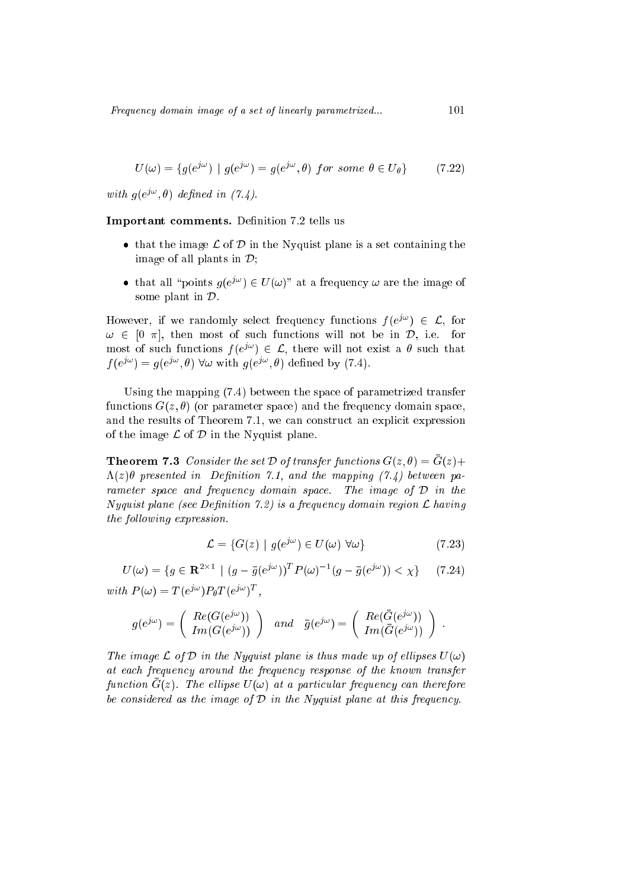$$
U(\omega) = \{ g(e^{j\omega}) \mid g(e^{j\omega}) = g(e^{j\omega}, \theta) \text{ for some } \theta \in U_{\theta} \}
$$
 (7.22)

with  $q(e^{\gamma \cdot \cdot}, \sigma)$  defined in (1.4).

Important comments. Definition 7.2 tells us

- that the image  $\frac{1}{2}$  of D in the Nyman is a set of  $\frac{1}{2}$  in the Nyman is a set of  $\frac{1}{2}$  , the Ny image of all plants in  $\mathcal{D}$ ;
- $\bullet$  that all points  $g(e^y) \in U(\omega)$  at a frequency  $\omega$  are the image of some plant in D.

However, if we randomly select frequency functions  $f(e^y) \in L$ , for  $\omega \in [0, \pi]$ , then most of such functions will not be in D, i.e. for most of such functions  $f(e^y) \in \mathcal{L}$ , there will not exist a  $\sigma$  such that  $f(e^{j\pi}) = g(e^{j\pi}, \sigma)$  with  $g(e^{j\pi}, \sigma)$  defined by (1.4).

Using the mapping (7.4) between the spa
e of parametrized transfer functions  $G(z, \theta)$  (or parameter space) and the frequency domain space, and the results of Theorem 7.1, we can construct an explicit expression of the image  $\mathcal L$  of  $\mathcal D$  in the Nyquist plane.

**THEOREM 1.3** CONSIDER the set D of transfer functions  $G(z, v) = G(z) \top$  $\Lambda(z)\theta$  presented in Definition 7.1, and the mapping (7.4) between parameter space and frequency domain space. The image of  $\mathcal D$  in the Nyquist plane (see Definition 7.2) is a frequency domain region  $\mathcal L$  having the following expression.

$$
\mathcal{L} = \{ G(z) \mid g(e^{j\omega}) \in U(\omega) \,\,\forall \omega \}
$$
\n(7.23)

$$
U(\omega) = \{ g \in \mathbf{R}^{2 \times 1} \mid (g - \bar{g}(e^{j\omega}))^{T} P(\omega)^{-1} (g - \bar{g}(e^{j\omega})) < \chi \} \tag{7.24}
$$

with  $P(\omega) = I(e^{\gamma \omega})P_{\theta}I(e^{\gamma \omega})$ ,

$$
g(e^{j\omega}) = \begin{pmatrix} Re(G(e^{j\omega})) \\ Im(G(e^{j\omega})) \end{pmatrix} \text{ and } \bar{g}(e^{j\omega}) = \begin{pmatrix} Re(\bar{G}(e^{j\omega})) \\ Im(\bar{G}(e^{j\omega})) \end{pmatrix}.
$$

The image  $\mathcal L$  of  $\mathcal D$  in the Nyquist plane is thus made up of ellipses  $U(\omega)$ at each frequency around the frequency response of the known transfer  $\mu$  ancuon  $G(z)$ . The empse  $U(w)$  at a particular frequency can increpore be considered as the image of  $D$  in the Nyquist plane at this frequency.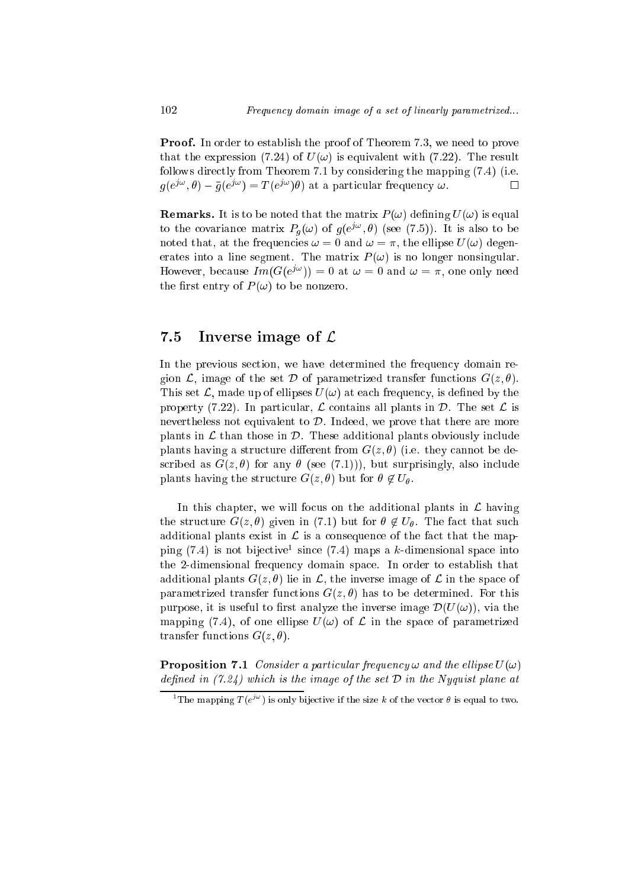Proof. In order to establish the proof of Theorem 7.3, we need to prove that the expression (7.24) of  $U(\omega)$  is equivalent with (7.22). The result follows directly from Theorem 7.1 by considering the mapping  $(7.4)$  (i.e.  $g(e^{\gamma\pi},\sigma)=g(e^{\gamma\pi})=I(e^{\gamma\pi})\sigma$  at a particular frequency  $\omega$ .

**Remarks.** It is to be noted that the matrix  $P(\omega)$  defining  $U(\omega)$  is equal to the covariance matrix  $F_g(\omega)$  of  $g(e^y, \sigma)$  (see (1.5)). It is also to be noted that, at the frequencies  $\omega = 0$  and  $\omega = \pi$ , the ellipse  $U(\omega)$  degenerates into a line segment. The matrix  $P(\omega)$  is no longer nonsingular. However, because  $Im(\mathbf{G}(e^{j\pi})) = 0$  at  $\omega = 0$  and  $\omega = \pi$ , one only need the first entry of  $P(\omega)$  to be nonzero.

#### $7.5$ Inverse image of  $\mathcal{L}$

In the previous section, we have determined the frequency domain region  $\mathcal{L}$ , image of the set  $\mathcal{D}$  of parametrized transfer functions  $G(z, \theta)$ . This set  $\mathcal{L}$ , made up of ellipses  $U(\omega)$  at each frequency, is defined by the property (7.22). In particular,  $\mathcal L$  contains all plants in  $\mathcal D$ . The set  $\mathcal L$  is nevertheless not equivalent to  $D$ . Indeed, we prove that there are more plants in  $\mathcal L$  than those in  $\mathcal D$ . These additional plants obviously include plants having a structure different from  $G(z, \theta)$  (i.e. they cannot be described as  $G(z, \theta)$  for any  $\theta$  (see (7.1))), but surprisingly, also include plants having the structure  $G(z, \theta)$  but for  $\theta \notin U_{\theta}$ .

In this chapter, we will focus on the additional plants in  $\mathcal L$  having the structure  $G(z, \theta)$  given in (7.1) but for  $\theta \notin U_{\theta}$ . The fact that such additional plants exist in  $\mathcal L$  is a consequence of the fact that the map- $\text{pmg (7.4)}$  is not bijective since (7.4) maps a k-dimensional space into the 2-dimensional frequen
y domain spa
e. In order to establish that additional plants  $G(z, \theta)$  lie in L, the inverse image of L in the space of parametrized transfer functions  $G(z, \theta)$  has to be determined. For this purpose, it is useful to first analyze the inverse image  $\mathcal{D}(U(\omega))$ , via the mapping (7.4), of one ellipse  $U(\omega)$  of  $\mathcal L$  in the space of parametrized transfer functions  $G(z, \theta)$ .

**Proposition 7.1** Consider a particular frequency  $\omega$  and the ellipse  $U(\omega)$ defined in  $(7.24)$  which is the image of the set  $D$  in the Nyquist plane at

The mapping  $T(e^{\gamma \tau})$  is only bijective if the size k of the vector  $\theta$  is equal to two.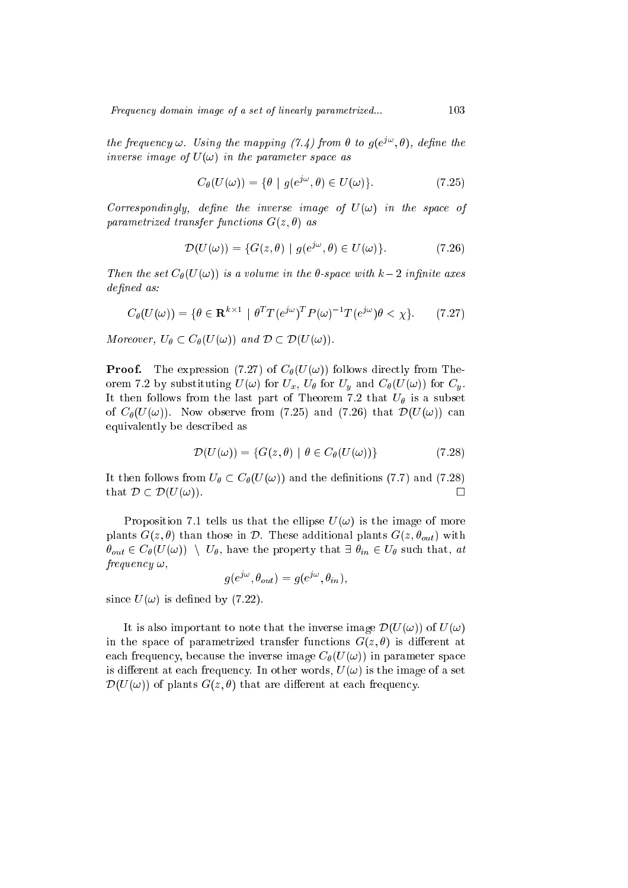Frequency domain image of a set of linearly parametrized... 103

the frequency  $\omega$ . Using the mapping (1.4) from  $\sigma$  to g(e  $\sigma$ ), define the inverse image of  $U(\omega)$  in the parameter space as

$$
C_{\theta}(U(\omega)) = \{\theta \mid g(e^{j\omega}, \theta) \in U(\omega)\}.
$$
 (7.25)

Correspondingly, define the inverse image of  $U(\omega)$  in the space of parametrized transfer functions  $G(z, \theta)$  as

$$
\mathcal{D}(U(\omega)) = \{ G(z, \theta) \mid g(e^{j\omega}, \theta) \in U(\omega) \}.
$$
 (7.26)

Then the set  $C_{\theta}(U(\omega))$  is a volume in the  $\theta$ -space with  $k-2$  infinite axes defined as:

$$
C_{\theta}(U(\omega)) = \{ \theta \in \mathbf{R}^{k \times 1} \mid \theta^T T(e^{j\omega})^T P(\omega)^{-1} T(e^{j\omega}) \theta < \chi \}. \tag{7.27}
$$

Moreover,  $U_{\theta} \subset C_{\theta}(U(\omega))$  and  $\mathcal{D} \subset \mathcal{D}(U(\omega)).$ 

**Proof.** The expression (7.27) of  $C_{\theta}(U(\omega))$  follows directly from Theorem 7.2 by substituting  $U(\omega)$  for  $U_x$ ,  $U_\theta$  for  $U_y$  and  $C_\theta$   $(U(\omega))$  for  $C_y$ . It then follows from the last part of Theorem 7.2 that  $U_{\theta}$  is a subset of  $C_{\theta}(U(\omega))$ . Now observe from (7.25) and (7.26) that  $\mathcal{D}(U(\omega))$  can equivalently be des
ribed as

$$
\mathcal{D}(U(\omega)) = \{ G(z, \theta) \mid \theta \in C_{\theta}(U(\omega)) \}
$$
(7.28)

It then follows from  $U_{\theta} \subset C_{\theta}(U(\omega))$  and the definitions (7.7) and (7.28) that  $\mathcal{D} \subset \mathcal{D}(U(\omega)).$  $\Box$ 

Proposition 7.1 tells us that the ellipse  $U(\omega)$  is the image of more plants  $G(z, \theta)$  than those in D. These additional plants  $G(z, \theta_{out})$  with  $\theta_{out} \in C_{\theta}(U(\omega)) \setminus U_{\theta}$ , have the property that  $\exists \theta_{in} \in U_{\theta}$  such that, at  $frequency \omega,$ 

$$
g(e^{j\omega}, \theta_{out}) = g(e^{j\omega}, \theta_{in}),
$$

since  $U(\omega)$  is defined by (7.22).

It is also important to note that the inverse image  $\mathcal{D}(U(\omega))$  of  $U(\omega)$ in the space of parametrized transfer functions  $G(z, \theta)$  is different at each frequency, because the inverse image  $C_{\theta}(U(\omega))$  in parameter space is different at each frequency. In other words,  $U(\omega)$  is the image of a set  $\mathcal{D}(U(\omega))$  of plants  $G(z, \theta)$  that are different at each frequency.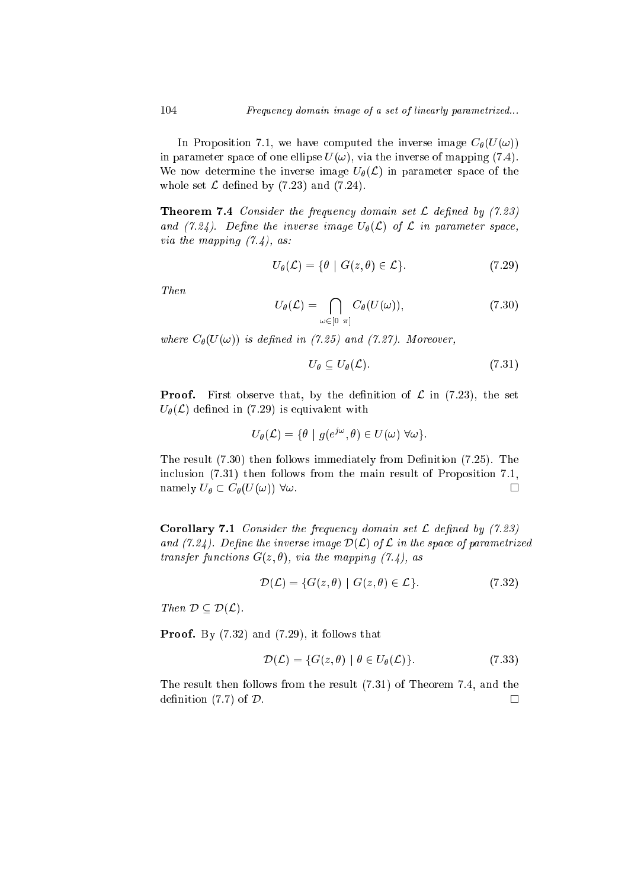In Proposition 7.1, we have computed the inverse image  $C_{\theta}(U(\omega))$ in parameter space of one ellipse  $U(\omega)$ , via the inverse of mapping (7.4). We now determine the inverse image  $U_{\theta}(\mathcal{L})$  in parameter space of the whole set  $\mathcal L$  defined by (7.23) and (7.24).

**Theorem 7.4** Consider the frequency domain set  $\mathcal{L}$  defined by (7.23) and (7.24). Define the inverse image  $U_{\theta}(\mathcal{L})$  of  $\mathcal L$  in parameter space, via the mapping  $(7.4)$ , as:

$$
U_{\theta}(\mathcal{L}) = \{ \theta \mid G(z, \theta) \in \mathcal{L} \}.
$$
 (7.29)

Then

$$
U_{\theta}(\mathcal{L}) = \bigcap_{\omega \in [0 \ \pi]} C_{\theta}(U(\omega)), \tag{7.30}
$$

where  $C_{\theta}(U(\omega))$  is defined in (7.25) and (7.27). Moreover,

$$
U_{\theta} \subseteq U_{\theta}(\mathcal{L}).\tag{7.31}
$$

**Proof.** First observe that, by the definition of  $\mathcal{L}$  in (7.23), the set  $U_{\theta}(\mathcal{L})$  defined in (7.29) is equivalent with

$$
U_{\theta}(\mathcal{L}) = \{ \theta \mid g(e^{j\omega}, \theta) \in U(\omega) \,\,\forall \omega \}.
$$

The result  $(7.30)$  then follows immediately from Definition  $(7.25)$ . The in
lusion (7.31) then follows from the main result of Proposition 7.1, namely  $U_{\theta} \subset C_{\theta}(U(\omega))$   $\forall \omega$ .

**Corollary 7.1** Consider the frequency domain set  $\mathcal{L}$  defined by (7.23) and (7.24). Define the inverse image  $\mathcal{D}(\mathcal{L})$  of  $\mathcal{L}$  in the space of parametrized transfer functions  $G(z, \theta)$ , via the mapping  $(7.4)$ , as

$$
\mathcal{D}(\mathcal{L}) = \{ G(z, \theta) \mid G(z, \theta) \in \mathcal{L} \}.
$$
\n(7.32)

Then  $\mathcal{D} \subset \mathcal{D}(\mathcal{L})$ .

Proof. By (7.32) and (7.29), it follows that

$$
\mathcal{D}(\mathcal{L}) = \{ G(z, \theta) \mid \theta \in U_{\theta}(\mathcal{L}) \}. \tag{7.33}
$$

The result then follows from the result (7.31) of Theorem 7.4, and the definition (7.7) of  $\mathcal{D}$ .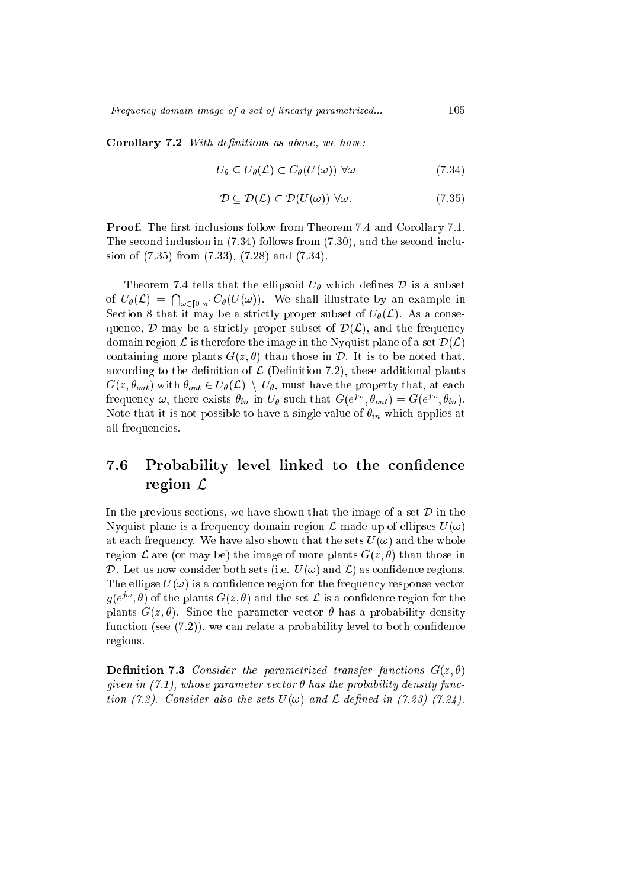Frequency domain image of a set of linearly parametrized... 105

Corollary 7.2 With definitions as above, we have:

$$
U_{\theta} \subseteq U_{\theta}(\mathcal{L}) \subset C_{\theta}(U(\omega)) \,\,\forall \omega \tag{7.34}
$$

$$
\mathcal{D} \subseteq \mathcal{D}(\mathcal{L}) \subset \mathcal{D}(U(\omega)) \,\,\forall \omega. \tag{7.35}
$$

**Proof.** The first inclusions follow from Theorem 7.4 and Corollary 7.1. The second inclusion in (7.34) follows from (7.30), and the second inclusion of (7.35) from (7.33), (7.28) and (7.34).  $\Box$ 

Theorem 7.4 tells that the ellipsoid  $U_{\theta}$  which defines  $\mathcal{D}$  is a subset of U (L) <sup>=</sup> **The Contract of the Contract of the Contract of the Contract of the Contract of the Contract of The Contract o**  $\omega$ eno  $\pi$ n e $\sigma$  (urig). We shall illustrate by an example in the section subset of the strip it is that it is proper subset of L). As a strip it is the subset of  $\mathcal{L}$ quence,  $\mathcal{D}$  may be a strictly proper subset of  $\mathcal{D}(\mathcal{L})$ , and the frequency domain region  $\mathcal L$  is therefore the image in the Nyquist plane of a set  $\mathcal D(\mathcal L)$ containing more plants  $G(z, \theta)$  than those in  $\mathcal{D}$ . It is to be noted that, according to the definition of  $\mathcal{L}$  (Definition 7.2), these additional plants  $G(z, \theta_{out})$  with  $\theta_{out} \in U_{\theta}(\mathcal{L}) \setminus U_{\theta}$ , must have the property that, at each if equency  $\omega$ , there exists  $\sigma_{in}$  in  $\psi_{\theta}$  such that  $G(e^{j\omega}, \sigma_{out}) = G(e^{j\omega}, \sigma_{in}).$ Note that it is not possible to have a single value of  $\theta_{in}$  which applies at all frequen
ies.

# 7.6 Probability level linked to the confidence region  $\mathcal{L}$

In the previous sections, we have shown that the image of a set  $D$  in the Nyquist plane is a frequency domain region  $\mathcal L$  made up of ellipses  $U(\omega)$ at each frequency. We have also shown that the sets  $U(\omega)$  and the whole region L are (or may be) the image of more plants  $G(z, \theta)$  than those in D. Let us now consider both sets (i.e.  $U(\omega)$  and  $\mathcal{L}$ ) as confidence regions. The ellipse  $U(\omega)$  is a confidence region for the frequency response vector  $q(e^j$  ,  $\sigma)$  of the plants  $G(\mathbb{Z}, \sigma)$  and the set  $\mathcal L$  is a connuence region for the plants  $G(z, \theta)$ . Since the parameter vector  $\theta$  has a probability density function (see  $(7.2)$ ), we can relate a probability level to both confidence regions.

**Definition 7.3** Consider the parametrized transfer functions  $G(z, \theta)$ given in  $(7.1)$ , whose parameter vector  $\theta$  has the probability density function (7.2). Consider also the sets  $U(\omega)$  and  $\mathcal L$  defined in (7.23)-(7.24).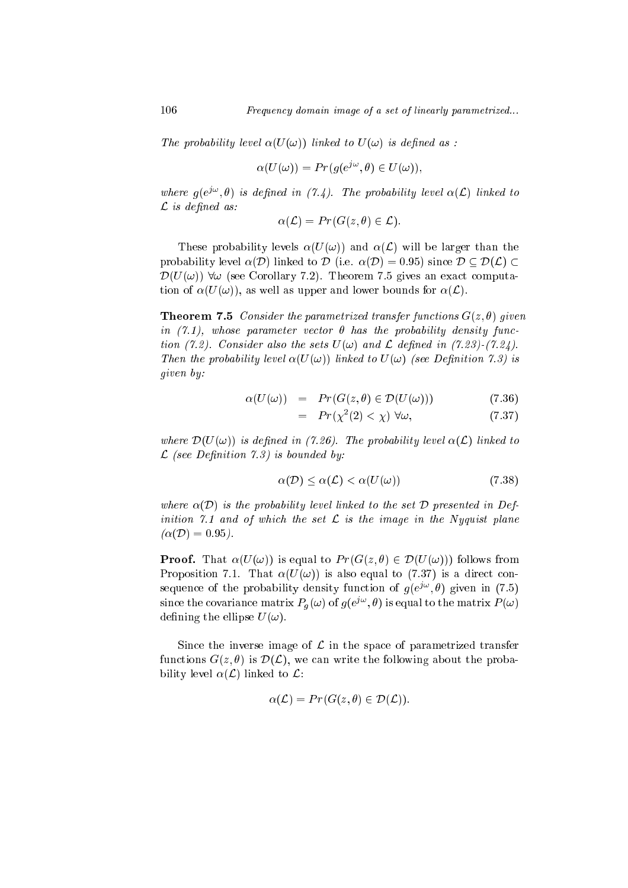The probability level  $\alpha(U(\omega))$  linked to  $U(\omega)$  is defined as:

$$
\alpha(U(\omega)) = Pr(g(e^{j\omega}, \theta) \in U(\omega)),
$$

where  $g(e^{\gamma-},\sigma)$  is defined in (1.4). The provability level  $\alpha(\mathcal{L})$  linked to L is dened as:

$$
\alpha(\mathcal{L}) = Pr(G(z, \theta) \in \mathcal{L}).
$$

These probability levels  $\alpha(U(\omega))$  and  $\alpha(\mathcal{L})$  will be larger than the probability level  $\alpha(\mathcal{D})$  linked to  $\mathcal{D}$  (i.e.  $\alpha(\mathcal{D}) = 0.95$ ) since  $\mathcal{D} \subset \mathcal{D}(\mathcal{L}) \subset$  $\mathcal{D}(U(\omega))$   $\forall \omega$  (see Corollary 7.2). Theorem 7.5 gives an exact computation of  $\alpha(U(\omega))$ , as well as upper and lower bounds for  $\alpha(\mathcal{L})$ .

**Theorem 7.5** Consider the parametrized transfer functions  $G(z, \theta)$  given in  $(7.1)$ , whose parameter vector  $\theta$  has the probability density function (7.2). Consider also the sets  $U(\omega)$  and  $\mathcal L$  defined in (7.23)-(7.24). Then the probability level  $\alpha(U(\omega))$  linked to  $U(\omega)$  (see Definition 7.3) is given by:

$$
\alpha(U(\omega)) = Pr(G(z, \theta) \in \mathcal{D}(U(\omega))) \tag{7.36}
$$

$$
= Pr(\chi^2(2) < \chi) \,\forall \omega,\tag{7.37}
$$

where  $\mathcal{D}(U(\omega))$  is defined in (7.26). The probability level  $\alpha(\mathcal{L})$  linked to  $\sim$  1.33)  $\sim$  2.3) is bounded by:

$$
\alpha(\mathcal{D}) \le \alpha(\mathcal{L}) < \alpha(U(\omega))\tag{7.38}
$$

where  $\alpha(\mathcal{D})$  is the probability level linked to the set  $\mathcal D$  presented in Definition 7.1 and of which the set  $\mathcal L$  is the image in the Nyquist plane  $(\alpha(\mathcal{D}) = 0.95)$ .

**Proof.** That  $\alpha(U(\omega))$  is equal to  $Pr(G(z, \theta) \in \mathcal{D}(U(\omega)))$  follows from Proposition 7.1. That  $\alpha(U(\omega))$  is also equal to (7.37) is a direct consequence of the probability density function of  $q(e^{\gamma\gamma},\sigma)$  given in  $(7.5)$ since the covariance matrix  $\overline{P}_q(\omega)$  of  $g(e^j, \sigma)$  is equal to the matrix  $P(\omega)$ defining the ellipse  $U(\omega)$ .

Since the inverse image of  $\mathcal L$  in the space of parametrized transfer functions  $G(z, \theta)$  is  $\mathcal{D}(\mathcal{L})$ , we can write the following about the probability level  $\alpha(\mathcal{L})$  linked to  $\mathcal{L}$ :

$$
\alpha(\mathcal{L}) = Pr(G(z, \theta) \in \mathcal{D}(\mathcal{L})).
$$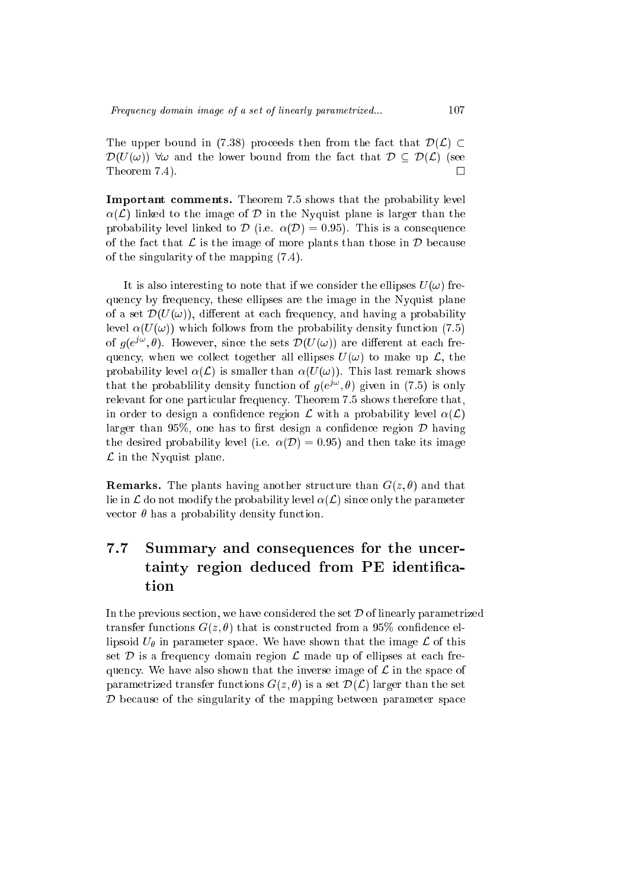The upper bound in (7.38) proceeds then from the fact that  $\mathcal{D}(\mathcal{L}) \subset$  $\mathcal{D}(U(\omega))$   $\forall \omega$  and the lower bound from the fact that  $\mathcal{D} \subset \mathcal{D}(\mathcal{L})$  (see Theorem 7.4).

Important omments. Theorem 7.5 shows that the probability level  $\alpha(\mathcal{L})$  linked to the image of  $\mathcal D$  in the Nyquist plane is larger than the probability level linked to  $\mathcal{D}$  (i.e.  $\alpha(\mathcal{D}) = 0.95$ ). This is a consequence of the fact that  $\mathcal L$  is the image of more plants than those in  $\mathcal D$  because of the singularity of the mapping (7.4).

It is also interesting to note that if we consider the ellipses  $U(\omega)$  frequen
y by frequen
y, these ellipses are the image in the Nyquist plane of a set  $\mathcal{D}(U(\omega))$ , different at each frequency, and having a probability level  $\alpha(U(\omega))$  which follows from the probability density function (7.5) of  $q(e^y)$ ,  $\sigma$ ). However, since the sets  $D(U(\omega))$  are different at each frequency, when we collect together all ellipses  $U(\omega)$  to make up  $\mathcal{L}$ , the probability level  $\alpha(\mathcal{L})$  is smaller than  $\alpha(U(\omega))$ . This last remark shows that the probability density function of  $q(e^{\gamma \tau}, \theta)$  given in (7.5) is only relevant for one particular frequency. Theorem 7.5 shows therefore that, in order to design a confidence region  $\mathcal L$  with a probability level  $\alpha(\mathcal L)$ larger than 95%, one has to first design a confidence region  $\mathcal D$  having the desired probability level (i.e.  $\alpha(\mathcal{D}) = 0.95$ ) and then take its image L in the Nyquist plane.

**Remarks.** The plants having another structure than  $G(z, \theta)$  and that lie in L do not modify the probability level  $\alpha(\mathcal{L})$  since only the parameter vector  $\theta$  has a probability density function.

# 7.7 Summary and onsequen
es for the un
ertainty region deduced from PE identification

In the previous section, we have considered the set  $\mathcal D$  of linearly parametrized transfer functions  $G(z, \theta)$  that is constructed from a 95% confidence ellipsoid  $U_{\theta}$  in parameter space. We have shown that the image  $\mathcal L$  of this set  $\mathcal D$  is a frequency domain region  $\mathcal L$  made up of ellipses at each frequency. We have also shown that the inverse image of  $\mathcal L$  in the space of parametrized transfer functions  $G(z, \theta)$  is a set  $\mathcal{D}(\mathcal{L})$  larger than the set D be
ause of the singularity of the mapping between parameter spa
e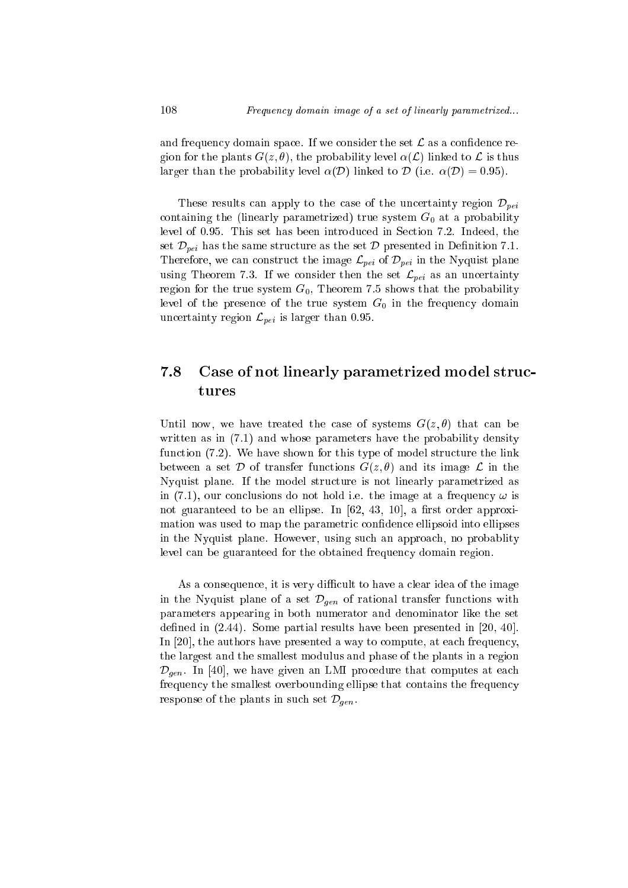and frequency domain space. If we consider the set  $\mathcal L$  as a confidence region for the plants  $G(z, \theta)$ , the probability level  $\alpha(\mathcal{L})$  linked to  $\mathcal L$  is thus larger than the probability level  $\alpha(\mathcal{D})$  linked to  $\mathcal{D}$  (i.e.  $\alpha(\mathcal{D}) = 0.95$ ).

These results can apply to the case of the uncertainty region  $\mathcal{D}_{pei}$ ontaining the (linearly parametrized) true system G0 at <sup>a</sup> probability level of 0.95. This set has been introduced in Section 7.2. Indeed, the set  $\mathcal{D}_{\text{pei}}$  has the same structure as the set  $\mathcal D$  presented in Definition 7.1. Therefore, we can construct the image  $\mathcal{L}_{pei}$  of  $\mathcal{D}_{pei}$  in the Nyquist plane using Theorem 7.3. If we consider then the set  $\mathcal{L}_{\textit{pei}}$  as an uncertainty region for the true system  $G_0$ , Theorem 7.5 shows that the probability level of the presen
e of the true system G0 in the frequen
y domain uncertainty region  $\mathcal{L}_{\text{pei}}$  is larger than 0.95.

# 7.8 Case of not linearly parametrized model stru
 tures

Until now, we have treated the case of systems  $G(z, \theta)$  that can be written as in  $(7.1)$  and whose parameters have the probability density function (7.2). We have shown for this type of model structure the link between a set D of transfer functions  $G(z, \theta)$  and its image L in the Nyquist plane. If the model structure is not linearly parametrized as in (7.1), our conclusions do not hold i.e. the image at a frequency  $\omega$  is not guaranteed to be an ellipse. In  $[62, 43, 10]$ , a first order approximation was used to map the parametric confidence ellipsoid into ellipses in the Nyquist plane. However, using su
h an approa
h, no probablity level can be guaranteed for the obtained frequency domain region.

As a consequence, it is very difficult to have a clear idea of the image in the Nyquist plane of a set  $\mathcal{D}_{gen}$  of rational transfer functions with parameters appearing in both numerator and denominator like the set defined in  $(2.44)$ . Some partial results have been presented in  $[20, 40]$ . In [20], the authors have presented a way to compute, at each frequency, the largest and the smallest modulus and phase of the plants in a region  $\mathcal{D}_{gen}$ . In [40], we have given an LMI procedure that computes at each frequency the smallest overbounding ellipse that contains the frequency response of the plants in such set  $\mathcal{D}_{gen}$ .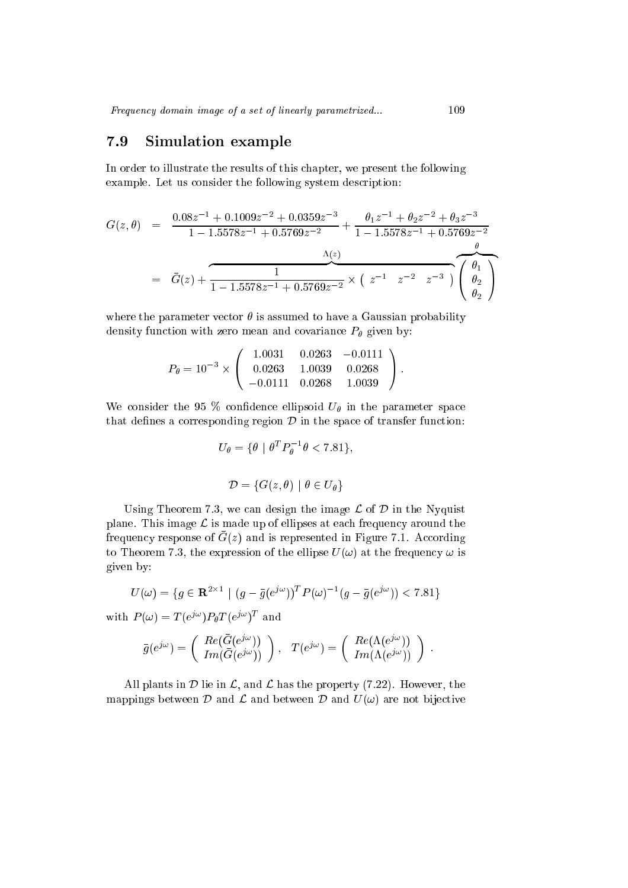# 7.9 Simulation example

In order to illustrate the results of this chapter, we present the following example. Let us consider the following system description:

$$
G(z, \theta) = \frac{0.08z^{-1} + 0.1009z^{-2} + 0.0359z^{-3}}{1 - 1.5578z^{-1} + 0.5769z^{-2}} + \frac{\theta_1 z^{-1} + \theta_2 z^{-2} + \theta_3 z^{-3}}{1 - 1.5578z^{-1} + 0.5769z^{-2}}
$$
  
=  $\bar{G}(z) + \frac{1}{1 - 1.5578z^{-1} + 0.5769z^{-2}} \times (z^{-1} z^{-2} z^{-3}) \begin{pmatrix} \theta_1 \\ \theta_2 \\ \theta_2 \end{pmatrix}$ 

where the parameter vector  $\theta$  is assumed to have a Gaussian probability density function with zero mean and covariance  $P_{\theta}$  given by:

$$
P_{\theta} = 10^{-3} \times \left( \begin{array}{ccc} 1.0031 & 0.0263 & -0.0111 \\ 0.0263 & 1.0039 & 0.0268 \\ -0.0111 & 0.0268 & 1.0039 \end{array} \right).
$$

We consider the 95 % confidence ellipsoid  $U_{\theta}$  in the parameter space that defines a corresponding region  $\mathcal D$  in the space of transfer function:

$$
U_{\theta} = \{ \theta \mid \theta^T P_{\theta}^{-1} \theta < 7.81 \},
$$
\n
$$
\mathcal{D} = \{ G(z, \theta) \mid \theta \in U_{\theta} \}
$$

Using Theorem 7.3, we can design the image  $\mathcal L$  of  $\mathcal D$  in the Nyquist plane. This image  $\mathcal L$  is made up of ellipses at each frequency around the  $\pi$  and  $\pi$  response of  $G(z)$  and is represented in Figure 7.1. According to Theorem 7.3, the expression of the ellipse  $U(\omega)$  at the frequency  $\omega$  is given by:

$$
U(\omega) = \{ g \in \mathbf{R}^{2 \times 1} \mid (g - \bar{g}(e^{j\omega}))^T P(\omega)^{-1} (g - \bar{g}(e^{j\omega})) < 7.81 \}
$$

with  $P(\omega) = I(e^{\gamma \omega})P_{\theta}I(e^{\gamma \omega})$  and

$$
\bar{g}(e^{j\omega}) = \begin{pmatrix} Re(\bar{G}(e^{j\omega})) \\ Im(\bar{G}(e^{j\omega})) \end{pmatrix}, \quad T(e^{j\omega}) = \begin{pmatrix} Re(\Lambda(e^{j\omega})) \\ Im(\Lambda(e^{j\omega})) \end{pmatrix}
$$

All plants in  $D$  lie in  $\mathcal{L}$ , and  $\mathcal{L}$  has the property (7.22). However, the mappings between  $\mathcal D$  and  $\mathcal L$  and between  $\mathcal D$  and  $U(\omega)$  are not bijective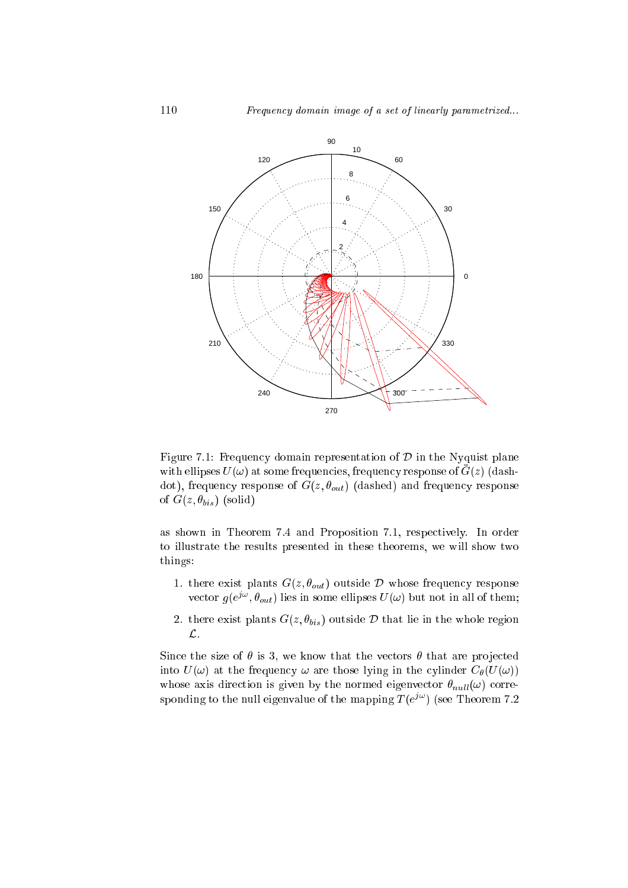

Figure 7.1: Frequency domain representation of  $\mathcal D$  in the Nyquist plane with empses  $\mathcal{O}(w)$  at some frequencies, frequency response of  $G(z)$  (dashdot), frequency response of  $G(z, \theta_{out})$  (dashed) and frequency response of  $G(z, \theta_{bis})$  (solid)

as shown in Theorem 7.4 and Proposition 7.1, respectively. In order to illustrate the results presented in these theorems, we will show two things:

- 1. there exist plants  $G(z, \theta_{out})$  outside D whose frequency response vector  $g(e^j, \sigma_{out})$  ries in some empses  $U(\omega)$  but not in all of them;
- 2. there exist plants  $G(z, \theta_{bis})$  outside  $D$  that lie in the whole region L.

Since the size of  $\theta$  is 3, we know that the vectors  $\theta$  that are projected into  $U(\omega)$  at the frequency  $\omega$  are those lying in the cylinder  $C_{\theta}(U(\omega))$ whose axis direction is given by the normed eigenvector  $\theta_{null}(\omega)$  corresponding to the null eigenvalue of the mapping  $T(e^{\gamma \cdot \cdot})$  (see Theorem 7.2)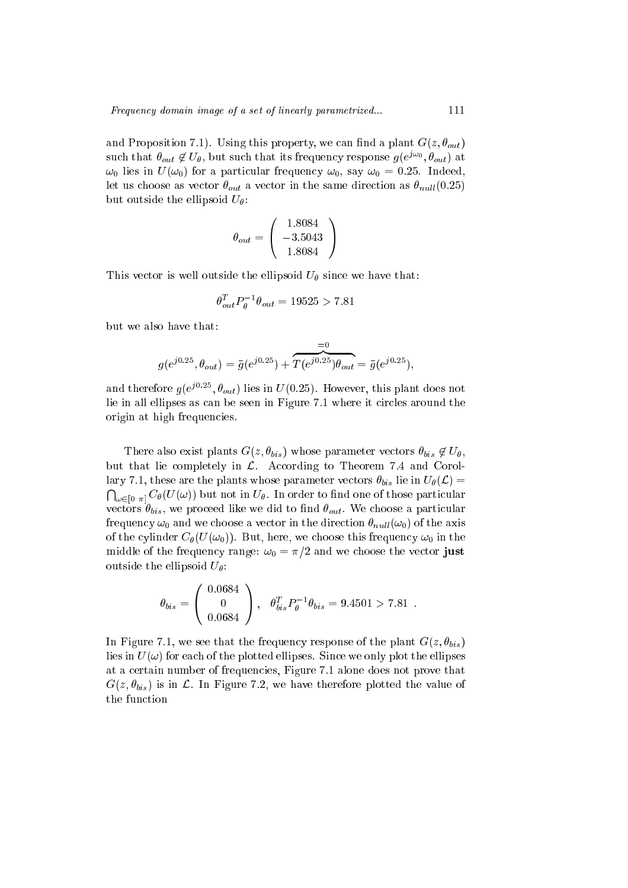and Proposition 7.1). Using this property, we can find a plant  $G(z, \theta_{out})$ such that  $\sigma_{out} \not\in U_{\theta}$ , but such that its frequency response  $g(e^{j \cdot \cdot \cdot \cdot}, \sigma_{out})$  at !0 lies in U(!0) for <sup>a</sup> parti
ular frequen
y !0, say !0 <sup>=</sup> 0:25. Indeed, let us choose as vector  $\theta_{out}$  a vector in the same direction as  $\theta_{null}(0.25)$ but outside the ellipsoid  $U_{\theta}$ :

$$
\theta_{out} = \left( \begin{array}{c} 1.8084 \\ -3.5043 \\ 1.8084 \end{array} \right)
$$

This vector is well outside the ellipsoid  $U_{\theta}$  since we have that:

$$
\theta_{out}^T P_{\theta}^{-1} \theta_{out} = 19525 > 7.81
$$

but we also have that:

$$
g(e^{j0.25}, \theta_{out}) = \bar{g}(e^{j0.25}) + \overbrace{T(e^{j0.25})\theta_{out}}^{\equiv 0} = \bar{g}(e^{j0.25}),
$$

and therefore  $g(e^{j\alpha\tau\tau},\theta_{out})$  hes in  $U(0.25)$ . However, this plant does not lie in all ellipses as can be seen in Figure 7.1 where it circles around the origin at high frequen
ies.

There also exist plants  $G(z, \theta_{bis})$  whose parameter vectors  $\theta_{bis} \notin U_{\theta}$ , but that lie completely in  $\mathcal{L}$ . According to Theorem 7.4 and Corollary 7.1, these are the plants whose parameter vectors  $\theta_{bis}$  lie in  $U_{\theta}(\mathcal{L}) =$ **The Contract of the Contract of the Contract of the Contract of the Contract of the Contract of The Contract o**  $\omega$ eiu  $\pi$ i vuosinoitata valtaan on one one one one one of the second particle that  $\Gamma$ vectors  $\theta_{bis}$ , we proceed like we did to find  $\theta_{out}$ . We choose a particular from the direction  $\mathcal{U}$  and we direct a vector  $\mathcal{U}$  and  $\mathcal{U}$  and  $\mathcal{U}$  are axis from the axis from the axis from the axis from the axis from the axis from the axis from the axis from the axis from the axis of the cylinder  $C_{\theta}(U(\omega_0))$ . But, here, we choose this frequency  $\omega_0$  in the middle of the frequency of the frequency of the vertex of the vertex  $\mathbf u$ outside the ellipsoid  $U_{\theta}$ :

$$
\theta_{bis} = \begin{pmatrix} 0.0684 \\ 0 \\ 0.0684 \end{pmatrix}, \quad \theta_{bis}^T P_\theta^{-1} \theta_{bis} = 9.4501 > 7.81.
$$

In Figure 7.1, we see that the frequency response of the plant  $G(z, \theta_{bis})$ lies in  $U(\omega)$  for each of the plotted ellipses. Since we only plot the ellipses at a ertain number of frequen
ies, Figure 7.1 alone does not prove that  $G(z, \theta_{bis})$  is in L. In Figure 7.2, we have therefore plotted the value of the function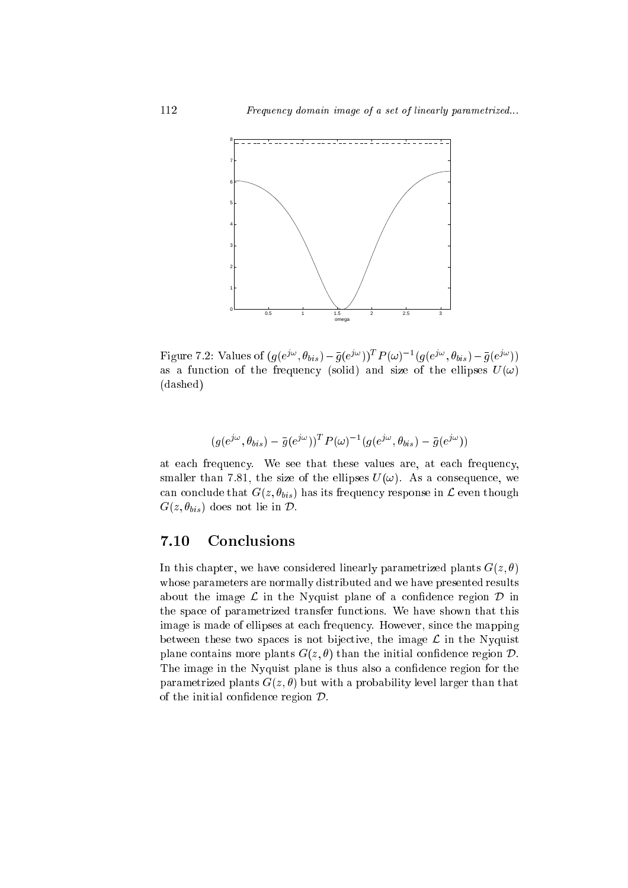

Figure 7.2: Values of  $(g(e^{j\alpha}, \theta_{bis}) - g(e^{j\alpha}))$   $P(\omega)$   $(g(e^{j\alpha}, \theta_{bis}) - g(e^{j\alpha}))$ as a function of the frequency (solid) and size of the ellipses  $U(\omega)$ (dashed)

$$
(g(e^{j\omega},\theta_{bis})-\bar{g}(e^{j\omega}))^T P(\omega)^{-1}(g(e^{j\omega},\theta_{bis})-\bar{g}(e^{j\omega}))
$$

at each frequency. We see that these values are, at each frequency, smaller than 7.81, the size of the ellipses  $U(\omega)$ . As a consequence, we can conclude that  $G(z, \theta_{bis})$  has its frequency response in  $\mathcal L$  even though  $G(z, \theta_{bis})$  does not lie in  $\mathcal{D}$ .

# 7.10 Con
lusions

In this chapter, we have considered linearly parametrized plants  $G(z, \theta)$ whose parameters are normally distributed and we have presented results about the image  $\mathcal L$  in the Nyquist plane of a confidence region  $\mathcal D$  in the space of parametrized transfer functions. We have shown that this image is made of ellipses at each frequency. However, since the mapping between these two spaces is not bijective, the image  $\mathcal L$  in the Nyquist plane contains more plants  $G(z, \theta)$  than the initial confidence region  $\mathcal{D}$ . The image in the Nyquist plane is thus also a confidence region for the parametrized plants  $G(z, \theta)$  but with a probability level larger than that of the initial confidence region  $D$ .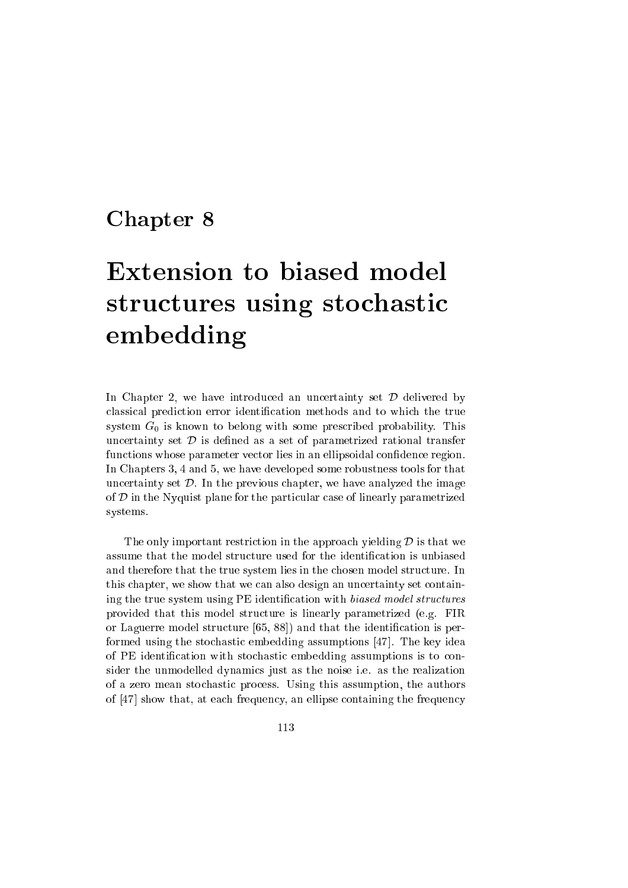# Chapter 8

# Extension to biased model structures using stochastic embedding

In Chapter 2, we have introduced an uncertainty set  $D$  delivered by classical prediction error identification methods and to which the true system G0 is known to belong with some pres
ribed probability. This uncertainty set  $\mathcal D$  is defined as a set of parametrized rational transfer functions whose parameter vector lies in an ellipsoidal confidence region. In Chapters 3, 4 and 5, we have developed some robustness tools for that uncertainty set  $D$ . In the previous chapter, we have analyzed the image of  $D$  in the Nyquist plane for the particular case of linearly parametrized systems.

The only important restriction in the approach yielding  $\mathcal D$  is that we assume that the model structure used for the identification is unbiased and therefore that the true system lies in the chosen model structure. In this chapter, we show that we can also design an uncertainty set containing the true system using PE identification with *biased model structures* provided that this model structure is linearly parametrized (e.g. FIR or Laguerre model structure  $[65, 88]$  and that the identification is performed using the stochastic embedding assumptions [47]. The key idea of PE identification with stochastic embedding assumptions is to consider the unmodelled dynami
s just as the noise i.e. as the realization of a zero mean sto
hasti pro
ess. Using this assumption, the authors of  $[47]$  show that, at each frequency, an ellipse containing the frequency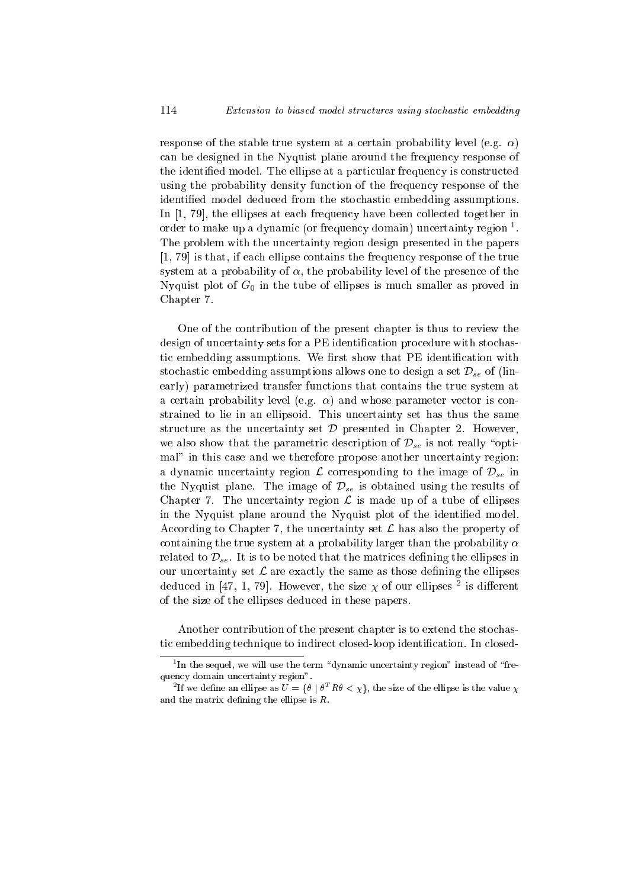response of the stable true system at a certain probability level (e.g.  $\alpha$ ) can be designed in the Nyquist plane around the frequency response of the identified model. The ellipse at a particular frequency is constructed using the probability density function of the frequency response of the identified model deduced from the stochastic embedding assumptions. In  $[1, 79]$ , the ellipses at each frequency have been collected together in order to make up a dynamic (or frequency domain) uncertainty region  $\,$  . The problem with the un
ertainty region design presented in the papers  $[1, 79]$  is that, if each ellipse contains the frequency response of the true system at a probability of  $\alpha$ , the probability level of the presence of the Nyquist plot of G0 in the tube of ellipses is mu
h smaller as proved in Chapter 7.

One of the ontribution of the present hapter is thus to review the design of uncertainty sets for a PE identification procedure with stochastic embedding assumptions. We first show that PE identification with stochastic embedding assumptions allows one to design a set  $\mathcal{D}_{se}$  of (linearly) parametrized transfer functions that contains the true system at a certain probability level (e.g.  $\alpha$ ) and whose parameter vector is constrained to lie in an ellipsoid. This un
ertainty set has thus the same structure as the uncertainty set  $D$  presented in Chapter 2. However, we also show that the parametric description of  $\mathcal{D}_{se}$  is not really "optimal" in this case and we therefore propose another uncertainty region: a dynamic uncertainty region  $\mathcal L$  corresponding to the image of  $\mathcal D_{se}$  in the Nyquist plane. The image of  $\mathcal{D}_{se}$  is obtained using the results of Chapter 7. The uncertainty region  $\mathcal L$  is made up of a tube of ellipses in the Nyquist plane around the Nyquist plot of the identified model. According to Chapter 7, the uncertainty set  $\mathcal L$  has also the property of containing the true system at a probability larger than the probability  $\alpha$ related to  $\mathcal{D}_{se}$ . It is to be noted that the matrices defining the ellipses in our uncertainty set  $\mathcal L$  are exactly the same as those defining the ellipses deduced in  $[47, 1, 79]$ . However, the size  $\chi$  of our ellipses  $\overline{\ }$  is different of the size of the ellipses dedu
ed in these papers.

Another contribution of the present chapter is to extend the stochastic embedding technique to indirect closed-loop identification. In closed-

In the sequel, we will use the term "dynamic uncertainty region" instead of "frequen
y domain un
ertainty region".

The we define an ellipse as  $U = \{ \theta \mid \theta^* | R \theta < \chi \}$ , the size of the ellipse is the value  $\chi$ and the matrix defining the ellipse is  $R$ .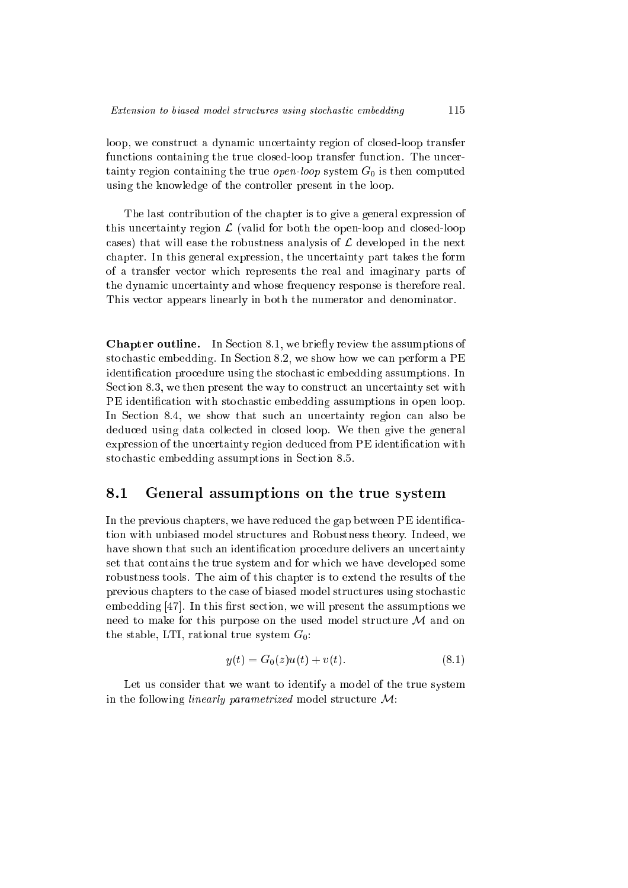loop, we construct a dynamic uncertainty region of closed-loop transfer functions containing the true closed-loop transfer function. The uncertainty region ontaining the true open-loop system G0 is then omputed using the knowledge of the controller present in the loop.

The last ontribution of the hapter is to give a general expression of this uncertainty region  $\mathcal L$  (valid for both the open-loop and closed-loop cases) that will ease the robustness analysis of  $\mathcal L$  developed in the next hapter. In this general expression, the un
ertainty part takes the form of a transfer ve
tor whi
h represents the real and imaginary parts of the dynami un
ertainty and whose frequen
y response is therefore real. This ve
tor appears linearly in both the numerator and denominator.

Chapter outline. In Section 8.1, we briefly review the assumptions of stochastic embedding. In Section 8.2, we show how we can perform a PE identification procedure using the stochastic embedding assumptions. In Section 8.3, we then present the way to construct an uncertainty set with PE identification with stochastic embedding assumptions in open loop. In Section 8.4, we show that such an uncertainty region can also be deduced using data collected in closed loop. We then give the general expression of the uncertainty region deduced from PE identification with stochastic embedding assumptions in Section 8.5.

#### 8.1 General assumptions on the true system

In the previous chapters, we have reduced the gap between PE identification with unbiased model stru
tures and Robustness theory. Indeed, we have shown that such an identification procedure delivers an uncertainty set that ontains the true system and for whi
h we have developed some robustness tools. The aim of this hapter is to extend the results of the previous chapters to the case of biased model structures using stochastic embedding  $[47]$ . In this first section, we will present the assumptions we need to make for this purpose on the used model structure  $M$  and on the stable, LTI, rational true system  $G_0$ :

$$
y(t) = G_0(z)u(t) + v(t).
$$
 (8.1)

Let us consider that we want to identify a model of the true system in the following *linearly parametrized* model structure  $M$ :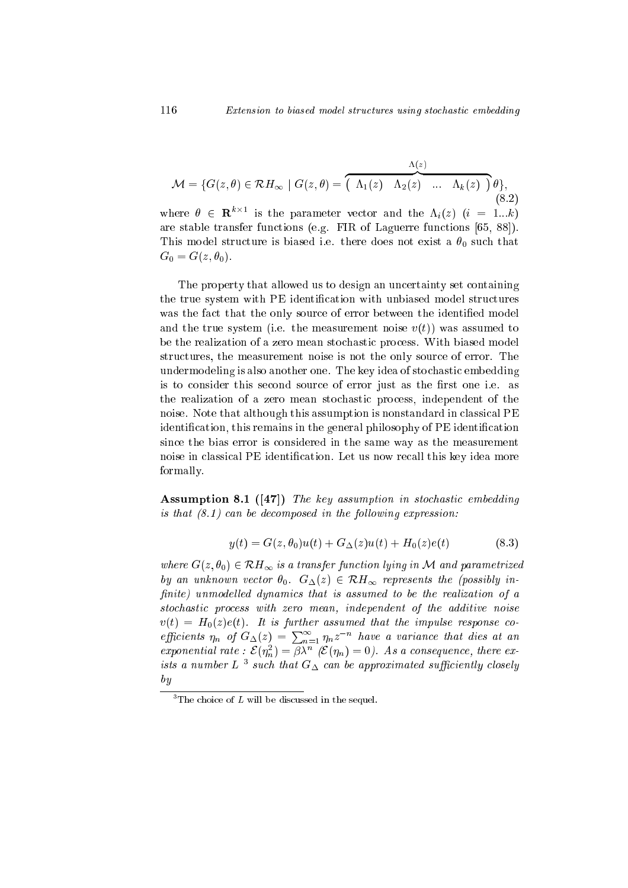$$
\mathcal{M} = \{ G(z, \theta) \in \mathcal{R}H_{\infty} \mid G(z, \theta) = \overbrace{\begin{pmatrix} \Lambda_1(z) & \Lambda_2(z) & \dots & \Lambda_k(z) \end{pmatrix}}^{\Lambda(z)} \begin{pmatrix} 0 \\ 0 \end{pmatrix},
$$
  
where  $\theta \in \mathbb{R}^{k \times 1}$  is the parameter vector and the  $\Lambda_i(z)$   $(i = 1...k)$   
are stable transfer functions (e.g. FIR of Laguerre functions [65, 88]).  
This model structure is biased i.e. there does not exist a  $\theta_0$  such that  
 $G_0 = G(z, \theta_0)$ .

The property that allowed us to design an uncertainty set containing the true system with PE identification with unbiased model structures was the fact that the only source of error between the identified model and the true system (i.e. the measurement noise  $v(t)$ ) was assumed to be the realization of a zero mean stochastic process. With biased model structures, the measurement noise is not the only source of error. The undermodeling is also another one. The key idea of stochastic embedding is to consider this second source of error just as the first one i.e. as the realization of a zero mean sto
hasti pro
ess, independent of the noise. Note that although this assumption is nonstandard in lassi
al PE identification, this remains in the general philosophy of PE identification sin
e the bias error is onsidered in the same way as the measurement noise in lassi
al PE identi
ation. Let us now re
all this key idea more formally.

Assumption 8.1  $(47)$  The key assumption in stochastic embedding is that  $(8.1)$  can be decomposed in the following expression:

$$
y(t) = G(z, \theta_0)u(t) + G_{\Delta}(z)u(t) + H_0(z)e(t)
$$
\n(8.3)

where  $G(z, \theta_0) \in \mathcal{R}H_{\infty}$  is a transfer function lying in M and parametrized by an unknown vector  $\theta_0$ .  $G_{\Delta}(z) \in \mathcal{R}H_{\infty}$  represents the (possibly infinite) unmodelled dynamics that is assumed to be the realization of a stochastic process with zero mean, independent of the additive noise  $v(t) = H_0(z)e(t)$ . It is further assumed that the impulse response coefficients  $\eta_n$  of  $G_{\Delta}(z) = \sum_{n=1}^{\infty} \eta_n z^{-n}$  have a variance that dies at an exponential rate :  $\varepsilon(\eta_n^-) = \varepsilon^{\chi}(\varepsilon(\eta_n) = 0)$ . As a consequence, there exists a number  $L$  – such that  $G \Delta$  can be approximated sufficiently closety by

The choice of  $L$  will be discussed in the sequel.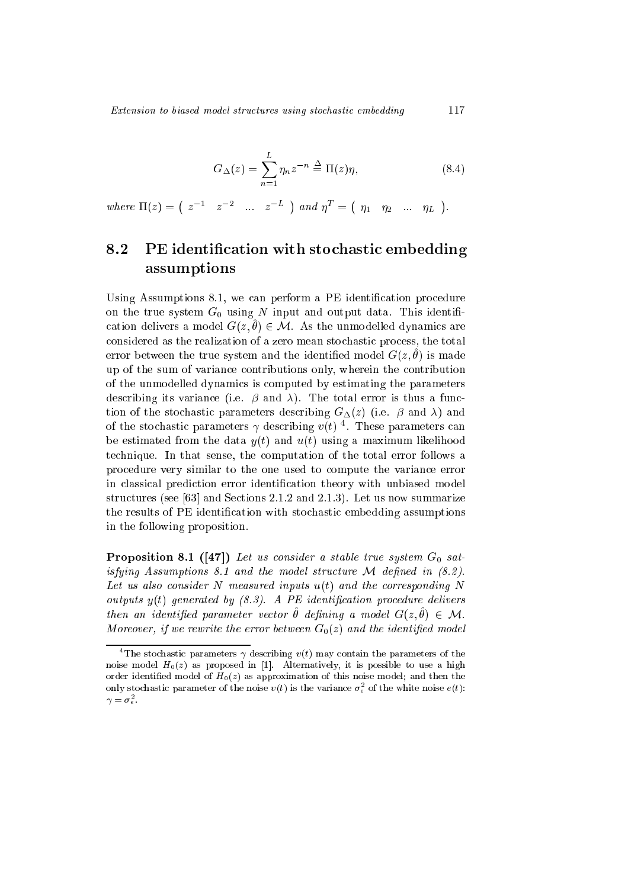$$
G_{\Delta}(z) = \sum_{n=1}^{L} \eta_n z^{-n} \stackrel{\Delta}{=} \Pi(z)\eta,\tag{8.4}
$$

where  $\alpha$  is  $\alpha$  =  $\alpha$  ,  $\alpha$  ,  $\alpha$  $(z^{-1} z^{-2} ... z^{-L})$  and  $n^{T} = (z^{-1} z^{-2} z^{-2})$ 1 2 ::: L  $\sim$ 

# 8.2 PE identification with stochastic embedding assumptions

Using Assumptions 8.1, we can perform a PE identification procedure on the true system G0 using N input and output and output and output and output and output data. This is in this identical method  $\Gamma$ cation delivers a model  $G(z, v) \in \mathcal{Y}$ r. As the unmodelled dynamics are considered as the realization of a zero mean stochastic process, the total error between the true system and the identified model  $G(z, v)$  is made up of the sum of varian
e ontributions only, wherein the ontribution of the unmodelled dynami
s is omputed by estimating the parameters describing its variance (i.e.  $\beta$  and  $\lambda$ ). The total error is thus a function of the stochastic parameters describing  $G_{\Delta}(z)$  (i.e.  $\beta$  and  $\lambda$ ) and of the stochastic parameters  $\gamma$  describing  $v(t)$  . These parameters can be estimated from the data  $y(t)$  and  $u(t)$  using a maximum likelihood te
hnique. In that sense, the omputation of the total error follows a pro
edure very similar to the one used to ompute the varian
e error in classical prediction error identification theory with unbiased model structures (see  $[63]$  and Sections 2.1.2 and 2.1.3). Let us now summarize the results of PE identification with stochastic embedding assumptions in the following proposition.

Proposition 8.1 ([47℄) Let us onsider a stable true system G0 satisfying Assumptions 8.1 and the model structure  $M$  defined in  $(8.2)$ . Let us also consider N measured inputs  $u(t)$  and the corresponding N outputs  $y(t)$  generated by  $(8.3)$ . A PE identification procedure delivers  $t$  inch an identified parameter vector  $\sigma$  actining a model  $G(z, \sigma) \in \mathcal{M}$ . Moreover, if we rewrite the error between  $G_0(z)$  and the identified model

The stochastic parameters  $\gamma$  describing  $v(t)$  may contain the parameters of the noise model  $H_0(z)$  as proposed in [1]. Alternatively, it is possible to use a high order identified model of  $H_0(z)$  as approximation of this noise model; and then the only stochastic parameter of the noise  $v(t)$  is the variance  $\sigma_{\bar{e}}$  of the white noise  $e(t)$ :  $\gamma = \sigma_e$  .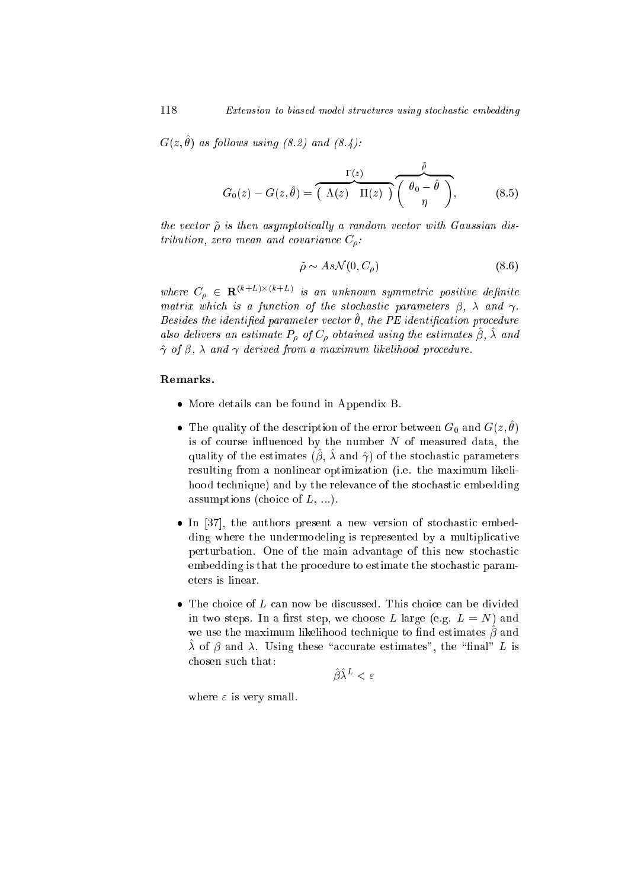$G(z, v)$  as follows asing (8.2) and (8.4).

$$
G_0(z) - G(z, \hat{\theta}) = \overbrace{\left(\begin{array}{c} \Lambda(z) \\ \Lambda(z) \end{array}\right)}^{\Gamma(z)} \overbrace{\left(\begin{array}{c} \theta_0 - \hat{\theta} \\ \eta \end{array}\right)}^{\tilde{\rho}}, \qquad (8.5)
$$

the vector  $\tilde{\rho}$  is then asymptotically a random vector with Gaussian distribution, zero mean and covariance  $C_{\rho}$ :

$$
\tilde{\rho} \sim As \mathcal{N}(0, C_{\rho}) \tag{8.6}
$$

where  $C_{\rho} \in \mathbf{R}^{\times}$  is an unknown symmetric positive definite matrix which is a function of the stochastic parameters  $\beta$ ,  $\lambda$  and  $\gamma$ .  $\bm{D}$ csiacs the identified parameter vector  $\bm{v}$ , the  $\bm{I}$   $\bm{E}$  identification procedure also delivers an estimate  $\Gamma_\theta$  of  $C_\theta$  obtained using the estimates  $\rho, \lambda$  and  $\hat{\gamma}$  of  $\beta$ ,  $\lambda$  and  $\gamma$  derived from a maximum likelihood procedure.

### Remarks.

- more details and in a begin the found in Appendix B.
- $\bullet$  The quality of the description of the error between  $G_0$  and  $G(z, \theta)$ is of course influenced by the number  $N$  of measured data, the  $q$  dative of the estimates  $(\rho, \lambda$  and  $\gamma)$  of the stochastic parameters resulting from a nonlinear optimization (i.e. the maximum likelihood te
hnique) and by the relevan
e of the sto
hasti embedding assumptions (choice of  $L, \ldots$ ).
- in In the authors present a new version of store and store and store of store ding where the undermodeling is represented by a multiplicative perturbation. One of the main advantage of this new sto
hasti embedding is that the procedure to estimate the stochastic parameters is linear.
- in two steps. In a first step, we choose L large (e.g.  $L = N$ ) and we use the maximum intentious technique to find estimates  $\rho$  and  $\lambda$  of  $\rho$  and  $\lambda$ . Using these accurate estimates, the final  $L$  is chosen such that:

$$
\beta \lambda^L < \varepsilon
$$

where  $\varepsilon$  is very small.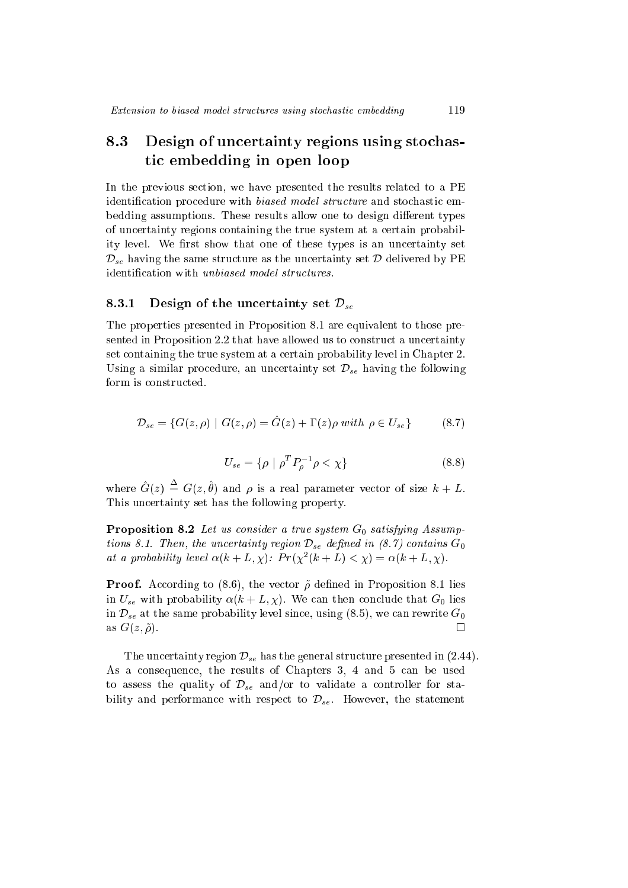# 8.3 Design of un
ertainty regions using sto
hasti embedding in open loop

In the previous section, we have presented the results related to a PE identification procedure with *biased model structure* and stochastic embedding assumptions. These results allow one to design different types of un
ertainty regions ontaining the true system at a ertain probability level. We first show that one of these types is an uncertainty set  $\mathcal{D}_{se}$  having the same structure as the uncertainty set  $\mathcal D$  delivered by PE identification with *unbiased model structures*.

### 8.3.1 Design of the uncertainty set  $\mathcal{D}_{se}$

The properties presented in Proposition 8.1 are equivalent to those presented in Proposition 2.2 that have allowed us to construct a uncertainty set ontaining the true system at a ertain probability level in Chapter 2. Using a similar procedure, an uncertainty set  $\mathcal{D}_{se}$  having the following form is constructed.

$$
\mathcal{D}_{se} = \{ G(z, \rho) \mid G(z, \rho) = \hat{G}(z) + \Gamma(z)\rho \text{ with } \rho \in U_{se} \}
$$
(8.7)

$$
U_{se} = \{ \rho \mid \rho^T P_{\rho}^{-1} \rho < \chi \} \tag{8.8}
$$

where  $G(z) \equiv G(z, \theta)$  and  $\rho$  is a real parameter vector of size  $k + L$ . This un
ertainty set has the following property.

Proposition 8.2 Let us onsider a true system G0 satisfying Assumptions 8.1. Then, the uncertainty region  $\mathcal{D}_{se}$  defined in (8.7) contains  $G_0$ at a probability level  $\alpha(\kappa + L, \chi)$ :  $\Gamma \Gamma(\chi^-(\kappa + L) \leq \chi) = \alpha(\kappa + L, \chi)$ .

**Proof.** According to (8.6), the vector  $\tilde{\rho}$  defined in Proposition 8.1 lies in  $U_{se}$  with probability  $\alpha(k + L, \chi)$ . We can then conclude that  $G_0$  lies in  $\mathcal{D}_{se}$  at the same probability level since, using (8.5), we can rewrite  $G_0$ as  $G(z, \tilde{\rho}).$  $\Box$ 

The uncertainty region  $\mathcal{D}_{se}$  has the general structure presented in (2.44). As a consequence, the results of Chapters 3, 4 and 5 can be used to assess the quality of  $\mathcal{D}_{se}$  and/or to validate a controller for stability and performance with respect to  $\mathcal{D}_{se}$ . However, the statement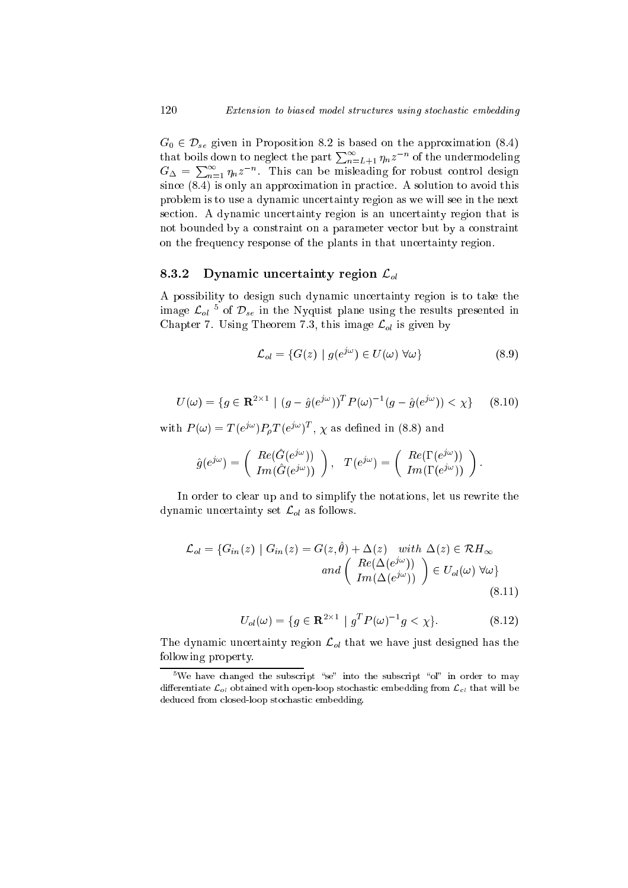$G_0 \in \mathcal{D}_{se}$  given in Proposition 8.2 is based on the approximation (8.4) that boils down to neglect the part  $\sum_{n=L+1}^{\infty} \eta_n z^{-n}$  of the undermodeling  $G_{\Delta} = \sum_{n=1}^{\infty} \eta_n z^{-n}$ . This can be misleading for robust control design since  $(8.4)$  is only an approximation in practice. A solution to avoid this problem is to use a dynamic uncertainty region as we will see in the next section. A dynamic uncertainty region is an uncertainty region that is not bounded by a onstraint on a parameter ve
tor but by a onstraint on the frequency response of the plants in that uncertainty region.

# 8.3.2 Dynamic uncertainty region  $\mathcal{L}_{ol}$

A possibility to design su
h dynami un
ertainty region is to take the image  $\mathcal{L}_{ol}$  to if  $\mathcal{D}_{se}$  in the Nyquist plane using the results presented in Chapter 7. Using Theorem 7.3, this image  $\mathcal{L}_{ol}$  is given by

$$
\mathcal{L}_{ol} = \{ G(z) \mid g(e^{j\omega}) \in U(\omega) \,\forall \omega \}
$$
\n(8.9)

$$
U(\omega) = \{ g \in \mathbf{R}^{2 \times 1} \mid (g - \hat{g}(e^{j\omega}))^T P(\omega)^{-1} (g - \hat{g}(e^{j\omega})) < \chi \} \tag{8.10}
$$

with  $P(\omega) = I(e^{\omega})P_0I(e^{\omega})$ ,  $\chi$  as defined in (8.8) and

$$
\hat{g}(e^{j\omega}) = \begin{pmatrix} Re(\hat{G}(e^{j\omega})) \\ Im(\hat{G}(e^{j\omega})) \end{pmatrix}, T(e^{j\omega}) = \begin{pmatrix} Re(\Gamma(e^{j\omega})) \\ Im(\Gamma(e^{j\omega})) \end{pmatrix}
$$

In order to clear up and to simplify the notations, let us rewrite the dynamic uncertainty set  $\mathcal{L}_{ol}$  as follows.

$$
\mathcal{L}_{ol} = \{ G_{in}(z) \mid G_{in}(z) = G(z, \hat{\theta}) + \Delta(z) \quad with \quad \Delta(z) \in \mathcal{R}H_{\infty} \nand \left( \begin{array}{c} Re(\Delta(e^{j\omega})) \\ Im(\Delta(e^{j\omega})) \end{array} \right) \in U_{ol}(\omega) \,\forall \omega \}
$$
\n(8.11)

$$
U_{ol}(\omega) = \{ g \in \mathbf{R}^{2 \times 1} \mid g^T P(\omega)^{-1} g < \chi \}. \tag{8.12}
$$

The dynamic uncertainty region  $\mathcal{L}_{ol}$  that we have just designed has the following property.

<sup>&</sup>lt;sup>5</sup>We have changed the subscript "se" into the subscript "ol" in order to may differentiate  $\mathcal{L}_{ol}$  obtained with open-loop stochastic embedding from  $\mathcal{L}_{cl}$  that will be dedu
ed from losed-loop sto
hasti embedding.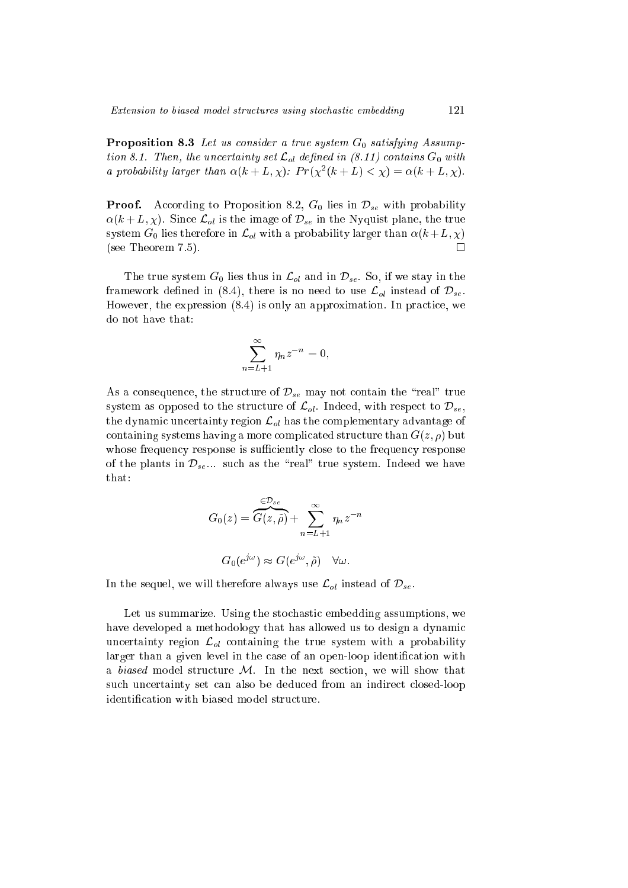Proposition 8.3 Let us onsider a true system G0 satisfying Assumption 8.1. Then, the uncertainty set  $\mathcal{L}_{ol}$  defined in (8.11) contains  $G_0$  with a probability larger than  $\alpha(\kappa + L, \chi)$ :  $F \tau(\chi^2(\kappa + L) \leq \chi) = \alpha(\kappa + L, \chi)$ .

Proof. A

ording to Proposition 8.2, G0 lies in Dse with probability  $\alpha(k+L,\chi)$ . Since  $\mathcal{L}_{ol}$  is the image of  $\mathcal{D}_{se}$  in the Nyquist plane, the true system G0 lies therefore in Lol with <sup>a</sup> probability larger than (k +L; ) (see Theorem 7.5).  $\Box$ 

The true system G0 mass in Lol and in  $\omega_{0l}$  and in the stay in the stay in the state framework defined in (8.4), there is no need to use  $\mathcal{L}_{ol}$  instead of  $\mathcal{D}_{se}$ . However, the expression  $(8.4)$  is only an approximation. In practice, we do not have that:

$$
\sum_{n=L+1}^{\infty} \eta_n z^{-n} = 0,
$$

As a consequence, the structure of  $\mathcal{D}_{se}$  may not contain the "real" true system as opposed to the structure of  $\mathcal{L}_{ol}$ . Indeed, with respect to  $\mathcal{D}_{se}$ , the dynamic uncertainty region  $\mathcal{L}_{ol}$  has the complementary advantage of containing systems having a more complicated structure than  $G(z, \rho)$  but whose frequency response is sufficiently close to the frequency response of the plants in  $\mathcal{D}_{se}$ ... such as the "real" true system. Indeed we have that:

$$
G_0(z) = \overbrace{G(z, \tilde{\rho})}^{\in \mathcal{D}_{se}} + \sum_{n=L+1}^{\infty} \eta_n z^{-n}
$$

$$
G_0(e^{j\omega}) \approx G(e^{j\omega}, \tilde{\rho}) \quad \forall \omega.
$$

In the sequel, we will therefore always use  $\mathcal{L}_{ol}$  instead of  $\mathcal{D}_{se}$ .

Let us summarize. Using the stochastic embedding assumptions, we have developed a methodology that has allowed us to design a dynami uncertainty region  $\mathcal{L}_{ol}$  containing the true system with a probability larger than a given level in the case of an open-loop identification with a biased model structure  $M$ . In the next section, we will show that such uncertainty set can also be deduced from an indirect closed-loop identification with biased model structure.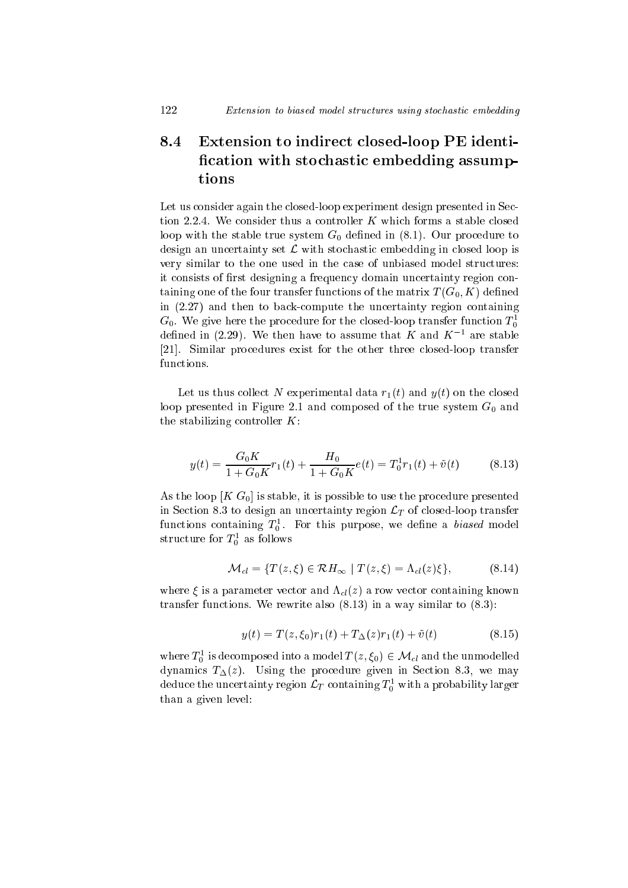### 8.4 Extension to indirect closed-loop PE identification with stochastic embedding assumptions

Let us consider again the closed-loop experiment design presented in Section 2.2.4. We consider thus a controller  $K$  which forms a stable closed loop with the stable true system G0 dened in (8.1). Our pro
edure to design an uncertainty set  $\mathcal L$  with stochastic embedding in closed loop is very similar to the one used in the ase of unbiased model stru
tures: it consists of first designing a frequency domain uncertainty region containing one of the four transfer functions of the matrix  $T(G_0, K)$  defined in  $(2.27)$  and then to back-compute the uncertainty region containing  $G_0$ . We give here the procedure for the closed-loop transfer function  $T_0^1$ defined in (2.29). We then have to assume that  $K$  and  $K$  - are stable [21]. Similar procedures exist for the other three closed-loop transfer functions.

Let us thus collect N experimental data  $r_1(t)$  and  $y(t)$  on the closed loop presented in Figure 2.1 and omposed of the true system G0 and the stabilizing controller  $K$ :

$$
y(t) = \frac{G_0 K}{1 + G_0 K} r_1(t) + \frac{H_0}{1 + G_0 K} e(t) = T_0^1 r_1(t) + \tilde{v}(t)
$$
(8.13)

As the loop  $[K G_0]$  is stable, it is possible to use the procedure presented in Section 8.3 to design an uncertainty region  $\mathcal{L}_T$  of closed-loop transfer functions containing  $T_0$ . For this purpose, we define a *biasea* model structure for  $T_0^1$  as follows

$$
\mathcal{M}_{cl} = \{ T(z,\xi) \in \mathcal{R}H_{\infty} \mid T(z,\xi) = \Lambda_{cl}(z)\xi \},\tag{8.14}
$$

where  $\xi$  is a parameter vector and  $\Lambda_{cl}(z)$  a row vector containing known transfer functions. We rewrite also  $(8.13)$  in a way similar to  $(8.3)$ :

$$
y(t) = T(z, \xi_0)r_1(t) + T_{\Delta}(z)r_1(t) + \tilde{v}(t)
$$
\n(8.15)

where  $T_0^{\top}$  is decomposed into a model  $T\left(z,\xi_0\right)\in\mathcal{M}_{cl}$  and the unmodelled dynamics  $T_{\Delta}(z)$ . Using the procedure given in Section 8.3, we may deduce the uncertainty region  $\mathcal{L}_T$  containing  $\mathcal{I}_0^-$  with a probability larger than a given level: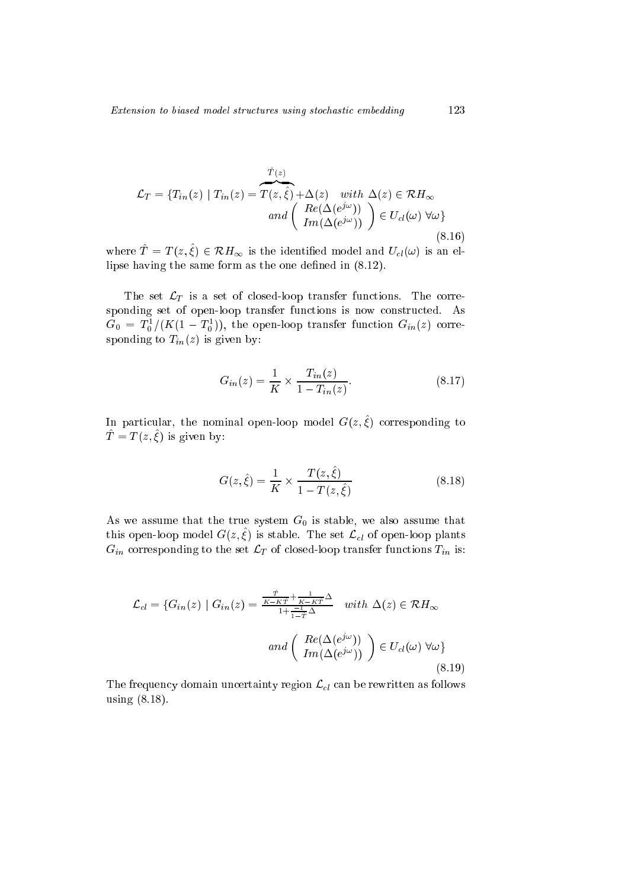$$
\mathcal{L}_T = \{ T_{in}(z) \mid T_{in}(z) = \overbrace{T(z,\hat{\xi})}^{T(z)} + \Delta(z) \quad with \quad \Delta(z) \in \mathcal{R}H_{\infty} \nand \left( \begin{array}{c} Re(\Delta(e^{j\omega})) \\ Im(\Delta(e^{j\omega})) \end{array} \right) \in U_{cl}(\omega) \ \forall \omega \}
$$
\n(8.16)

where  $T = T(z, \zeta) \in \mathcal{N} \mathcal{H}_{\infty}$  is the identified model and  $U_{cl}(\omega)$  is an ellipse having the same form as the one defined in  $(8.12)$ .

The set  $\mathcal{L}_T$  is a set of closed-loop transfer functions. The corresponding set of open-loop transfer functions is now constructed. As  $G_0 = I_0^-/(\Lambda (1 - I_0^-))$ , the open-loop transfer function  $G_{in}(z)$  corresponding to  $T_{in}(z)$  is given by:

$$
G_{in}(z) = \frac{1}{K} \times \frac{T_{in}(z)}{1 - T_{in}(z)}.
$$
\n(8.17)

In particular, the nominal open-loop model  $G(z,\zeta)$  corresponding to  $T = T (\gamma, \zeta)$  is given by:

$$
G(z, \hat{\xi}) = \frac{1}{K} \times \frac{T(z, \hat{\xi})}{1 - T(z, \hat{\xi})}
$$
(8.18)

 $\mathcal{A}$ s we assume that the true system G0 is stable, we also assume that the true system  $\mathcal{A}$ this open-loop model  $G(\lambda, \zeta)$  is stable. The set  $\mathcal{L}_{cl}$  of open-loop plants  $G_{in}$  corresponding to the set  $\mathcal{L}_T$  of closed-loop transfer functions  $T_{in}$  is:

$$
\mathcal{L}_{cl} = \{ G_{in}(z) \mid G_{in}(z) = \frac{\frac{\hat{T}}{K - K \hat{T}} + \frac{1}{K - K \hat{T}} \Delta}{1 + \frac{-1}{1 - \hat{T}} \Delta} \quad with \ \Delta(z) \in \mathcal{R}H_{\infty}
$$

$$
and \left( \frac{Re(\Delta(e^{j\omega}))}{Im(\Delta(e^{j\omega})))} \right) \in U_{cl}(\omega) \ \forall \omega \}
$$
(8.19)

The frequency domain uncertainty region  $\mathcal{L}_{cl}$  can be rewritten as follows using (8.18).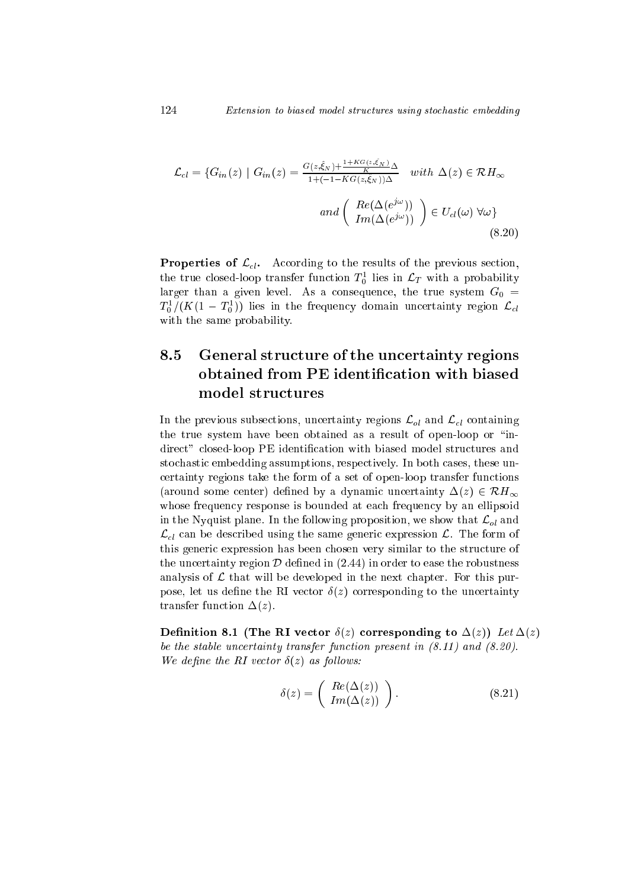$$
\mathcal{L}_{cl} = \{ G_{in}(z) \mid G_{in}(z) = \frac{G(z, \hat{\xi}_N) + \frac{1 + KG(z, \hat{\xi}_N)}{K} \Delta}{1 + (-1 - KG(z, \hat{\xi}_N)) \Delta} \quad with \ \Delta(z) \in \mathcal{R}H_{\infty}
$$

$$
and \left( \frac{Re(\Delta(e^{j\omega}))}{Im(\Delta(e^{j\omega}))} \right) \in U_{cl}(\omega) \ \forall \omega \}
$$
(8.20)

**Properties of**  $\mathcal{L}_{cl}$ **.** According to the results of the previous section, the true closed-loop transfer function  $I_0^-$  lies in  $\mathcal{L}_T$  with a probability larger than a given level. As a onsequen
e, the true system G0 <sup>=</sup>  $T_0^{\gamma}$  (K (1 –  $T_0^{\gamma}$ )) hes in the frequency domain uncertainty region  $\mathcal{L}_{cl}$ with the same probability.

### 8.5 General structure of the uncertainty regions obtained from PE identification with biased model stru
tures

In the previous subsections, uncertainty regions  $\mathcal{L}_{ol}$  and  $\mathcal{L}_{cl}$  containing the true system have been obtained as a result of open-loop or "indirect" closed-loop PE identification with biased model structures and stochastic embedding assumptions, respectively. In both cases, these unertainty regions take the form of a set of open-loop transfer fun
tions (around some center) defined by a dynamic uncertainty  $\Delta(z) \in \mathcal{R}H_{\infty}$ whose frequency response is bounded at each frequency by an ellipsoid in the Nyquist plane. In the following proposition, we show that  $\mathcal{L}_{ol}$  and  $\mathcal{L}_{cl}$  can be described using the same generic expression  $\mathcal{L}$ . The form of this generi expression has been hosen very similar to the stru
ture of the uncertainty region  $D$  defined in  $(2.44)$  in order to ease the robustness analysis of  $\mathcal L$  that will be developed in the next chapter. For this purpose, let us define the RI vector  $\delta(z)$  corresponding to the uncertainty transfer function  $\Delta(z)$ .

Definition 8.1 (The RI vector  $\delta(z)$  corresponding to  $\Delta(z)$ ) Let  $\Delta(z)$ be the stable uncertainty transfer function present in  $(8.11)$  and  $(8.20)$ . We define the RI vector  $\delta(z)$  as follows:

$$
\delta(z) = \left( \begin{array}{c} Re(\Delta(z)) \\ Im(\Delta(z)) \end{array} \right). \tag{8.21}
$$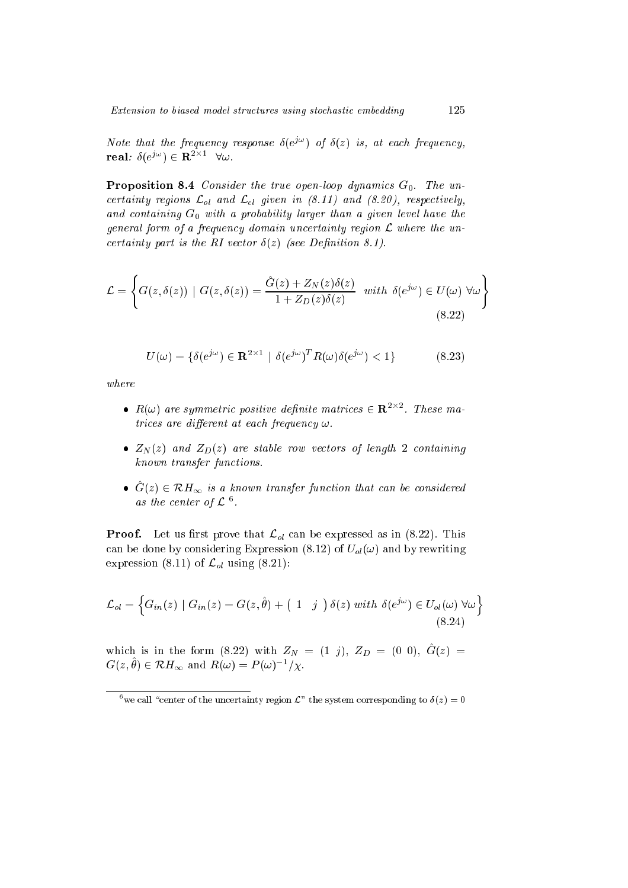ivole that the frequency response  $o(e^s \rightarrow o) \, o(z)$  is, at each frequency, real:  $\theta(e^{j\omega}) \in \mathbf{R}$   $\infty$ .

**Proposition 8.4** Consider the true open-loop dynamics  $G_0$ . The uncertainty regions  $\mathcal{L}_{ol}$  and  $\mathcal{L}_{cl}$  given in (8.11) and (8.20), respectively, and a probability G0 with a probability larger than a given level have the qeneral form of a frequency domain uncertainty region  $\mathcal L$  where the uncertainty part is the RI vector  $\delta(z)$  (see Definition 8.1).

$$
\mathcal{L} = \left\{ G(z, \delta(z)) \mid G(z, \delta(z)) = \frac{\hat{G}(z) + Z_N(z)\delta(z)}{1 + Z_D(z)\delta(z)} \quad \text{with } \delta(e^{j\omega}) \in U(\omega) \; \forall \omega \right\}
$$
\n(8.22)

$$
U(\omega) = \{ \delta(e^{j\omega}) \in \mathbf{R}^{2 \times 1} \mid \delta(e^{j\omega})^T R(\omega) \delta(e^{j\omega}) < 1 \} \tag{8.23}
$$

where

- $R(\omega)$  are symmetric positive definite matrices  $\in$  R<sup>2</sup>  $^{-1}$ . These matrices are different at each frequency  $\omega$ .
- $\overline{\phantom{a}}$  and  $\overline{\phantom{a}}$  are stable row vectors  $\overline{\phantom{a}}$  ,  $\overline{\phantom{a}}$  ,  $\overline{\phantom{a}}$  ,  $\overline{\phantom{a}}$  ,  $\overline{\phantom{a}}$ known transfer functions.
- $\bullet$   $\alpha(z) \in \mathcal{N}$ H $\infty$  is a known transfer function that can be constanted as the center of  $L$ .

**Proof.** Let us first prove that  $\mathcal{L}_{ol}$  can be expressed as in (8.22). This can be done by considering Expression (8.12) of  $U_{ol}(\omega)$  and by rewriting expression (8.11) of  $\mathcal{L}_{ol}$  using (8.21):

$$
\mathcal{L}_{ol} = \left\{ G_{in}(z) \mid G_{in}(z) = G(z, \hat{\theta}) + (1 \quad j \quad \delta(z) \text{ with } \delta(e^{j\omega}) \in U_{ol}(\omega) \ \forall \omega \right\}
$$
\n(8.24)

which is in the form (6.22) with  $Z_N = (1 j)$ ,  $Z_D = (0 0)$ ,  $G(z) =$  $G(z, \theta) \in \mathcal{K}H_{\infty}$  and  $R(\omega) = P(\omega)/\gamma$ .

we call "center of the uncertainty region  $\mathcal{L}$ " the system corresponding to  $\mathfrak{o}(z) = 0$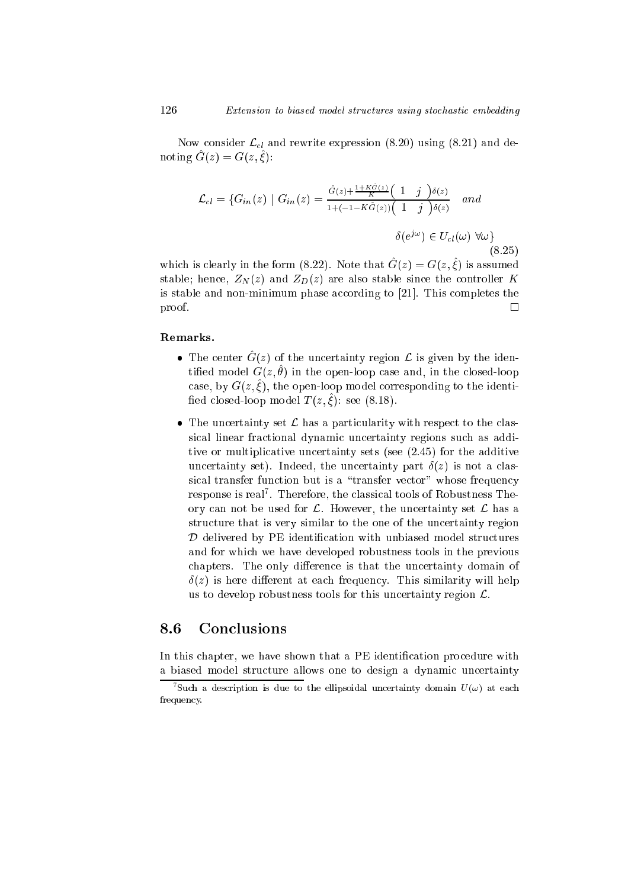Now consider  $\mathcal{L}_{cl}$  and rewrite expression (8.20) using (8.21) and de- $\liminf_{n \to \infty} G(z) = G(z, \zeta).$ 

$$
\mathcal{L}_{cl} = \{ G_{in}(z) \mid G_{in}(z) = \frac{\hat{G}(z) + \frac{1 + K\hat{G}(z)}{K} \left( 1 - j \right) \delta(z)}{1 + (-1 - K\hat{G}(z)) \left( 1 - j \right) \delta(z)} \quad and
$$
\n
$$
\delta(e^{j\omega}) \in U_{cl}(\omega) \,\forall \omega \}
$$
\n(8.25)

\nis clearly in the form (8.22). Note that  $\hat{C}(z) = C(z, \hat{\epsilon})$  is assumed.

which is crearly in the form  $(0.22)$ . Note that  $G(z) = G(z, \zeta)$  is assumed stable; hence,  $Z_N(z)$  and  $Z_D(z)$  are also stable since the controller K is stable and non-minimum phase according to  $[21]$ . This completes the provided a contract of the contract of the contract of the contract of the contract of the contract of the contract of the contract of the contract of the contract of the contract of the contract of the contract of the con

#### Remarks.

- $\bullet$  The center  $\sigma(z)$  of the uncertainty region  $\mathcal L$  is given by the iden- $\mu$  in the closed-loop in the open-loop case and, in the closed-loop  $\alpha$  ase, by  $G(z, \zeta)$ , the open-loop model corresponding to the identi- $\mu$ ed closed-loop model  $I$  (z,  $\zeta$ ). see (8.18).
- to the unit set a particle set in the set of the set of the set of the set of the set of the set of the set of si
al linear fra
tional dynami un
ertainty regions su
h as additive or multipli
ative un
ertainty sets (see (2.45) for the additive uncertainty set). Indeed, the uncertainty part  $\delta(z)$  is not a classical transfer function but is a "transfer vector" whose frequency response is real? Therefore, the classical tools of Robustness Theory can not be used for  $\mathcal{L}$ . However, the uncertainty set  $\mathcal{L}$  has a structure that is very similar to the one of the uncertainty region D delivered by PE identi
ation with unbiased model stru
tures and for whi
h we have developed robustness tools in the previous chapters. The only difference is that the uncertainty domain of  $\delta(z)$  is here different at each frequency. This similarity will help us to develop robustness tools for this uncertainty region  $\mathcal{L}$ .

#### 8.6 Con
lusions

In this chapter, we have shown that a PE identification procedure with a biased model structure allows one to design a dynamic uncertainty

Such a description is due to the ellipsoidal uncertainty domain  $U(\omega)$  at each frequen
y.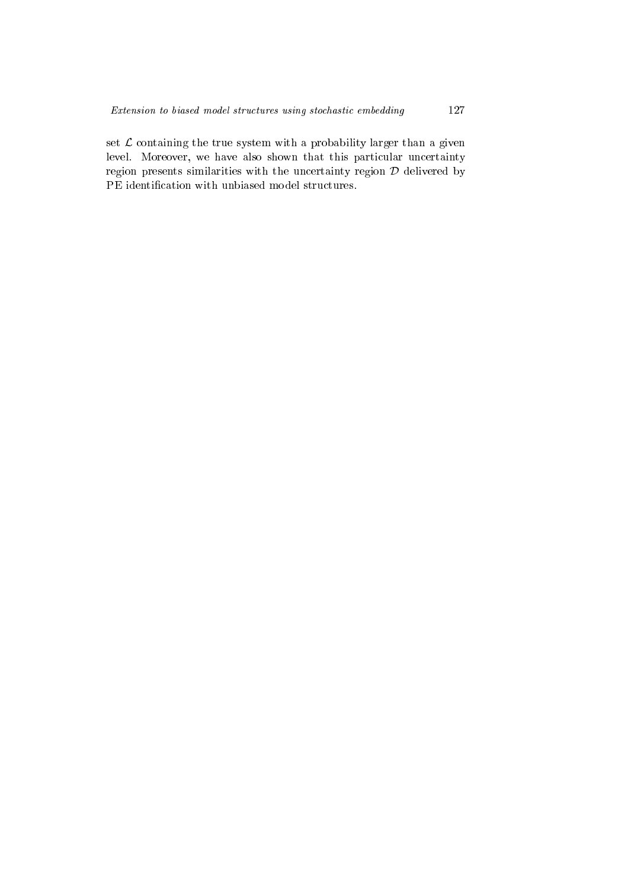set  $\mathcal L$  containing the true system with a probability larger than a given level. Moreover, we have also shown that this particular uncertainty region presents similarities with the uncertainty region  $D$  delivered by PE identification with unbiased model structures.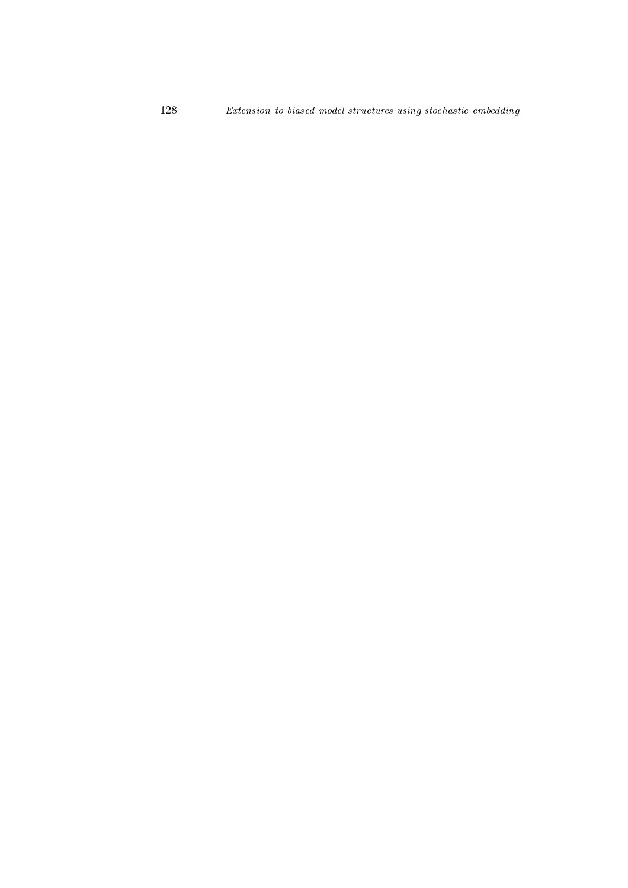Extension to biased model stru
tures using sto
hasti embedding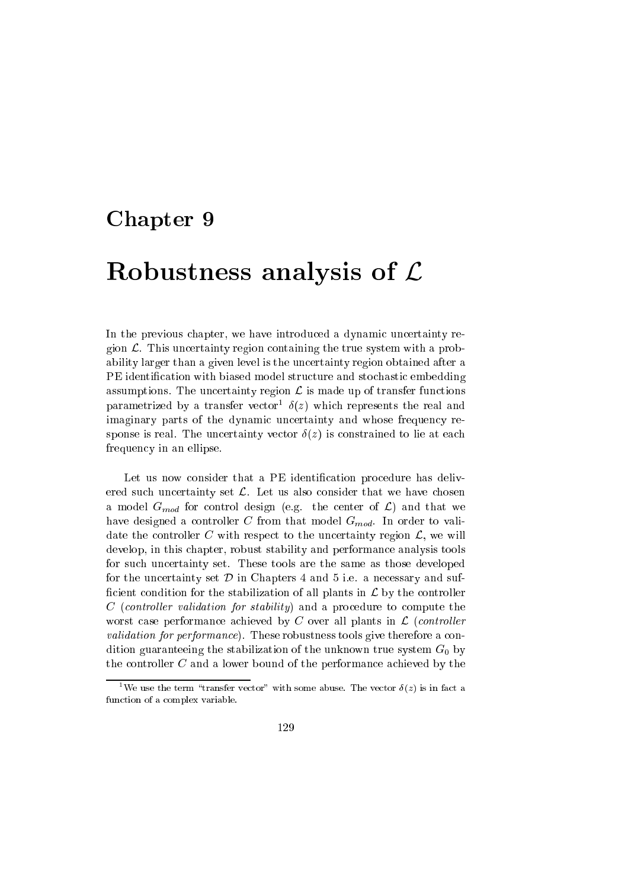## Chapter 9

# Robustness analysis of  $L$

In the previous chapter, we have introduced a dynamic uncertainty region  $\mathcal{L}$ . This uncertainty region containing the true system with a probability larger than a given level is the un
ertainty region obtained after a PE identification with biased model structure and stochastic embedding assumptions. The uncertainty region  $\mathcal L$  is made up of transfer functions  $\rm{parameterized}$  by a transfer vector  $\sigma(z)$  which represents the real and imaginary parts of the dynamic uncertainty and whose frequency response is real. The uncertainty vector  $\delta(z)$  is constrained to lie at each frequen
y in an ellipse.

Let us now consider that a PE identification procedure has delivered such uncertainty set  $\mathcal{L}$ . Let us also consider that we have chosen a model  $G_{mod}$  for control design (e.g. the center of  $\mathcal{L}$ ) and that we have designed a controller C from that model  $G_{mod}$ . In order to validate the controller C with respect to the uncertainty region  $\mathcal{L}$ , we will develop, in this hapter, robust stability and performan
e analysis tools for su
h un
ertainty set. These tools are the same as those developed for the uncertainty set  $D$  in Chapters 4 and 5 i.e. a necessary and sufficient condition for the stabilization of all plants in  $\mathcal L$  by the controller C (controller validation for stability) and a procedure to compute the worst case performance achieved by C over all plants in  $\mathcal{L}$  (controller validation for performance). These robustness tools give therefore a condition guaranteeing the stabilization of the unknown true system G0 by the controller  $C$  and a lower bound of the performance achieved by the

<sup>&</sup>lt;sup>1</sup>We use the term "transfer vector" with some abuse. The vector  $\delta(z)$  is in fact a function of a complex variable.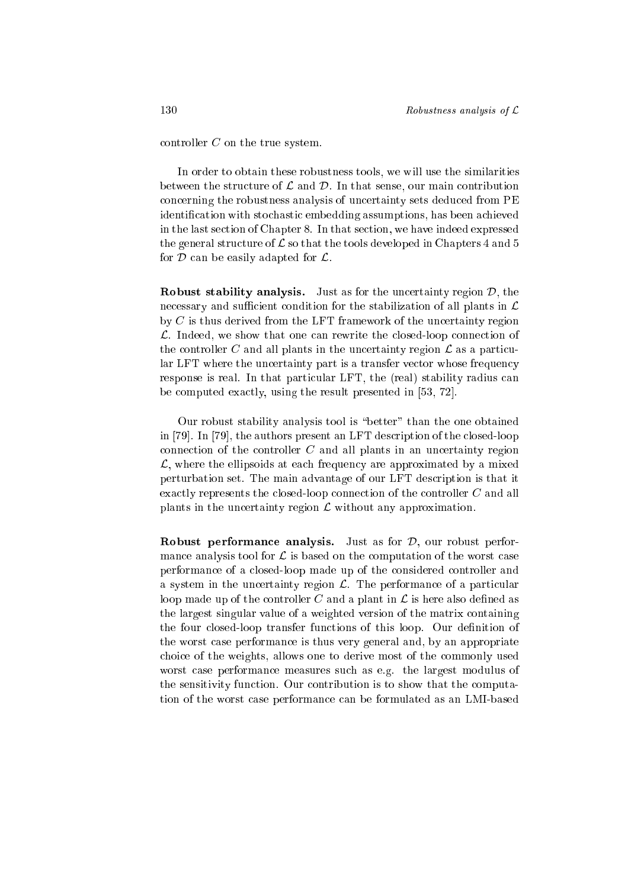ontroller C on the true system.

In order to obtain these robustness tools, we will use the similarities between the structure of  $\mathcal L$  and  $\mathcal D$ . In that sense, our main contribution on
erning the robustness analysis of un
ertainty sets dedu
ed from PE identification with stochastic embedding assumptions, has been achieved in the last se
tion of Chapter 8. In that se
tion, we have indeed expressed the general structure of  $\mathcal L$  so that the tools developed in Chapters 4 and 5 for  $D$  can be easily adapted for  $\mathcal{L}$ .

**Robust stability analysis.** Just as for the uncertainty region  $\mathcal{D}$ , the necessary and sufficient condition for the stabilization of all plants in  $\mathcal L$ by  $C$  is thus derived from the LFT framework of the uncertainty region  $\mathcal{L}$ . Indeed, we show that one can rewrite the closed-loop connection of the controller C and all plants in the uncertainty region  $\mathcal L$  as a particular LFT where the uncertainty part is a transfer vector whose frequency response is real. In that particular LFT, the (real) stability radius can be computed exactly, using the result presented in [53, 72].

Our robust stability analysis tool is \better" than the one obtained in [79]. In [79], the authors present an LFT description of the closed-loop  $\alpha$  connection of the controller  $C$  and all plants in an uncertainty region  $\mathcal{L}$ , where the ellipsoids at each frequency are approximated by a mixed perturbation set. The main advantage of our LFT des
ription is that it exactly represents the closed-loop connection of the controller C and all plants in the uncertainty region  $\mathcal L$  without any approximation.

Robust performance analysis. Just as for D, our robust performance analysis tool for  $\mathcal L$  is based on the computation of the worst case performan
e of a losed-loop made up of the onsidered ontroller and a system in the uncertainty region  $\mathcal{L}$ . The performance of a particular loop made up of the controller  $C$  and a plant in  $\mathcal L$  is here also defined as the largest singular value of a weighted version of the matrix ontaining the four closed-loop transfer functions of this loop. Our definition of the worst ase performan
e is thus very general and, by an appropriate hoi
e of the weights, allows one to derive most of the ommonly used worst ase performan
e measures su
h as e.g. the largest modulus of the sensitivity function. Our contribution is to show that the computation of the worst case performance can be formulated as an LMI-based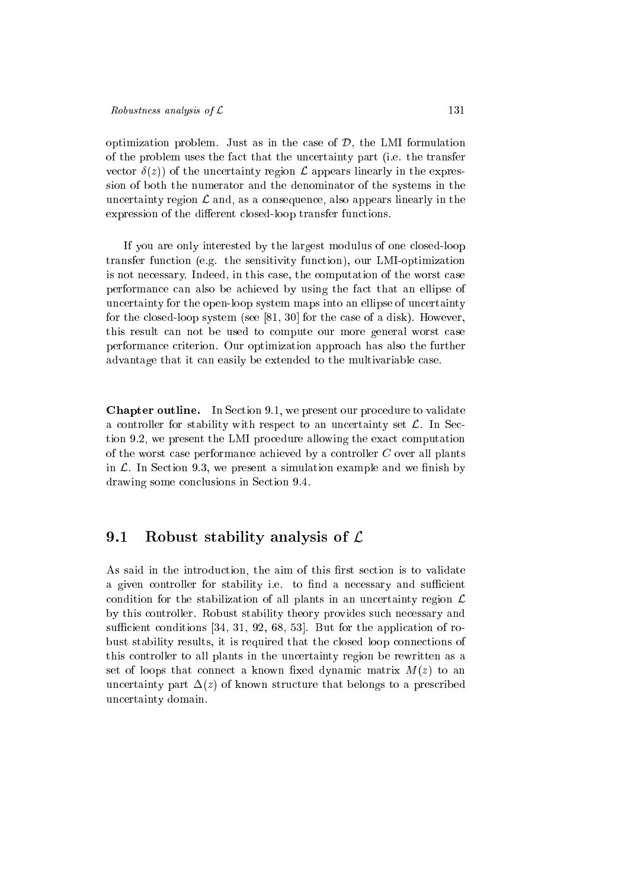optimization problem. Just as in the case of  $D$ , the LMI formulation of the problem uses the fact that the uncertainty part (i.e. the transfer vector  $\delta(z)$  of the uncertainty region  $\mathcal L$  appears linearly in the expression of both the numerator and the denominator of the systems in the uncertainty region  $\mathcal L$  and, as a consequence, also appears linearly in the expression of the different closed-loop transfer functions.

If you are only interested by the largest modulus of one closed-loop transfer fun
tion (e.g. the sensitivity fun
tion), our LMI-optimization is not ne
essary. Indeed, in this ase, the omputation of the worst ase performan
e an also be a
hieved by using the fa
t that an ellipse of uncertainty for the open-loop system maps into an ellipse of uncertainty for the closed-loop system (see  $[81, 30]$  for the case of a disk). However, this result can not be used to compute our more general worst case performance criterion. Our optimization approach has also the further advantage that it an easily be extended to the multivariable ase.

**Chapter outline.** In Section 9.1, we present our procedure to validate a controller for stability with respect to an uncertainty set  $\mathcal{L}$ . In Section 9.2, we present the LMI procedure allowing the exact computation of the worst ase performan
e a
hieved by a ontroller C over all plants in  $\mathcal L$ . In Section 9.3, we present a simulation example and we finish by drawing some on
lusions in Se
tion 9.4.

#### 9.1 Robust stability analysis of  $\mathcal L$

As said in the introduction, the aim of this first section is to validate a given controller for stability i.e. to find a necessary and sufficient condition for the stabilization of all plants in an uncertainty region  $\mathcal L$ by this ontroller. Robust stability theory provides su
h ne
essary and sufficient conditions  $[34, 31, 92, 68, 53]$ . But for the application of robust stability results, it is required that the losed loop onne
tions of this ontroller to all plants in the un
ertainty region be rewritten as a set of loops that connect a known fixed dynamic matrix  $M(z)$  to an uncertainty part  $\Delta(z)$  of known structure that belongs to a prescribed un
ertainty domain.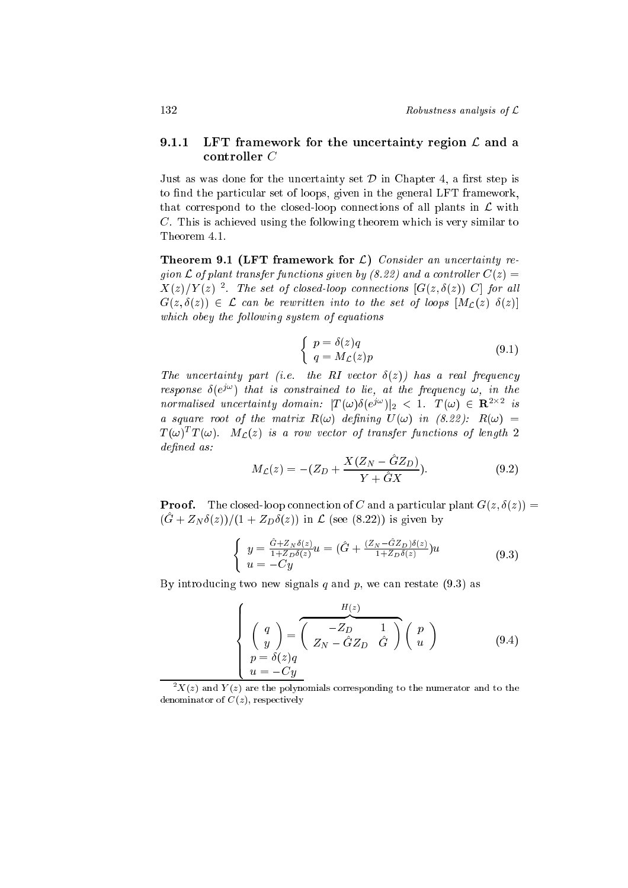#### 9.1.1 LFT framework for the uncertainty region  $\mathcal L$  and a ontroller <sup>C</sup>

Just as was done for the uncertainty set  $\mathcal D$  in Chapter 4, a first step is to find the particular set of loops, given in the general LFT framework, that correspond to the closed-loop connections of all plants in  $\mathcal L$  with C. This is achieved using the following theorem which is very similar to Theorem 4.1.

Theorem 9.1 (LFT framework for  $\mathcal{L}$ ) Consider an uncertainty region  $\mathcal L$  of plant transfer functions given by (8.22) and a controller  $C(z) =$  $\Lambda(z)/I(z)$  . The set of closed-loop connections  $|G(z, \theta(z))|C|$  for all  $G(z, \delta(z)) \in \mathcal{L}$  can be rewritten into to the set of loops  $[M_{\mathcal{L}}(z), \delta(z)]$ which obey the following system of equations

$$
\begin{cases}\np = \delta(z)q \\
q = M_{\mathcal{L}}(z)p\n\end{cases} \tag{9.1}
$$

The uncertainty part (i.e. the RI vector  $\delta(z)$ ) has a real frequency  $resparse$   $o(e^{\prime})$  that is constrained to the, at the frequency  $\omega$ , in the normalised uncertainty domain:  $|I(\omega) o(e^{j\omega})|_2 < 1$ .  $I(\omega) \in \mathbf{R}^{2}$  is a square root of the matrix  $R(\omega)$  defining  $U(\omega)$  in (8.22):  $R(\omega)$  =  $I(\omega)$   $I(\omega)$ . ML $(z)$  is a row vector of transfer functions of tength  $z$ defined as:

$$
M_{\mathcal{L}}(z) = -(Z_D + \frac{X(Z_N - \hat{G}Z_D)}{Y + \hat{G}X}).
$$
\n(9.2)

**Proof.** The closed-loop connection of C and a particular plant  $G(z, \delta(z)) =$  $(\hat{G} + Z_N \delta(z))/(1 + Z_D \delta(z))$  in  $\mathcal L$  (see (8.22)) is given by

$$
\begin{cases}\ny = \frac{\hat{G} + Z_N \delta(z)}{1 + Z_D \delta(z)} u = (\hat{G} + \frac{(Z_N - \hat{G}Z_D)\delta(z)}{1 + Z_D \delta(z)}) u \\
u = -Cy\n\end{cases}
$$
\n(9.3)

By introducing two new signals q and p, we can restate  $(9.3)$  as

$$
\begin{cases}\nq \\
\left(\begin{array}{c}\nq \\
y\n\end{array}\right) = \overbrace{\left(\begin{array}{cc}\n-Z_D & 1 \\
Z_N - \hat{G}Z_D & \hat{G}\n\end{array}\right)}^{H(z)}\n\left(\begin{array}{c}\np \\
u\n\end{array}\right) \\
p = \delta(z)q \\
u = -Cy\n\end{cases}
$$
\n(9.4)

 $\lceil X(z) \rceil$  and  $Y(z)$  are the polynomials corresponding to the numerator and to the denominator of  $C(z)$ , respectively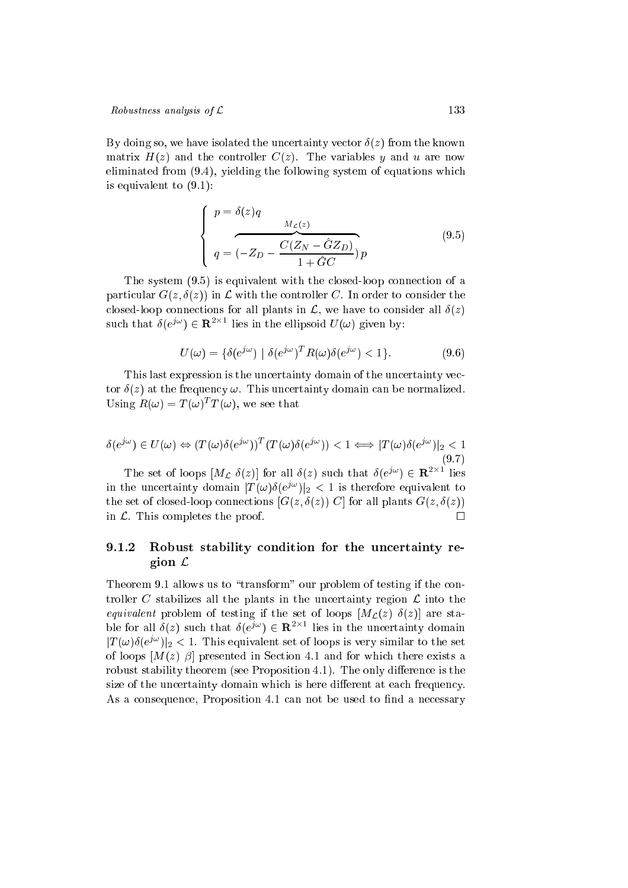By doing so, we have isolated the uncertainty vector  $\delta(z)$  from the known matrix  $H(z)$  and the controller  $C(z)$ . The variables y and y are now eliminated from (9.4), yielding the following system of equations whi
h is equivalent to (9.1):

$$
\begin{cases}\n p = \delta(z)q \\
 q = \left(-Z_D - \frac{C(Z_N - \hat{G}Z_D)}{1 + \hat{G}C}\right)p\n\end{cases}
$$
\n(9.5)

The system  $(9.5)$  is equivalent with the closed-loop connection of a particular  $G(z, \delta(z))$  in  $\mathcal L$  with the controller C. In order to consider the closed-loop connections for all plants in  $\mathcal{L}$ , we have to consider all  $\delta(z)$ such that  $\vartheta(e^{j\omega}) \in \mathbf{R}^{n+1}$  lies in the ellipsoid  $U(\omega)$  given by:

$$
U(\omega) = \{ \delta(e^{j\omega}) \mid \delta(e^{j\omega})^T R(\omega) \delta(e^{j\omega}) < 1 \}. \tag{9.6}
$$

This last expression is the uncertainty domain of the uncertainty vector  $\delta(z)$  at the frequency  $\omega$ . This uncertainty domain can be normalized. Using  $R(\omega) = I(\omega)^T I(\omega)$ , we see that

$$
\delta(e^{j\omega}) \in U(\omega) \Leftrightarrow (T(\omega)\delta(e^{j\omega}))^{T} (T(\omega)\delta(e^{j\omega})) < 1 \Leftrightarrow |T(\omega)\delta(e^{j\omega})|_{2} < 1
$$
\n(9.7)

The set of loops  $|M_L \text{ o}(z)|$  for all  $o(z)$  such that  $o(e^{\gamma z}) \in \mathbf{R}^{-\gamma z}$  lies in the uncertainty domain  $|I|(\omega)\theta(e^{j\omega})|_2 < 1$  is therefore equivalent to the set of closed-loop connections  $[G(z, \delta(z))]C]$  for all plants  $G(z, \delta(z))$ in  $\mathcal{L}$ . This completes the proof.  $\Box$ 

#### 9.1.2 Robust stability condition for the uncertainty region  $\mathcal{L}$

Theorem 9.1 allows us to "transform" our problem of testing if the controller C stabilizes all the plants in the uncertainty region  $\mathcal L$  into the equivalent problem of testing if the set of loops  $[M_{\mathcal{L}}(z) \, \delta(z)]$  are stable for all  $o(z)$  such that  $o(e^{j\omega}) \in {\bf R}^{z \times z}$  lies in the uncertainty domain  $\mu$  ( $\omega$ ) $\sigma$ (e<sup>3</sup>)  $\frac{1}{2}$  < 1. This equivalent set of loops is very similar to the set of loops  $[M(z)$   $\beta]$  presented in Section 4.1 and for which there exists a robust stability theorem (see Proposition 4.1). The only difference is the size of the uncertainty domain which is here different at each frequency. As a consequence, Proposition 4.1 can not be used to find a necessary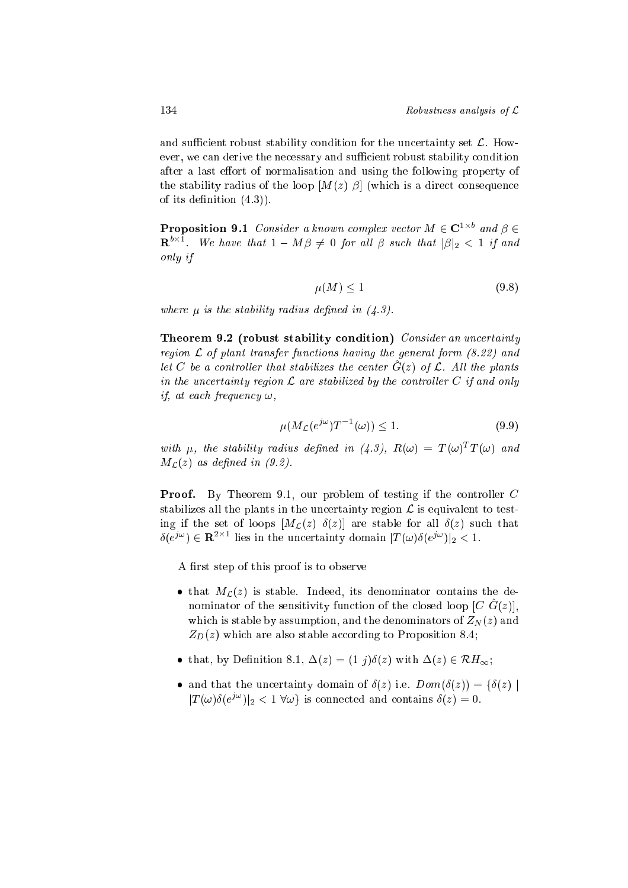and sufficient robust stability condition for the uncertainty set  $\mathcal{L}$ . However, we can derive the necessary and sufficient robust stability condition after a last effort of normalisation and using the following property of the stability radius of the loop  $[M(z) \beta]$  (which is a direct consequence of its definition  $(4.3)$ ).

**Proposition 9.1** Consider a known complex vector  $M \in \mathbb{C}$  and  $D \in$  ${\bf R}$  . We have that  $1-M\beta\neq 0$  for all  $\beta$  such that  $|\beta|_2< 1$  if and only if

$$
\mu(M) \le 1\tag{9.8}
$$

where  $\mu$  is the stability radius defined in  $(4.3)$ .

Theorem 9.2 (robust stability condition) Consider an uncertainty region  $\mathcal L$  of plant transfer functions having the general form (8.22) and iet  $C$  be a controller that stabilizes the center  $G(z)$  of  $L$ . All the plants in the uncertainty region  $\mathcal L$  are stabilized by the controller  $C$  if and only if, at each frequency  $\omega$ ,

$$
\mu(M_{\mathcal{L}}(e^{j\omega})T^{-1}(\omega)) \le 1. \tag{9.9}
$$

with  $\mu$ , the stability radius defined in (4.3),  $R(\omega) = I(\omega) I(\omega)$  and  $M_{\mathcal{L}}(z)$  as defined in (9.2).

Proof. By Theorem 9.1, our problem of testing if the controller C stabilizes all the plants in the uncertainty region  $\mathcal L$  is equivalent to testing if the set of loops  $[M_{\mathcal{L}}(z) \, \delta(z)]$  are stable for all  $\delta(z)$  such that  $\theta(e^{j\omega}) \in \mathbf{R}^{-\alpha}$  hes in the uncertainty domain [1]  $(\omega) \theta(e^{j\omega})|_2 < 1$ .

A first step of this proof is to observe

- that ML( $\alpha$ ) is stable. Indeed, its definition to the definition  $\alpha$  $\min_{\alpha}$  and  $\alpha$  are sensitivity function of the closed loop [C  $\alpha$ ( $\approx$  )], which is stable by assumption, and the denominators of  $Z_N(z)$  and  $Z_D(z)$  which are also stable according to Proposition 8.4;
- that, by Denition 8.1, (z) = (1 j)Æ(z) with (z) <sup>2</sup> RH1;
- ertainty domain of European of European order  $\mathcal{L}_{\mathcal{A}}$  ,  $\mathcal{L}_{\mathcal{A}}$  ,  $\mathcal{L}_{\mathcal{A}}$  ,  $\mathcal{L}_{\mathcal{A}}$  ,  $\mathcal{L}_{\mathcal{A}}$  ,  $\mathcal{L}_{\mathcal{A}}$  ,  $\mathcal{L}_{\mathcal{A}}$  ,  $\mathcal{L}_{\mathcal{A}}$  ,  $\mathcal{L}_{\mathcal{A}}$  ,  $\mathcal{L}_{\mathcal{A}}$  ,  $\mathcal{L$  $|I(\omega)\rho(e^{\gamma-\gamma})|_2 < 1$  v $\omega \gamma$  is connected and contains  $\varrho(z) = 0$ .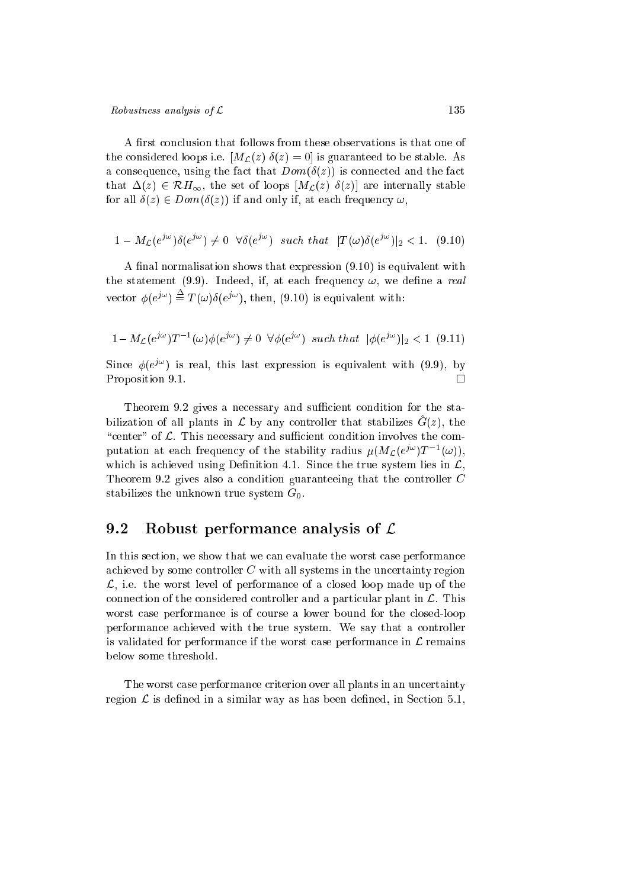A first conclusion that follows from these observations is that one of the considered loops i.e.  $[M_{\mathcal{L}}(z) \, \delta(z) = 0]$  is guaranteed to be stable. As a consequence, using the fact that  $Dom(\delta(z))$  is connected and the fact that  $\Delta(z) \in \mathcal{R}H_{\infty}$ , the set of loops  $[M_{\mathcal{L}}(z) \, \delta(z)]$  are internally stable for all  $\delta(z) \in Dom(\delta(z))$  if and only if, at each frequency  $\omega$ ,

$$
1 - M_{\mathcal{L}}(e^{j\omega})\delta(e^{j\omega}) \neq 0 \quad \forall \delta(e^{j\omega}) \quad such \, \text{that} \, \, |T(\omega)\delta(e^{j\omega})|_{2} < 1. \tag{9.10}
$$

A final normalisation shows that expression  $(9.10)$  is equivalent with the statement (9.9). Indeed, if, at each frequency  $\omega$ , we define a real vector  $\phi(e^{j\omega}) \equiv T(\omega)\delta(e^{j\omega})$ , then, (9.10) is equivalent with:

$$
1 - M_{\mathcal{L}}(e^{j\omega})T^{-1}(\omega)\phi(e^{j\omega}) \neq 0 \ \ \forall \phi(e^{j\omega}) \ \ such \ that \ |\phi(e^{j\omega})|_2 < 1 \ \ (9.11)
$$

Since  $\varphi(e^{\prime})$  is real, this last expression is equivalent with  $(9.9)$ , by Proposition 9.1.

Theorem 9.2 gives a necessary and sufficient condition for the sta- $\sigma$ -bilization of all plants in  $\mathcal L$  by any controller that stabilizes  $G(z)$ , the "center" of  $\mathcal L$ . This necessary and sufficient condition involves the computation at each frequency of the stability radius  $\mu(M_{\mathcal{L}}(e^s)/I - (\omega))$ , which is achieved using Definition 4.1. Since the true system lies in  $\mathcal{L}$ , Theorem 9.2 gives also a ondition guaranteeing that the ontroller C stabilizes the unknown true system  $G_0$ .

#### 9.2 Robust performance analysis of  $\mathcal L$

In this section, we show that we can evaluate the worst case performance achieved by some controller  $C$  with all systems in the uncertainty region  $\mathcal{L}$ , i.e. the worst level of performance of a closed loop made up of the connection of the considered controller and a particular plant in  $\mathcal{L}$ . This worst case performance is of course a lower bound for the closed-loop performan
e a
hieved with the true system. We say that a ontroller is validated for performance if the worst case performance in  $\mathcal L$  remains below some threshold.

The worst case performance criterion over all plants in an uncertainty region  $\mathcal L$  is defined in a similar way as has been defined, in Section 5.1,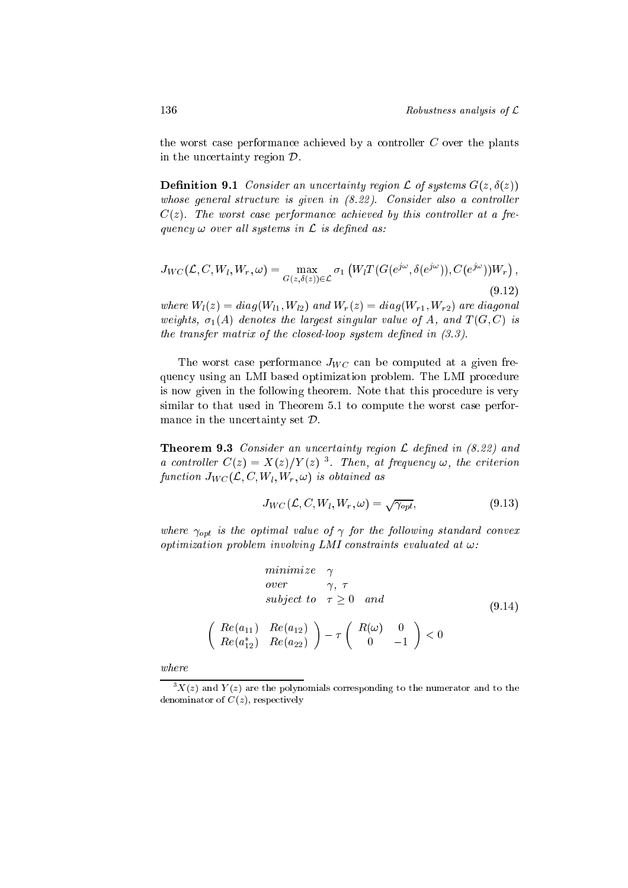the worst ase performan
e a
hieved by a ontroller C over the plants in the un
ertainty region D.

**Definition 9.1** Consider an uncertainty region  $\mathcal L$  of systems  $G(z, \delta(z))$ whose general structure is given in  $(8.22)$ . Consider also a controller  $C(z)$ . The worst case performance achieved by this controller at a frequency  $\omega$  over all systems in  $\mathcal L$  is defined as:

$$
J_{WC}(\mathcal{L}, C, W_l, W_r, \omega) = \max_{G(z, \delta(z)) \in \mathcal{L}} \sigma_1 \left( W_l T(G(e^{j\omega}, \delta(e^{j\omega})), C(e^{j\omega})) W_r \right), \tag{9.12}
$$

where  $W_l(z) = diag(W_{l1}, W_{l2})$  and  $W_r(z) = diag(W_{r1}, W_{r2})$  are diagonal weights,  $\sigma_1(A)$  denotes the largest singular value of A, and  $T(G, C)$  is the transfer matrix of the closed-loop system defined in  $(3.3)$ .

The worst case performance  $J_{WC}$  can be computed at a given frequency using an LMI based optimization problem. The LMI procedure is now given in the following theorem. Note that this pro
edure is very similar to that used in Theorem 5.1 to compute the worst case performance in the uncertainty set  $\mathcal{D}$ .

**Theorem 9.3** Consider an uncertainty region  $\mathcal{L}$  defined in (8.22) and a controller  $C(z) = X(z)/Y(z)$ . Then, at frequency  $\omega$ , the criterion function  $J_{WC}(\mathcal{L}, C, W_l, W_r, \omega)$  is obtained as

$$
J_{WC}(\mathcal{L}, C, W_l, W_r, \omega) = \sqrt{\gamma_{opt}},
$$
\n(9.13)

where  $\gamma_{opt}$  is the optimal value of  $\gamma$  for the following standard convex optimization problem involving LMI constraints evaluated at  $\omega$ :

$$
\begin{array}{ccc}\n\text{minimize} & \gamma \\
\text{over} & \gamma, \tau \\
\text{subject to} & \tau \ge 0 \quad \text{and} \\
\left( \begin{array}{cc} Re(a_{11}) & Re(a_{12}) \\
Re(a_{12}^*) & Re(a_{22}) \end{array} \right) - \tau \left( \begin{array}{cc} R(\omega) & 0 \\
0 & -1 \end{array} \right) < 0\n\end{array} \tag{9.14}
$$

where

 $\lceil X(z) \rceil$  and  $Y(z)$  are the polynomials corresponding to the numerator and to the denominator of  $C(z)$ , respectively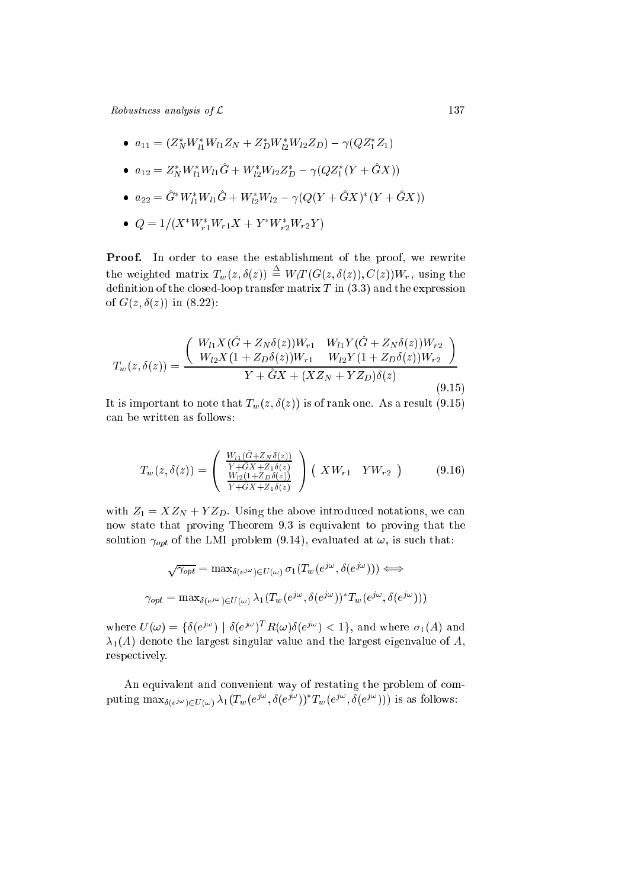$Robustness$  analysis of  $\mathcal L$  137

- $\bullet$   $a_{11} = (Z_N w_{l1} w_{l1} Z_N + Z_D w_{l2} w_{l2} Z_D) \gamma (Q Z_1 Z_1)$
- $a_{12} = Z_N w_{l1} w_{l1} G + w_{l2} w_{l2} Z_D \gamma (Q Z_1 (Y + G \Lambda))$  $\overline{\phantom{a}}$
- $a_{22} = G^{W} W_{11} W_{11} G + W_{12} W_{12} \gamma (Q(Y + G_{\mathbf{A}})) (Y + G_{\mathbf{A}}))$
- $\bullet$   $Q = 1/(\Lambda W_{r1}W_{r1}\Lambda + Y W_{r2}W_{r2}Y)$

Proof. In order to ease the establishment of the proof, we rewrite the weighted matrix  $T_w(z, \delta(z)) \equiv W_l T(G(z, \delta(z)), C(z))W_r$ , using the definition of the closed-loop transfer matrix  $T$  in  $(3.3)$  and the expression of  $G(z, \delta(z))$  in (8.22):

$$
T_w(z, \delta(z)) = \frac{\left(\begin{array}{cc} W_{l1}X(\hat{G} + Z_N\delta(z))W_{r1} & W_{l1}Y(\hat{G} + Z_N\delta(z))W_{r2} \\ W_{l2}X(1 + Z_D\delta(z))W_{r1} & W_{l2}Y(1 + Z_D\delta(z))W_{r2} \end{array}\right)}{Y + \hat{G}X + (XZ_N + YZ_D)\delta(z)}
$$
(9.15)

It is important to note that  $T_w(z, \delta(z))$  is of rank one. As a result (9.15) an be written as follows:

$$
T_w(z, \delta(z)) = \begin{pmatrix} \frac{W_{l1}(\hat{G} + Z_N \delta(z))}{Y + \hat{G}X + Z_1 \delta(z)} \\ \frac{W_{l2}(1 + Z_D \delta(z))}{Y + \hat{G}X + Z_1 \delta(z)} \end{pmatrix} (XW_{r1} YW_{r2})
$$
(9.16)

 $\Box$  introduced introduced introduced introduced introduced introduced introduced introduced introduced introduced in now state that proving Theorem 9.3 is equivalent to proving that the solution  $\gamma_{opt}$  of the LMI problem (9.14), evaluated at  $\omega$ , is such that:

$$
\sqrt{\gamma_{opt}} = \max_{\delta(e^{j\omega}) \in U(\omega)} \sigma_1(T_w(e^{j\omega}, \delta(e^{j\omega}))) \iff
$$
  

$$
\gamma_{opt} = \max_{\delta(e^{j\omega}) \in U(\omega)} \lambda_1(T_w(e^{j\omega}, \delta(e^{j\omega}))^* T_w(e^{j\omega}, \delta(e^{j\omega})))
$$

where  $U(\omega) = \{ \theta(e^{j\omega}) \mid \theta(e^{j\omega}) \in R(\omega) \theta(e^{j\omega}) \leq 1 \}$ , and where  $\sigma_1(A)$  and  $\lambda_1(A)$  denote the largest singular value and the largest eigenvalue of A, respe
tively.

An equivalent and convenient way of restating the problem of computing max $_{\delta(e^{j\omega})\in U(\omega)}$   $\lambda_1(T_w(e^{j\omega},\theta(e^{j\omega}))T_w(e^{j\omega},\theta(e^{j\omega})))$  is as follows: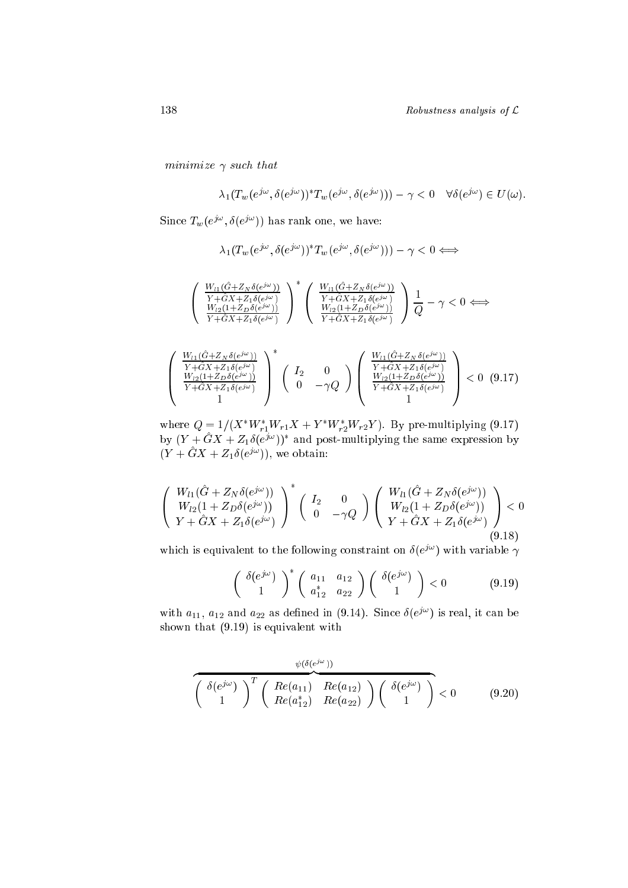minimize  $\gamma$  such that

$$
\lambda_1(T_w(e^{j\omega}, \delta(e^{j\omega}))^* T_w(e^{j\omega}, \delta(e^{j\omega}))) - \gamma < 0 \quad \forall \delta(e^{j\omega}) \in U(\omega).
$$

Since  $I_w(e^{\gamma x}, o(e^{\gamma x}))$  has rank one, we have:

$$
\lambda_1(T_w(e^{j\omega}, \delta(e^{j\omega}))^*T_w(e^{j\omega}, \delta(e^{j\omega}))) - \gamma < 0 \Longleftrightarrow
$$

$$
\left(\begin{array}{c} \frac{W_{l1}(\hat{G}+Z_N\delta(e^{j\omega}))}{Y+\hat{G}X+Z_1\delta(e^{j\omega})} \\ \frac{W_{l2}(1+Z_D\delta(e^{j\omega}))}{Y+\hat{G}X+Z_1\delta(e^{j\omega})} \end{array}\right)^*\left(\begin{array}{c} \frac{W_{l1}(\hat{G}+Z_N\delta(e^{j\omega}))}{Y+\hat{G}X+Z_1\delta(e^{j\omega})} \\ \frac{W_{l2}(1+Z_D\delta(e^{j\omega}))}{Y+\hat{G}X+Z_1\delta(e^{j\omega})} \end{array}\right)\frac{1}{Q}-\gamma<0 \Longleftrightarrow
$$

$$
\begin{pmatrix}\n\frac{W_{l1}(\hat{G} + Z_N \delta(e^{j\omega}))}{Y + \hat{G}X + Z_1 \delta(e^{j\omega})} \\
\frac{W_{l2}(1 + Z_D \delta(e^{j\omega}))}{Y + \hat{G}X + Z_1 \delta(e^{j\omega})}\n\end{pmatrix}^*\n\begin{pmatrix}\nI_2 & 0 \\
0 & -\gamma Q\n\end{pmatrix}\n\begin{pmatrix}\n\frac{W_{l1}(\hat{G} + Z_N \delta(e^{j\omega}))}{Y + \hat{G}X + Z_1 \delta(e^{j\omega})} \\
\frac{W_{l2}(1 + Z_D \delta(e^{j\omega}))}{Y + \hat{G}X + Z_1 \delta(e^{j\omega})}\n\end{pmatrix} < 0 (9.17)
$$

where  $Q = 1/(\Delta W_{r1}W_{r1}\Delta + I) W_{r2}W_{r2}I$ . By pre-multiplying (9.17) by  $(Y + G_A + Z_1 \sigma(e^{\sigma^2}))$  and post-multiplying the same expression by  $(Y + G\Lambda + Z_1\sigma(e^{\gamma\mu}))$ , we obtain:

$$
\begin{pmatrix}\nW_{l1}(\hat{G} + Z_N \delta(e^{j\omega})) \\
W_{l2}(1 + Z_D \delta(e^{j\omega})) \\
Y + \hat{G}X + Z_l \delta(e^{j\omega})\n\end{pmatrix}^* \begin{pmatrix}\nI_2 & 0 \\
0 & -\gamma Q\n\end{pmatrix} \begin{pmatrix}\nW_{l1}(\hat{G} + Z_N \delta(e^{j\omega})) \\
W_{l2}(1 + Z_D \delta(e^{j\omega})) \\
Y + \hat{G}X + Z_l \delta(e^{j\omega})\n\end{pmatrix} < 0
$$
\n(9.18)

which is equivalent to the following constraint on  $\theta(e^r)$  with variable  $\gamma$ 

$$
\left(\begin{array}{c}\n\delta(e^{j\omega}) \\
1\n\end{array}\right)^{*}\n\left(\begin{array}{cc}\na_{11} & a_{12} \\
a_{12}^* & a_{22}\n\end{array}\right)\n\left(\begin{array}{c}\n\delta(e^{j\omega}) \\
1\n\end{array}\right) < 0\n\tag{9.19}
$$

with  $a_{11}$ ,  $a_{12}$  and  $a_{22}$  as defined in (9.14). Since  $o(e^{\prime})$  is real, it can be shown that (9.19) is equivalent with

$$
\frac{\psi(\delta(e^{j\omega}))}{\left(\begin{array}{c}\delta(e^{j\omega})\\\ 1\end{array}\right)^T \left(\begin{array}{c} Re(a_{11})\\ Re(a_{12}^*)\end{array}\begin{array}{c} Re(a_{12})\\ Re(a_{22})\end{array}\right) \left(\begin{array}{c}\delta(e^{j\omega})\\1\end{array}\right)} < 0\tag{9.20}
$$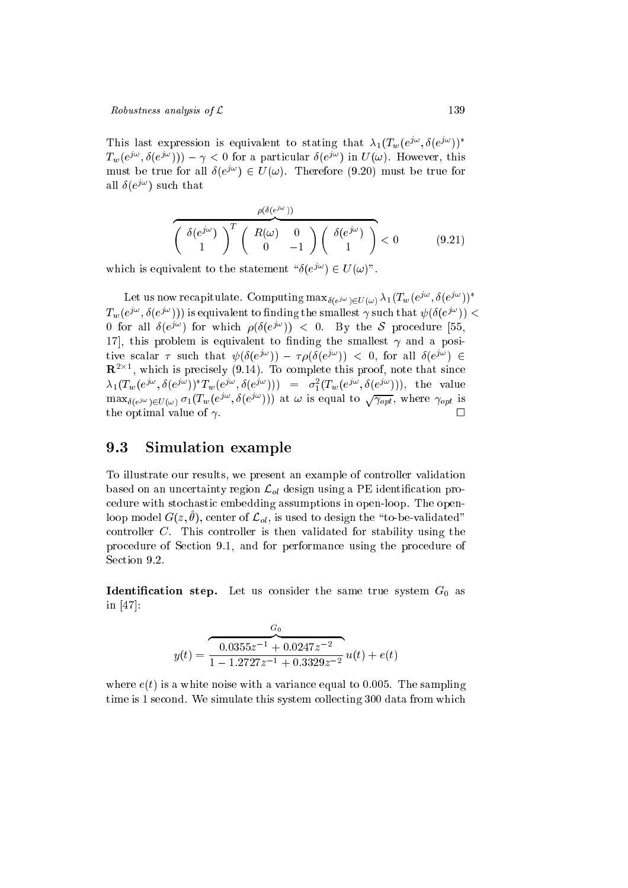$Robustness$  analysis of  $\mathcal L$  139

This last expression is equivalent to stating that  $\lambda_1(T_w(e^z), o(e^z))$  $T_w(e^{j\alpha},\theta(e^{j\alpha}))$  =  $\gamma$   $\leq$  0 for a particular  $\theta(e^{j\alpha})$  in  $U(\omega)$ . However, this must be true for all  $\theta(e^{j\pi}) \in U(\omega)$ . Therefore (9.20) must be true for an  $\sigma(e^{\jmath \cdot \tau})$  such that

$$
\overbrace{\left(\begin{array}{c}\delta(e^{j\omega})\\1\end{array}\right)^T\left(\begin{array}{c}R(\omega)\\0\end{array}\right)}^{p(\delta(e^{j\omega}))}\left(\begin{array}{c}\delta(e^{j\omega})\\1\end{array}\right)<0\hspace{1cm}(9.21)
$$

which is equivalent to the statement  $\theta(e^y) \in U(\omega)$ .

Let us now recapitulate. Computing max $_{\delta(e^{j\omega})\in U(\omega)}$   $\lambda_1(I_w(e^{j\omega},\theta(e^{j\omega}))$  $T_w(e^{\sigma^2}, \sigma(e^{\sigma^2}))$  is equivalent to miding the smallest  $\gamma$  such that  $\psi(\sigma(e^{\sigma^2})) \leq$ U for all  $\theta(e^y)$  for which  $\rho(\theta(e^y)) < 0$ . By the S procedure [55, 17, this problem is equivalent to finding the smallest  $\gamma$  and a positive scalar  $\tau$  such that  $\psi(\theta(e^y)) = \tau \rho(\theta(e^y)) \leq 0$ , for all  $\theta(e^y) \in$  ${\bf R}^{--}$ , which is precisely (9.14). To complete this proof, note that since  $\lambda_1(L_w(e^s, 0(e^s))) L_w(e^s, 0(e^s))) = \sigma_1(L_w(e^s, 0(e^s))))$ , the value  $\max_{\delta(e^j\omega)\in U(\omega)}\sigma_1(T_w(e^{j\omega},\delta(e^{j\omega})))$  at  $\omega$  is equal to  $\sqrt{\gamma_{opt}}$ , where  $\gamma_{opt}$  is the optimal value of  $\gamma$ .  $\Box$ 

#### 9.3 Simulation example

To illustrate our results, we present an example of ontroller validation based on an uncertainty region  $\mathcal{L}_{ol}$  design using a PE identification proedure with sto
hasti embedding assumptions in open-loop. The openroop moder  $G(z, v)$ , center of  $\mathcal{L}_{ol}$ , is used to design the  $\tau$  to-be-validated  $\alpha$  controller C. This controller is then validated for stability using the pro
edure of Se
tion 9.1, and for performan
e using the pro
edure of Section 9.2.

ation step. Let us a step the system control the system of the same true system as  $\theta$  as a step to the step of the step of the step of the step of the step of the step of the step of the step of the step of the step of t in  $[47]$ :

$$
y(t) = \frac{G_0}{1 - 1.2727z^{-1} + 0.0247z^{-2}} u(t) + e(t)
$$

where  $e(t)$  is a white noise with a variance equal to 0.005. The sampling time is 1 second. We simulate this system collecting 300 data from which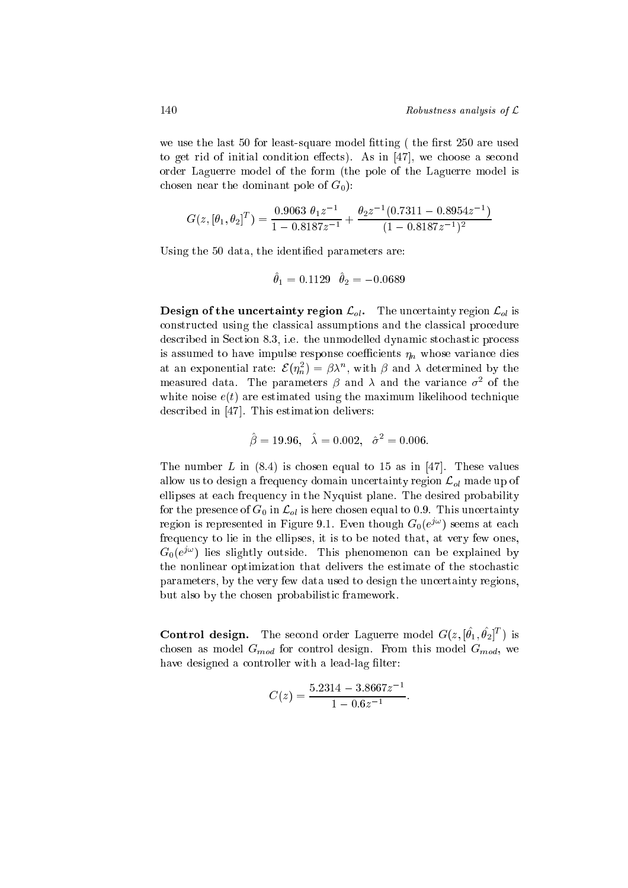we use the last  $50$  for least-square model fitting (the first  $250$  are used to get rid of initial condition effects). As in  $[47]$ , we choose a second order Laguerre model of the form (the pole of the Laguerre model is chosen near the dominant pole of  $G_0$ :

$$
G(z, [\theta_1, \theta_2]^T) = \frac{0.9063 \ \theta_1 z^{-1}}{1 - 0.8187z^{-1}} + \frac{\theta_2 z^{-1} (0.7311 - 0.8954z^{-1})}{(1 - 0.8187z^{-1})^2}
$$

Using the 50 data, the identified parameters are:

$$
\hat{\theta}_1=0.1129\ \ \, \hat{\theta}_2=-0.0689
$$

**Design of the uncertainty region**  $\mathcal{L}_{ol}$ **.** The uncertainty region  $\mathcal{L}_{ol}$  is onstru
ted using the lassi
al assumptions and the lassi
al pro
edure described in Section 8.3, i.e. the unmodelled dynamic stochastic process is assumed to have impulse response coefficients  $\eta_n$  whose variance dies at an exponential rate:  $\varepsilon(\eta_n) = \rho \lambda^{\alpha}$ , with  $\rho$  and  $\lambda$  determined by the measured data. The parameters  $\rho$  and  $\lambda$  and the variance  $\sigma^-$  of the white noise  $e(t)$  are estimated using the maximum likelihood technique described in [47]. This estimation delivers:

$$
\hat{\beta} = 19.96, \quad \hat{\lambda} = 0.002, \quad \hat{\sigma}^2 = 0.006.
$$

The number  $L$  in (8.4) is chosen equal to 15 as in [47]. These values allow us to design a frequency domain uncertainty region  $\mathcal{L}_{ol}$  made up of ellipses at each frequency in the Nyquist plane. The desired probability for the presen
e of G0 in Lol is here hosen equal to 0.9. This un
ertainty region is represented in Figure 9.1. Even though  $G_0(e^{\gamma \tau})$  seems at each frequency to lie in the ellipses, it is to be noted that, at very few ones,  $G_0(e^y)$  hes sughtly outside. This phenomenon can be explained by the nonlinear optimization that delivers the estimate of the stochastic parameters, by the very few data used to design the un
ertainty regions, but also by the hosen probabilisti framework.

Control design. The second order Laguerre model  $G(z, [\sigma_1, \sigma_2]^-)$  is chosen as model  $G_{mod}$  for control design. From this model  $G_{mod}$ , we have designed a controller with a lead-lag filter:

$$
C(z) = \frac{5.2314 - 3.8667z^{-1}}{1 - 0.6z^{-1}}
$$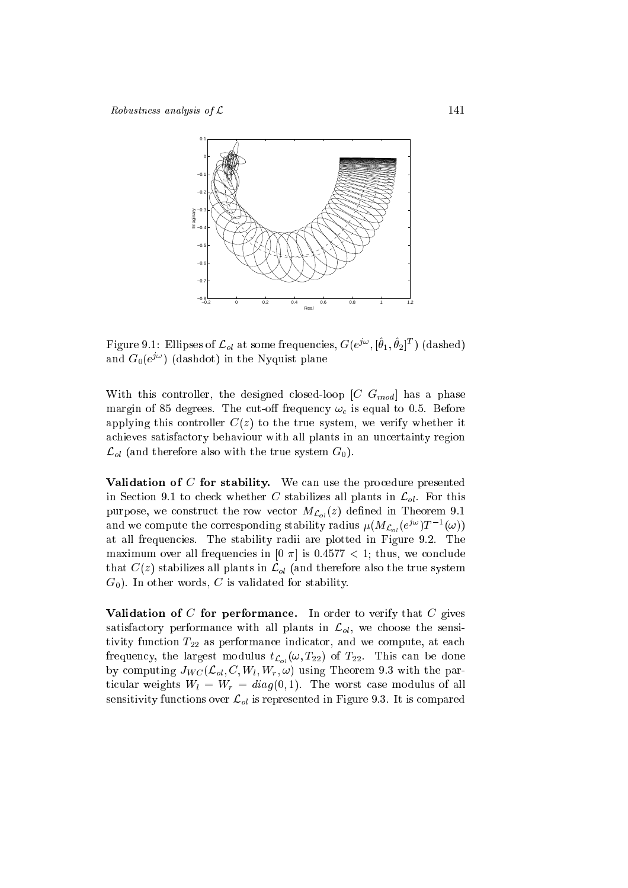

r igure 9.1: Empses of  $\mathcal{L}_{ol}$  at some frequencies,  $G(e^{\nu_1}, |\sigma_1, \sigma_2| \rightarrow (\text{dashed})$ and  $G_0(e^{\gamma})$  (dashdot) in the Nyquist plane

With this controller, the designed closed-loop [C  $G_{mod}$ ] has a phase margin of 85 degrees. The cut-off frequency  $\omega_c$  is equal to 0.5. Before applying this controller  $C(z)$  to the true system, we verify whether it a
hieves satisfa
tory behaviour with all plants in an un
ertainty region  $\mathcal{L}_{ol}$  (and therefore also with the true system  $G_0$ ).

Validation of  $C$  for stability. We can use the procedure presented in Section 9.1 to check whether C stabilizes all plants in  $\mathcal{L}_{ol}$ . For this purpose, we construct the row vector  $M_{\mathcal{L}_{ol}}(z)$  defined in Theorem 9.1 and we compute the corresponding stability radius  $\mu(m_{\mathcal{L}_{ol}}(e^{j\cdot\cdot\cdot})I^{+-(\omega)})$ at all frequen
ies. The stability radii are plotted in Figure 9.2. The maximum over all frequencies in  $[0 \pi]$  is 0.4577 < 1; thus, we conclude that  $C(z)$  stabilizes all plants in  $\mathcal{L}_{ol}$  (and therefore also the true system  $G_0$ ). In other words, C is validated for stability.

Validation of  $C$  for performance. In order to verify that  $C$  gives satisfactory performance with all plants in  $\mathcal{L}_{ol}$ , we choose the sensitivity function  $\pm\frac{1}{2}$  and procedures the indicator of the state of the condition of the state of the state frequency, the largest modulus  $t_{\mathcal{L}_{ol}}(\omega, T_{22})$  of  $T_{22}$ . This can be done by computing  $J_{WC}(\mathcal{L}_{ol}, C, W_l, W_r, \omega)$  using Theorem 9.3 with the particular weights  $W_l = W_r = diag(0, 1)$ . The worst case modulus of all sensitivity functions over  $\mathcal{L}_{ol}$  is represented in Figure 9.3. It is compared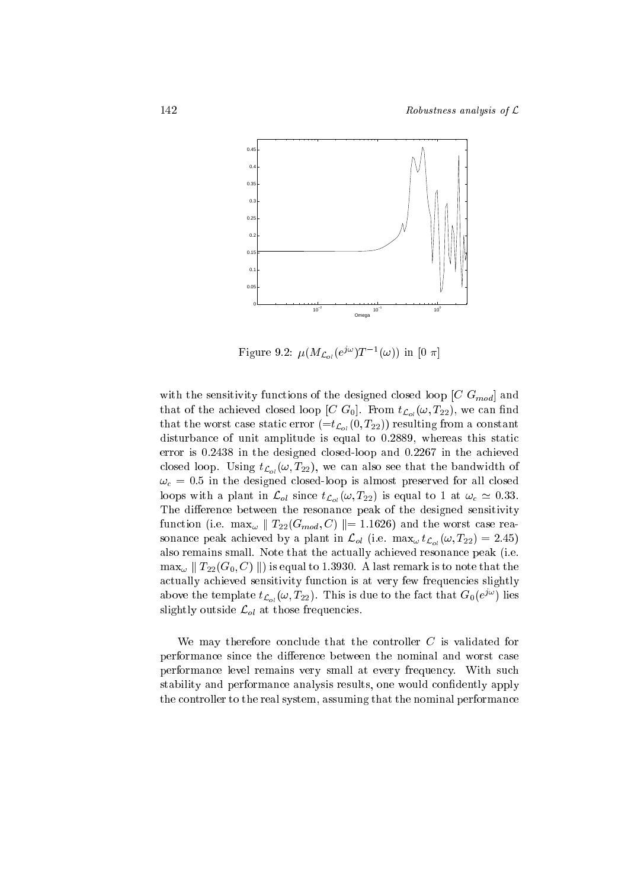

r igure 9.2:  $\mu(M_{\mathcal{L}_{ol}}(e^{\jmath\omega})I - (\omega))$  in [0  $\pi$ ]

with the sensitivity functions of the designed closed loop  $[C G_{mod}]$  and that of the achieved closed loop [C G<sub>0</sub>]. From  $t_{\mathcal{L}_{ol}}(\omega, T_{22})$ , we can find that the worst case static error  $(=t_{\mathcal{L}_{ol}}(0,T_{22}))$  resulting from a constant disturbance of unit amplitude is equal to 0.2889, whereas this static error is 0.2438 in the designed closed-loop and 0.2267 in the achieved closed loop. Using  $t_{\mathcal{L}_{ol}}(\omega, T_{22})$ , we can also see that the bandwidth of  $\omega_c = 0.5$  in the designed closed-loop is almost preserved for all closed loops with a plant in  $\mathcal{L}_{ol}$  since  $t_{\mathcal{L}_{ol}}(\omega, T_{22})$  is equal to 1 at  $\omega_c \simeq 0.33$ . The difference between the resonance peak of the designed sensitivity function (i.e.  $\max_{\omega}$  ||  $T_{22}(G_{mod}, C)$  ||= 1.1626) and the worst case reasonance peak achieved by a plant in  $\mathcal{L}_{ol}$  (i.e. max<sub> $\omega$ </sub>  $t_{\mathcal{L}_{ol}}(\omega, T_{22}) = 2.45$ ) also remains small. Note that the actually achieved resonance peak (i.e.  $\max_{\omega}$  |  $T_{22}(G_0, C)$  ||) is equal to 1.3930. A last remark is to note that the actually achieved sensitivity function is at very few frequencies slightly above the template  $\iota_{{\mathcal{L}}_{ol}}(\omega, \iota_{22}).$  This is due to the fact that  $G_0(e^{\jmath\omega})$  ries slightly outside  $\mathcal{L}_{ol}$  at those frequencies.

We may therefore conclude that the controller  $C$  is validated for performance since the difference between the nominal and worst case performance level remains very small at every frequency. With such stability and performance analysis results, one would confidently apply the ontroller to the real system, assuming that the nominal performan
e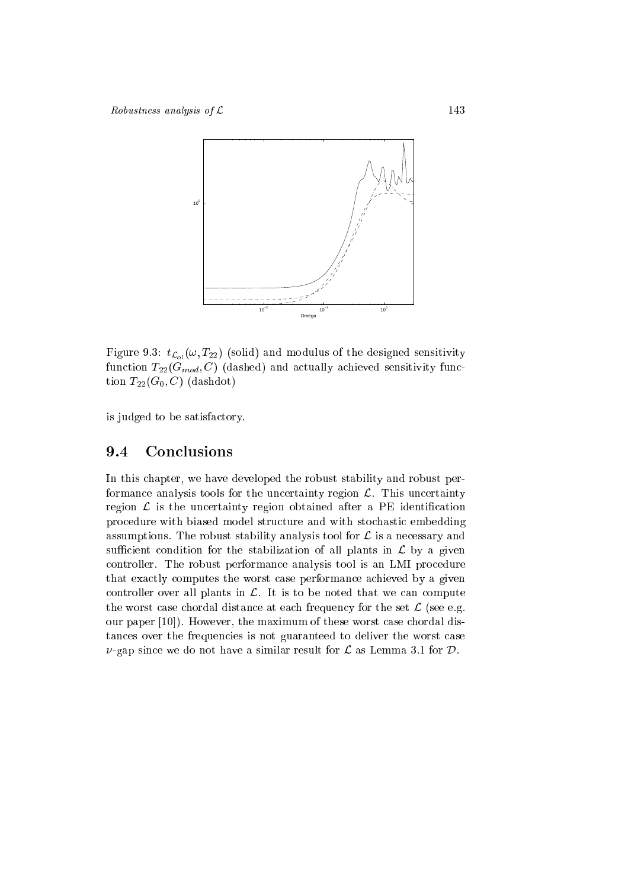

Figure 9.3:  $t_{\mathcal{L}_{ol}}(\omega, T_{22})$  (solid) and modulus of the designed sensitivity function  $T_{22}(G_{mod}, C)$  (dashed) and actually achieved sensitivity function  $T_{22}(G_0, C)$  (dashdot)

is judged to be satisfa
tory.

#### 9.4 Con
lusions

In this chapter, we have developed the robust stability and robust performance analysis tools for the uncertainty region  $\mathcal{L}$ . This uncertainty region  $\mathcal L$  is the uncertainty region obtained after a PE identification pro
edure with biased model stru
ture and with sto
hasti embedding assumptions. The robust stability analysis tool for  $\mathcal L$  is a necessary and sufficient condition for the stabilization of all plants in  $\mathcal L$  by a given ontroller. The robust performan
e analysis tool is an LMI pro
edure that exactly computes the worst case performance achieved by a given controller over all plants in  $\mathcal{L}$ . It is to be noted that we can compute the worst case chordal distance at each frequency for the set  $\mathcal L$  (see e.g. our paper  $[10]$ ). However, the maximum of these worst case chordal distances over the frequencies is not guaranteed to deliver the worst case  $\nu$ -gap since we do not have a similar result for  $\mathcal L$  as Lemma 3.1 for  $\mathcal D$ .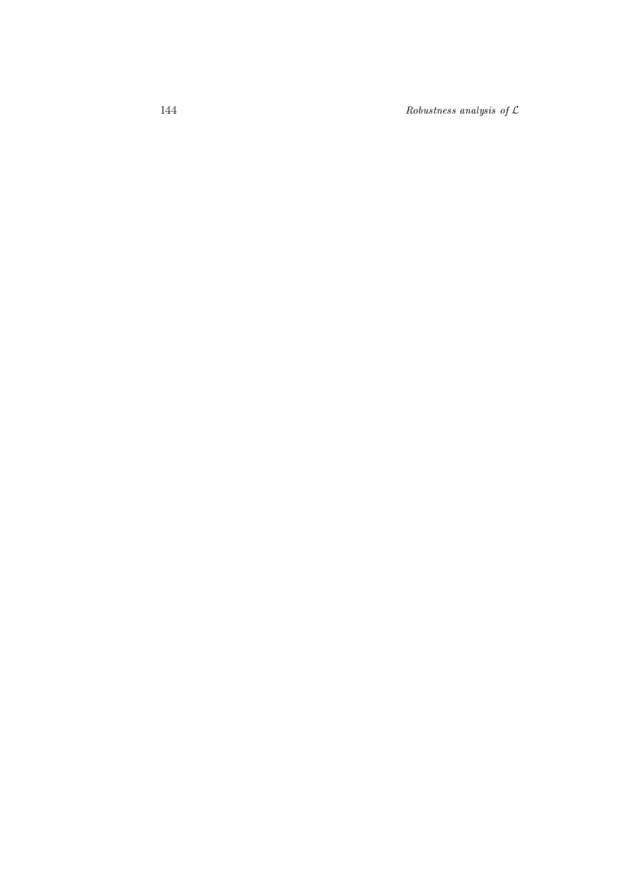144 Robustness analysis of  $\mathcal L$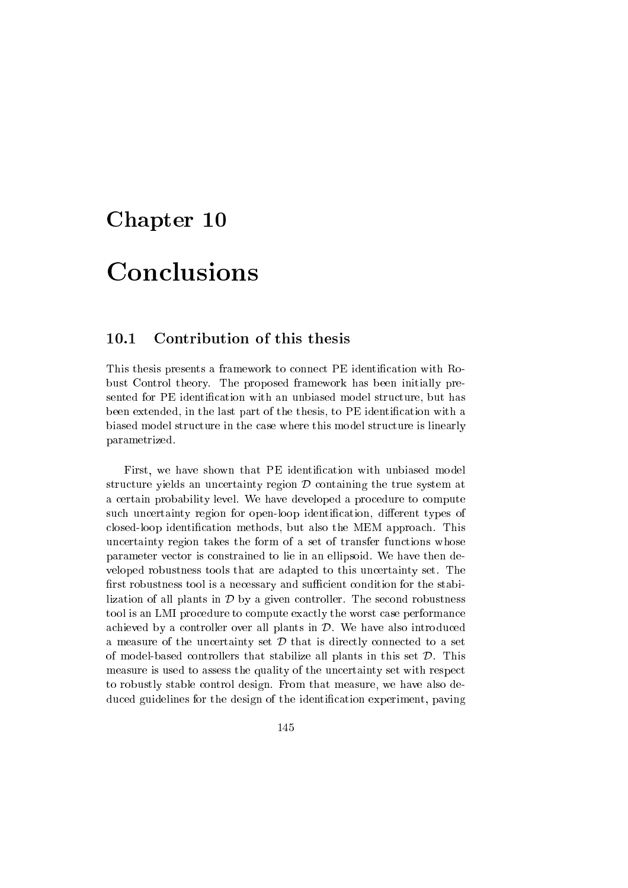### Chapter 10

# Conclusions

#### 10.1 Contribution of this thesis

This thesis presents a framework to connect PE identification with Robust Control theory. The proposed framework has been initially presented for PE identification with an unbiased model structure, but has been extended, in the last part of the thesis, to PE identification with a biased model stru
ture in the ase where this model stru
ture is linearly parametrized.

First, we have shown that PE identification with unbiased model structure yields an uncertainty region D containing the true system at a certain probability level. We have developed a procedure to compute such uncertainty region for open-loop identification, different types of closed-loop identification methods, but also the MEM approach. This uncertainty region takes the form of a set of transfer functions whose parameter ve
tor is onstrained to lie in an ellipsoid. We have then developed robustness tools that are adapted to this un
ertainty set. The first robustness tool is a necessary and sufficient condition for the stabilization of all plants in  $\mathcal D$  by a given controller. The second robustness tool is an LMI procedure to compute exactly the worst case performance a
hieved by a ontroller over all plants in D. We have also introdu
ed a measure of the uncertainty set  $\mathcal D$  that is directly connected to a set of model-based ontrollers that stabilize all plants in this set D. This measure is used to assess the quality of the uncertainty set with respect to robustly stable ontrol design. From that measure, we have also deduced guidelines for the design of the identification experiment, paving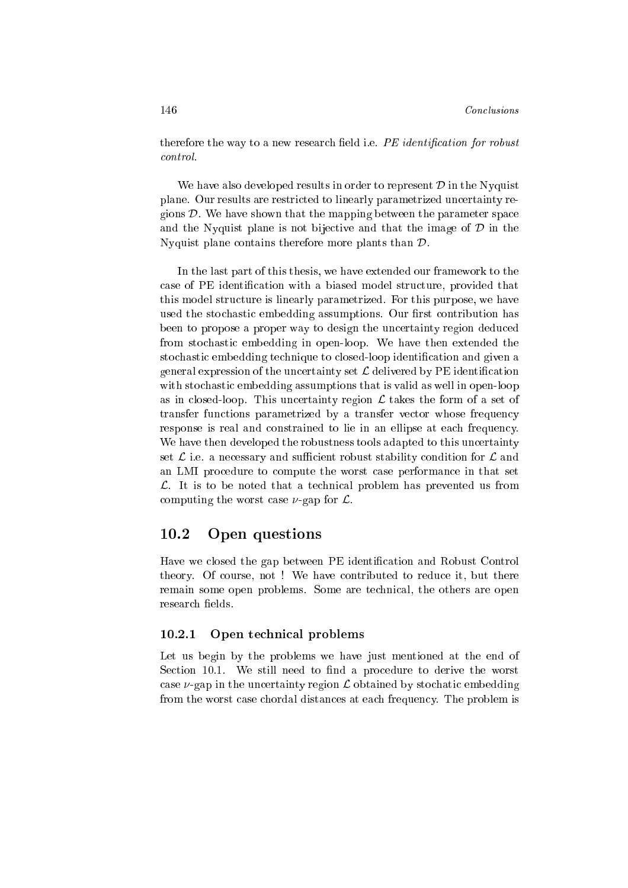therefore the way to a new research field i.e.  $PE$  identification for robust ontrol.

We have also developed results in order to represent  $\mathcal D$  in the Nyquist plane. Our results are restricted to linearly parametrized uncertainty regions  $\mathcal{D}$ . We have shown that the mapping between the parameter space and the Nyquist plane is not bijective and that the image of  $\mathcal D$  in the Nyquist plane ontains therefore more plants than D.

In the last part of this thesis, we have extended our framework to the case of PE identification with a biased model structure, provided that this model structure is linearly parametrized. For this purpose, we have used the stochastic embedding assumptions. Our first contribution has been to propose a proper way to design the uncertainty region deduced from sto
hasti embedding in open-loop. We have then extended the stochastic embedding technique to closed-loop identification and given a general expression of the uncertainty set  $\mathcal L$  delivered by PE identification with stochastic embedding assumptions that is valid as well in open-loop as in closed-loop. This uncertainty region  $\mathcal L$  takes the form of a set of transfer functions parametrized by a transfer vector whose frequency response is real and constrained to lie in an ellipse at each frequency. We have then developed the robustness tools adapted to this uncertainty set  $\mathcal L$  i.e. a necessary and sufficient robust stability condition for  $\mathcal L$  and an LMI pro
edure to ompute the worst ase performan
e in that set  $\mathcal{L}$ . It is to be noted that a technical problem has prevented us from computing the worst case  $\nu$ -gap for  $\mathcal{L}$ .

#### 10.2 Open questions

Have we closed the gap between PE identification and Robust Control theory. Of course, not ! We have contributed to reduce it, but there remain some open problems. Some are technical, the others are open research fields.

#### $10.2.1$ Open technical problems

Let us begin by the problems we have just mentioned at the end of Section 10.1. We still need to find a procedure to derive the worst case  $\nu$ -gap in the uncertainty region  $\mathcal L$  obtained by stochatic embedding from the worst case chordal distances at each frequency. The problem is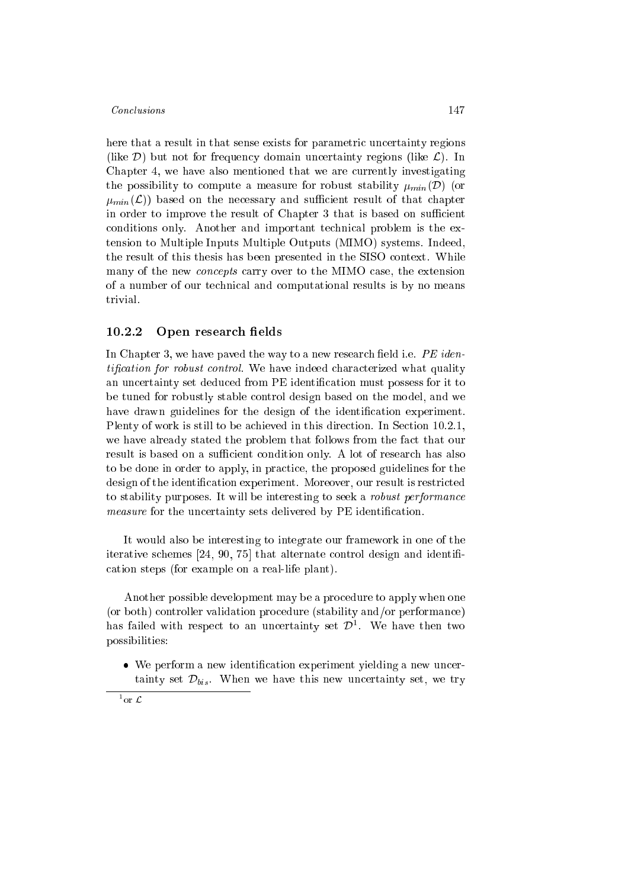#### Con
lusions 147

here that a result in that sense exists for parametric uncertainty regions (like  $\mathcal{D}$ ) but not for frequency domain uncertainty regions (like  $\mathcal{L}$ ). In Chapter 4, we have also mentioned that we are currently investigating the possibility to compute a measure for robust stability  $\mu_{min}(\mathcal{D})$  (or  $\mu_{min}(\mathcal{L})$  based on the necessary and sufficient result of that chapter in order to improve the result of Chapter 3 that is based on sufficient conditions only. Another and important technical problem is the extension to Multiple Inputs Multiple Outputs (MIMO) systems. Indeed, the result of this thesis has been presented in the SISO ontext. While many of the new *concepts* carry over to the MIMO case, the extension of a number of our te
hni
al and omputational results is by no means trivial.

#### 10.2.2 Open research fields

In Chapter 3, we have paved the way to a new research field i.e.  $PE$  identification for robust control. We have indeed characterized what quality an uncertainty set deduced from PE identification must possess for it to be tuned for robustly stable ontrol design based on the model, and we have drawn guidelines for the design of the identification experiment. Plenty of work is still to be achieved in this direction. In Section 10.2.1, we have already stated the problem that follows from the fact that our result is based on a sufficient condition only. A lot of research has also to be done in order to apply, in practice, the proposed guidelines for the design of the identification experiment. Moreover, our result is restricted to stability purposes. It will be interesting to seek a *robust performance* measure for the uncertainty sets delivered by PE identification.

It would also be interesting to integrate our framework in one of the iterative schemes  $[24, 90, 75]$  that alternate control design and identifiation steps (for example on a real-life plant).

Another possible development may be a pro
edure to apply when one (or both) ontroller validation pro
edure (stability and/or performan
e)  $\max$  raned with respect to an uncertainty set  $\nu$  . We have then two possibilities:

with a performance and interesting and in performant  $\alpha$  and  $\alpha$  and  $\alpha$  and  $\alpha$ tainty set  $\mathcal{D}_{his}$ . When we have this new uncertainty set, we try

 $\overline{\ }$  or  $\overline{\mathcal{L}}$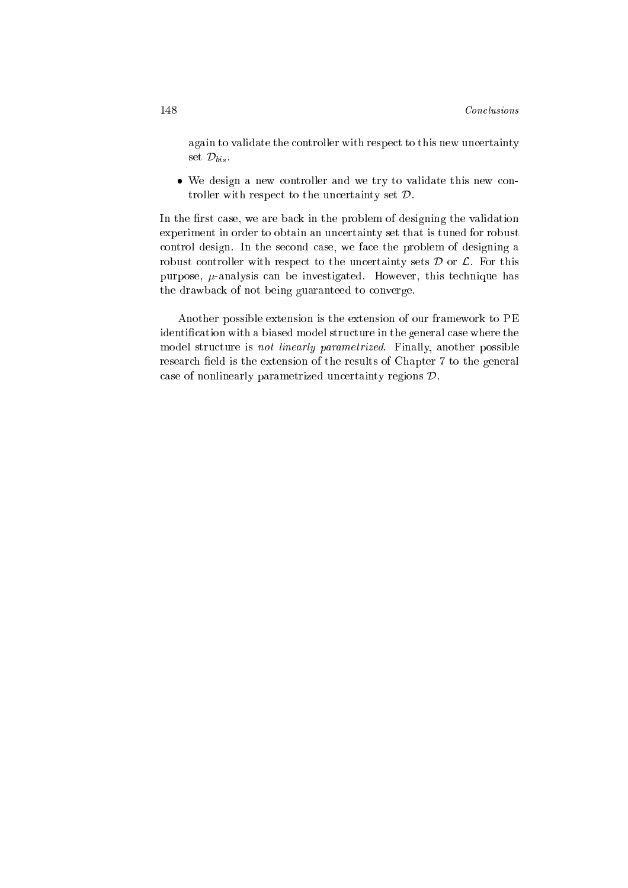again to validate the controller with respect to this new uncertainty set  $\mathcal{D}_{his}$ .

where the state and we try to valid the controller and we try to validate the state this new to validate the s troller with respect to the uncertainty set  $\mathcal{D}$ .

In the first case, we are back in the problem of designing the validation experiment in order to obtain an un
ertainty set that is tuned for robust control design. In the second case, we face the problem of designing a robust controller with respect to the uncertainty sets  $\mathcal D$  or  $\mathcal L$ . For this purpose,  $\mu$ -analysis can be investigated. However, this technique has the drawba
k of not being guaranteed to onverge.

Another possible extension is the extension of our framework to PE identification with a biased model structure in the general case where the model structure is *not linearly parametrized*. Finally, another possible research field is the extension of the results of Chapter 7 to the general ase of nonlinearly parametrized un
ertainty regions D.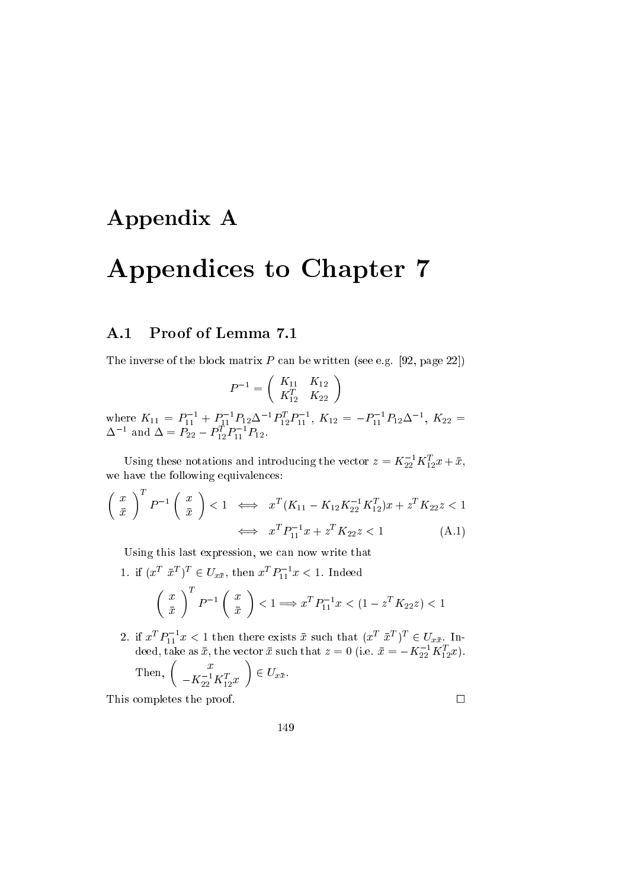## Appendix A

# Appendi
es to Chapter 7

#### $A.1$ Proof of Lemma 7.1

The inverse of the block matrix  $P$  can be written (see e.g. [92, page 22])

$$
P^{-1} = \left(\begin{array}{cc} K_{11} & K_{12} \\ K_{12}^T & K_{22} \end{array}\right)
$$

where  $K_{11} = F_{11}^- + F_{11}^- F_{12} \Delta^{+} F_{12}^- F_{11}^-$ ,  $K_{12} = -F_{11}^- F_{12} \Delta^{+}$ ,  $K_{22} =$  $\Delta$  and  $\Delta = P_{22} - P_{12}^2 P_{11}^2 P_{12}$ .

Using these notations and introducing the vector  $z = \mathbf{A}_{22} \mathbf{A}_{12} z + x$ , we have the following equivalen
es:

$$
\left(\begin{array}{c} x \\ \bar{x} \end{array}\right)^T P^{-1} \left(\begin{array}{c} x \\ \bar{x} \end{array}\right) < 1 \iff x^T (K_{11} - K_{12} K_{22}^{-1} K_{12}^T) x + z^T K_{22} z < 1
$$
\n
$$
\iff x^T P_{11}^{-1} x + z^T K_{22} z < 1 \tag{A.1}
$$

Using this last expression, we can now write that

1. If  $(x^2 \ x^2)^2 \in U_{x\bar{x}}$ , then  $x^2 P_{11} x < 1$ . Indeed

$$
\left(\begin{array}{c} x \\ \bar{x} \end{array}\right)^T P^{-1} \left(\begin{array}{c} x \\ \bar{x} \end{array}\right) < 1 \Longrightarrow x^T P_{11}^{-1} x < (1 - z^T K_{22} z) < 1
$$

2. If  $x^2 P_{11} x < 1$  then there exists x such that  $(x^2 x^2) \in U_{x\bar{x}}$ . Indeed, take as x, the vector x such that  $z = 0$  (i.e.  $x = -K_{22}^-K_{12}^+x$ ). Then,  $\begin{pmatrix} x \\ y \end{pmatrix}$  $-\mathbf{A}_{22}^T \mathbf{A}_{12}^T x$  $\sim$  $...$ 

This completes the proof.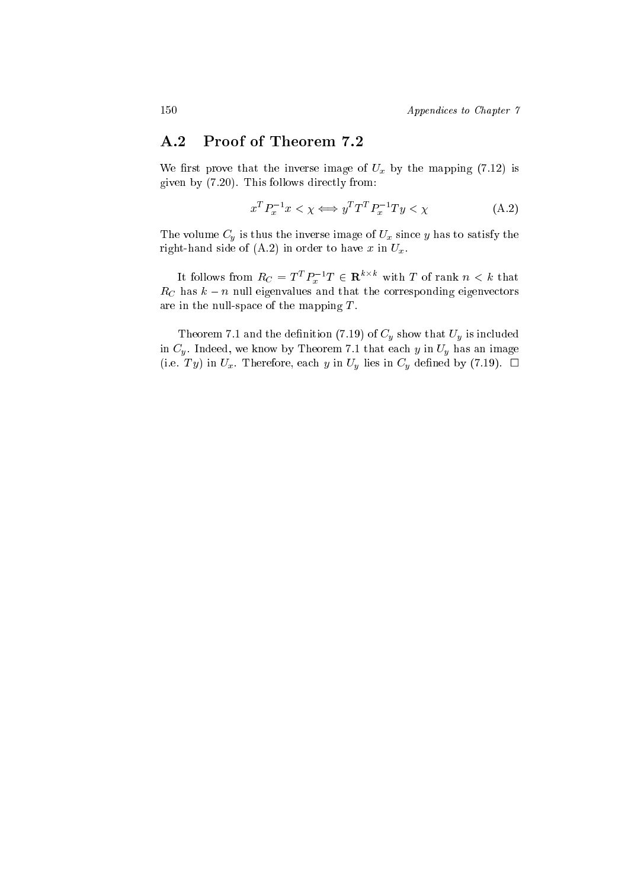### A.2 Proof of Theorem 7.2

We first prove that the inverse image of  $U_x$  by the mapping (7.12) is given by  $(7.20)$ . This follows directly from:

$$
x^T P_x^{-1} x < \chi \Longleftrightarrow y^T T^T P_x^{-1} T y < \chi \tag{A.2}
$$

The volume  $C_y$  is thus the inverse image of  $U_x$  since y has to satisfy the right-hand side of  $(A.2)$  in order to have x in  $U_x$ .

It follows from  $R_C = I^{\perp} P_x^{-1} I \in \mathbf{R}$  with T of rank  $n \leq \kappa$  that  $R_C$  has  $k - n$  null eigenvalues and that the corresponding eigenvectors are in the null-space of the mapping  $T$ .

Theorem 7.1 and the definition (7.19) of  $C_y$  show that  $U_y$  is included in  $C_y$ . Indeed, we know by Theorem 7.1 that each y in  $U_y$  has an image (i.e. Ty) in  $U_x$ . Therefore, each y in  $U_y$  lies in  $C_y$  defined by (7.19).  $\Box$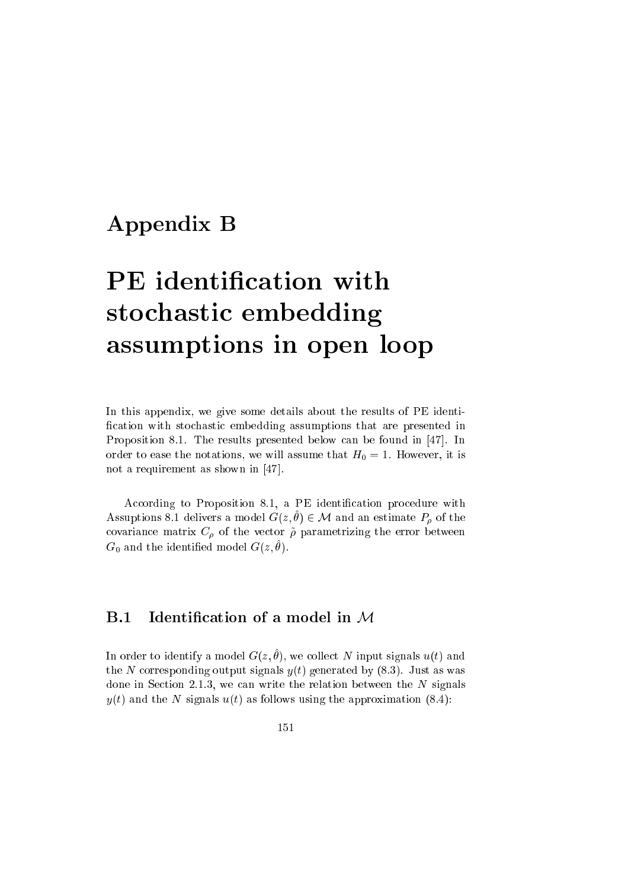## Appendix B

# PE identification with stochastic embedding assumptions in open loop

In this appendix, we give some details about the results of PE identi fication with stochastic embedding assumptions that are presented in Proposition 8.1. The results presented below can be found in  $[47]$ . In order to ease the notations, we will assume that H0 <sup>=</sup> 1. However, it is not a requirement as shown in  $[47]$ .

According to Proposition 8.1, a PE identification procedure with Assuptions 6.1 defivers a model  $G(z, v) \in \mathcal{M}$  and an estimate  $\Gamma_{\theta}$  of the covariance matrix  $C_{\rho}$  of the vector  $\tilde{\rho}$  parametrizing the error between  $G_0$  and the identified model  $G(z, v)$ .

#### B.1 Identification of a model in  $\mathcal M$

In order to identify a model  $G(z, v)$ , we conect by input signals  $u(t)$  and the N corresponding output signals  $y(t)$  generated by  $(8.3)$ . Just as was done in Section 2.1.3, we can write the relation between the  $N$  signals  $y(t)$  and the N signals  $u(t)$  as follows using the approximation (8.4):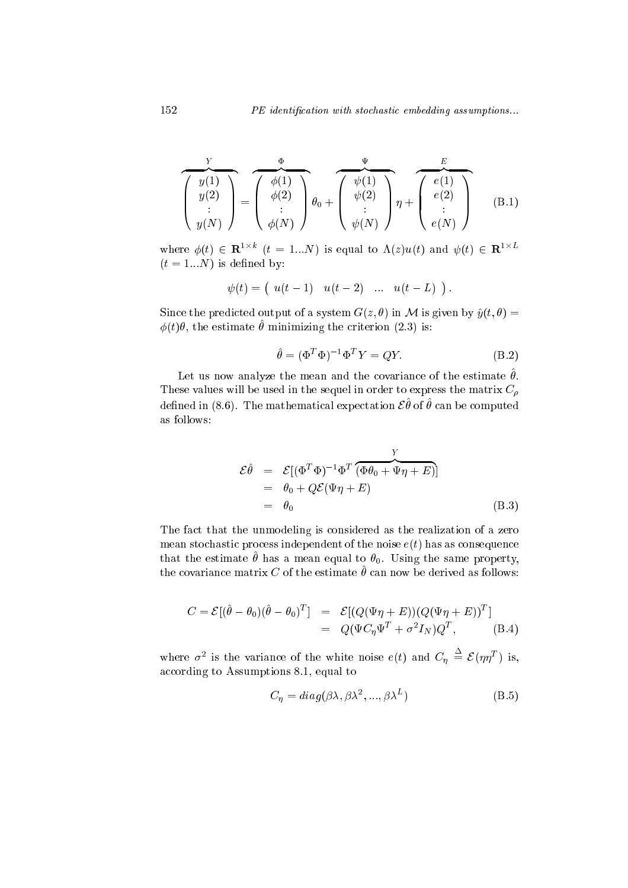$$
\overbrace{\left(\begin{array}{c} y(1) \\ y(2) \\ \vdots \\ y(N) \end{array}\right)}^{Y} = \overbrace{\left(\begin{array}{c} \phi(1) \\ \phi(2) \\ \vdots \\ \phi(N) \end{array}\right)}^{\Phi} \theta_0 + \overbrace{\left(\begin{array}{c} \psi(1) \\ \psi(2) \\ \vdots \\ \psi(N) \end{array}\right)}^{\Psi} \eta + \overbrace{\left(\begin{array}{c} e(1) \\ e(2) \\ \vdots \\ e(N) \end{array}\right)}^{E} \qquad (B.1)
$$

where  $\varphi(t) \in \mathbf{R}$  is equal to  $\Lambda(z)u(t)$  and  $\psi(t) \in \mathbf{R}$  is  $(t = 1...N)$  is defined by:

$$
\psi(t) = (u(t-1) u(t-2) ... u(t-L)).
$$

Since the predicted output of a system  $G(z, \theta)$  in M is given by  $\hat{y}(t, \theta) =$  $\varphi(t)$ , the estimate  $\theta$  minimizing the criterion (2.3) is:

$$
\hat{\theta} = (\Phi^T \Phi)^{-1} \Phi^T Y = QY.
$$
\n(B.2)

Let us now analyze the mean and the covariance of the estimate  $v$ . These values will be used in the sequel in order to express the matrix  $C_{\rho}$  $\alpha$  and  $\alpha$  in (8.6). The mathematical expectation  $\epsilon$ o of  $\sigma$  can be computed as follows:

$$
\mathcal{E}\hat{\theta} = \mathcal{E}[(\Phi^T \Phi)^{-1} \Phi^T (\overbrace{\Phi \theta_0 + \Psi \eta + E}^Y)]
$$
  
=  $\theta_0 + Q\mathcal{E}(\Psi \eta + E)$   
=  $\theta_0$  (B.3)

The fact that the unmodeling is considered as the realization of a zero mean stochastic process independent of the noise  $e(t)$  has as consequence  $t$  that the estimate  $\sigma$  has a mean equal to  $v_0$ . Using the same property, the covariance matrix  $\cup$  or the estimate  $\sigma$  can now be derived as follows.

$$
C = \mathcal{E}[(\hat{\theta} - \theta_0)(\hat{\theta} - \theta_0)^T] = \mathcal{E}[(Q(\Psi \eta + E))(Q(\Psi \eta + E))^T]
$$
  
=  $Q(\Psi C_{\eta} \Psi^T + \sigma^2 I_N)Q^T$ , (B.4)

where  $\sigma^2$  is the variance of the white noise  $e(t)$  and  $C_n = \mathcal{E}(\eta \eta^1)$  is, according to Assumptions 8.1, equal to

$$
C_{\eta} = diag(\beta \lambda, \beta \lambda^{2}, ..., \beta \lambda^{L})
$$
 (B.5)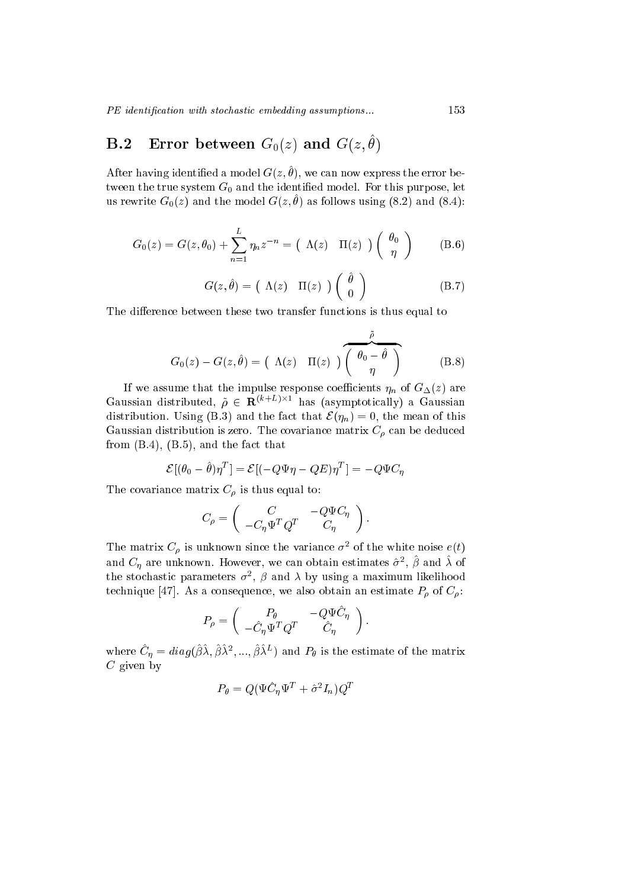PE identification with stochastic embedding assumptions... 153

### $\mathbf{D} \cdot \mathbf{z}$  error between  $\mathbf{G}(z)$  and  $\mathbf{G}(z, v)$

After having identified a model  $G(z, v)$ , we can now express the error between the true system G0 and the identifiable model. For this purpose, in the identifiable model. us rewrite  $G_0(z)$  and the model  $G(z, v)$  as follows using (8.2) and (8.4).

$$
G_0(z) = G(z, \theta_0) + \sum_{n=1}^{L} \eta_n z^{-n} = (\Lambda(z) \Pi(z)) \begin{pmatrix} \theta_0 \\ \eta \end{pmatrix} \qquad (B.6)
$$

$$
G(z, \hat{\theta}) = \begin{pmatrix} \Lambda(z) & \Pi(z) \end{pmatrix} \begin{pmatrix} \hat{\theta} \\ 0 \end{pmatrix}
$$
 (B.7)

The difference between these two transfer functions is thus equal to

$$
G_0(z) - G(z, \hat{\theta}) = \begin{pmatrix} \Lambda(z) & \Pi(z) \end{pmatrix} \overbrace{\begin{pmatrix} \theta_0 - \hat{\theta} \\ \eta \end{pmatrix}}^{\tilde{\rho}} \tag{B.8}
$$

If we assume that the impulse response coefficients  $\eta_n$  of  $G_{\Delta}(z)$  are Gaussian distributed,  $\rho \in \mathbf{R}^{n+1}$ -las (asymptotically) a Gaussian distribution. Using (B.3) and the fact that  $\mathcal{E}(\eta_n) = 0$ , the mean of this Gaussian distribution is zero. The covariance matrix  $C_{\rho}$  can be deduced from  $(B.4)$ ,  $(B.5)$ , and the fact that

$$
\mathcal{E}[(\theta_0 - \hat{\theta})\eta^T] = \mathcal{E}[(-Q\Psi\eta - QE)\eta^T] = -Q\Psi C_\eta
$$

The covariance matrix  $C_{\rho}$  is thus equal to:

$$
C_{\rho} = \left( \begin{array}{cc} C & -Q \Psi C_{\eta} \\ -C_{\eta} \Psi^T Q^T & C_{\eta} \end{array} \right).
$$

The matrix  $C_{\theta}$  is unknown since the variance  $\sigma$  of the white noise  $e(t)$ and  $C_{\eta}$  are unknown. However, we can obtain estimates  $\sigma$  ,  $\rho$  and  $\lambda$  of the stochastic parameters  $\sigma$ , p and  $\lambda$  by using a maximum intendioud technique [47]. As a consequence, we also obtain an estimate  $P_\rho$  of  $C_\rho$ :

$$
P_{\rho} = \begin{pmatrix} P_{\theta} & -Q\Psi \hat{C}_{\eta} \\ -\hat{C}_{\eta} \Psi^T Q^T & \hat{C}_{\eta} \end{pmatrix}.
$$

where  $C_n = \alpha u g(\beta \lambda, \beta \lambda, ..., \beta \lambda)$  and  $P_\theta$  is the estimate of the matrix  $C$  given by

$$
P_{\theta} = Q(\Psi \hat{C}_{\eta} \Psi^{T} + \hat{\sigma}^{2} I_{n}) Q^{T}
$$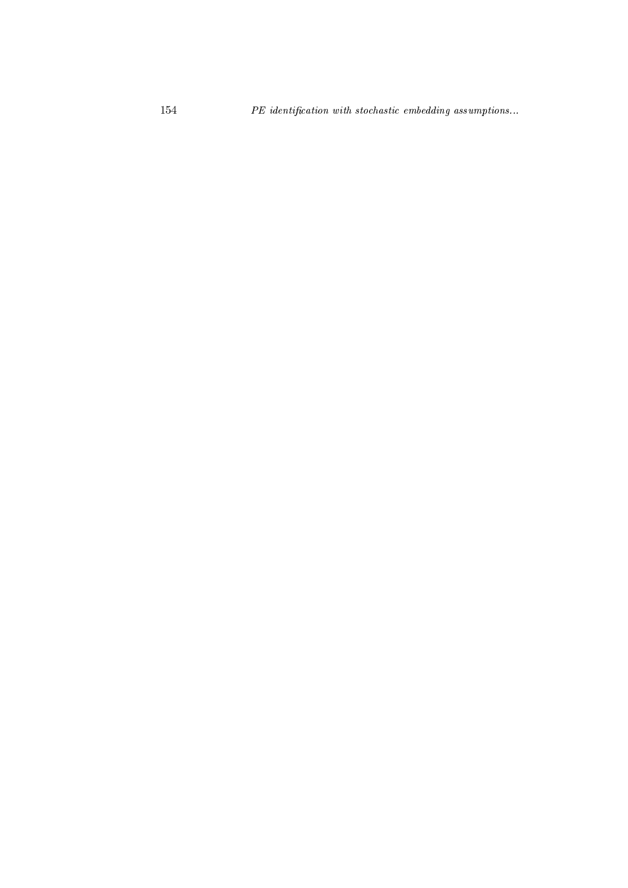154 PE identification with stochastic embedding assumptions...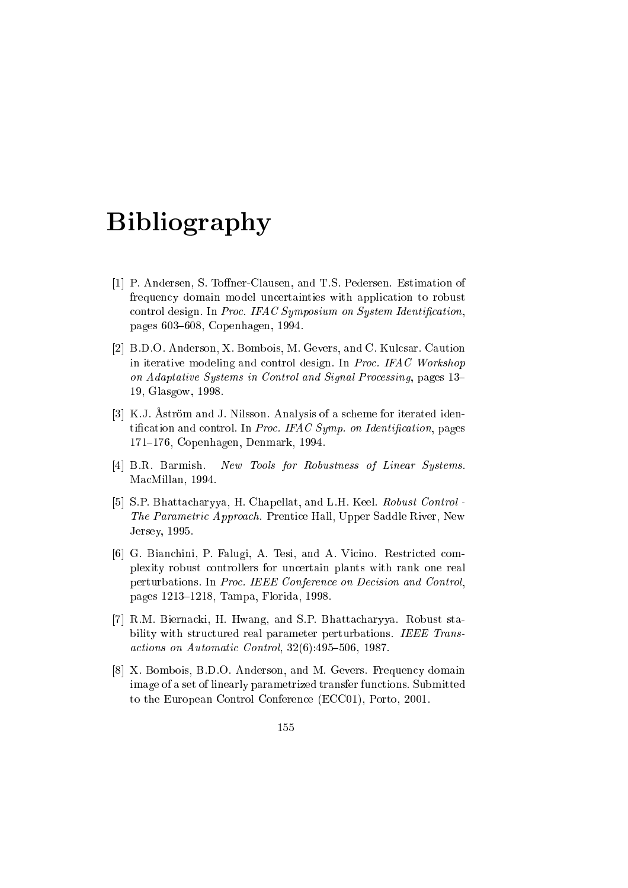# Bibliography

- [1] P. Andersen, S. Toffner-Clausen, and T.S. Pedersen. Estimation of frequency domain model uncertainties with application to robust control design. In Proc. IFAC Symposium on System Identification, pages 603-608, Copenhagen, 1994.
- [2] B.D.O. Anderson, X. Bombois, M. Gevers, and C. Kulcsar. Caution in iterative modeling and control design. In Proc. IFAC Workshop on Adaptative Systems in Control and Signal Processing, pages 13– 19, Glasgow, 1998.
- [3] K.J. Aström and J. Nilsson. Analysis of a scheme for iterated identification and control. In *Proc. IFAC Symp.* on *Identification*, pages 171-176, Copenhagen, Denmark, 1994.
- [4] B.R. Barmish. New Tools for Robustness of Linear Systems. MacMillan, 1994.
- [5] S.P. Bhattacharyya, H. Chapellat, and L.H. Keel. Robust Control -The Parametri Approa
h. Prenti
e Hall, Upper Saddle River, New Jersey, 1995.
- [6] G. Bianchini, P. Falugi, A. Tesi, and A. Vicino. Restricted complexity robust ontrollers for un
ertain plants with rank one real perturbations. In Proc. IEEE Conference on Decision and Control, pages 1213-1218, Tampa, Florida, 1998.
- [7] R.M. Biernacki, H. Hwang, and S.P. Bhattacharyya. Robust stability with structured real parameter perturbations. IEEE Trans*actions on Automatic Control*,  $32(6):495{-}506$ , 1987.
- [8] X. Bombois, B.D.O. Anderson, and M. Gevers. Frequency domain image of a set of linearly parametrized transfer functions. Submitted to the European Control Conferen
e (ECC01), Porto, 2001.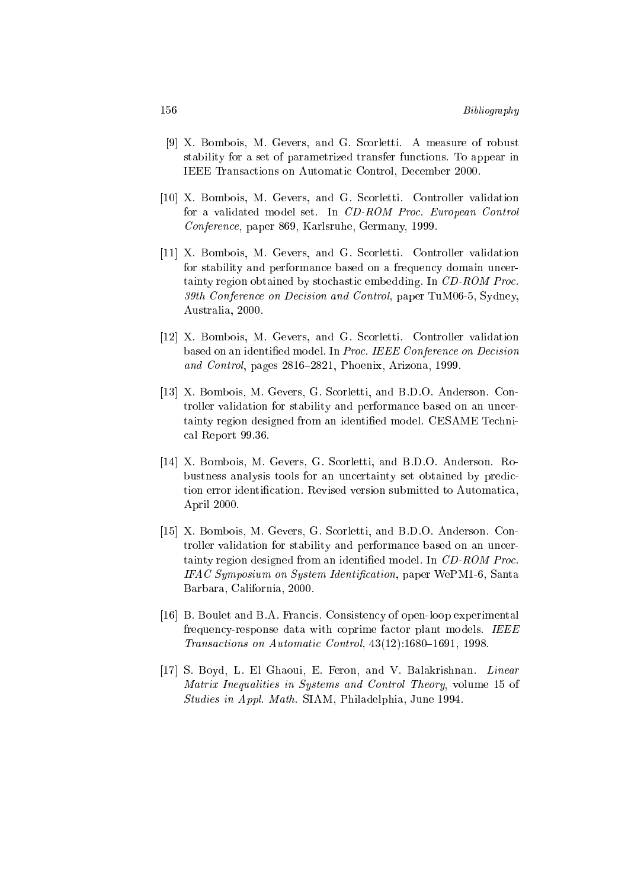- [9] X. Bombois, M. Gevers, and G. Scorletti. A measure of robust stability for a set of parametrized transfer fun
tions. To appear in IEEE Transa
tions on Automati Control, De
ember 2000.
- [10] X. Bombois, M. Gevers, and G. Scorletti. Controller validation for a validated model set. In CD-ROM Pro
. European Control Conferen
e, paper 869, Karlsruhe, Germany, 1999.
- [11] X. Bombois, M. Gevers, and G. Scorletti. Controller validation for stability and performance based on a frequency domain uncertainty region obtained by stochastic embedding. In CD-ROM Proc. 39th Conference on Decision and Control, paper TuM06-5, Sydney, Australia, 2000.
- [12] X. Bombois, M. Gevers, and G. Scorletti. Controller validation based on an identified model. In Proc. IEEE Conference on Decision and Control, pages 2816-2821, Phoenix, Arizona, 1999.
- [13] X. Bombois, M. Gevers, G. Scorletti, and B.D.O. Anderson. Controller validation for stability and performan
e based on an un
ertainty region designed from an identified model. CESAME Technial Report 99.36.
- [14] X. Bombois, M. Gevers, G. Scorletti, and B.D.O. Anderson. Robustness analysis tools for an un
ertainty set obtained by predi
 tion error identification. Revised version submitted to Automatica, April 2000.
- [15] X. Bombois, M. Gevers, G. Scorletti, and B.D.O. Anderson. Controller validation for stability and performan
e based on an un
ertainty region designed from an identified model. In CD-ROM Proc. IFAC Symposium on System Identification, paper WePM1-6, Santa Barbara, California, 2000.
- [16] B. Boulet and B.A. Francis. Consistency of open-loop experimental frequency-response data with coprime factor plant models. IEEE Transactions on Automatic Control,  $43(12):1680-1691$ , 1998.
- [17] S. Boyd, L. El Ghaoui, E. Feron, and V. Balakrishnan. Linear Matrix Inequalities in Systems and Control Theory, volume 15 of Studies in Appl. Math. SIAM, Philadelphia, June 1994.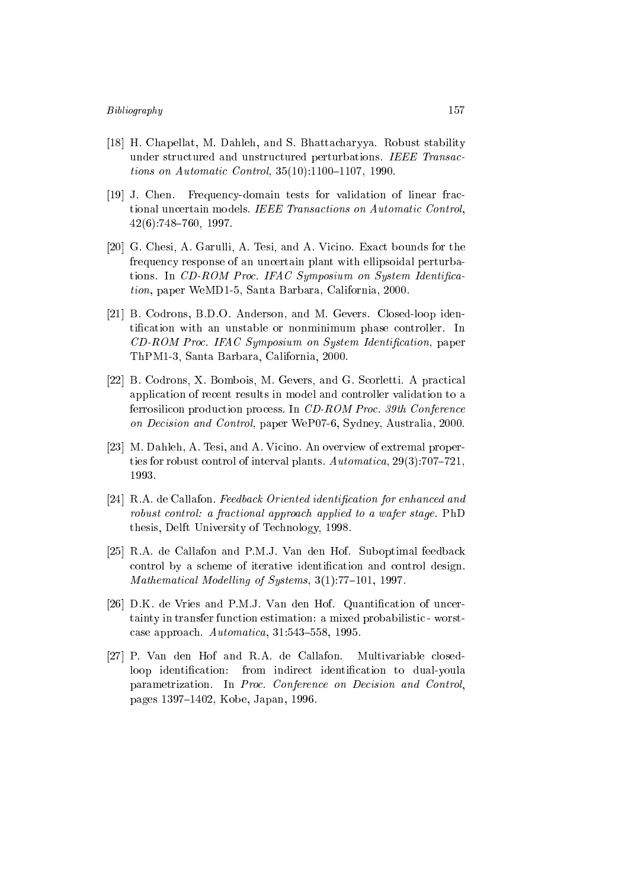- [18] H. Chapellat, M. Dahleh, and S. Bhattacharyya. Robust stability under structured and unstructured perturbations. IEEE Transactions on Automatic Control,  $35(10):1100-1107$ , 1990.
- [19] J. Chen. Frequency-domain tests for validation of linear fractional uncertain models. IEEE Transactions on Automatic Control,  $42(6):748{-}760, 1997.$
- [20] G. Chesi, A. Garulli, A. Tesi, and A. Vicino. Exact bounds for the frequency response of an uncertain plant with ellipsoidal perturbations. In CD-ROM Proc. IFAC Sumposium on System Identification, paper WeMD1-5, Santa Barbara, California, 2000.
- [21] B. Codrons, B.D.O. Anderson, and M. Gevers. Closed-loop identification with an unstable or nonminimum phase controller. In CD-ROM Proc. IFAC Symposium on System Identification, paper ThPM1-3, Santa Barbara, California, 2000.
- [22] B. Codrons, X. Bombois, M. Gevers, and G. Scorletti. A practical appli
ation of re
ent results in model and ontroller validation to a ferrosilicon production process. In CD-ROM Proc. 39th Conference on De
ision and Control, paper WeP07-6, Sydney, Australia, 2000.
- [23] M. Dahleh, A. Tesi, and A. Vicino. An overview of extremal properties for robust control of interval plants. Automatica,  $29(3)$ :707-721, 1993.
- [24] R.A. de Callafon. Feedback Oriented identification for enhanced and robust control: a fractional approach applied to a wafer stage. PhD thesis, Delft University of Te
hnology, 1998.
- [25] R.A. de Callafon and P.M.J. Van den Hof. Suboptimal feedback control by a scheme of iterative identification and control design. Mathematical Modelling of Systems,  $3(1):77-101$ , 1997.
- [26] D.K. de Vries and P.M.J. Van den Hof. Quantification of uncertainty in transfer function estimation: a mixed probabilistic - worstcase approach.  $Automatica$ ,  $31:543-558$ , 1995.
- [27] P. Van den Hof and R.A. de Callafon. Multivariable closedloop identification: from indirect identification to dual-youla parametrization. In Proc. Conference on Decision and Control, pages 1397-1402, Kobe, Japan, 1996.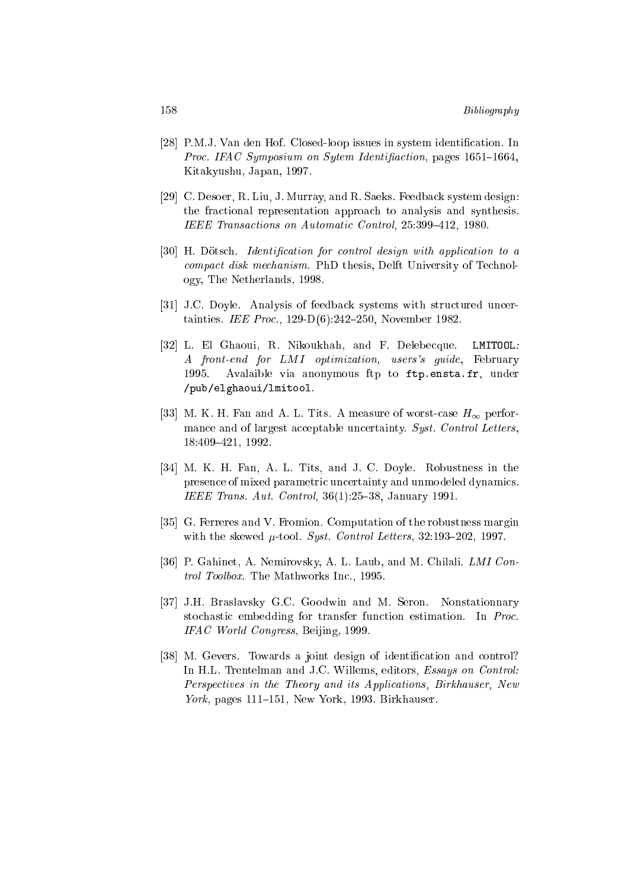- [28] P.M.J. Van den Hof. Closed-loop issues in system identification. In Proc. IFAC Symposium on Sytem Identifiaction, pages 1651-1664, Kitakyushu, Japan, 1997.
- [29] C. Desoer, R. Liu, J. Murray, and R. Saeks. Feedback system design: the fra
tional representation approa
h to analysis and synthesis. IEEE Transactions on Automatic Control, 25:399-412, 1980.
- [30] H. Dötsch. *Identification for control design with application to a* compact disk mechanism. PhD thesis, Delft University of Technology, The Netherlands, 1998.
- [31] J.C. Doyle. Analysis of feedback systems with structured uncertainties. IEE Proc.,  $129-D(6):242-250$ , November 1982.
- [32] L. El Ghaoui, R. Nikoukhah, and F. Delebecque. LMITOOL: A front-end for LMI optimization, users's guide, February 1995. Avalaible via anonymous ftp to ftp.ensta.fr, under /pub/elghaoui/lmitool.
- [33] M. K. H. Fan and A. L. Tits. A measure of worst-case  $H_{\infty}$  performance and of largest acceptable uncertainty. Syst. Control Letters, 18:409-421, 1992.
- [34] M. K. H. Fan, A. L. Tits, and J. C. Doyle. Robustness in the presen
e of mixed parametri un
ertainty and unmodeled dynami
s. IEEE Trans. Aut. Control,  $36(1):25-38$ , January 1991.
- [35] G. Ferreres and V. Fromion. Computation of the robustness margin with the skewed  $\mu$ -tool. Syst. Control Letters, 32:193-202, 1997.
- [36] P. Gahinet, A. Nemirovsky, A. L. Laub, and M. Chilali.  $LMI$  Control Toolbox. The Mathworks In
., 1995.
- [37] J.H. Braslavsky G.C. Goodwin and M. Seron. Nonstationnary stochastic embedding for transfer function estimation. In Proc. IFAC World Congress, Beijing, 1999.
- [38] M. Gevers. Towards a joint design of identification and control? In H.L. Trentelman and J.C. Willems, editors, Essays on Control: Perspectives in the Theory and its Applications, Birkhauser, New York, pages  $111-151$ , New York, 1993. Birkhauser.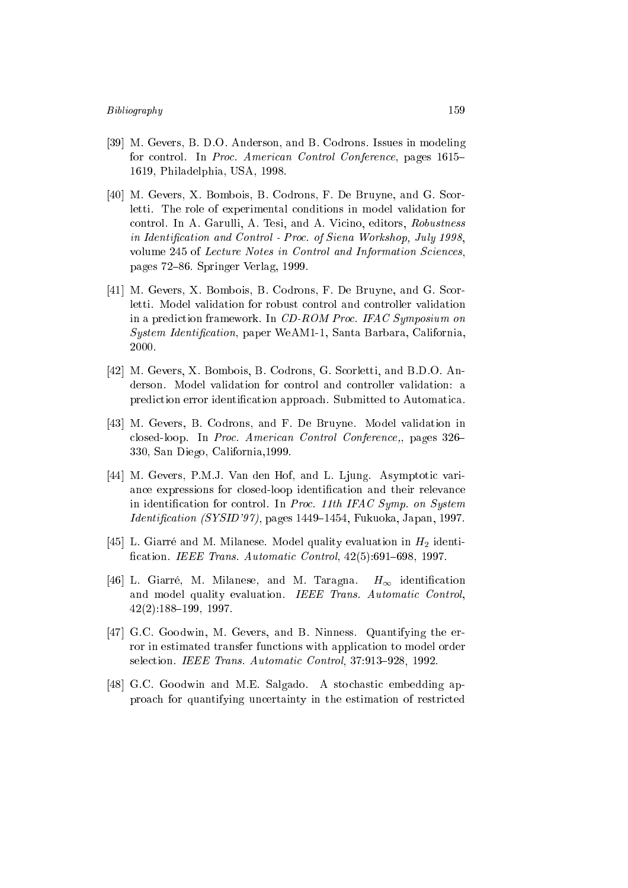- [39] M. Gevers, B. D.O. Anderson, and B. Codrons. Issues in modeling for control. In *Proc. American Control Conference*, pages 1615– 1619, Philadelphia, USA, 1998.
- [40] M. Gevers, X. Bombois, B. Codrons, F. De Bruyne, and G. Scorletti. The role of experimental onditions in model validation for control. In A. Garulli, A. Tesi, and A. Vicino, editors, Robustness in Identification and Control - Proc. of Siena Workshop, July 1998, volume 245 of Lecture Notes in Control and Information Sciences. pages 72–86. Springer Verlag, 1999.
- [41] M. Gevers, X. Bombois, B. Codrons, F. De Bruyne, and G. Scorletti. Model validation for robust control and controller validation in a prediction framework. In CD-ROM Proc. IFAC Symposium on System Identification, paper WeAM1-1, Santa Barbara, California, 2000.
- [42] M. Gevers, X. Bombois, B. Codrons, G. Scorletti, and B.D.O. Anderson. Model validation for control and controller validation: a prediction error identification approach. Submitted to Automatica.
- [43] M. Gevers, B. Codrons, and F. De Bruyne. Model validation in closed-loop. In *Proc. American Control Conference*, pages 326– 330, San Diego, California,1999.
- [44] M. Gevers, P.M.J. Van den Hof, and L. Ljung. Asymptotic variance expressions for closed-loop identification and their relevance in identification for control. In Proc. 11th IFAC Symp. on System  $Identification (SYSID'37)$ , pages 1449–1454, Fukuoka, Japan, 1997.
- $\Box$  L. Giarre and M. Milanese. Model quality evaluation in H2 identification in H2 identification in H2 identification in  $\Delta$ fication. IEEE Trans. Automatic Control,  $42(5):691-698$ , 1997.
- [46] L. Giarré, M. Milanese, and M. Taragna.  $H_{\infty}$  identification and model quality evaluation. IEEE Trans. Automatic Control,  $42(2):188{-}199, 1997.$
- [47] G.C. Goodwin, M. Gevers, and B. Ninness. Quantifying the error in estimated transfer functions with application to model order selection. IEEE Trans. Automatic Control, 37:913-928, 1992.
- [48] G.C. Goodwin and M.E. Salgado. A stochastic embedding approa
h for quantifying un
ertainty in the estimation of restri
ted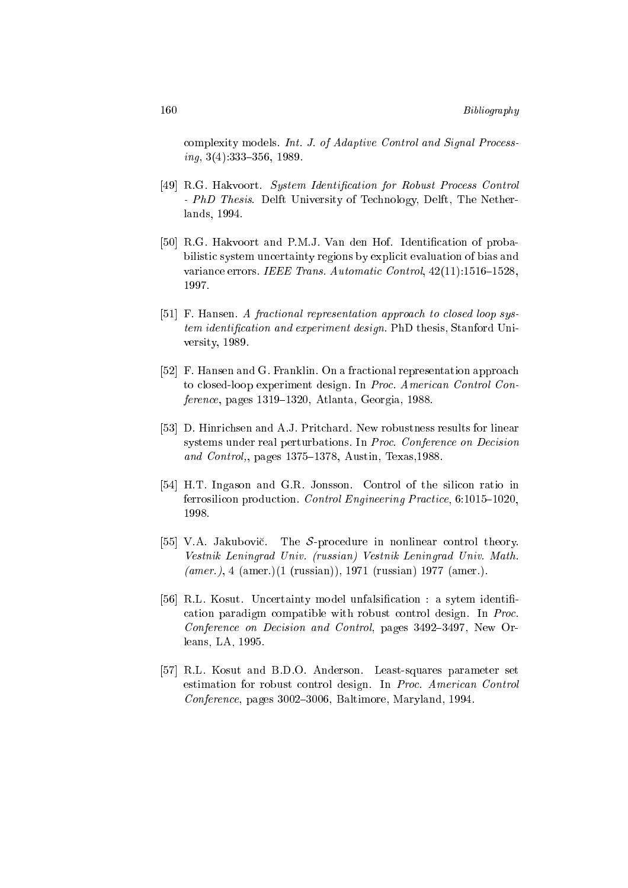complexity models. Int. J. of Adaptive Control and Signal Process $ing$ , 3(4):333-356, 1989.

- [49] R.G. Hakvoort. System Identification for Robust Process Control - PhD Thesis. Delft University of Technology, Delft, The Netherlands, 1994.
- [50] R.G. Hakvoort and P.M.J. Van den Hof. Identification of probabilistic system uncertainty regions by explicit evaluation of bias and variance errors. IEEE Trans. Automatic Control, 42(11):1516-1528, 1997.
- [51] F. Hansen. A fractional representation approach to closed loop system identification and experiment design. PhD thesis, Stanford University, 1989.
- [52] F. Hansen and G. Franklin. On a fractional representation approach to closed-loop experiment design. In Proc. American Control Con $ference$ , pages 1319–1320, Atlanta, Georgia, 1988.
- [53] D. Hinrichsen and A.J. Pritchard. New robustness results for linear systems under real perturbations. In *Proc. Conference on Decision* and Control,, pages  $1375-1378$ , Austin, Texas, 1988.
- [54] H.T. Ingason and G.R. Jonsson. Control of the silicon ratio in ferrosilicon production. Control Engineering Practice, 6:1015-1020, 1998.
- [55] V.A. Jakubovič. The S-procedure in nonlinear control theory. Vestnik Leningrad Univ. (russian) Vestnik Leningrad Univ. Math. (amer.), 4 (amer.)(1 (russian)), 1971 (russian) 1977 (amer.).
- [56] R.L. Kosut. Uncertainty model unfalsification : a sytem identifiation paradigm ompatible with robust ontrol design. In Pro
. Conference on Decision and Control, pages 3492-3497, New Orleans, LA, 1995.
- [57] R.L. Kosut and B.D.O. Anderson. Least-squares parameter set estimation for robust control design. In Proc. American Control Conference, pages 3002-3006, Baltimore, Maryland, 1994.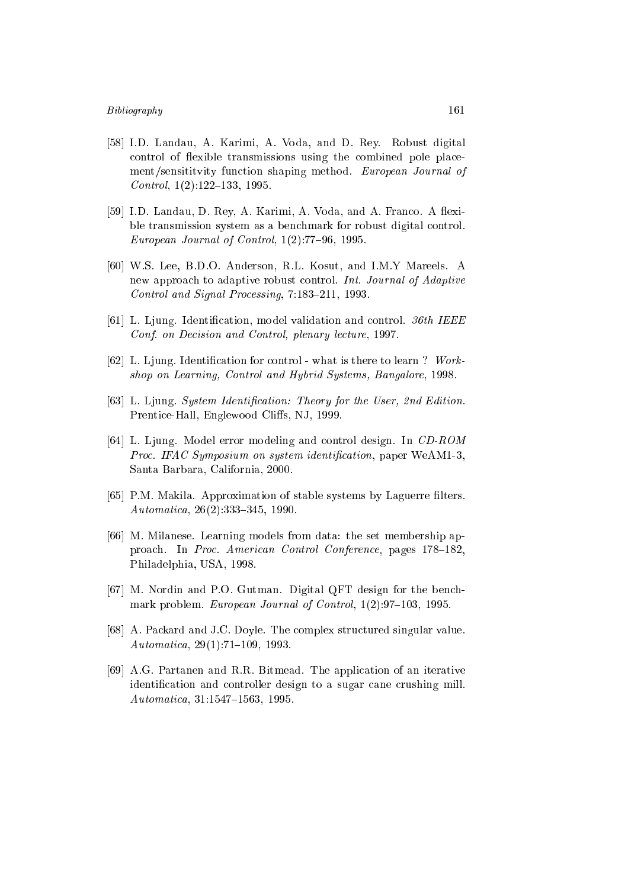## Bibliography 161

- [58] I.D. Landau, A. Karimi, A. Voda, and D. Rey. Robust digital control of flexible transmissions using the combined pole placement/sensititvity function shaping method. European Journal of Control,  $1(2):122-133$ , 1995.
- [59] I.D. Landau, D. Rey, A. Karimi, A. Voda, and A. Franco. A flexible transmission system as a ben
hmark for robust digital ontrol. European Journal of Control,  $1(2): 77-96$ , 1995.
- [60] W.S. Lee, B.D.O. Anderson, R.L. Kosut, and I.M.Y Mareels. A new approach to adaptive robust control. Int. Journal of Adaptive  $Control$  and  $Signal$   $Processing$ ,  $7:183-211$ , 1993.
- [61] L. Ljung. Identification, model validation and control.  $36th$  IEEE Conf. on Decision and Control, plenary lecture, 1997.
- [62] L. Ljung. Identification for control what is there to learn ? Workshop on Learning, Control and Hybrid Systems, Bangalore, 1998.
- [63] L. Ljung. System Identification: Theory for the User, 2nd Edition. Prentice-Hall, Englewood Cliffs, NJ, 1999.
- [64] L. Ljung. Model error modeling and control design. In  $CD$ -ROM Proc. IFAC Symposium on system identification, paper WeAM1-3, Santa Barbara, California, 2000.
- [65] P.M. Makila. Approximation of stable systems by Laguerre filters.  $Automatica, 26(2):333-345, 1990.$
- [66] M. Milanese. Learning models from data: the set membership approach. In *Proc. American Control Conference*, pages 178–182. Philadelphia, USA, 1998.
- [67] M. Nordin and P.O. Gutman. Digital QFT design for the benchmark problem. European Journal of Control,  $1(2):97-103$ , 1995.
- [68] A. Packard and J.C. Doyle. The complex structured singular value.  $Automatica, 29(1):71–109, 1993.$
- [69] A.G. Partanen and R.R. Bitmead. The application of an iterative identification and controller design to a sugar cane crushing mill. Automatica, 31:1547-1563, 1995.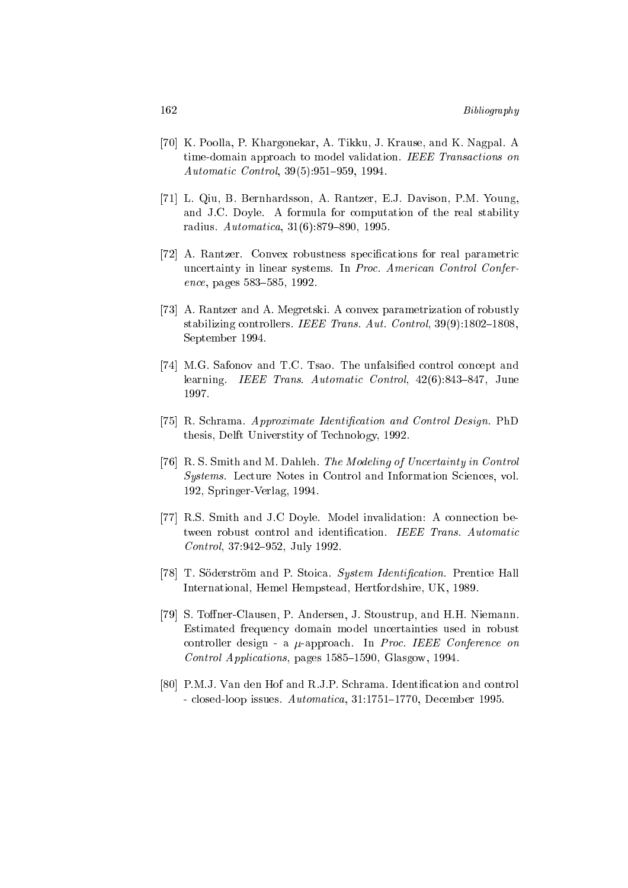- [70] K. Poolla, P. Khargonekar, A. Tikku, J. Krause, and K. Nagpal. A time-domain approach to model validation. IEEE Transactions on Automatic Control, 39(5):951-959, 1994.
- [71] L. Qiu, B. Bernhardsson, A. Rantzer, E.J. Davison, P.M. Young, and J.C. Doyle. A formula for computation of the real stability radius.  $Automatica, 31(6):879-890, 1995.$
- [72] A. Rantzer. Convex robustness specifications for real parametric uncertainty in linear systems. In Proc. American Control Conference, pages 583-585, 1992.
- [73] A. Rantzer and A. Megretski. A convex parametrization of robustly stabilizing controllers. IEEE Trans. Aut. Control,  $39(9):1802-1808$ , September 1994.
- [74] M.G. Safonov and T.C. Tsao. The unfalsified control concept and learning. IEEE Trans. Automatic Control,  $42(6):843-847$ , June 1997.
- [75] R. Schrama. Approximate Identification and Control Design. PhD thesis, Delft Universtity of Te
hnology, 1992.
- [76] R. S. Smith and M. Dahleh. The Modeling of Uncertainty in Control Systems. Lecture Notes in Control and Information Sciences, vol. 192, Springer-Verlag, 1994.
- [77] R.S. Smith and J.C Doyle. Model invalidation: A connection between robust control and identification. IEEE Trans. Automatic Control,  $37:942-952$ , July 1992.
- [78] T. Söderström and P. Stoica. System Identification. Prentice Hall International, Hemel Hempstead, Hertfordshire, UK, 1989.
- [79] S. Toffner-Clausen, P. Andersen, J. Stoustrup, and H.H. Niemann. Estimated frequen
y domain model un
ertainties used in robust controller design - a  $\mu$ -approach. In *Proc. IEEE Conference on* Control Applications, pages 1585-1590, Glasgow, 1994.
- [80] P.M.J. Van den Hof and R.J.P. Schrama. Identification and control - closed-loop issues.  $Automatica$ ,  $31:1751-1770$ , December 1995.